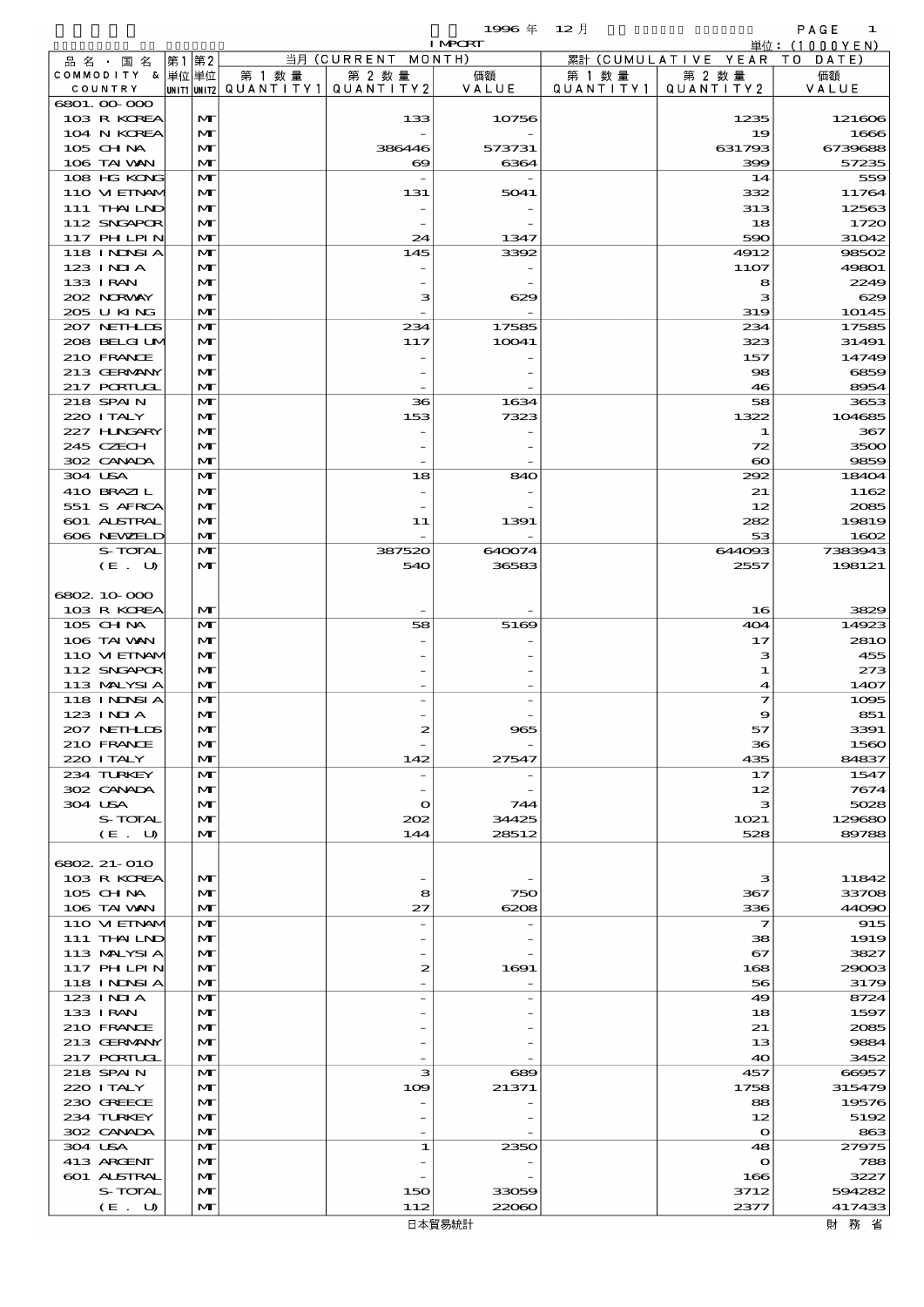$1996 \& 12 \rightarrow$  PAGE 1

|         |                  |    |              |                                       |                       | <b>I MPORT</b> |           |                              | 単位:(1000YEN)   |
|---------|------------------|----|--------------|---------------------------------------|-----------------------|----------------|-----------|------------------------------|----------------|
|         | 品名・国名            | 第1 | 第2           |                                       | 当月 (CURRENT MONTH)    |                |           | 累計 (CUMULATIVE YEAR TO DATE) |                |
|         | COMMODITY & 単位単位 |    |              | 第 1 数量                                | 第 2 数量                | 価額             | 第 1 数 量   | 第 2 数量                       | 価額             |
|         | COUNTRY          |    |              | unit1 unit2  QUANT   TY1  QUANT   TY2 |                       | VALUE          | QUANTITY1 | QUANTITY 2                   | VALUE          |
|         | 6801.00.000      |    |              |                                       |                       |                |           |                              |                |
|         | 103 R KOREA      |    | M            |                                       | 133                   | 10756          |           | 1235                         | 121606         |
|         | 104 N KOREA      |    | M            |                                       |                       |                |           | 19                           | 1666           |
|         | 105 CHNA         |    | M            |                                       | 386446                | 573731         |           | 631793                       | 6739688        |
|         | 106 TAI VAN      |    | M            |                                       | $\boldsymbol{\infty}$ | 6364           |           | 399                          | 57235          |
|         | 108 HG KONG      |    | M            |                                       |                       |                |           | 14                           | 559            |
|         | 110 VIEINAM      |    | M            |                                       | 131                   | 5041           |           | 332                          | 11764          |
|         | 111 THAILND      |    | M            |                                       |                       |                |           | 313                          | 12563          |
|         | 112 SNGAPOR      |    | $\mathbf{M}$ |                                       |                       |                |           | 18                           | 1720           |
|         | 117 PHLPIN       |    | M            |                                       | 24                    | 1347           |           | 590                          | 31042          |
|         | 118 I NDSI A     |    | M            |                                       | 145                   | 3392           |           | 4912                         | 98502          |
|         | $123$ INIA       |    | M            |                                       |                       |                |           | 11O7                         | 49801          |
|         | 133 I RAN        |    | M            |                                       |                       |                |           | 8                            | 2249           |
|         | 202 NORWAY       |    | M            |                                       | з                     | 629            |           | з                            | 629            |
|         | 205 U KING       |    | M            |                                       |                       |                |           | 319                          | 10145          |
|         | 207 NETHLIS      |    | M            |                                       | 234                   | 17585          |           | 234                          | 17585          |
|         | 208 BELGI UM     |    | M            |                                       | 117                   | 10041          |           | 323                          | 31491          |
|         | 210 FRANCE       |    | M            |                                       |                       |                |           | 157                          | 14749          |
|         | 213 GERMANY      |    | M            |                                       |                       |                |           | 98                           | 6859           |
|         | 217 PORTUGL      |    | M            |                                       |                       |                |           | 46                           | 8954           |
|         | 218 SPAIN        |    | M            |                                       | 36                    | 1634           |           | 58                           | 3653           |
|         | 220 I TALY       |    | M            |                                       | 153                   | 7323           |           | 1322                         | 104685         |
|         | 227 HNGARY       |    | M            |                                       |                       |                |           | 1                            | 367            |
|         | 245 CZECH        |    | $\mathbf{M}$ |                                       |                       |                |           | 72                           | 3500           |
|         | 302 CANADA       |    | M            |                                       |                       |                |           | $\boldsymbol{\infty}$        | 9859           |
| 304 USA |                  |    | M            |                                       | 18                    | 840            |           | 292                          | 18404          |
|         | 410 BRAZIL       |    | M            |                                       |                       |                |           | 21                           | 1162           |
|         | 551 S AFRCA      |    | M            |                                       |                       |                |           | 12                           | 2085           |
|         | 601 ALSTRAL      |    | $\mathbf{M}$ |                                       | 11                    | 1391           |           | 282                          | 19819          |
|         | 606 NEWELD       |    | M            |                                       |                       |                |           | 53                           | 1602           |
|         | S-TOTAL          |    | M            |                                       | 387520                | 640074         |           | 644093                       | 7383943        |
|         | (E. U)           |    | M            |                                       | 540                   | 36583          |           | 2557                         | 198121         |
|         |                  |    |              |                                       |                       |                |           |                              |                |
|         | 6802 10 000      |    |              |                                       |                       |                |           |                              |                |
|         | 103 R KOREA      |    | M            |                                       |                       |                |           | 16                           | 3829           |
|         | 105 CH NA        |    | M            |                                       | 58                    | 5169           |           | 404                          | 14923          |
|         | 106 TAI VAN      |    | M            |                                       |                       |                |           | 17                           | 281O           |
|         | 110 VIEINAM      |    | M            |                                       |                       |                |           | з                            | 455            |
|         | 112 SNGAPOR      |    | M            |                                       |                       |                |           | 1                            | 273            |
|         | 113 MALYSIA      |    | M            |                                       |                       |                |           | 4                            | 1407           |
|         | 118 I NJNSI A    |    | M            |                                       |                       |                |           | 7                            | 1095           |
|         | $123$ INIA       |    | M            |                                       |                       |                |           | 9                            | 851            |
|         | 207 NETHLIS      |    | $\mathbf{M}$ |                                       |                       |                |           | 57                           | 3391           |
|         | 210 FRANCE       |    | M            |                                       |                       |                |           | 36                           | 1560           |
|         | 220 I TALY       |    | M            |                                       | 142                   | 27547          |           | 435                          | 84837          |
|         | 234 TURKEY       |    | M            |                                       |                       |                |           | 17                           | 1547           |
|         | 302 CANADA       |    | M            |                                       |                       |                |           | 12                           | 7674           |
| 304 USA |                  |    | M            |                                       | $\bullet$             | 744            |           | з                            | 5028           |
|         | S-TOTAL          |    | M            |                                       | 202                   | 34425          |           | 1021                         | 129680         |
|         | (E. U)           |    | M            |                                       | 144                   | 28512          |           | 528                          | 89788          |
|         |                  |    |              |                                       |                       |                |           |                              |                |
|         | 6802 21-010      |    |              |                                       |                       |                |           |                              |                |
|         | 103 R KOREA      |    | M            |                                       |                       |                |           | з                            | 11842          |
|         | 105 CH NA        |    | M            |                                       | 8                     | 750            |           | 367                          | 33708          |
|         | 106 TAI VAN      |    | M            |                                       | 27                    | 6208           |           | 336                          | 44090          |
|         | 110 VIEINAM      |    | M            |                                       |                       |                |           | 7                            | 915            |
|         | 111 THAILND      |    | M            |                                       |                       |                |           | 38                           | 1919           |
|         | 113 MALYSIA      |    | M            |                                       |                       |                |           | 67                           | 3827           |
|         | 117 PHLPIN       |    | M            |                                       | 2                     | 1691           |           | 168                          | 29003          |
|         | 118 I NJNSI A    |    | M            |                                       |                       |                |           | 56                           | 3179           |
|         | $123$ INIA       |    | M            |                                       |                       |                |           | 49                           | 8724           |
|         | 133 I RAN        |    | M            |                                       |                       |                |           | 18                           | 1597           |
|         | 210 FRANCE       |    | M            |                                       |                       |                |           | 21                           | 2085           |
|         | 213 GERMANY      |    | M            |                                       |                       |                |           | 13                           | 9884           |
|         | 217 PORTUGL      |    | M            |                                       |                       |                |           | 40                           | 3452           |
|         | 218 SPAIN        |    | M            |                                       | з                     | 689            |           | 457                          | 66957          |
|         | 220 I TALY       |    | M            |                                       | 109                   | 21371          |           | 1758                         | 315479         |
|         | 230 GREECE       |    | M            |                                       |                       |                |           | 88                           | 19576          |
|         | 234 TURKEY       |    | M            |                                       |                       |                |           | 12                           | 5192           |
|         | 302 CANADA       |    | M            |                                       |                       |                |           | $\mathbf{o}$                 | 863            |
| 304 USA |                  |    | M            |                                       | 1                     | 2350           |           | 48                           | 27975          |
|         | 413 ARGENT       |    | M            |                                       |                       |                |           | $\mathbf{\Omega}$            | 788            |
|         | 601 ALSTRAL      |    |              |                                       |                       |                |           |                              |                |
|         | S-TOTAL          |    | M<br>M       |                                       | 150                   |                |           | 166                          | 3227<br>594282 |
|         |                  |    |              |                                       |                       | 33059          |           | 3712                         |                |
|         | (E. U)           |    | M            |                                       | 112                   | 22060          |           | 2377                         | 417433         |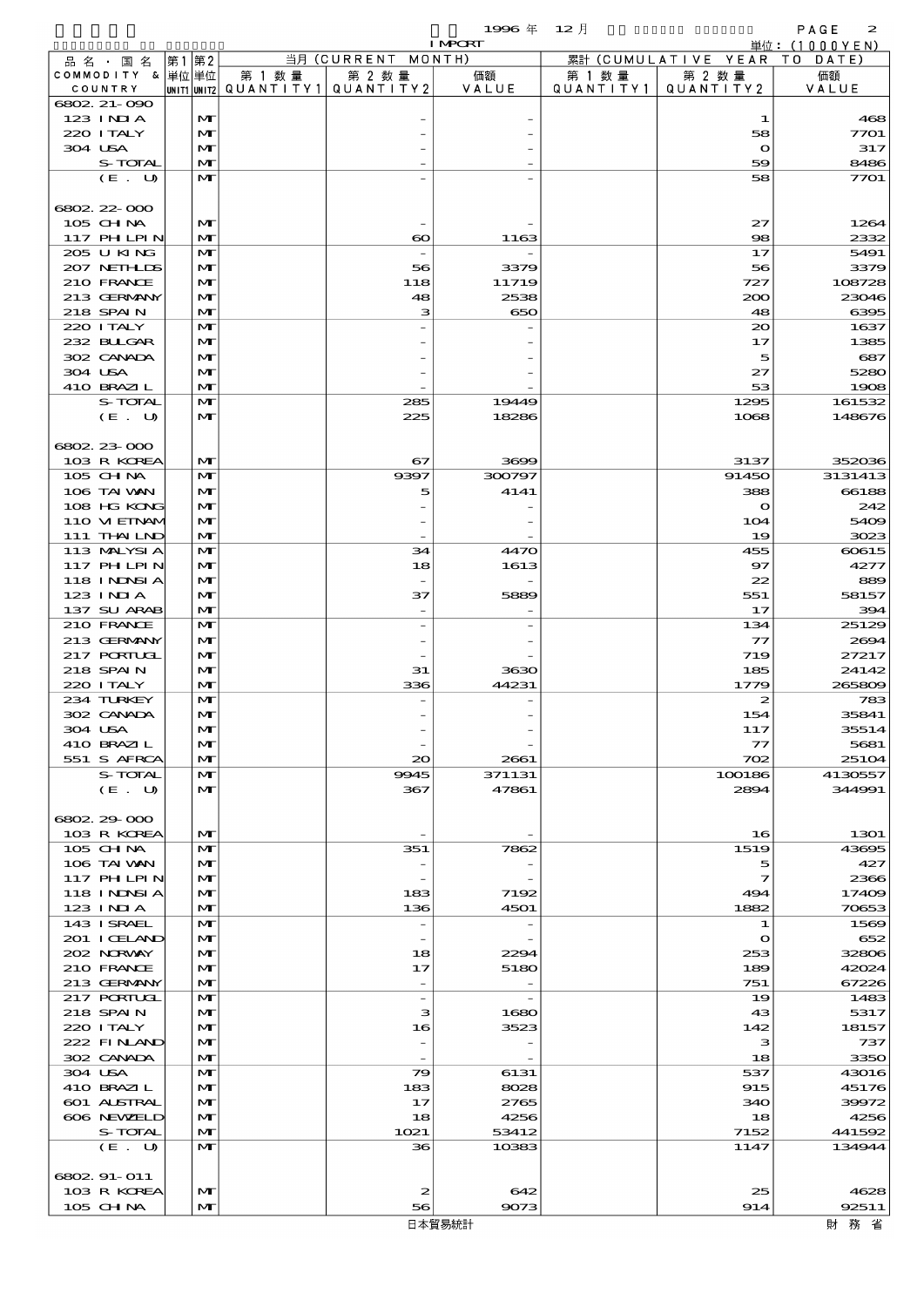$1996 \nleftrightarrow 12 \nparallel$  PAGE 2

|                             |                   |        |                                                  | <b>I MPORT</b>           |                      |                              | 単位: (1000 Y E N) |
|-----------------------------|-------------------|--------|--------------------------------------------------|--------------------------|----------------------|------------------------------|------------------|
| 品名・国名                       | 第1 第2             |        | 当月 (CURRENT MONTH)                               |                          |                      | 累計 (CUMULATIVE YEAR TO DATE) |                  |
| COMMODITY & 単位単位<br>COUNTRY |                   | 第 1 数量 | 第 2 数量<br> UNIT1 UNIT2  QUANT   TY1  QUANT   TY2 | 価額<br>VALUE              | 第 1 数 量<br>QUANTITY1 | 第 2 数量<br>QUANTITY 2         | 価額<br>VALUE      |
| 6802. 21-090                |                   |        |                                                  |                          |                      |                              |                  |
| 123 INIA                    | M                 |        |                                                  |                          |                      | 1                            | 468              |
| 220 I TALY                  | $\mathbf{M}$      |        |                                                  |                          |                      | 58                           | 7701             |
| 304 USA                     | M                 |        |                                                  |                          |                      | $\mathbf o$                  | 317              |
| S-TOTAL                     | M                 |        |                                                  |                          |                      | 59                           | 8486             |
| (E. U)                      | $\mathbf{M}$      |        |                                                  |                          |                      | 58                           | 7701             |
| 6802 22 000                 |                   |        |                                                  |                          |                      |                              |                  |
| 105 CH NA                   | $\mathbf{M}$      |        |                                                  |                          |                      | 27                           | 1264             |
| 117 PHLPIN                  | M                 |        | $\boldsymbol{\infty}$                            | 1163                     |                      | $\circledast$                | 2332             |
| 205 U KING                  | M                 |        |                                                  |                          |                      | 17                           | 5491             |
| 207 NETHLIS                 | M                 |        | 56                                               | 3379                     |                      | 56                           | 3379             |
| 210 FRANCE                  | M                 |        | 118                                              | 11719                    |                      | 727                          | 108728           |
| 213 GERMANY<br>218 SPAIN    | M<br>M            |        | 48<br>з                                          | 2538<br>650              |                      | 200<br>48                    | 23046<br>6395    |
| 220 I TALY                  | M                 |        |                                                  |                          |                      | 20                           | 1637             |
| 232 BULGAR                  | M                 |        |                                                  |                          |                      | 17                           | 1385             |
| 302 CANADA                  | M                 |        |                                                  |                          |                      | 5                            | 687              |
| 304 USA                     | M                 |        |                                                  |                          |                      | 27                           | 5280             |
| 410 BRAZIL                  | $\mathbf{M}$      |        |                                                  |                          |                      | 53                           | 1908             |
| S-TOTAL<br>(E. U)           | M<br>M            |        | 285<br>225                                       | 19449<br>18286           |                      | 1295<br>1068                 | 161532<br>148676 |
|                             |                   |        |                                                  |                          |                      |                              |                  |
| 6802 23 000                 |                   |        |                                                  |                          |                      |                              |                  |
| 103 R KOREA                 | M                 |        | 67                                               | 3699                     |                      | 3137                         | 352036           |
| 105 CHNA                    | M                 |        | 9397                                             | 300797                   |                      | 91450                        | 3131413          |
| 106 TAI VAN                 | $\mathbf{M}$      |        | 5                                                | 4141                     |                      | 388                          | 66188            |
| 108 HG KONG                 | M                 |        |                                                  |                          |                      | $\mathbf{o}$                 | 242              |
| 110 VIEINAM<br>111 THAILND  | M<br>M            |        |                                                  |                          |                      | 104<br>19                    | 5409<br>3023     |
| 113 MALYSIA                 | M                 |        | 34                                               | 4470                     |                      | 455                          | 60615            |
| 117 PHLPIN                  | M                 |        | 18                                               | 1613                     |                      | $\mathbf{97}$                | 4277             |
| 118 INNSI A                 | M                 |        |                                                  |                          |                      | 22                           | 889              |
| 123 INIA                    | M                 |        | 37                                               | 5889                     |                      | 551                          | 58157            |
| 137 SU ARAB                 | $\mathbf{M}$      |        |                                                  |                          |                      | 17                           | 394              |
| 210 FRANCE                  | M                 |        |                                                  |                          |                      | 134                          | 25129            |
| 213 GERMANY<br>217 PORTUGL  | M<br>$\mathbf{M}$ |        |                                                  |                          |                      | $\mathcal{T}$<br>719         | 2694<br>27217    |
| 218 SPAIN                   | M                 |        | 31                                               | 3630                     |                      | 185                          | 24142            |
| 220 I TALY                  | M                 |        | 336                                              | 44231                    |                      | 1779                         | 265809           |
| 234 TURKEY                  | M                 |        |                                                  |                          |                      | 2                            | 783              |
| 302 CANADA                  | M                 |        |                                                  |                          |                      | 154                          | 35841            |
| 304 USA                     | $\mathbf{M}$      |        |                                                  |                          |                      | 117                          | 35514            |
| 410 BRAZI L<br>551 S AFRCA  | M<br>M            |        | $\infty$                                         | 2661                     |                      | $\mathcal{T}$<br>702         | 5681<br>25104    |
| S-TOTAL                     | M                 |        | 9945                                             | 371131                   |                      | 100186                       | 4130557          |
| (E. U)                      | M                 |        | 367                                              | 47861                    |                      | 2894                         | 344991           |
|                             |                   |        |                                                  |                          |                      |                              |                  |
| 6802.29-000                 |                   |        |                                                  |                          |                      |                              |                  |
| 103 R KOREA                 | $\mathbf{M}$      |        |                                                  |                          |                      | 16                           | 1301             |
| 105 CH NA<br>106 TAI VAN    | M<br>M            |        | 351                                              | 7862                     |                      | 1519<br>5                    | 43695<br>427     |
| 117 PH LPIN                 | M                 |        |                                                  |                          |                      | 7                            | 2366             |
| 118 I NDSI A                | $\mathbf{M}$      |        | 183                                              | 7192                     |                      | 494                          | 17409            |
| $123$ INIA                  | $\mathbf{M}$      |        | 136                                              | 4501                     |                      | 1882                         | 70653            |
| 143 ISRAEL                  | M                 |        | $\overline{\phantom{a}}$                         | $\overline{\phantom{a}}$ |                      | 1                            | 1569             |
| 201 I CELAND                | M                 |        |                                                  |                          |                      | $\mathbf{o}$                 | 652              |
| 202 NORWAY<br>210 FRANCE    | M<br>$\mathbf{M}$ |        | 18<br>17                                         | 2294<br>5180             |                      | 253<br>189                   | 32806<br>42024   |
| 213 GERMANY                 | $\mathbf{M}$      |        |                                                  |                          |                      | 751                          | 67226            |
| <b>217 PORTUGL</b>          | $\mathbf{M}$      |        | $\overline{\phantom{a}}$                         | $\overline{\phantom{a}}$ |                      | 19                           | 1483             |
| 218 SPAIN                   | M                 |        | з                                                | 1680                     |                      | 43                           | 5317             |
| 220 I TALY                  | M                 |        | 16                                               | 3523                     |                      | 142                          | 18157            |
| 222 FINAND                  | M                 |        | $\overline{\phantom{a}}$                         |                          |                      | з                            | 737              |
| 302 CANADA<br>304 USA       | $\mathbf{M}$<br>M |        | 79                                               | 6131                     |                      | 18<br>537                    | 3350<br>43016    |
| 410 BRAZIL                  | M                 |        | 183                                              | 8028                     |                      | 915                          | 45176            |
| 601 ALSTRAL                 | M                 |        | 17                                               | 2765                     |                      | 340                          | 39972            |
| 606 NEWELD                  | M                 |        | 18                                               | 4256                     |                      | 18                           | 4256             |
| S-TOTAL                     | $\mathbf{M}$      |        | 1021                                             | 53412                    |                      | 7152                         | 441592           |
| (E. U)                      | $\mathbf{M}$      |        | 36                                               | 10383                    |                      | 1147                         | 134944           |
| 6802 91-011                 |                   |        |                                                  |                          |                      |                              |                  |
| 103 R KOREA                 | M                 |        | 2                                                | 642                      |                      | 25                           | 4628             |
| 105 CHNA                    | $\mathbf{M}$      |        | 56                                               | 9073                     |                      | 914                          | 92511            |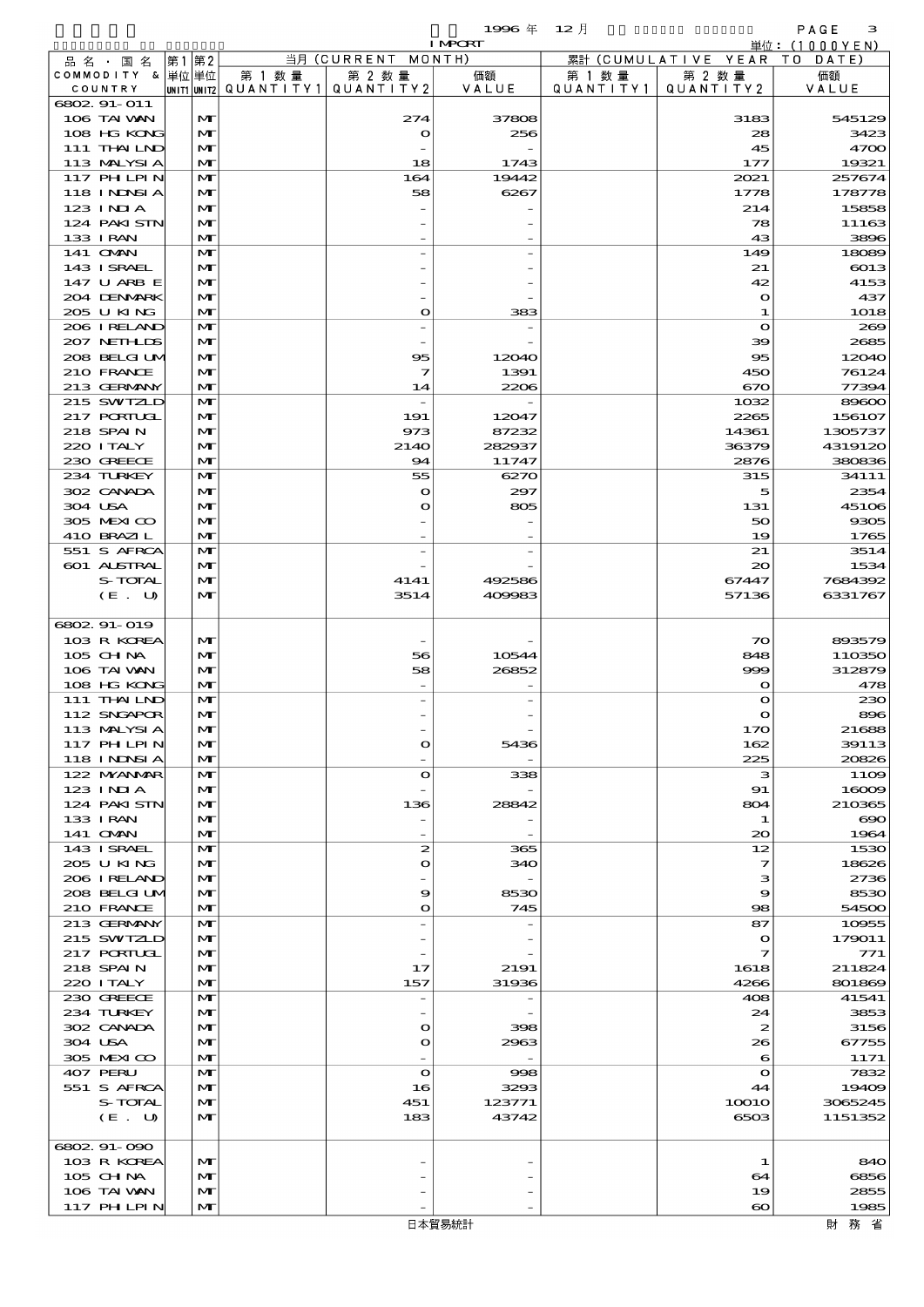品別国別表 輸 入 1996 12 確定 (Fixed Annual) 3

|         |                    |    |              |         |                                       | <b>I MPORT</b> |           |                              | 単位: (1000YEN)          |
|---------|--------------------|----|--------------|---------|---------------------------------------|----------------|-----------|------------------------------|------------------------|
|         | 品名・国名              | 第1 | 第2           |         | 当月 (CURRENT MONTH)                    |                |           | 累計 (CUMULATIVE YEAR TO DATE) |                        |
|         | COMMODITY & 単位単位   |    |              | 第 1 数 量 | 第 2 数量                                | 価額             | 第 1 数 量   | 第 2 数量                       | 価額                     |
|         | COUNTRY            |    |              |         | UNIT1 UNIT2  Q∪ANT   TY1  Q∪ANT   TY2 | VALUE          | QUANTITY1 | QUANTITY 2                   | VALUE                  |
|         | 6802 91-011        |    |              |         |                                       |                |           |                              |                        |
|         | 106 TAI VAN        |    | $\mathbf{M}$ |         | 274                                   | 37808          |           | 3183                         | 545129                 |
|         | 108 HG KONG        |    | M            |         | $\bullet$                             | 256            |           | 28                           | 3423                   |
|         | 111 THAILND        |    | $\mathbf{M}$ |         |                                       |                |           | 45                           | 4700                   |
|         | 113 MALYSIA        |    | M            |         | 18                                    | 1743           |           | 177                          | 19321                  |
|         | 117 PHLPIN         |    | M            |         | 164                                   | 19442          |           | 2021                         | 257674                 |
|         | 118 I NDSI A       |    | M            |         | 58                                    | 6267           |           | 1778                         | 178778                 |
|         | 123 INIA           |    | $\mathbf{M}$ |         |                                       |                |           | 214                          | 15858                  |
|         | 124 PAKISTN        |    | M            |         |                                       |                |           | 78                           | 11163                  |
|         | 133 I RAN          |    | $\mathbf{M}$ |         |                                       |                |           | 43                           | 3896                   |
|         | 141 OMN            |    | $\mathbf{M}$ |         |                                       |                |           | 149                          | 18089                  |
|         | 143 ISRAEL         |    | M            |         |                                       |                |           | 21                           | $\omega$ <sub>13</sub> |
|         | 147 U ARB E        |    | M            |         |                                       |                |           | 42                           | 4153                   |
|         | 204 DENMARK        |    | M            |         |                                       |                |           | $\mathbf{\Omega}$            | 437                    |
|         | 205 U KING         |    | M            |         | $\mathbf o$                           | 383            |           | 1                            | 1018                   |
|         | 206 IRELAND        |    | M            |         |                                       |                |           | $\bullet$                    | 269                    |
|         | 207 NETHLIS        |    | M            |         |                                       |                |           | 39                           | 2685                   |
|         | 208 BELGI UM       |    | $\mathbf{M}$ |         | 95                                    | 12040          |           | $\infty$                     | 12040                  |
|         | 210 FRANCE         |    | M            |         | 7                                     | 1391           |           | 450                          | 76124                  |
|         | 213 GERMANY        |    | $\mathbf{M}$ |         | 14                                    | 2206           |           | 670                          | 77394                  |
|         | 215 SWIZLD         |    | M            |         |                                       |                |           | 1032                         | 89600                  |
|         | 217 PORTUGL        |    | M            |         | 191                                   | 12047          |           | 2265                         | 156107                 |
|         | 218 SPAIN          |    | M            |         | 973                                   | 87232          |           | 14361                        | 1305737                |
|         | 220 I TALY         |    | M            |         | 2140                                  | 282937         |           | 36379                        | 4319120                |
|         | 230 GREECE         |    | $\mathbf{M}$ |         | 94                                    | 11747          |           | 2876                         | 380836                 |
|         | 234 TURKEY         |    | M            |         | 55                                    | 6270           |           | 315                          | 34111                  |
|         | 302 CANADA         |    | M            |         | $\mathbf{o}$                          | 297            |           | 5                            | 2354                   |
| 304 USA |                    |    | M            |         | O                                     | 805            |           | 131                          | 45106                  |
|         | 305 MEXICO         |    | M            |         |                                       |                |           | 50                           | 9305                   |
|         | 410 BRAZIL         |    | $\mathbf{M}$ |         |                                       |                |           | 19                           | 1765                   |
|         | 551 S AFRCA        |    | M            |         |                                       |                |           | 21                           | 3514                   |
|         | <b>601 ALSTRAL</b> |    | M            |         |                                       |                |           | $\infty$                     | 1534                   |
|         | S-TOTAL            |    | M            |         | 4141                                  | 492586         |           | 67447                        | 7684392                |
|         | (E. U)             |    | $\mathbf{M}$ |         | 3514                                  | 409983         |           | 57136                        | 6331767                |
|         |                    |    |              |         |                                       |                |           |                              |                        |
|         | 6802.91-019        |    |              |         |                                       |                |           |                              |                        |
|         | 103 R KOREA        |    | M            |         |                                       |                |           | 70                           | 893579                 |
|         | 105 CH NA          |    | M            |         | 56                                    | 10544          |           | 848                          | 110350                 |
|         | 106 TAI VAN        |    | M            |         | 58                                    | 26852          |           | 999                          | 312879                 |
|         | 108 HG KONG        |    | M            |         |                                       |                |           | $\mathbf{\Omega}$            | 478                    |
|         | 111 THAILND        |    | M            |         |                                       |                |           | $\mathbf o$                  | 230                    |
|         | 112 SNGAPOR        |    | $\mathbf{M}$ |         |                                       |                |           | $\mathbf o$                  | 896                    |
|         | 113 MALYSIA        |    | M            |         |                                       |                |           | 17C                          | 21688                  |
|         | 117 PH LPIN        |    | M            |         | $\mathbf o$                           | 5436           |           | 162                          | 39113                  |
|         | 118 I NJNSI A      |    | M            |         |                                       |                |           | 225                          | 20826                  |
|         | 122 NYANAR         |    | $\mathbf{M}$ |         | $\bullet$                             | 338            |           | з                            | 11O <sub>2</sub>       |
|         | $123$ INIA         |    | M            |         |                                       |                |           | 91                           | 16009                  |
|         | 124 PAKISIN        |    | M            |         | 136                                   | 28842          |           | 804                          | 210365                 |
|         | 133 I RAN          |    | $\mathbf{M}$ |         |                                       |                |           | 1                            | $\infty$               |
|         | 141 OMN            |    | M            |         |                                       |                |           | $\infty$                     | 1964                   |
|         | 143 ISRAEL         |    | $\mathbf{M}$ |         | 2                                     | 365            |           | 12                           | 1530                   |
|         | 205 U KING         |    | M            |         | $\mathbf o$                           | 340            |           | $\overline{\mathbf{z}}$      | 18626                  |
|         | 206 IRELAND        |    | M            |         |                                       |                |           | з                            | 2736                   |
|         | 208 BELGI UM       |    | M            |         | 9                                     | 8530           |           | 9                            | 8530                   |
|         | 210 FRANCE         |    | $\mathbf{M}$ |         | $\mathbf{o}$                          | 745            |           | 98                           | 54500                  |
|         | 213 GERMANY        |    | $\mathbf{M}$ |         |                                       |                |           | 87                           | 10955                  |
|         | 215 SWIZLD         |    | $\mathbf{M}$ |         |                                       |                |           | $\mathbf o$                  | 179011                 |
|         | 217 PORTUGL        |    | M            |         |                                       |                |           | 7                            | 771                    |
|         | 218 SPAIN          |    | M            |         | 17                                    | 2191           |           | 1618                         | 211824                 |
|         | 220 I TALY         |    | $\mathbf{M}$ |         | 157                                   | 31936          |           | 4266                         | 801869                 |
|         | 230 GREECE         |    | $\mathbf{M}$ |         | $\overline{a}$                        |                |           | 408                          | 41541                  |
|         | 234 TURKEY         |    | $\mathbf{M}$ |         |                                       |                |           | 24                           | 3853                   |
|         | 302 CANADA         |    | M            |         | $\mathbf o$                           | 398            |           | 2                            | 3156                   |
| 304 USA |                    |    | M            |         | $\mathbf o$                           | 2963           |           | 26                           | 67755                  |
|         | 305 MEXICO         |    | $\mathbf{M}$ |         |                                       |                |           | 6                            | 1171                   |
|         | 407 PERU           |    | $\mathbf{M}$ |         | $\bullet$                             | 998            |           | $\mathbf o$                  | 7832                   |
|         | 551 S AFRCA        |    | $\mathbf{M}$ |         | 16                                    | 3293           |           | 44                           | 19409                  |
|         | S-TOTAL            |    | M            |         | 451                                   | 123771         |           | 10010                        | 3065245                |
|         | (E. U)             |    | M            |         | 183                                   | 43742          |           | 6503                         | 1151352                |
|         |                    |    |              |         |                                       |                |           |                              |                        |
|         | 6802.91-090        |    |              |         |                                       |                |           |                              |                        |
|         | 103 R KOREA        |    | M            |         |                                       |                |           | 1                            | 840                    |
|         | $105$ CHNA         |    | M            |         |                                       |                |           | 64                           | 6856                   |
|         | 106 TAI VAN        |    | M            |         |                                       |                |           | 19                           | 2855                   |
|         | 117 PHLPIN         |    | M            |         |                                       |                |           | $\boldsymbol{\infty}$        | 1985                   |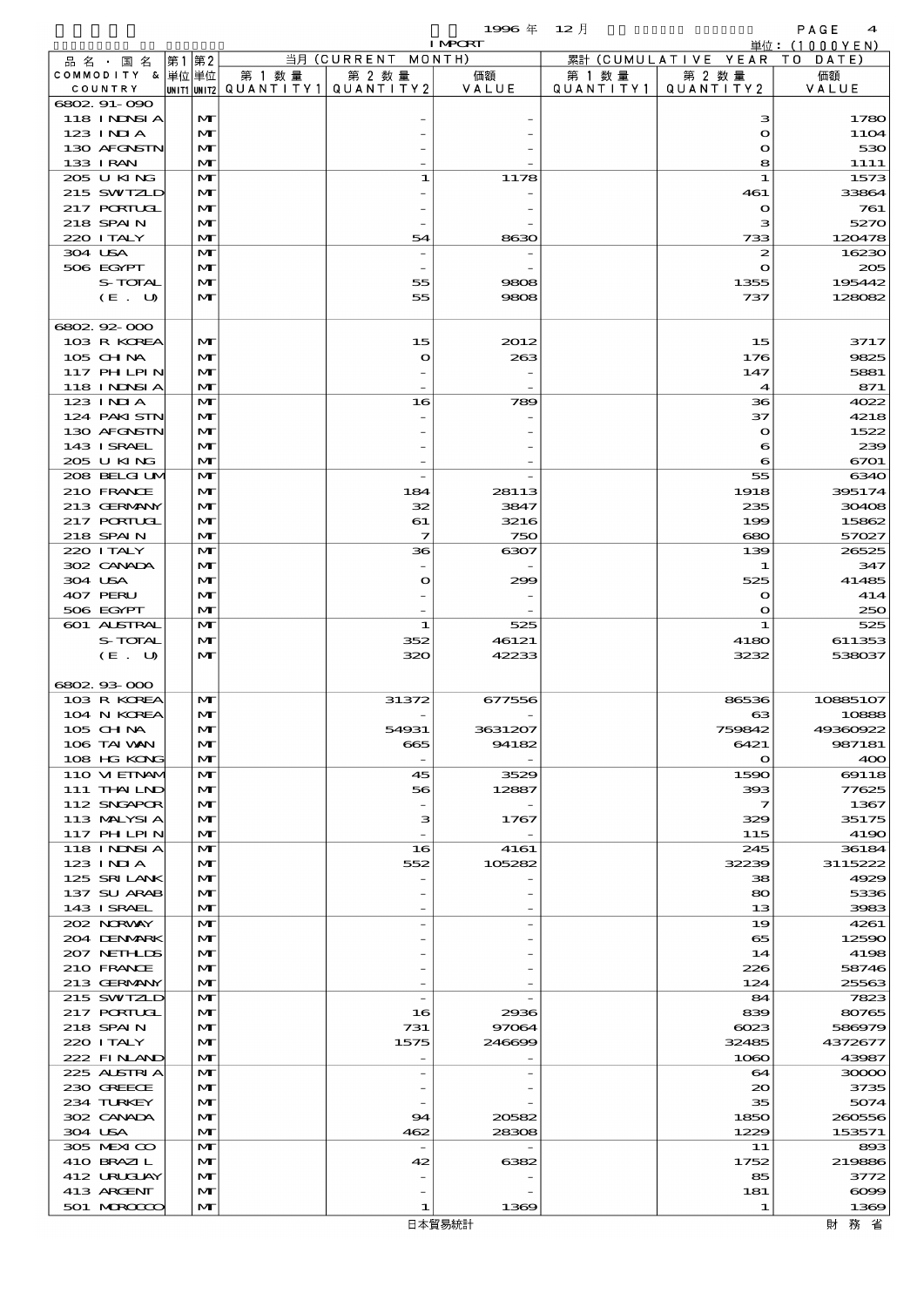$1996 \n& 12 \nparallel$  PAGE 4

|                                  |                              |        |                                       | <b>I MPORT</b> |                      |                                 | 単位: (1000YEN)     |
|----------------------------------|------------------------------|--------|---------------------------------------|----------------|----------------------|---------------------------------|-------------------|
| 品 名 ・ 国 名                        | 第1 第2                        |        | 当月 (CURRENT MONTH)                    |                |                      | 累計 (CUMULATIVE YEAR TO DATE)    |                   |
| COMMODITY & 単位 単位                |                              | 第 1 数量 | 第 2 数量                                | 価額             | 第 1 数 量<br>QUANTITY1 | 第 2 数量                          | 価額                |
| COUNTRY<br>6802.91-090           |                              |        | UNIT1 UNIT2  QUANT   TY1  QUANT   TY2 | VALUE          |                      | QUANTITY 2                      | VALUE             |
| 118 INNSI A                      | M                            |        |                                       |                |                      | з                               | 1780              |
| 123 INIA                         | $\mathbf{M}$                 |        |                                       |                |                      | $\mathbf{o}$                    | 11O <sub>4</sub>  |
| 130 AFGNSTN                      | M                            |        |                                       |                |                      | $\bullet$                       | 530               |
| 133 I RAN                        | M                            |        |                                       |                |                      | 8                               | 1111              |
| 205 U KING                       | $\mathbf{M}$                 |        | 1                                     | 1178           |                      | 1                               | 1573              |
| 215 SWIZLD                       | M                            |        |                                       |                |                      | 461                             | 33864             |
| 217 PORTUGL                      | $\mathbf{M}$                 |        |                                       |                |                      | $\mathbf{o}$                    | 761               |
| 218 SPAIN<br>220 I TALY          | $\mathbf{M}$<br>$\mathbf{M}$ |        | 54                                    | 8630           |                      | з<br>733                        | 5270<br>120478    |
| 304 USA                          | $\mathbf{M}$                 |        |                                       |                |                      | $\boldsymbol{z}$                | 16230             |
| 506 EGYPT                        | M                            |        |                                       |                |                      | $\mathbf o$                     | 205               |
| S-TOTAL                          | $\mathbf{M}$                 |        | 55                                    | 9808           |                      | 1355                            | 195442            |
| (E. U)                           | $\mathbf{M}$                 |        | 55                                    | 9808           |                      | 737                             | 128082            |
|                                  |                              |        |                                       |                |                      |                                 |                   |
| 6802.92-000                      |                              |        |                                       |                |                      |                                 |                   |
| 103 R KOREA                      | M                            |        | 15                                    | 2012           |                      | 15                              | 3717              |
| 105 CHNA                         | $\mathbf{M}$                 |        | $\bullet$                             | 263            |                      | 176                             | 9825              |
| <b>117 PHLPIN</b><br>118 INNSI A | M<br>$\mathbf{M}$            |        |                                       |                |                      | 147<br>$\boldsymbol{4}$         | 5881              |
| 123 INIA                         | $\mathbf{M}$                 |        | 16                                    | 789            |                      | 36                              | 871<br>4022       |
| 124 PAKI STN                     | M                            |        |                                       |                |                      | 37                              | 4218              |
| 130 AFGNSTN                      | $\mathbf{M}$                 |        |                                       |                |                      | $\mathbf{o}$                    | 1522              |
| 143 I SRAEL                      | $\mathbf{M}$                 |        |                                       |                |                      | 6                               | 239               |
| 205 U KING                       | M                            |        |                                       |                |                      | 6                               | 6701              |
| 208 BELGI UM                     | $\mathbf{M}$                 |        |                                       |                |                      | 55                              | 6340              |
| 210 FRANCE                       | $\mathbf{M}$                 |        | 184                                   | 28113          |                      | 1918                            | 395174            |
| 213 GERMANY                      | $\mathbf{M}$                 |        | 32                                    | 3847           |                      | 235                             | 30408             |
| <b>217 PORIUGL</b>               | $\mathbf{M}$                 |        | 61                                    | 3216           |                      | 199                             | 15862             |
| 218 SPAIN                        | $\mathbf{M}$                 |        | $\mathcal I$                          | 750            |                      | 680                             | 57027             |
| 220 I TALY<br>302 CANADA         | $\mathbf{M}$<br>M            |        | 36                                    | 6307           |                      | 139<br>-1                       | 26525<br>347      |
| 304 USA                          | $\mathbf{M}$                 |        | $\bullet$                             | 299            |                      | 525                             | 41485             |
| 407 PERU                         | $\mathbf{M}$                 |        |                                       |                |                      | $\mathbf o$                     | 414               |
| 506 EGYPT                        | M                            |        |                                       |                |                      | $\mathbf o$                     | 250               |
| 601 ALSTRAL                      | $\mathbf{M}$                 |        | $\mathbf{1}$                          | 525            |                      | 1                               | 525               |
| S-TOTAL                          | M                            |        | 352                                   | 46121          |                      | 4180                            | 611353            |
| (E. U)                           | $\mathbf{M}$                 |        | 320                                   | 42233          |                      | 3232                            | 538037            |
|                                  |                              |        |                                       |                |                      |                                 |                   |
| 6802.93-000                      |                              |        |                                       |                |                      |                                 |                   |
| 103 R KOREA                      | M                            |        | 31372                                 | 677556         |                      | 86536                           | 10885107          |
| 104 N KOREA<br>105 CHNA          | M<br>$\mathbf{M}$            |        | 54931                                 | 3631207        |                      | $\boldsymbol{\alpha}$<br>759842 | 10888<br>49360922 |
| 106 TAI VAN                      | M                            |        | 665                                   | 94182          |                      | 6421                            | 987181            |
| 108 HG KONG                      | M                            |        |                                       |                |                      | $\mathbf o$                     | 400               |
| 110 VI EINAM                     | M                            |        | 45                                    | 3529           |                      | 1590                            | 69118             |
| 111 THAILND                      | $\mathbf{M}$                 |        | 56                                    | 12887          |                      | 393                             | 77625             |
| 112 SNGAPOR                      | $\mathbf{M}$                 |        |                                       |                |                      | 7                               | 1367              |
| 113 MALYSIA                      | M                            |        | з                                     | 1767           |                      | 329                             | 35175             |
| 117 PHLPIN                       | M                            |        |                                       |                |                      | 115                             | 4190              |
| 118 I NDSI A                     | M                            |        | 16                                    | 4161           |                      | 245                             | 36184             |
| $123$ INIA                       | $\mathbf{M}$                 |        | 552                                   | 105282         |                      | 32239                           | 3115222           |
| 125 SRILANK<br>137 SU ARAB       | $\mathbf{M}$<br>M            |        |                                       |                |                      | 38<br>80                        | 4929<br>5336      |
| 143 I SRAEL                      | M                            |        |                                       |                |                      | 13                              | 3983              |
| 202 NORWAY                       | M                            |        |                                       |                |                      | 19                              | 4261              |
| 204 DENMARK                      | $\mathbf{M}$                 |        |                                       |                |                      | 65                              | 12590             |
| 207 NETHLIS                      | $\mathbf{M}$                 |        |                                       |                |                      | 14                              | 4198              |
| 210 FRANCE                       | M                            |        |                                       |                |                      | 226                             | 58746             |
| 213 GERMANY                      | M                            |        |                                       |                |                      | 124                             | 25563             |
| 215 SWIZLD                       | M                            |        |                                       |                |                      | 84                              | 7823              |
| 217 PORTUGL                      | $\mathbf{M}$                 |        | 16                                    | 2936           |                      | 839                             | 80765             |
| 218 SPAIN                        | $\mathbf{M}$                 |        | 731                                   | 97064          |                      | $\cos$                          | 586979            |
| 220 I TALY<br>222 FINAND         | M<br>M                       |        | 1575                                  | 246699         |                      | 32485<br>1080                   | 4372677<br>43987  |
| 225 ALSTRIA                      | M                            |        |                                       |                |                      | 64                              | 30000             |
| 230 GREECE                       | $\mathbf{M}$                 |        |                                       |                |                      | $\infty$                        | 3735              |
| 234 TURKEY                       | $\mathbf{M}$                 |        |                                       |                |                      | 35                              | 5074              |
| 302 CANADA                       | M                            |        | 94                                    | 20582          |                      | 1850                            | 260556            |
| 304 USA                          | M                            |        | 462                                   | 28308          |                      | 1229                            | 153571            |
| 305 MEXICO                       | M                            |        | $\overline{\phantom{a}}$              |                |                      | 11                              | 893               |
| 410 BRAZIL                       | $\mathbf{M}$                 |        | 42                                    | 6382           |                      | 1752                            | 219886            |
| 412 URUGUAY                      | $\mathbf{M}$                 |        |                                       |                |                      | 85                              | 3772              |
| 413 ARGENT                       | M                            |        |                                       |                |                      | 181                             | $\infty$          |
| 501 MROCCO                       | $\mathbf{M}$                 |        | 1                                     | 1369           |                      | 1                               | 1369              |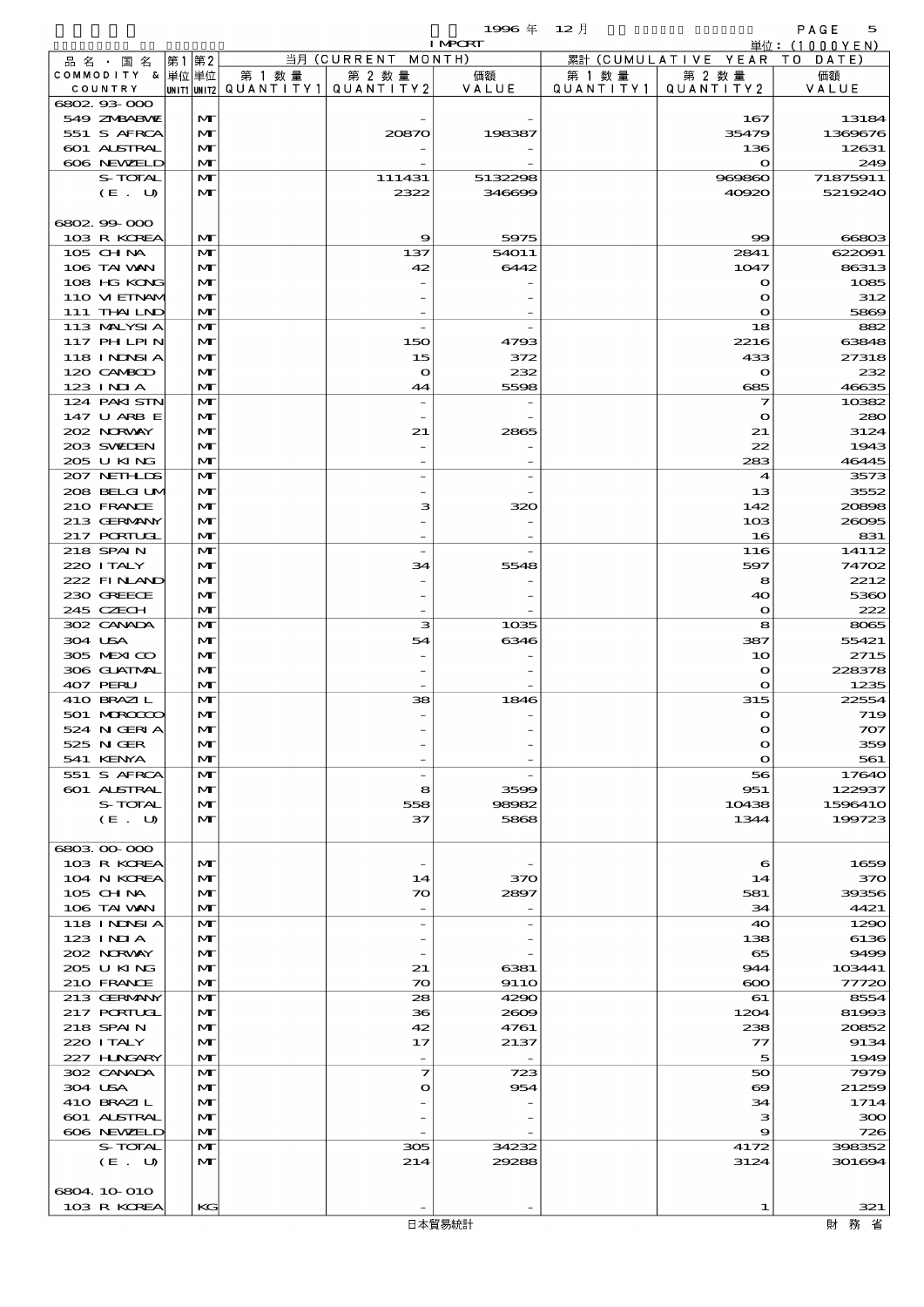|                                   |      |                              |                          |                               | 1996年                           | $12$ 月    |                              | PAGE<br>5         |
|-----------------------------------|------|------------------------------|--------------------------|-------------------------------|---------------------------------|-----------|------------------------------|-------------------|
| 品 名 ・ 国 名                         | 第1第2 |                              |                          | 当月 (CURRENT MONTH)            | <b>I MPCRT</b>                  |           | 累計 (CUMULATIVE YEAR TO DATE) | 単位: (1000YEN)     |
| COMMODITY & 単位単位                  |      |                              | 第 1 数量                   | 第 2 数量                        | 価額                              | 第 1 数量    | 第 2 数量                       | 価額                |
| COUNTRY<br>6802 93 000            |      |                              | unit1 unit2  Q∪ANT   TY1 | QUANTITY 2                    | VALUE                           | QUANTITY1 | QUANTITY 2                   | VALUE             |
| 549 ZMBABMZ                       |      | $\mathbf{M}$                 |                          |                               |                                 |           | 167                          | 13184             |
| 551 S AFRCA                       |      | $\mathbf{M}$                 |                          | 20870                         | 198387                          |           | 35479                        | 1369676           |
| 601 ALSTRAL                       |      | M                            |                          |                               |                                 |           | 136                          | 12631             |
| 606 NEWELD<br>S-TOTAL             |      | M<br>$\mathbf{M}$            |                          | 111431                        | 5132298                         |           | $\mathbf{o}$<br>969860       | 249<br>71875911   |
| (E. U)                            |      | $\mathbf{M}$                 |                          | 2322                          | 346699                          |           | 40920                        | 5219240           |
|                                   |      |                              |                          |                               |                                 |           |                              |                   |
| 6802.99.000<br>103 R KOREA        |      | $\mathbf{M}$                 |                          | 9                             | 5975                            |           | $\infty$                     | 66803             |
| $105$ CHNA                        |      | M                            |                          | 137                           | 54011                           |           | 2841                         | 622091            |
| 106 TAI WAN                       |      | $\mathbf{M}$                 |                          | 42                            | 6442                            |           | 1047                         | 86313             |
| 108 HG KONG<br>110 MEINAM         |      | $\mathbf{M}$<br>$\mathbf{M}$ |                          |                               |                                 |           | $\mathbf{o}$<br>$\mathbf o$  | 1085<br>312       |
| 111 THAILND                       |      | M                            |                          |                               |                                 |           | $\bullet$                    | 5869              |
| 113 MALYSIA                       |      | $\mathbf{M}$                 |                          |                               |                                 |           | 18                           | 882               |
| 117 PHLPIN                        |      | $\mathbf{M}$                 |                          | 150                           | 4793                            |           | 2216                         | 63848             |
| <b>118 INNSIA</b><br>120 CAMBOD   |      | $\mathbf{M}$<br>$\mathbf{M}$ |                          | 15<br>$\mathbf{o}$            | 372<br>232                      |           | 433<br>$\bullet$             | 27318<br>232      |
| $123$ INIA                        |      | M                            |                          | 44                            | 5598                            |           | 685                          | 46635             |
| 124 PAKISIN                       |      | $\mathbf{M}$                 |                          |                               |                                 |           | 7                            | 10382             |
| 147 U ARB E<br>202 NORWAY         |      | $\mathbf{M}$<br>$\mathbf{M}$ |                          | 21                            | 2865                            |           | $\mathbf{o}$<br>21           | 280<br>3124       |
| 203 SWIDEN                        |      | $\mathbf{M}$                 |                          |                               |                                 |           | 22                           | 1943              |
| 205 U KING                        |      | M                            |                          |                               |                                 |           | 283                          | 46445             |
| 207 NETHLIS<br>208 BELGI UM       |      | $\mathbf{M}$<br>$\mathbf{M}$ |                          |                               |                                 |           | $\boldsymbol{4}$<br>13       | 3573<br>3552      |
| 210 FRANCE                        |      | $\mathbf{M}$                 |                          | з                             | 320                             |           | 142                          | 20898             |
| 213 GERMANY                       |      | $\mathbf{M}$                 |                          |                               |                                 |           | 10 <sub>3</sub>              | 26095             |
| 217 PORTUGL                       |      | M                            |                          |                               |                                 |           | 16                           | 831               |
| 218 SPAIN<br>220 I TALY           |      | $\mathbf{M}$<br>M            |                          | 34                            | 5548                            |           | 116<br>597                   | 14112<br>74702    |
| 222 FINAND                        |      | $\mathbf{M}$                 |                          |                               |                                 |           | 8                            | 2212              |
| 230 GREECE                        |      | $\mathbf{M}$                 |                          |                               |                                 |           | 40                           | 5360              |
| 245 CZECH<br>302 CANADA           |      | M<br>$\mathbf{M}$            |                          | з                             | 1035                            |           | $\bullet$<br>8               | 222<br>8065       |
| 304 USA                           |      | M                            |                          | 54                            | 6346                            |           | 387                          | 55421             |
| 305 MEXICO                        |      | M                            |                          |                               |                                 |           | 10                           | 2715              |
| 306 GUATMAL<br>407 PERU           |      | $\mathbf{M}$<br>$\mathbf{M}$ |                          |                               |                                 |           | $\mathbf o$<br>$\bullet$     | 228378<br>1235    |
| 410 BRAZIL                        |      | $\mathbf{M}$                 |                          | 38                            | 1846                            |           | 315                          | 22554             |
| 501 MERCECO                       |      | M                            |                          |                               |                                 |           | $\Omega$                     | 719               |
| 524 N GERIA                       |      | $\mathbf{M}$                 |                          |                               |                                 |           | $\mathbf o$                  | 707               |
| 525 NGER<br>541 KENYA             |      | $\mathbf{M}$<br>M            |                          |                               |                                 |           | $\mathbf o$<br>$\mathbf o$   | 359<br>561        |
| 551 S AFRCA                       |      | M                            |                          |                               |                                 |           | 56                           | 17640             |
| 601 ALSTRAL                       |      | M                            |                          | 8                             | 3599                            |           | 951                          | 122937            |
| S-TOTAL<br>(E. U)                 |      | M<br>$\mathbf{M}$            |                          | 558<br>37                     | 98982<br>5868                   |           | 10438<br>1344                | 1596410<br>199723 |
|                                   |      |                              |                          |                               |                                 |           |                              |                   |
| 680300000                         |      |                              |                          |                               |                                 |           |                              |                   |
| 103 R KOREA<br>104 N KOREA        |      | $\mathbf{M}$<br>$\mathbf{M}$ |                          | 14                            | 370                             |           | 6<br>14                      | 1659<br>370       |
| $105$ CHNA                        |      | $\mathbf{M}$                 |                          | 70                            | 2897                            |           | 581                          | 39356             |
| 106 TAI VAN                       |      | M                            |                          |                               |                                 |           | 34                           | 4421              |
| 118 I NINSI A                     |      | M                            |                          |                               |                                 |           | 40                           | 1290              |
| 123 INIA<br>202 NORWAY            |      | $\mathbf{M}$<br>$\mathbf{M}$ |                          |                               |                                 |           | 138<br>65                    | 6136<br>9499      |
| 205 U KING                        |      | $\mathbf{M}$                 |                          | 21                            | 6381                            |           | 944                          | 103441            |
| 210 FRANCE                        |      | M                            |                          | $\infty$                      | <b>9110</b>                     |           | $\infty$                     | 77720             |
| 213 GERMANY<br><b>217 PORTUGL</b> |      | M<br>$\mathbf{M}$            |                          | 28<br>36                      | 4290<br>2609                    |           | 61<br>1204                   | 8554<br>81993     |
| 218 SPAIN                         |      | M                            |                          | 42                            | 4761                            |           | 238                          | 20852             |
| 220 I TALY                        |      | $\mathbf{M}$                 |                          | 17                            | 2137                            |           | 77                           | 9134              |
| 227 HNGARY<br>302 CANADA          |      | M<br>M                       |                          | $\overline{\phantom{a}}$<br>7 | $\overline{\phantom{a}}$<br>723 |           | 5<br>50                      | 1949<br>7979      |
| 304 USA                           |      | $\mathbf{M}$                 |                          | $\mathbf o$                   | 954                             |           | $\boldsymbol{\infty}$        | 21259             |
| 410 BRAZIL                        |      | M                            |                          |                               |                                 |           | 34                           | 1714              |
| 601 ALSTRAL                       |      | $\mathbf{M}$                 |                          |                               |                                 |           | з                            | 300               |
| 606 NEWELD<br>S-TOTAL             |      | $\mathbf{M}$<br>M            |                          | 305                           | 34232                           |           | 9<br>4172                    | 726<br>398352     |
| (E. U)                            |      | $\mathbf{M}$                 |                          | 214                           | 29288                           |           | 3124                         | 301694            |
|                                   |      |                              |                          |                               |                                 |           |                              |                   |
| 6804 10 010<br>103 R KOREA        |      | KG                           |                          |                               |                                 |           | 1                            | 321               |
|                                   |      |                              |                          |                               | 日本貿易統計                          |           |                              | 財務省               |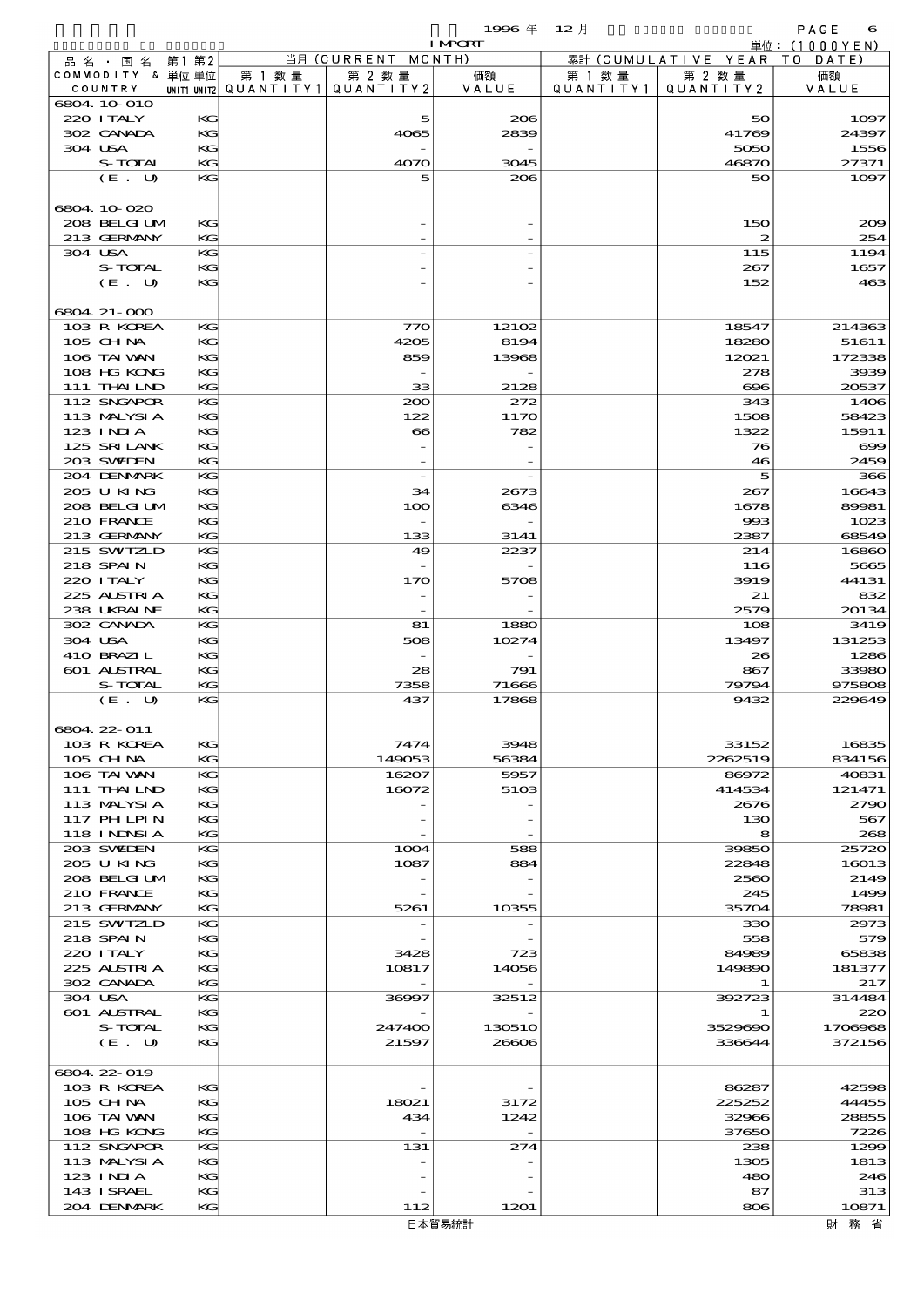$1996 \nless 12 \nless 12$ 

|                             |          |        |                                       | <b>I MPORT</b>  |           |                              | 単位: (1000YEN)     |
|-----------------------------|----------|--------|---------------------------------------|-----------------|-----------|------------------------------|-------------------|
| 品名・国名                       | 第1第2     |        | 当月 (CURRENT MONTH)                    |                 |           | 累計 (CUMULATIVE YEAR TO DATE) |                   |
| COMMODITY & 単位単位            |          | 第 1 数量 | 第 2 数量                                | 価額              | 第 1 数量    | 第 2 数量                       | 価額                |
| COUNTRY<br>6804 10 010      |          |        | UNIT1 UNIT2 QUANT I TY 1 QUANT I TY 2 | VALUE           | QUANTITY1 | QUANTITY2                    | VALUE             |
| 220 I TALY                  | KG       |        | 5                                     | 206             |           | 50                           | 1097              |
| 302 CANADA                  | KG       |        | 4065                                  | 2839            |           | 41769                        | 24397             |
| 304 USA                     | KG       |        |                                       |                 |           | 5050                         | 1556              |
| S-TOTAL                     | KG       |        | 4070                                  | 3045            |           | 46870                        | 27371             |
| (E. U)                      | KG       |        | 5                                     | 206             |           | 50                           | 1097              |
|                             |          |        |                                       |                 |           |                              |                   |
| 6804 10 020                 |          |        |                                       |                 |           |                              |                   |
| 208 BELGI UM<br>213 GERMANY | KG<br>KG |        |                                       |                 |           | 150<br>$\boldsymbol{z}$      | 200<br>254        |
| 304 USA                     | KG       |        |                                       |                 |           | 115                          | 1194              |
| S-TOTAL                     | KG       |        |                                       |                 |           | 267                          | 1657              |
| (E. U)                      | KG       |        |                                       |                 |           | 152                          | 463               |
|                             |          |        |                                       |                 |           |                              |                   |
| 6804 21-000                 |          |        |                                       |                 |           |                              |                   |
| 103 R KOREA                 | KG       |        | 770                                   | 12102           |           | 18547                        | 214363            |
| 105 CHNA                    | KG       |        | 4205                                  | 8194            |           | 18280                        | 51611             |
| 106 TAI VAN<br>108 HG KONG  | KG<br>KG |        | 859                                   | 13968           |           | 12021<br>278                 | 172338<br>3939    |
| 111 THAILND                 | KG       |        | 33                                    | 2128            |           | $\infty$                     | 20537             |
| 112 SNGAPOR                 | KG       |        | 200                                   | 272             |           | 343                          | 1406              |
| 113 MALYSIA                 | KG       |        | 122                                   | 1170            |           | 1508                         | 58423             |
| 123 INIA                    | KG       |        | $\infty$                              | 782             |           | 1322                         | 15911             |
| 125 SRILANK                 | KG       |        |                                       |                 |           | 76                           | $\infty$          |
| 203 SWIEN                   | KG       |        |                                       |                 |           | 46                           | 2459              |
| 204 DENMARK                 | KG       |        | $\overline{a}$                        |                 |           | 5                            | 366               |
| 205 U KING                  | KG       |        | 34                                    | 2673            |           | 267                          | 16643             |
| 208 BELGI UM<br>210 FRANCE  | KG<br>KG |        | 100                                   | 6346            |           | 1678<br>993                  | 89981<br>1023     |
| 213 GERMANY                 | KG       |        | 133                                   | 3141            |           | 2387                         | 68549             |
| 215 SWIZLD                  | KG       |        | 49                                    | 2237            |           | 214                          | 16860             |
| 218 SPAIN                   | KG       |        |                                       |                 |           | 116                          | 5665              |
| 220 I TALY                  | KG       |        | 170                                   | 5708            |           | 3919                         | 44131             |
| 225 ALSTRIA                 | KG       |        |                                       |                 |           | 21                           | 832               |
| 238 UKRAINE                 | KG       |        |                                       |                 |           | 2579                         | 20134             |
| 302 CANADA                  | KG       |        | 81                                    | 1880            |           | 108                          | 3419              |
| 304 USA<br>410 BRAZIL       | KG<br>KG |        | 508                                   | 10274           |           | 13497<br>26                  | 131253<br>1286    |
| 601 ALSTRAL                 | KG       |        | 28                                    | 791             |           | 867                          | 33980             |
| S-TOTAL                     | KG       |        | 7358                                  | 71666           |           | 79794                        | 975808            |
| (E. U)                      | KG       |        | 437                                   | 17868           |           | 9432                         | 229649            |
|                             |          |        |                                       |                 |           |                              |                   |
| 6804 22 011                 |          |        |                                       |                 |           |                              |                   |
| 103 R KOREA                 | КG       |        | 7474                                  | 3948            |           | 33152                        | 16835             |
| 105 CH NA                   | KG       |        | 149053                                | 56384<br>5957   |           | 2262519                      | 834156            |
| 106 TAI VAN<br>111 THAILND  | КG<br>KG |        | 16207<br>16072                        | 5103            |           | 86972<br>414534              | 40831<br>121471   |
| 113 MALYSIA                 | KG       |        |                                       |                 |           | 2676                         | 2790              |
| 117 PHLPIN                  | КG       |        |                                       |                 |           | 130                          | 567               |
| 118 I NDSI A                | KG       |        |                                       |                 |           | 8                            | 268               |
| 203 SWIDEN                  | КG       |        | 1004                                  | 588             |           | 39850                        | 25720             |
| 205 U KING                  | KG       |        | 1087                                  | 884             |           | 22848                        | 16013             |
| 208 BELGI UM                | KG       |        |                                       |                 |           | 2560                         | 2149              |
| 210 FRANCE<br>213 GERMANY   | КG       |        | 5261                                  |                 |           | 245                          | 1499              |
| 215 SWIZLD                  | KG<br>КG |        |                                       | 10355           |           | 35704<br>330                 | 78981<br>2973     |
| 218 SPAIN                   | KG       |        |                                       |                 |           | 558                          | 579               |
| 220 I TALY                  | KG       |        | 3428                                  | 723             |           | 84989                        | 65838             |
| 225 ALSTRIA                 | КG       |        | 10817                                 | 14056           |           | 149890                       | 181377            |
| 302 CANADA                  | KG       |        |                                       |                 |           | 1                            | 217               |
| 304 USA                     | КG       |        | 36997                                 | 32512           |           | 392723                       | 314484            |
| <b>601 ALSTRAL</b>          | KG       |        |                                       |                 |           | 1                            | 220               |
| S-TOTAL<br>(E. U)           | KG<br>КG |        | 247400<br>21597                       | 130510<br>26606 |           | 3529690<br>336644            | 1706968<br>372156 |
|                             |          |        |                                       |                 |           |                              |                   |
| 6804 22 019                 |          |        |                                       |                 |           |                              |                   |
| 103 R KOREA                 | KG       |        |                                       |                 |           | 86287                        | 42598             |
| 105 CH NA                   | KG       |        | 18021                                 | 3172            |           | 225252                       | 44455             |
| 106 TAI VAN                 | КG       |        | 434                                   | 1242            |           | 32966                        | 28855             |
| 108 HG KONG                 | KG       |        |                                       |                 |           | 37650                        | 7226              |
| 112 SNGAPOR                 | КG       |        | 131                                   | 274             |           | 238                          | 1209              |
| 113 MALYSIA<br>123 INIA     | KG<br>KG |        |                                       |                 |           | 1305<br>480                  | 1813              |
| 143 ISRAEL                  | KG       |        |                                       |                 |           | 87                           | 246<br>313        |
| 204 DENMARK                 | KG       |        | 112                                   | 1201            |           | 806                          | 10871             |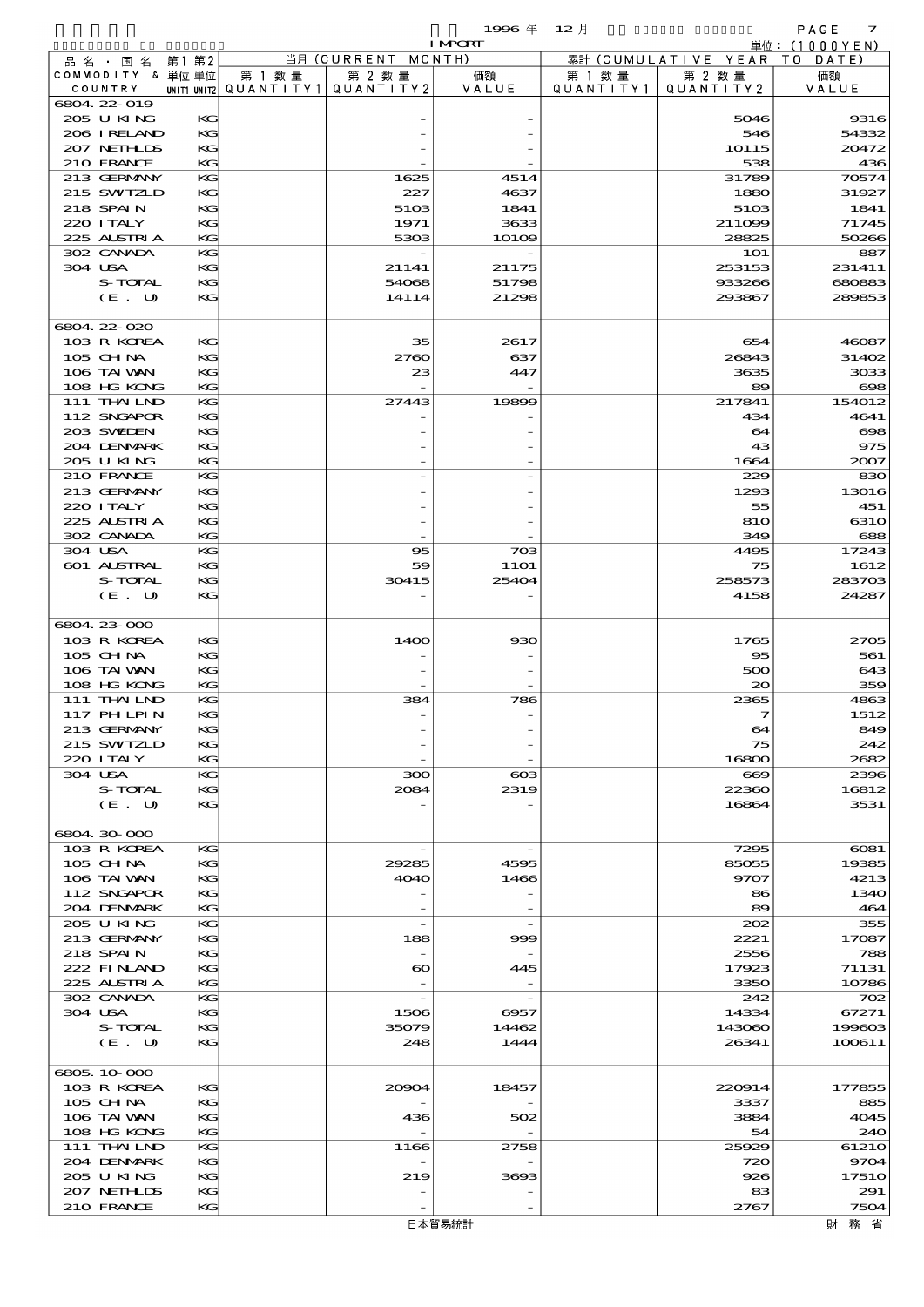$1996 \& 12 \rightarrow$ 

|         |                            |    |          |        |                                       | <b>I MPORT</b>           |           |                              | 単位: (1000 Y E N) |
|---------|----------------------------|----|----------|--------|---------------------------------------|--------------------------|-----------|------------------------------|------------------|
|         | 品名・国名                      | 第1 | 第2       |        | 当月 (CURRENT MONTH)                    |                          |           | 累計 (CUMULATIVE YEAR TO DATE) |                  |
|         | COMMODITY & 単位単位           |    |          | 第 1 数量 | 第 2 数量                                | 価額                       | 第 1 数量    | 第 2 数量                       | 価額               |
|         | COUNTRY                    |    |          |        | UNIT1 UNIT2  QUANT I TY1  QUANT I TY2 | VALUE                    | QUANTITY1 | QUANTITY 2                   | VALUE            |
|         | 6804. 22-019<br>205 U KING |    | KG       |        |                                       |                          |           | 5046                         | 9316             |
|         | 206 IRELAND                |    | KG       |        |                                       |                          |           | 546                          | 54332            |
|         | 207 NETHLIS                |    | KG       |        |                                       |                          |           | 10115                        | 20472            |
|         | 210 FRANCE                 |    | KG       |        |                                       |                          |           | 538                          | 436              |
|         | 213 GERMANY                |    | KG       |        | 1625                                  | 4514                     |           | 31789                        | 70574            |
|         | 215 SWIZLD                 |    | KG       |        | 227                                   | 4637                     |           | 1880                         | 31927            |
|         | 218 SPAIN                  |    | KG       |        | 5103                                  | 1841                     |           | 5103                         | 1841             |
|         | 220 I TALY                 |    | KG       |        | 1971                                  | 3633                     |           | 211099                       | 71745            |
|         | 225 ALSTRIA                |    | KG       |        | 5303                                  | $101$ CO                 |           | 28825                        | 50266            |
| 304 USA | 302 CANADA                 |    | KG<br>KG |        | 21141                                 | 21175                    |           | <b>1O1</b><br>253153         | 887<br>231411    |
|         | S-TOTAL                    |    | KG       |        | 54068                                 | 51798                    |           | 933266                       | 680883           |
|         | (E. U)                     |    | KG       |        | 14114                                 | 21298                    |           | 293867                       | 289853           |
|         |                            |    |          |        |                                       |                          |           |                              |                  |
|         | 6804.22-020                |    |          |        |                                       |                          |           |                              |                  |
|         | 103 R KOREA                |    | KG       |        | 35                                    | 2617                     |           | 654                          | 46087            |
|         | 105 CH NA                  |    | KG       |        | 2760                                  | 637                      |           | 26843                        | 31402            |
|         | 106 TAI VAN                |    | KG       |        | 23                                    | 447                      |           | 3635                         | 3033             |
|         | 108 HG KONG                |    | KG       |        |                                       |                          |           | 89                           | $\infty$         |
|         | 111 THAILND                |    | KG       |        | 27443                                 | 19899                    |           | 217841                       | 154012           |
|         | 112 SNGAPOR                |    | KG       |        |                                       |                          |           | 434                          | 4641             |
|         | 203 SWIEN<br>204 DENMARK   |    | KG       |        |                                       |                          |           | 64                           | $\infty$         |
|         | 205 U KING                 |    | KG<br>KG |        |                                       |                          |           | 43<br>1664                   | 975<br>2007      |
|         | 210 FRANCE                 |    | KG       |        |                                       |                          |           | 229                          | 830              |
|         | 213 GERMANY                |    | KG       |        |                                       |                          |           | 1293                         | 13016            |
|         | 220 I TALY                 |    | KG       |        |                                       |                          |           | 55                           | 451              |
|         | 225 ALSTRIA                |    | KG       |        |                                       |                          |           | 810                          | 6310             |
|         | 302 CANADA                 |    | KG       |        |                                       |                          |           | 349                          | 688              |
| 304 USA |                            |    | KG       |        | $\bf{95}$                             | 703                      |           | 4495                         | 17243            |
|         | 601 ALSTRAL                |    | KG       |        | 59                                    | <b>11O1</b>              |           | 75                           | 1612             |
|         | S-TOTAL                    |    | KG       |        | 30415                                 | 25404                    |           | 258573                       | 283703           |
|         | (E. U)                     |    | KG       |        |                                       |                          |           | 4158                         | 24287            |
|         | 6804.23-000                |    |          |        |                                       |                          |           |                              |                  |
|         | 103 R KOREA                |    | KG       |        | 1400                                  | 930                      |           | 1765                         | 2705             |
|         | 105 CH NA                  |    | KG       |        |                                       |                          |           | $\infty$                     | 561              |
|         | 106 TAI VAN                |    | KG       |        |                                       |                          |           | 500                          | 643              |
|         | 108 HG KONG                |    | KG       |        |                                       |                          |           | $\infty$                     | 359              |
|         | 111 THAILND                |    | KG       |        | 384                                   | 786                      |           | 2365                         | 4863             |
|         | 117 PH LPIN                |    | KG       |        |                                       |                          |           | 7                            | 1512             |
|         | 213 GERMANY                |    | KG       |        |                                       |                          |           | 64                           | 849              |
|         | 215 SWIZLD                 |    | KG       |        |                                       |                          |           | 75                           | 242              |
|         | 220 I TALY                 |    | KG       |        |                                       |                          |           | 16800                        | 2682             |
| 304 USA | S-TOTAL                    |    | KG<br>KG |        | 300<br>2084                           | $\cos$<br>2319           |           | ഒ്ക<br>22360                 | 2396<br>16812    |
|         | (E. U)                     |    | KG       |        |                                       |                          |           | 16864                        | 3531             |
|         |                            |    |          |        |                                       |                          |           |                              |                  |
|         | 6804.30-000                |    |          |        |                                       |                          |           |                              |                  |
|         | 103 R KOREA                |    | KG       |        | $\overline{\phantom{a}}$              | $\overline{\phantom{a}}$ |           | 7295                         | $\cos 1$         |
|         | 105 CH NA                  |    | KG       |        | 29285                                 | 4595                     |           | 85055                        | 19385            |
|         | 106 TAI VAN                |    | KG       |        | 4040                                  | 1466                     |           | 9707                         | 4213             |
|         | 112 SNGAPOR                |    | KG       |        |                                       |                          |           | 86                           | 1340             |
|         | 204 DENMARK                |    | KG       |        |                                       |                          |           | 89                           | 464              |
|         | 205 U KING                 |    | KG<br>KG |        | $\overline{\phantom{a}}$              |                          |           | 202<br>2221                  | 355              |
|         | 213 GERMANY<br>218 SPAIN   |    | KG       |        | 188                                   | 999                      |           | 2556                         | 17087<br>788     |
|         | 222 FINAND                 |    | KG       |        | $\boldsymbol{\infty}$                 | 445                      |           | 17923                        | 71131            |
|         | 225 ALSTRIA                |    | KG       |        |                                       |                          |           | 3350                         | 10786            |
|         | 302 CANADA                 |    | KG       |        | $\overline{\phantom{a}}$              |                          |           | 242                          | 702              |
| 304 USA |                            |    | KG       |        | 1506                                  | 6957                     |           | 14334                        | 67271            |
|         | S-TOTAL                    |    | KC       |        | 35079                                 | 14462                    |           | 143060                       | 199603           |
|         | (E. U)                     |    | KG       |        | 248                                   | 1444                     |           | 26341                        | 100611           |
|         |                            |    |          |        |                                       |                          |           |                              |                  |
|         | 6805.10-000                |    |          |        |                                       |                          |           |                              |                  |
|         | 103 R KOREA                |    | KG       |        | 20904                                 | 18457                    |           | 220914                       | 177855           |
|         | $105$ CHNA                 |    | KC       |        |                                       |                          |           | 3337                         | 885              |
|         | 106 TAI VAN<br>108 HG KONG |    | KG<br>KG |        | 436                                   | 502                      |           | 3884<br>54                   | 4045<br>240      |
|         | 111 THAILND                |    | KG       |        | 1166                                  | 2758                     |           | 25929                        | 61210            |
|         | 204 DENMARK                |    | KG       |        |                                       |                          |           | 720                          | 9704             |
|         | 205 U KING                 |    | KC       |        | 219                                   | 3693                     |           | 926                          | 1751O            |
|         | 207 NETHLIS                |    | KG       |        |                                       |                          |           | 83                           | 291              |
|         | 210 FRANCE                 |    | KG       |        |                                       |                          |           | 2767                         | 7504             |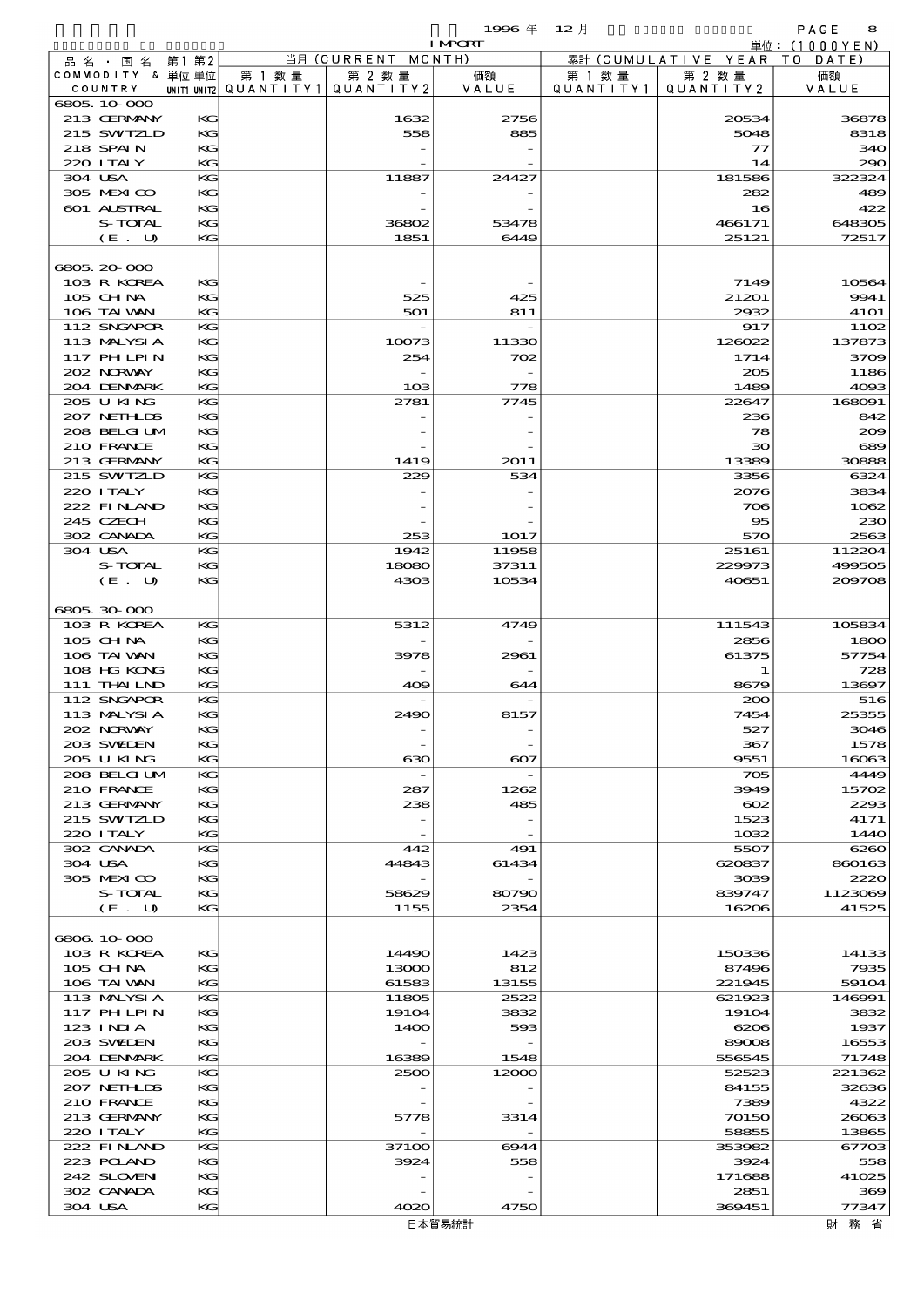$1$ 996 年  $12 \text{ }\overline{)}$  RAGE 8

|                             |          |                                       |                          | <b>I MPORT</b> |           |                              | 単位: (1000YEN)    |
|-----------------------------|----------|---------------------------------------|--------------------------|----------------|-----------|------------------------------|------------------|
| 品名・国名                       | 第1 第2    |                                       | 当月 (CURRENT MONTH)       |                |           | 累計 (CUMULATIVE YEAR TO DATE) |                  |
| COMMODITY & 単位単位            |          | 第 1 数量                                | 第 2 数量                   | 価額             | 第 1 数量    | 第 2 数量                       | 価額               |
| COUNTRY                     |          | unit1 unit2  QUANT   TY1  QUANT   TY2 |                          | VALUE          | QUANTITY1 | QUANTITY2                    | VALUE            |
| 6805, 10-000<br>213 GERMANY | КG       |                                       | 1632                     | 2756           |           | 20534                        | 36878            |
| 215 SWIZLD                  | KG       |                                       | 558                      | 885            |           | 5048                         | 8318             |
| 218 SPAIN                   | KG       |                                       |                          |                |           | 77                           | 340              |
| 220 I TALY                  | KG       |                                       |                          |                |           | 14                           | 290              |
| 304 USA                     | KG       |                                       | 11887                    | 24427          |           | 181586                       | 322324           |
| 305 MEXICO                  | KG       |                                       |                          |                |           | 282                          | 489              |
| 601 ALSTRAL                 | KG       |                                       |                          |                |           | 16                           | 422              |
| S-TOTAL                     | KG       |                                       | 36802                    | 53478          |           | 466171                       | 648305           |
| (E. U)                      | KG       |                                       | 1851                     | 6449           |           | 25121                        | 72517            |
| 6805.20-000                 |          |                                       |                          |                |           |                              |                  |
| 103 R KOREA                 | KG       |                                       |                          |                |           | 7149                         | 10564            |
| $105$ CHNA                  | KG       |                                       | 525                      | 425            |           | 21201                        | 9941             |
| 106 TAI VAN                 | KG       |                                       | 501                      | 811            |           | 2932                         | 41O1             |
| 112 SNGAPOR                 | KG       |                                       |                          |                |           | 917                          | 1102             |
| 113 MALYSIA                 | KG       |                                       | 10073                    | 11330          |           | 126022                       | 137873           |
| 117 PHLPIN                  | KG       |                                       | 254                      | 702            |           | 1714                         | 3709             |
| 202 NORWAY                  | KG       |                                       |                          |                |           | 205                          | 1186             |
| 204 DENMARK<br>205 U KING   | KG<br>KG |                                       | 10 <sub>3</sub><br>2781  | 778<br>7745    |           | 1489<br>22647                | 4093<br>168091   |
| 207 NETHLIS                 | KG       |                                       |                          |                |           | 236                          | 842              |
| 208 BELGI UM                | KG       |                                       |                          |                |           | 78                           | 200              |
| 210 FRANCE                  | KG       |                                       |                          |                |           | 30                           | 689              |
| 213 GERMANY                 | KG       |                                       | 1419                     | 2011           |           | 13389                        | 30888            |
| 215 SWIZLD                  | KG       |                                       | 229                      | 534            |           | 3356                         | 6324             |
| 220 I TALY                  | KG       |                                       |                          |                |           | 2076                         | 3834             |
| 222 FINAND                  | KG       |                                       |                          |                |           | 706                          | 1062             |
| 245 CZECH                   | KG       |                                       |                          |                |           | 95                           | 230              |
| 302 CANADA                  | KG       |                                       | 253                      | 1017           |           | 570                          | 2563             |
| 304 USA<br>S-TOTAL          | KG<br>KG |                                       | 1942<br>18080            | 11958<br>37311 |           | 25161<br>229973              | 112204<br>499505 |
| (E. U)                      | KG       |                                       | 4303                     | 10534          |           | 40651                        | 209708           |
|                             |          |                                       |                          |                |           |                              |                  |
| 6805.30-000                 |          |                                       |                          |                |           |                              |                  |
| 103 R KOREA                 | KG       |                                       | 5312                     | 4749           |           | 111543                       | 105834           |
| 105 CH NA                   | KG       |                                       |                          |                |           | 2856                         | 1800             |
| 106 TAI VAN                 | KG       |                                       | 3978                     | 2961           |           | 61375                        | 57754            |
| 108 HG KONG                 | KG       |                                       |                          |                |           | 1                            | 728              |
| 111 THAILND                 | KG       |                                       | 409                      | 644            |           | 8679                         | 13697            |
| 112 SNGAPOR<br>113 MALYSIA  | KG<br>KG |                                       | 2490                     | 8157           |           | 200<br>7454                  | 516<br>25355     |
| 202 NORVAY                  | KG       |                                       |                          |                |           | 527                          | 3046             |
| 203 SWIDEN                  | KG       |                                       |                          |                |           | 367                          | 1578             |
| 205 U KING                  | KG       |                                       | ഓ                        | $_{\rm e}$     |           | 9551                         | 16063            |
| 208 BELGI UM                | KG       |                                       | $\overline{\phantom{a}}$ |                |           | 705                          | 4449             |
| 210 FRANCE                  | KG       |                                       | 287                      | 1262           |           | 3949                         | 15702            |
| 213 GERMANY                 | KG       |                                       | 238                      | 485            |           | $\infty$                     | 2293             |
| 215 SWIZLD                  | KG       |                                       |                          |                |           | 1523                         | 4171             |
| 220 I TALY<br>302 CANADA    | KG       |                                       |                          |                |           | 1032                         | 1440             |
| 304 USA                     | KG<br>KG |                                       | 442<br>44843             | 491<br>61434   |           | 5507<br>620837               | 6260<br>860163   |
| 305 MEXICO                  | KG       |                                       |                          |                |           | 3039                         | 2220             |
| S-TOTAL                     | KG       |                                       | 58629                    | 80790          |           | 839747                       | 1123069          |
| (E. U)                      | KG       |                                       | 1155                     | 2354           |           | 16206                        | 41525            |
|                             |          |                                       |                          |                |           |                              |                  |
| 6806 10 000                 |          |                                       |                          |                |           |                              |                  |
| 103 R KOREA                 | KG       |                                       | 14490                    | 1423           |           | 150336                       | 14133            |
| 105 CH NA                   | КC       |                                       | 13000                    | 812            |           | 87496                        | 7935             |
| 106 TAI VAN<br>113 MALYSIA  | KG<br>KG |                                       | 61583<br>11805           | 13155<br>2522  |           | 221945<br>621923             | 59104<br>146991  |
| 117 PH LPIN                 | KG       |                                       | 19104                    | 3832           |           | 19104                        | 3832             |
| 123 INIA                    | KG       |                                       | 1400                     | 593            |           | 6206                         | 1937             |
| 203 SWIDEN                  | KG       |                                       |                          |                |           | 89008                        | 16553            |
| 204 DENMARK                 | KG       |                                       | 16389                    | 1548           |           | 556545                       | 71748            |
| 205 U KING                  | KG       |                                       | 2500                     | 12000          |           | 52523                        | 221362           |
| 207 NETHLIS                 | KG       |                                       |                          |                |           | 84155                        | 32636            |
| 210 FRANCE                  | KG       |                                       |                          |                |           | 7389                         | 4322             |
| 213 GERMANY                 | KG       |                                       | 5778                     | 3314           |           | 70150                        | 26063            |
| 220 I TALY<br>222 FINLAND   | KG<br>KG |                                       | 37100                    | 6944           |           | 58855<br>353982              | 13865<br>67703   |
| 223 POLAND                  | KG       |                                       | 3924                     | 558            |           | 3924                         | 558              |
| 242 SLOVEN                  | KG       |                                       |                          |                |           | 171688                       | 41025            |
| 302 CANADA                  | KС       |                                       |                          |                |           | 2851                         | 369              |
| 304 USA                     | KG       |                                       | 4020                     | 4750           |           | 369451                       | 77347            |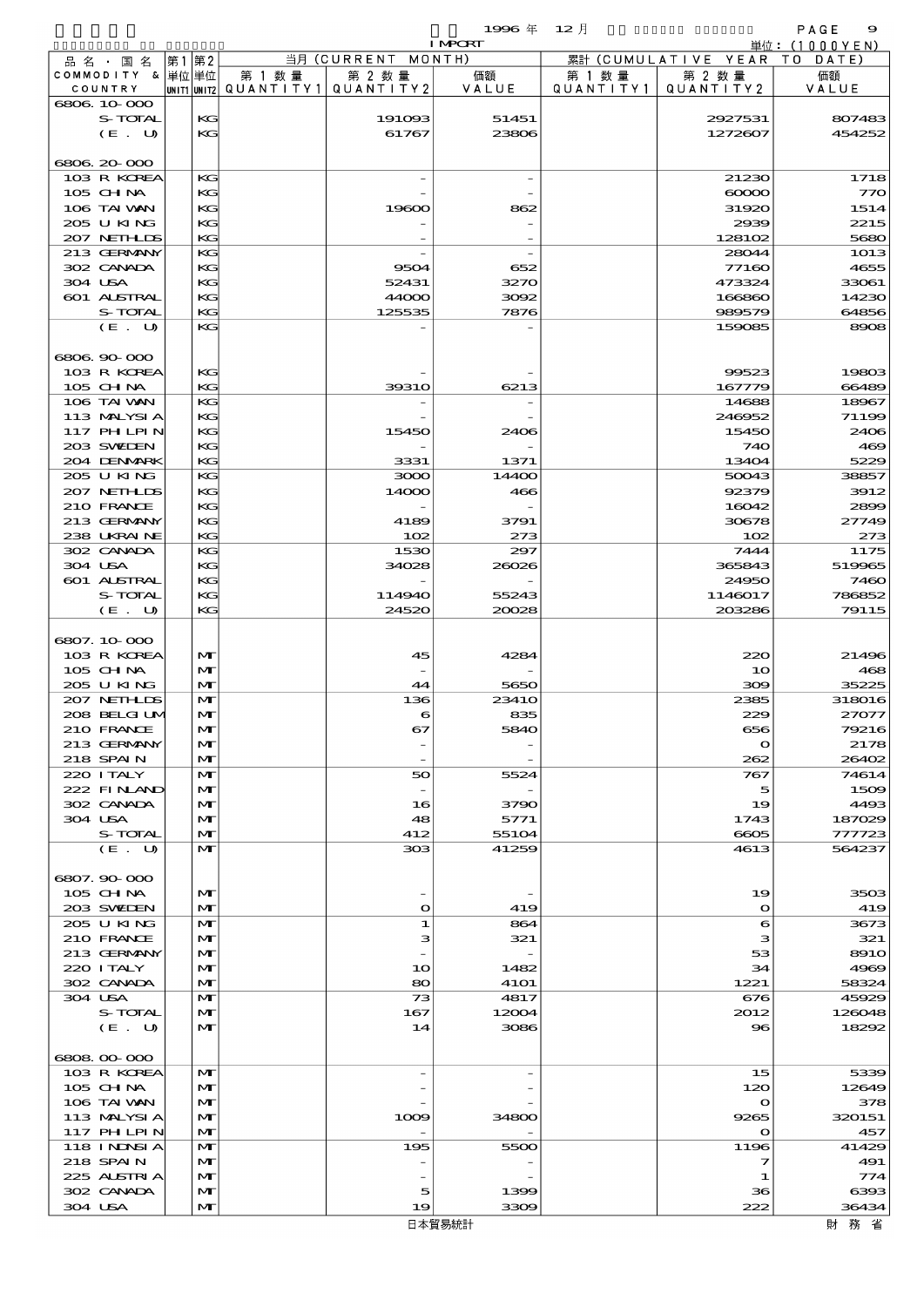|  | PAGE            |  |
|--|-----------------|--|
|  | 単位: $(1000YEN)$ |  |
|  | AR TO DATE)     |  |

|                            |       |                              |                          |                                | 1996年 12月           |                      |                     | PAGE<br>$\boldsymbol{\Theta}$ |
|----------------------------|-------|------------------------------|--------------------------|--------------------------------|---------------------|----------------------|---------------------|-------------------------------|
|                            |       |                              |                          |                                | <b>I MPORT</b>      |                      |                     | 単位: (1000YEN)                 |
| 品名・国名                      | 第1 第2 |                              |                          | 当月 (CURRENT MONTH)             |                     |                      | 累計 (CUMULATIVE YEAR | TO DATE)                      |
| COMMODITY & 単位単位           |       |                              | 第 1 数 量                  | 第 2 数量<br>QUANTITY2            | 価額<br>VALUE         | 第 1 数 量<br>QUANTITY1 | 第 2 数量<br>QUANTITY2 | 価額                            |
| COUNTRY<br>6806 10 000     |       |                              | UNIT1 UNIT2  Q∪ANT   TY1 |                                |                     |                      |                     | VALUE                         |
| S-TOTAL                    |       | KG                           |                          | 191093                         | 51451               |                      | 2927531             | 807483                        |
| (E. U)                     |       | KG                           |                          | 61767                          | 23806               |                      | 1272607             | 454252                        |
|                            |       |                              |                          |                                |                     |                      |                     |                               |
| 6806 20 000                |       |                              |                          |                                |                     |                      |                     |                               |
| 103 R KOREA<br>105 CHNA    |       | KG<br>KG                     |                          |                                |                     |                      | 21230<br>$\infty$   | 1718<br>770                   |
| 106 TAI VAN                |       | KG                           |                          | 19600                          | 862                 |                      | 31920               | 1514                          |
| 205 U KING                 |       | KG                           |                          |                                |                     |                      | 2939                | 2215                          |
| 207 NETHLIS                |       | KG                           |                          |                                |                     |                      | 128102              | 5680                          |
| 213 GERMANY                |       | KG                           |                          |                                |                     |                      | 28044               | 1013                          |
| 302 CANADA                 |       | KG                           |                          | 9504                           | 652                 |                      | 77160               | 4655                          |
| 304 USA                    |       | KG                           |                          | 52431                          | 3270                |                      | 473324              | 33061                         |
| 601 ALSTRAL<br>S-TOTAL     |       | KG<br>KG                     |                          | 44000<br>125535                | 3092<br>7876        |                      | 166860<br>989579    | 14230<br>64856                |
| (E. U)                     |       | KG                           |                          |                                |                     |                      | 159085              | 8908                          |
|                            |       |                              |                          |                                |                     |                      |                     |                               |
| 6806.90-000                |       |                              |                          |                                |                     |                      |                     |                               |
| 103 R KOREA                |       | KG                           |                          |                                |                     |                      | 99523               | 19803                         |
| $105$ CHNA                 |       | KG                           |                          | 3931O                          | 6213                |                      | 167779              | 66489                         |
| 106 TAI VAN                |       | KG                           |                          |                                |                     |                      | 14688               | 18967                         |
| 113 MALYSIA<br>117 PHLPIN  |       | KG<br>KG                     |                          | 15450                          | 2406                |                      | 246952<br>15450     | 71199<br>2406                 |
| 203 SWIEN                  |       | KG                           |                          |                                |                     |                      | 740                 | 469                           |
| 204 DENMARK                |       | KG                           |                          | 3331                           | 1371                |                      | 13404               | 5229                          |
| 205 U KING                 |       | KG                           |                          | 3000                           | 14400               |                      | 50043               | 38857                         |
| 207 NETH IDS               |       | KG                           |                          | 14000                          | 466                 |                      | 92379               | 3912                          |
| 210 FRANCE                 |       | KG                           |                          |                                |                     |                      | 16042               | 2899                          |
| 213 GERMANY                |       | KG                           |                          | 4189                           | 3791                |                      | 30678               | 27749                         |
| 238 UKRAINE<br>302 CANADA  |       | KG<br>KG                     |                          | 102<br>1530                    | 273<br>297          |                      | 102<br>7444         | 273<br>1175                   |
| 304 USA                    |       | KG                           |                          | 34028                          | 26026               |                      | 365843              | 519965                        |
| 601 ALSTRAL                |       | KG                           |                          |                                |                     |                      | 24950               | 7460                          |
| S-TOTAL                    |       | KG                           |                          | 114940                         | 55243               |                      | 1146017             | 786852                        |
| (E. U)                     |       | KG                           |                          | 24520                          | 20028               |                      | 203286              | 79115                         |
|                            |       |                              |                          |                                |                     |                      |                     |                               |
| 6807.10.000                |       |                              |                          |                                |                     |                      |                     |                               |
| 103 R KOREA<br>105 CHNA    |       | $\mathbf{M}$<br>$\mathbf{M}$ |                          | 45                             | 4284                |                      | 220<br>10           | 21496<br>468                  |
| 205 U KING                 |       | $\mathbf{M}$                 |                          | 44                             | 5650                |                      | 300                 | 35225                         |
| 207 NETHLIS                |       | $\mathbf{M}$                 |                          | 136                            | 23410               |                      | 2385                | 318016                        |
| 208 BELGI UM               |       | M                            |                          | 6                              | 835                 |                      | 229                 | 27077                         |
| 210 FRANCE                 |       | $\mathbf{M}$                 |                          | 67                             | 5840                |                      | 656                 | 79216                         |
| 213 GERMANY                |       | $\mathbf{M}$                 |                          |                                |                     |                      | $\mathbf{o}$        | 2178                          |
| 218 SPAIN<br>220 I TALY    |       | $\mathbf{M}$<br>$\mathbf{M}$ |                          | $\overline{\phantom{a}}$<br>50 | 5524                |                      | 262<br>767          | 26402<br>74614                |
| 222 FINAND                 |       | M                            |                          |                                |                     |                      | 5                   | 1509                          |
| 302 CANADA                 |       | $\mathbf{M}$                 |                          | 16                             | 3790                |                      | 19                  | 4493                          |
| 304 USA                    |       | $\mathbf{M}$                 |                          | 48                             | 5771                |                      | 1743                | 187029                        |
| S-TOTAL                    |       | M                            |                          | 412                            | 55104               |                      | 6605                | 777723                        |
| (E. U)                     |       | $\mathbf{M}$                 |                          | 303                            | 41259               |                      | 4613                | 564237                        |
|                            |       |                              |                          |                                |                     |                      |                     |                               |
| 6807.90-000<br>$105$ CHNA  |       | $\mathbf{M}$                 |                          |                                |                     |                      | 19                  | 3503                          |
| 203 SWIDEN                 |       | $\mathbf{M}$                 |                          | $\mathbf{o}$                   | 419                 |                      | $\mathbf{o}$        | 419                           |
| 205 U KING                 |       | $\mathbf{M}$                 |                          | 1                              | 864                 |                      | 6                   | 3673                          |
| 210 FRANCE                 |       | M                            |                          | з                              | 321                 |                      | з                   | 321                           |
| 213 GERMANY                |       | $\mathbf{M}$                 |                          |                                |                     |                      | 53                  | <b>8910</b>                   |
| 220 I TALY                 |       | $\mathbf{M}$                 |                          | 10                             | 1482                |                      | 34                  | 4969                          |
| 302 CANADA<br>304 USA      |       | $\mathbf{M}$<br>$\mathbf{M}$ |                          | 80<br>73                       | <b>41O1</b><br>4817 |                      | 1221<br>676         | 58324<br>45929                |
| S-TOTAL                    |       | M                            |                          | 167                            | 12004               |                      | 2012                | 126048                        |
| (E. U)                     |       | $\mathbf{M}$                 |                          | 14                             | 3086                |                      | $\bf{S}$            | 18292                         |
|                            |       |                              |                          |                                |                     |                      |                     |                               |
| 6808 00 000                |       |                              |                          |                                |                     |                      |                     |                               |
| 103 R KOREA                |       | M                            |                          |                                |                     |                      | 15                  | 5339                          |
| 105 CHNA                   |       | M                            |                          |                                |                     |                      | 120                 | 12649                         |
| 106 TAI VAN<br>113 MALYSIA |       | M<br>$\mathbf{M}$            |                          | 1009                           | 34800               |                      | $\mathbf o$<br>9265 | 378<br>320151                 |
| 117 PH LPIN                |       | $\mathbf{M}$                 |                          |                                |                     |                      | $\mathbf o$         | 457                           |
| 118 I NDSI A               |       | $\mathbf{M}$                 |                          | 195                            | 5500                |                      | 1196                | 41429                         |

218 SPAIN  $\mathbf{M}$ 225 ALSTRIA MT - 1  $302 \text{ CANDA} \quad | \text{MT} | \qquad 5 | \qquad 1399 | \qquad 36 | \qquad 6393$  $304 \text{ USA}$   $\text{MT}$   $\text{MT}$   $\text{19}$   $3309$   $222$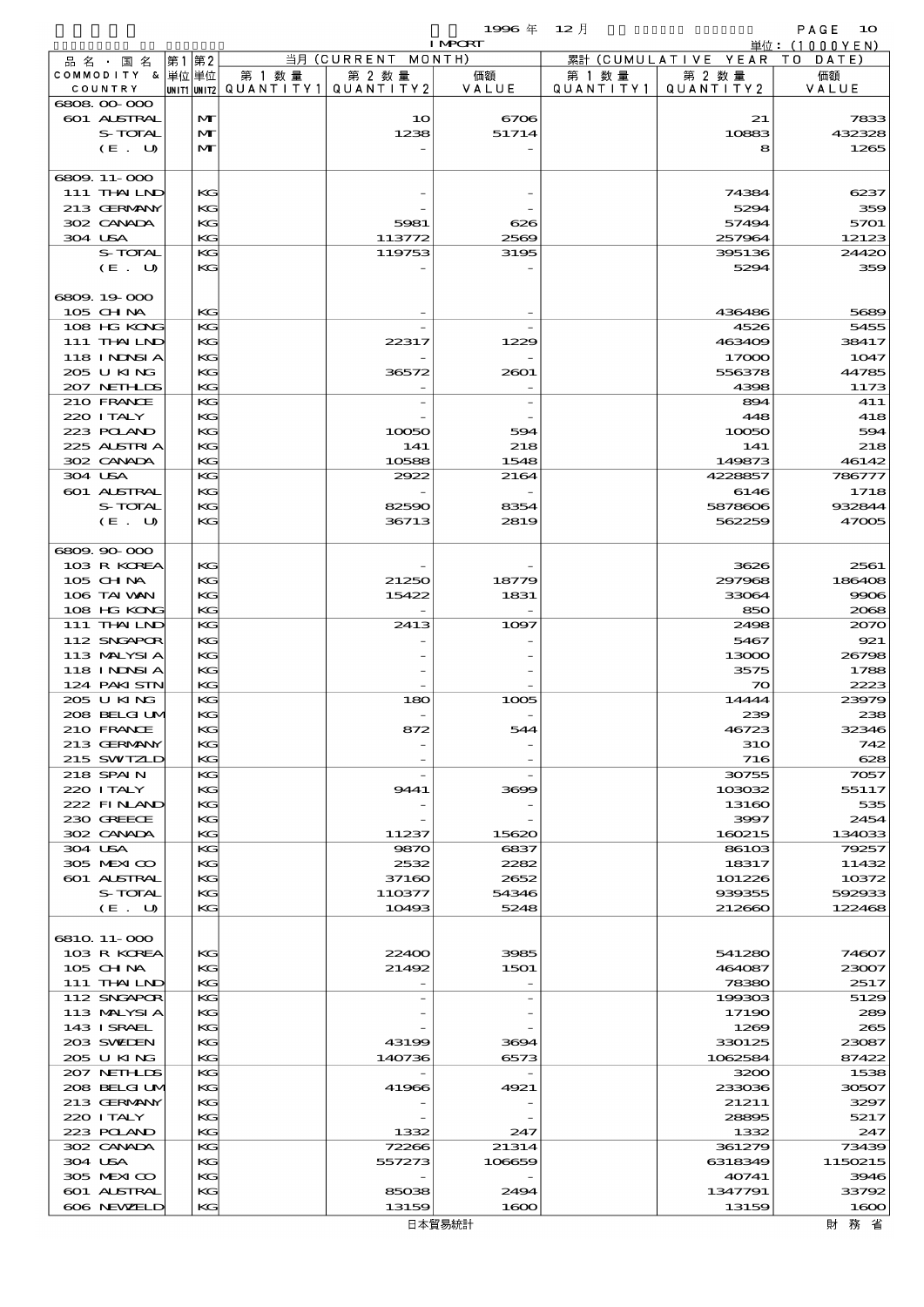$1996 \pm 12 \pm 12$ 

|                                  |              |                                                              |                      | $\sim$<br><b>I MPORT</b> | $\sim$               |                     | .<br>単位: (1000 Y E N) |
|----------------------------------|--------------|--------------------------------------------------------------|----------------------|--------------------------|----------------------|---------------------|-----------------------|
| 品名・国名                            | 第1第2         |                                                              | 当月 (CURRENT MONTH)   |                          |                      | 累計 (CUMULATIVE YEAR | TO DATE)              |
| COMMODITY & 単位単位<br>COUNTRY      |              | 第 1 数量<br>$ $ UNIT1 $ $ UNIT2 $ $ Q $\cup$ A N T I T Y 1 $ $ | 第 2 数量<br>QUANTITY 2 | 価額<br>VALUE              | 第 1 数 量<br>QUANTITY1 | 第 2 数量<br>QUANTITY2 | 価額<br>VALUE           |
| 6808 00 000                      |              |                                                              |                      |                          |                      |                     |                       |
| 601 ALSTRAL                      | $\mathbf{M}$ |                                                              | 10                   | 6706                     |                      | 21                  | 7833                  |
| S-TOTAL                          | $\mathbf{M}$ |                                                              | 1238                 | 51714                    |                      | 10883               | 432328                |
| (E. U)                           | $\mathbf{M}$ |                                                              |                      |                          |                      | 8                   | 1265                  |
| 6809.11-000                      |              |                                                              |                      |                          |                      |                     |                       |
| 111 THAILND                      | KG           |                                                              |                      |                          |                      | 74384               | 6237                  |
| 213 GERMANY                      | KG           |                                                              |                      |                          |                      | 5294                | 359                   |
| 302 CANADA                       | KG           |                                                              | 5981                 | 626                      |                      | 57494               | 5701                  |
| 304 USA<br>S-TOTAL               | KG           |                                                              | 113772               | 2569                     |                      | 257964<br>395136    | 12123                 |
| (E. U)                           | KG<br>KG     |                                                              | 119753               | 3195                     |                      | 5294                | 24420<br>359          |
|                                  |              |                                                              |                      |                          |                      |                     |                       |
| 6809.19-000                      |              |                                                              |                      |                          |                      |                     |                       |
| 105 CHNA                         | КG           |                                                              |                      |                          |                      | 436486              | 5689                  |
| 108 HG KONG                      | KG           |                                                              |                      |                          |                      | 4526                | 5455                  |
| 111 THAILND<br><b>118 INNSIA</b> | KG<br>KG     |                                                              | 22317                | 1229                     |                      | 463409<br>17000     | 38417<br>1047         |
| 205 U KING                       | KG           |                                                              | 36572                | 2601                     |                      | 556378              | 44785                 |
| 207 NETHLIS                      | KG           |                                                              |                      |                          |                      | 4398                | 1173                  |
| 210 FRANCE                       | KG           |                                                              |                      |                          |                      | 894                 | 411                   |
| 220 I TALY                       | KG           |                                                              |                      |                          |                      | 448                 | 418                   |
| 223 POLAND                       | KG           |                                                              | 10050                | 594                      |                      | 10050               | 594                   |
| 225 ALSTRIA                      | КG           |                                                              | 141                  | 218                      |                      | 141                 | 218                   |
| 302 CANADA                       | KG           |                                                              | 10588                | 1548                     |                      | 149873              | 46142                 |
| 304 USA<br>601 ALSTRAL           | KG<br>KG     |                                                              | 2922                 | 2164                     |                      | 4228857<br>6146     | 786777<br>1718        |
| S-TOTAL                          | KG           |                                                              | 82590                | 8354                     |                      | 5878606             | 932844                |
| (E. U)                           | KG           |                                                              | 36713                | 2819                     |                      | 562259              | 47005                 |
|                                  |              |                                                              |                      |                          |                      |                     |                       |
| 6809.90-000                      |              |                                                              |                      |                          |                      |                     |                       |
| 103 R KOREA                      | KG           |                                                              |                      |                          |                      | 3626                | 2561                  |
| 105 CH NA                        | KG           |                                                              | 21250                | 18779                    |                      | 297968              | 186408                |
| 106 TAI VAN<br>108 HG KONG       | KG<br>KG     |                                                              | 15422                | 1831                     |                      | 33064<br>850        | 9906<br>2068          |
| 111 THAILND                      | KG           |                                                              | 2413                 | 1097                     |                      | 2498                | 2070                  |
| 112 SNGAPOR                      | КG           |                                                              |                      |                          |                      | 5467                | 921                   |
| 113 MALYSIA                      | KG           |                                                              |                      |                          |                      | 13000               | 26798                 |
| <b>118 INNSI A</b>               | КG           |                                                              |                      |                          |                      | 3575                | 1788                  |
| 124 PAKI STN                     | КG           |                                                              |                      |                          |                      | 70                  | 2223                  |
| 205 U KING<br>208 BELGI UM       | KG<br>KG     |                                                              | 180                  | 1005                     |                      | 14444<br>239        | 23979<br>238          |
| 210 FRANCE                       | KG           |                                                              | 872                  | 54                       |                      | 46723               | 32346                 |
| 213 GERMANY                      | КG           |                                                              |                      |                          |                      | 310                 | 742                   |
| 215 SWIZLD                       | KG           |                                                              |                      |                          |                      | 716                 | 628                   |
| 218 SPAIN                        | KG           |                                                              |                      |                          |                      | 30755               | 7057                  |
| 220 I TALY                       | KG           |                                                              | 9441                 | 3699                     |                      | 103032              | 55117                 |
| 222 FINAND                       | KG           |                                                              |                      |                          |                      | 13160               | 535                   |
| 230 GREECE<br>302 CANADA         | KG<br>KG     |                                                              | 11237                | 15620                    |                      | 3997<br>160215      | 2454<br>134033        |
| 304 USA                          | KC           |                                                              | 9870                 | 6837                     |                      | 86103               | 79257                 |
| 305 MEXICO                       | КG           |                                                              | 2532                 | 2282                     |                      | 18317               | 11432                 |
| <b>601 ALSTRAL</b>               | KG           |                                                              | 37160                | 2652                     |                      | 101226              | 10372                 |
| S-TOTAL                          | KG           |                                                              | 110377               | 54346                    |                      | 939355              | 592933                |
| (E. U)                           | KG           |                                                              | 10493                | 5248                     |                      | 212660              | 122468                |
|                                  |              |                                                              |                      |                          |                      |                     |                       |
| 6810 11-000<br>103 R KOREA       | KG           |                                                              | 22400                | 3985                     |                      | 541280              | 74607                 |
| 105 CH NA                        | KG           |                                                              | 21492                | 1501                     |                      | 464087              | 23007                 |
| 111 THAILND                      | KG           |                                                              |                      |                          |                      | 78380               | 2517                  |
| 112 SNGAPOR                      | KC           |                                                              |                      |                          |                      | 199303              | 5129                  |
| 113 MALYSIA                      | КG           |                                                              |                      |                          |                      | 17190               | 289                   |
| 143 I SRAEL                      | KG           |                                                              |                      |                          |                      | 1269                | 265                   |
| 203 SWIEN<br>205 U KING          | КG<br>KG     |                                                              | 43199                | 3694                     |                      | 330125              | 23087<br>87422        |
| 207 NETHLIS                      | KG           |                                                              | 140736               | 6573                     |                      | 1062584<br>3200     | 1538                  |
| 208 BELGI UM                     | КG           |                                                              | 41966                | 4921                     |                      | 233036              | 30507                 |
| 213 GERMANY                      | KG           |                                                              |                      |                          |                      | 21211               | 3297                  |
| 220 I TALY                       | KG           |                                                              |                      |                          |                      | 28895               | 5217                  |
| 223 POLAND                       | KG           |                                                              | 1332                 | 247                      |                      | 1332                | 247                   |
| 302 CANADA                       | KG           |                                                              | 72266                | 21314                    |                      | 361279              | 73439                 |
| 304 USA                          | KG           |                                                              | 557273               | 106659                   |                      | 6318349             | 1150215               |
| 305 MEXICO<br><b>601 ALSTRAL</b> | KG<br>KG     |                                                              | 85038                | 2494                     |                      | 40741<br>1347791    | 3946<br>33792         |
| 606 NEWELD                       | KG           |                                                              | 13159                | 1600                     |                      | 13159               | 1600                  |
|                                  |              |                                                              |                      | 日本貿易統計                   |                      |                     | 財務省                   |
|                                  |              |                                                              |                      |                          |                      |                     |                       |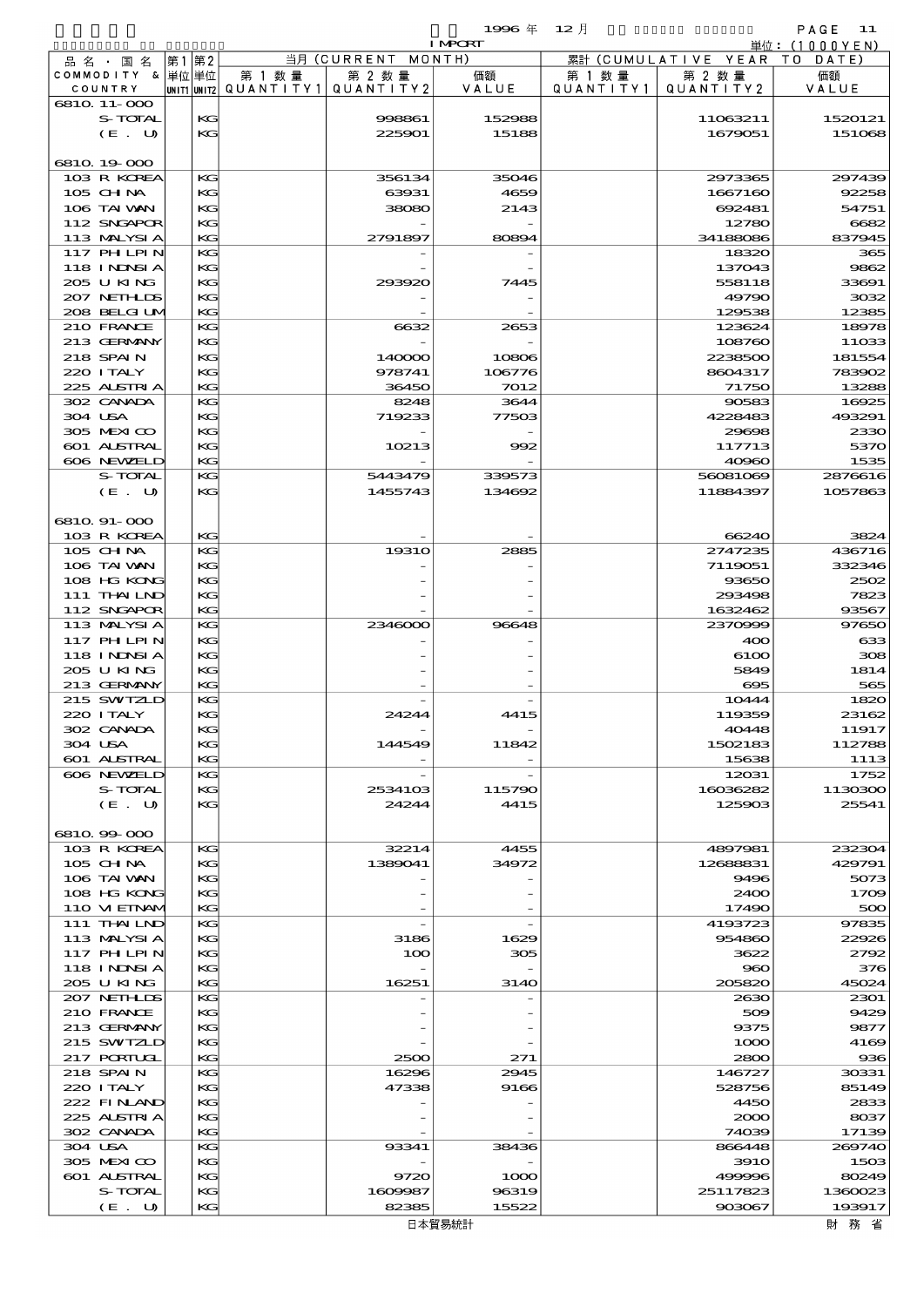|                             |      |          |                                                  |                    | 1996 $#$       | $12$ 月               |                              | PAGE<br><b>11</b> |
|-----------------------------|------|----------|--------------------------------------------------|--------------------|----------------|----------------------|------------------------------|-------------------|
|                             |      |          |                                                  |                    | <b>I MPORT</b> |                      |                              | 単位:(1000YEN)      |
| 品名・国名                       | 第1第2 |          |                                                  | 当月 (CURRENT MONTH) |                |                      | 累計 (CUMULATIVE YEAR TO DATE) |                   |
| COMMODITY & 単位単位<br>COUNTRY |      |          | 第 1 数量<br> unit1 unit2  Q∪ANT   TY1  Q∪ANT   TY2 | 第 2 数量             | 価額<br>VALUE    | 第 1 数 量<br>QUANTITY1 | 第 2 数量<br>QUANTITY2          | 価額<br>VALUE       |
| 6810 11-000                 |      |          |                                                  |                    |                |                      |                              |                   |
| S-TOTAL                     |      | KG       |                                                  | 998861             | 152988         |                      | 11063211                     | 1520121           |
| (E. U)                      |      | KG       |                                                  | 225901             | 15188          |                      | 1679051                      | 151068            |
|                             |      |          |                                                  |                    |                |                      |                              |                   |
| 6810 19000<br>103 R KOREA   |      | KG       |                                                  | 356134             | 35046          |                      | 2973365                      | 297439            |
| $105$ CHNA                  |      | KG       |                                                  | 63931              | 4659           |                      | 1667160                      | 92258             |
| 106 TAI VAN                 |      | KG       |                                                  | 38080              | 2143           |                      | 692481                       | 54751             |
| 112 SNGAPOR                 |      | KG       |                                                  |                    |                |                      | 12780                        | 6682              |
| 113 MALYSIA                 |      | KG       |                                                  | 2791897            | 80894          |                      | 34188086                     | 837945            |
| 117 PHLPIN                  |      | KG       |                                                  |                    |                |                      | 18320                        | 365               |
| <b>118 INDSIA</b>           |      | KG       |                                                  |                    |                |                      | 137043                       | 9862              |
| 205 U KING<br>207 NEIHLIS   |      | KG<br>KG |                                                  | 293920             | 7445           |                      | 558118<br>49790              | 33691<br>3032     |
| 208 BELGI UM                |      | KG       |                                                  |                    |                |                      | 129538                       | 12385             |
| 210 FRANCE                  |      | KG       |                                                  | 6632               | 2653           |                      | 123624                       | 18978             |
| 213 GERMANY                 |      | KG       |                                                  |                    |                |                      | 108760                       | 11033             |
| 218 SPAIN                   |      | KG       |                                                  | 140000             | 10806          |                      | 2238500                      | 181554            |
| 220 I TALY                  |      | KG       |                                                  | 978741             | 106776         |                      | 8604317                      | 783902            |
| 225 ALSTRIA                 |      | KG       |                                                  | 36450              | 7012           |                      | 71750                        | 13288             |
| 302 CANADA<br>304 USA       |      | KG       |                                                  | 8248<br>719233     | 3644<br>77503  |                      | 90583<br>4228483             | 16925<br>493291   |
| 305 MEXICO                  |      | KG<br>KG |                                                  |                    |                |                      | 29698                        | 2330              |
| 601 ALSTRAL                 |      | KG       |                                                  | 10213              | 992            |                      | 117713                       | 5370              |
| 606 NEWELD                  |      | KG       |                                                  |                    |                |                      | 40960                        | 1535              |
| S-TOTAL                     |      | KG       |                                                  | 5443479            | 339573         |                      | 56081069                     | 2876616           |
| (E. U)                      |      | KG       |                                                  | 1455743            | 134692         |                      | 11884397                     | 1057863           |
|                             |      |          |                                                  |                    |                |                      |                              |                   |
| 6810. 91-000                |      |          |                                                  |                    |                |                      |                              |                   |
| 103 R KOREA<br>$105$ CHNA   |      | KG<br>KG |                                                  | <b>1931O</b>       | 2885           |                      | 66240<br>2747235             | 3824<br>436716    |
| 106 TAI VAN                 |      | KG       |                                                  |                    |                |                      | 7119051                      | 332346            |
| 108 HG KONG                 |      | KG       |                                                  |                    |                |                      | 93650                        | 2502              |
| 111 THAILND                 |      | KG       |                                                  |                    |                |                      | 293498                       | 7823              |
| 112 SNGAPOR                 |      | KG       |                                                  |                    |                |                      | 1632462                      | 93567             |
| 113 MALYSIA                 |      | KG       |                                                  | 2346000            | 96648          |                      | 2370999                      | 97650             |
| 117 PH LPIN<br>118 INNSI A  |      | KG       |                                                  |                    |                |                      | 400                          | 633               |
| 205 U KING                  |      | KG<br>KG |                                                  |                    |                |                      | 6100<br>5849                 | 308<br>1814       |
| 213 GERMANY                 |      | KG       |                                                  |                    |                |                      | $\infty$                     | 565               |
| 215 SWIZLD                  |      | KG       |                                                  |                    |                |                      | 10444                        | 1820              |
| 220 I TALY                  |      | KG       |                                                  | 24244              | 4415           |                      | 119359                       | 23162             |
| 302 CANADA                  |      | KG       |                                                  |                    |                |                      | 40448                        | 11917             |
| 304 USA                     |      | KG       |                                                  | 144549             | 11842          |                      | 1502183                      | 112788            |
| 601 ALSTRAL                 |      | KG<br>KG |                                                  |                    |                |                      | 15638<br>12031               | 1113              |
| 606 NEWELD<br>S-TOTAL       |      | KG       |                                                  | 2534103            | 115790         |                      | 16036282                     | 1752<br>1130300   |
| (E. U)                      |      | KG       |                                                  | 24244              | 4415           |                      | 125903                       | 25541             |
|                             |      |          |                                                  |                    |                |                      |                              |                   |
| 6810.99-000                 |      |          |                                                  |                    |                |                      |                              |                   |
| 103 R KOREA                 |      | KG       |                                                  | 32214              | 4455           |                      | 4897981                      | 232304            |
| 105 CHNA                    |      | KG       |                                                  | 1389041            | 34972          |                      | 12688831                     | 429791            |
| 106 TAI VAN<br>108 HG KONG  |      | KG<br>KG |                                                  |                    |                |                      | 9496<br>2400                 | 5073<br>1709      |
| 110 VIEINAM                 |      | KG       |                                                  |                    |                |                      | 17490                        | 500               |
| 111 THAILND                 |      | KG       |                                                  |                    |                |                      | 4193723                      | 97835             |
| 113 MALYSIA                 |      | KG       |                                                  | 3186               | 1629           |                      | 954860                       | 22926             |
| 117 PHLPIN                  |      | KG       |                                                  | 100                | 305            |                      | 3622                         | 2792              |
| 118 I NDSI A                |      | KG       |                                                  |                    |                |                      | 960                          | 376               |
| 205 U KING                  |      | KG       |                                                  | 16251              | 314O           |                      | 205820                       | 45024             |
| 207 NETHLIS<br>210 FRANCE   |      | KG<br>KG |                                                  |                    |                |                      | 2630<br>509                  | 2301<br>9429      |
| 213 GERMANY                 |      | KG       |                                                  |                    |                |                      | 9375                         | 9877              |
| 215 SWIZLD                  |      | KG       |                                                  |                    |                |                      | 1000                         | 4169              |
| 217 PORTUGL                 |      | KG       |                                                  | 2500               | 271            |                      | 2800                         | 936               |
| 218 SPAIN                   |      | KG       |                                                  | 16296              | 2945           |                      | 146727                       | 30331             |
| 220 I TALY                  |      | KC       |                                                  | 47338              | 9166           |                      | 528756                       | 85149             |
| 222 FINAND                  |      | KG       |                                                  |                    |                |                      | 4450                         | 2833              |
| 225 ALSTRIA<br>302 CANADA   |      | KG<br>KG |                                                  |                    |                |                      | 2000<br>74039                | 8037<br>17139     |
| 304 USA                     |      | KG       |                                                  | 93341              | 38436          |                      | 866448                       | 269740            |
| 305 MEXICO                  |      | KG       |                                                  |                    |                |                      | 391O                         | 1503              |
| 601 ALSTRAL                 |      | KG       |                                                  | 9720               | 1000           |                      | 499996                       | 80249             |
| S-TOTAL                     |      | KG       |                                                  | 1609987            | 96319          |                      | 25117823                     | 1360023           |
| (E. U)                      |      | KG       |                                                  | 82385              | 15522          |                      | 903067                       | 193917            |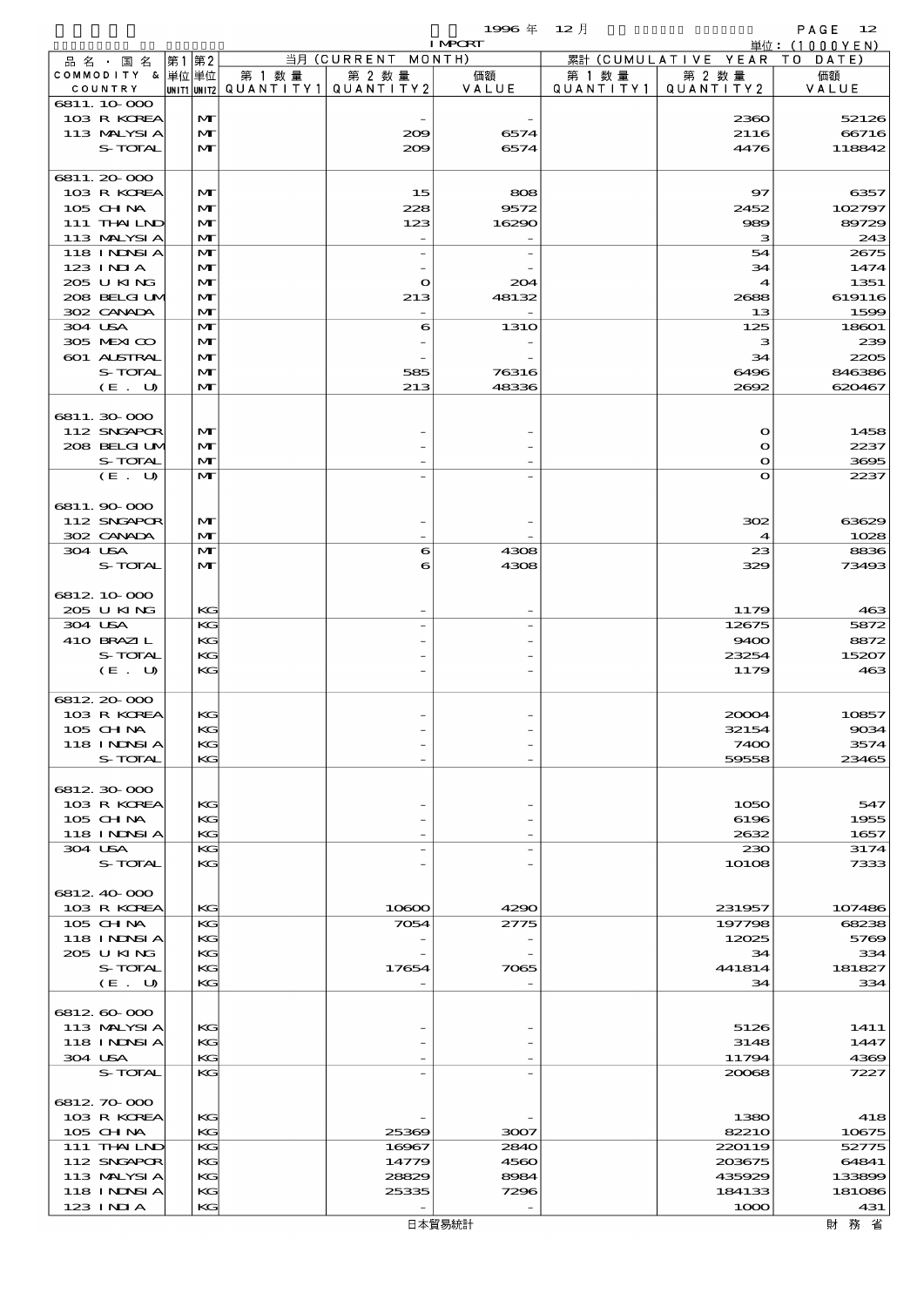|                            |                              |                          |                          | 1996年          | $12$ 月    |                      | PAGE<br>12                     |
|----------------------------|------------------------------|--------------------------|--------------------------|----------------|-----------|----------------------|--------------------------------|
|                            |                              |                          | 当月 (CURRENT MONTH)       | <b>I MPORT</b> |           | 累計 (CUMULATIVE YEAR  | 単位: $(1000YEN)$<br>T O<br>DATE |
| 品名・国名<br>COMMODITY & 単位単位  | 第1 第2                        | 第 1 数 量                  | 第 2 数量                   | 価額             | 第 1 数 量   | 第 2 数量               | 価額                             |
| COUNTRY                    |                              | unit1 unit2  Q∪ANT   TY1 | QUANTITY 2               | VALUE          | QUANTITY1 | QUANTITY 2           | VALUE                          |
| 6811.10.000                |                              |                          |                          |                |           |                      |                                |
| 103 R KOREA<br>113 MALYSIA | $\mathbf{M}$<br>$\mathbf{M}$ |                          | 200                      | 6574           |           | 2360<br>2116         | 52126<br>66716                 |
| S-TOTAL                    | $\mathbf{M}$                 |                          | 200                      | 6574           |           | 4476                 | 118842                         |
|                            |                              |                          |                          |                |           |                      |                                |
| 6811.20000                 |                              |                          |                          |                |           |                      |                                |
| 103 R KOREA                | $\mathbf{M}$                 |                          | 15                       | 808            |           | 97                   | 6357                           |
| 105 CHNA<br>111 THAILND    | M<br>M                       |                          | 228<br>123               | 9572<br>16290  |           | 2452<br>989          | 102797<br>89729                |
| 113 MALYSIA                | $\mathbf{M}$                 |                          |                          |                |           | з                    | 243                            |
| 118 INNSI A                | M                            |                          | $\overline{\phantom{0}}$ |                |           | 54                   | 2675                           |
| 123 INIA                   | $\mathbf{M}$                 |                          |                          |                |           | 34                   | 1474                           |
| 205 U KING<br>208 BELGI UM | M                            |                          | $\bullet$                | 204            |           | $\boldsymbol{4}$     | 1351                           |
| 302 CANADA                 | M<br>$\mathbf{M}$            |                          | 213                      | 48132          |           | 2688<br>13           | 619116<br>1599                 |
| 304 USA                    | M                            |                          | 6                        | <b>1310</b>    |           | 125                  | 18601                          |
| 305 MEXICO                 | $\mathbf{M}$                 |                          |                          |                |           | з                    | 239                            |
| 601 ALSTRAL                | $\mathbf{M}$                 |                          |                          |                |           | 34                   | 2205                           |
| S-TOTAL<br>(E. U)          | M<br>$\mathbf{M}$            |                          | 585<br>213               | 76316<br>48336 |           | 6496<br>2692         | 846386<br>620467               |
|                            |                              |                          |                          |                |           |                      |                                |
| 6811.30-000                |                              |                          |                          |                |           |                      |                                |
| 112 SNGAPOR                | $\mathbf{M}$                 |                          |                          |                |           | $\mathbf{o}$         | 1458                           |
| 208 BELGI UM               | M                            |                          |                          |                |           | $\mathbf{o}$         | 2237                           |
| S-TOTAL                    | $\mathbf{M}$                 |                          |                          |                |           | $\mathbf o$          | 3695                           |
| (E. U)                     | $\mathbf{M}$                 |                          |                          |                |           | $\mathbf{o}$         | 2237                           |
| 6811.90 000                |                              |                          |                          |                |           |                      |                                |
| 112 SNGAPOR                | $\mathbf{M}$                 |                          |                          |                |           | 302                  | 63629                          |
| 302 CANADA                 | $\mathbf{M}$                 |                          |                          |                |           | $\blacktriangleleft$ | 1028                           |
| 304 USA                    | M                            |                          | 6                        | 4308           |           | 23                   | 8836                           |
| S-TOTAL                    | M                            |                          | 6                        | 4308           |           | 329                  | 73493                          |
| 6812 10 000                |                              |                          |                          |                |           |                      |                                |
| 205 U KING                 | KG                           |                          |                          |                |           | 1179                 | 463                            |
| 304 USA                    | KG                           |                          |                          |                |           | 12675                | 5872                           |
| 410 BRAZIL                 | KG                           |                          |                          |                |           | 9400                 | 8872                           |
| S-TOTAL<br>(E. U)          | KG<br>KG                     |                          |                          |                |           | 23254<br>1179        | 15207<br>463                   |
|                            |                              |                          |                          |                |           |                      |                                |
| 6812 20 000                |                              |                          |                          |                |           |                      |                                |
| 103 R KOREA                | KG                           |                          |                          |                |           | $\alpha\omega$       | 10857                          |
| 105 CHNA                   | KG                           |                          |                          |                |           | 32154                | 9034                           |
| 118 I NDSI A<br>S-TOTAL    | KG<br>KG                     |                          |                          |                |           | 7400<br>59558        | 3574<br>23465                  |
|                            |                              |                          |                          |                |           |                      |                                |
| 681230000                  |                              |                          |                          |                |           |                      |                                |
| 103 R KOREA                | KG                           |                          |                          |                |           | 1050                 | 547                            |
| 105 CH NA                  | KG                           |                          |                          |                |           | 6196                 | 1955                           |
| 118 I NDSI A<br>304 USA    | KG<br>KG                     |                          |                          |                |           | 2632<br>230          | 1657<br>3174                   |
| S-TOTAL                    | KG                           |                          |                          |                |           | 10108                | 7333                           |
|                            |                              |                          |                          |                |           |                      |                                |
| 6812 40 000                |                              |                          |                          |                |           |                      |                                |
| 103 R KOREA                | KG<br>KG                     |                          | 10800                    | 4290           |           | 231957               | 107486                         |
| $105$ CHNA<br>118 I NDSI A | KG                           |                          | 7054                     | 2775           |           | 197798<br>12025      | 68238<br>5769                  |
| 205 U KING                 | KG                           |                          |                          |                |           | 34                   | 334                            |
| S-TOTAL                    | KG                           |                          | 17654                    | 7065           |           | 441814               | 181827                         |
| (E. U)                     | KG                           |                          |                          |                |           | 34                   | 334                            |
|                            |                              |                          |                          |                |           |                      |                                |
| 6812 60 000<br>113 MALYSIA | KG                           |                          |                          |                |           | 5126                 | 1411                           |
| 118 I NDSI A               | KG                           |                          |                          |                |           | 3148                 | 1447                           |
| 304 USA                    | KG                           |                          |                          |                |           | 11794                | 4369                           |
| S-TOTAL                    | KG                           |                          |                          |                |           | 20068                | 7227                           |
|                            |                              |                          |                          |                |           |                      |                                |
| 6812 70 000<br>103 R KOREA | KG                           |                          |                          |                |           | 1380                 | 418                            |
| 105 CH NA                  | KG                           |                          | 25369                    | 3007           |           | 82210                | 10675                          |
| 111 THAILND                | KG                           |                          | 16967                    | 2840           |           | 220119               | 52775                          |
| 112 SNGAPOR                | KG                           |                          | 14779                    | 4560           |           | 203675               | 64841                          |
| 113 MALYSIA<br>118 INNSI A | KG<br>KG                     |                          | 28829<br>25335           | 8984           |           | 435929<br>184133     | 133899<br>181086               |
| 123 INIA                   | KG                           |                          |                          | 7296           |           | 1000                 | 431                            |
|                            |                              |                          |                          |                |           |                      |                                |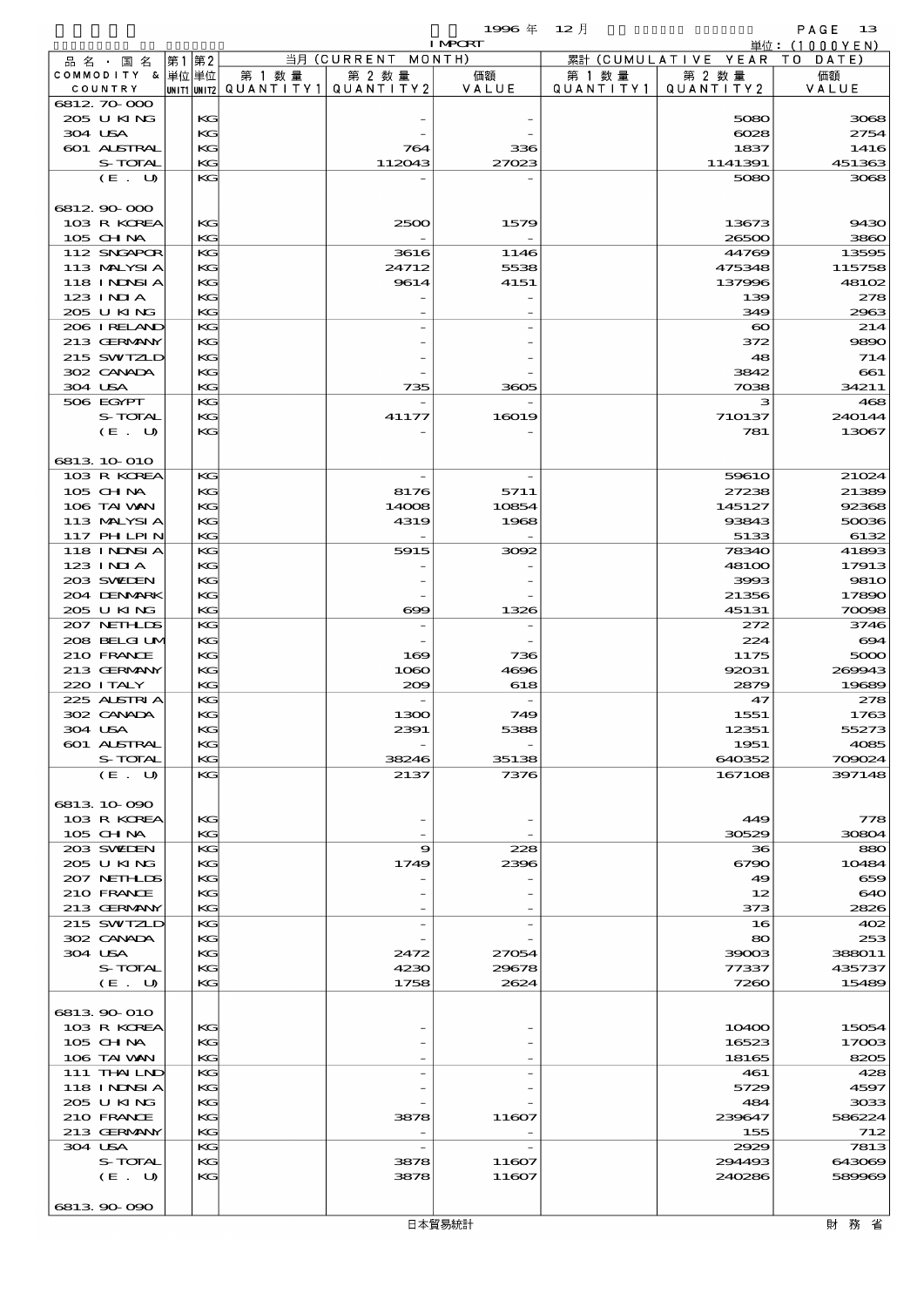$1996 \& 12 \rightarrow$  PAGE 13

|                           |          |        |                                 | <b>I MPORT</b> |                   |                              | 単位:(1000YEN)   |
|---------------------------|----------|--------|---------------------------------|----------------|-------------------|------------------------------|----------------|
| 品名・国名                     | 第1第2     |        | 当月 (CURRENT MONTH)              |                |                   | 累計 (CUMULATIVE YEAR TO DATE) |                |
| COMMODITY & 単位単位          |          | 第 1 数量 | 第 2 数量                          | 価額             | 第 1 数 量           | 第 2 数量                       | 価額             |
| COUNTRY<br>6812 70 000    |          |        | UNIT1 UNIT2 QUANTITY1 QUANTITY2 | VALUE          | Q U A N T I T Y 1 | QUANTITY2                    | VALUE          |
| 205 U KING                | КG       |        |                                 |                |                   | 5080                         | 3068           |
| 304 USA                   | KG       |        |                                 |                |                   | $\cos$                       | 2754           |
| 601 ALSTRAL               | KG       |        | 764                             | 336            |                   | 1837                         | 1416           |
| S-TOTAL                   | KG       |        | 112043                          | 27023          |                   | 1141391                      | 451363         |
| (E. U)                    | KG       |        |                                 |                |                   | 5080                         | 3068           |
|                           |          |        |                                 |                |                   |                              |                |
| 6812 90 000               |          |        |                                 |                |                   |                              |                |
| 103 R KOREA               | KG       |        | 2500                            | 1579           |                   | 13673                        | 9430           |
| 105 CHNA                  | KG       |        |                                 |                |                   | 26500                        | 3860           |
| 112 SNGAPOR               | KG       |        | 3616                            | 1146           |                   | 44769                        | 13595          |
| 113 MALYSIA               | KG       |        | 24712                           | 5538           |                   | 475348                       | 115758         |
| 118 INNSI A<br>123 INIA   | KG<br>KG |        | 9614                            | 4151           |                   | 137996<br>139                | 48102<br>278   |
| 205 U KING                | KG       |        |                                 |                |                   | 349                          | 2963           |
| 206 IRELAND               | KG       |        |                                 |                |                   | $\boldsymbol{\infty}$        | 214            |
| 213 GERMANY               | KG       |        |                                 |                |                   | 372                          | 9890           |
| 215 SWIZLD                | KG       |        |                                 |                |                   | 48                           | 714            |
| 302 CANADA                | KG       |        |                                 |                |                   | 3842                         | 661            |
| 304 USA                   | KG       |        | 735                             | 3605           |                   | 7038                         | 34211          |
| 506 EGYPT                 | KG       |        |                                 |                |                   | з                            | 468            |
| S-TOTAL                   | KG       |        | 41177                           | 16019          |                   | 710137                       | 240144         |
| (E. U)                    | KG       |        |                                 |                |                   | 781                          | 13067          |
|                           |          |        |                                 |                |                   |                              |                |
| 6813 10 010               |          |        |                                 |                |                   |                              |                |
| 103 R KOREA<br>105 CH NA  | KG<br>KG |        | 8176                            | 5711           |                   | 5961O<br>27238               | 21024<br>21389 |
| 106 TAI VAN               | KG       |        | 14008                           | 10854          |                   | 145127                       | 92368          |
| 113 MALYSIA               | KG       |        | 4319                            | 1968           |                   | 93843                        | 50036          |
| 117 PHLPIN                | KG       |        |                                 |                |                   | 5133                         | 6132           |
| 118 INNSI A               | KG       |        | 5915                            | 3092           |                   | 78340                        | 41893          |
| $123$ INIA                | KG       |        |                                 |                |                   | 48100                        | 17913          |
| 203 SWIEN                 | KG       |        |                                 |                |                   | 3993                         | <b>9810</b>    |
| 204 DENMARK               | KG       |        |                                 |                |                   | 21356                        | 17890          |
| 205 U KING                | KG       |        | $\infty$                        | 1326           |                   | 45131                        | 70098          |
| 207 NETHLIS               | KG       |        |                                 |                |                   | 272                          | 3746           |
| 208 BELGIUM               | KG       |        |                                 |                |                   | 224                          | 694            |
| 210 FRANCE                | KG       |        | 169                             | 736            |                   | 1175                         | 5000           |
| 213 GERMANY               | KG       |        | 1080                            | 4696           |                   | 92031                        | 269943         |
| 220 I TALY                | KG       |        | 200                             | 618            |                   | 2879                         | 19689          |
| 225 ALSTRIA               | KG       |        |                                 |                |                   | 47                           | 278            |
| 302 CANADA<br>304 USA     | KG<br>KG |        | 1300<br>2391                    | 749<br>5388    |                   | 1551<br>12351                | 1763<br>55273  |
| 601 ALSTRAL               | КG       |        |                                 |                |                   | 1951                         | 4085           |
| S-TOTAL                   | KG       |        | 38246                           | 35138          |                   | 640352                       | 709024         |
| (E. U)                    | KG       |        | 2137                            | 7376           |                   | 167108                       | 397148         |
|                           |          |        |                                 |                |                   |                              |                |
| 6813 10 090               |          |        |                                 |                |                   |                              |                |
| 103 R KOREA               | КG       |        |                                 |                |                   | 449                          | 778            |
| 105 CH NA                 | KG       |        |                                 |                |                   | 30529                        | 30804          |
| 203 SWIDEN                | KG       |        | 9                               | 228            |                   | 36                           | 880            |
| 205 U KING                | KG       |        | 1749                            | 2396           |                   | 6790                         | 10484          |
| 207 NETHLIS               | KG       |        |                                 |                |                   | 49                           | 659            |
| 210 FRANCE                | KG       |        |                                 |                |                   | 12                           | 640            |
| 213 GERMANY<br>215 SWIZLD | KG<br>KG |        |                                 |                |                   | 373<br>16                    | 2826<br>402    |
| 302 CANADA                | KG       |        |                                 |                |                   | 80                           | 253            |
| 304 USA                   | KG       |        | 2472                            | 27054          |                   | 39003                        | 388011         |
| S-TOTAL                   | KG       |        | 4230                            | 29678          |                   | 77337                        | 435737         |
| (E. U)                    | KG       |        | 1758                            | 2624           |                   | 7260                         | 15489          |
|                           |          |        |                                 |                |                   |                              |                |
| 6813 90 010               |          |        |                                 |                |                   |                              |                |
| 103 R KOREA               | KG       |        |                                 |                |                   | 10400                        | 15054          |
| 105 CH NA                 | KG       |        |                                 |                |                   | 16523                        | 17003          |
| 106 TAI VAN               | KG       |        |                                 |                |                   | 18165                        | 8205           |
| 111 THAILND               | KG       |        |                                 |                |                   | 461                          | 428            |
| 118 I NINSI A             | KG       |        |                                 |                |                   | 5729                         | 4597           |
| 205 U KING<br>210 FRANCE  | KG<br>KG |        | 3878                            | 11607          |                   | 484<br>239647                | 3033<br>586224 |
| 213 GERMANY               | KG       |        |                                 |                |                   | 155                          | 712            |
| 304 USA                   | KG       |        |                                 |                |                   | 2929                         | 7813           |
| S-TOTAL                   | KG       |        | 3878                            | 11607          |                   | 294493                       | 643069         |
| (E. U)                    | KG       |        | 3878                            | 11607          |                   | 240286                       | 589969         |
|                           |          |        |                                 |                |                   |                              |                |
| 6813 90 090               |          |        |                                 |                |                   |                              |                |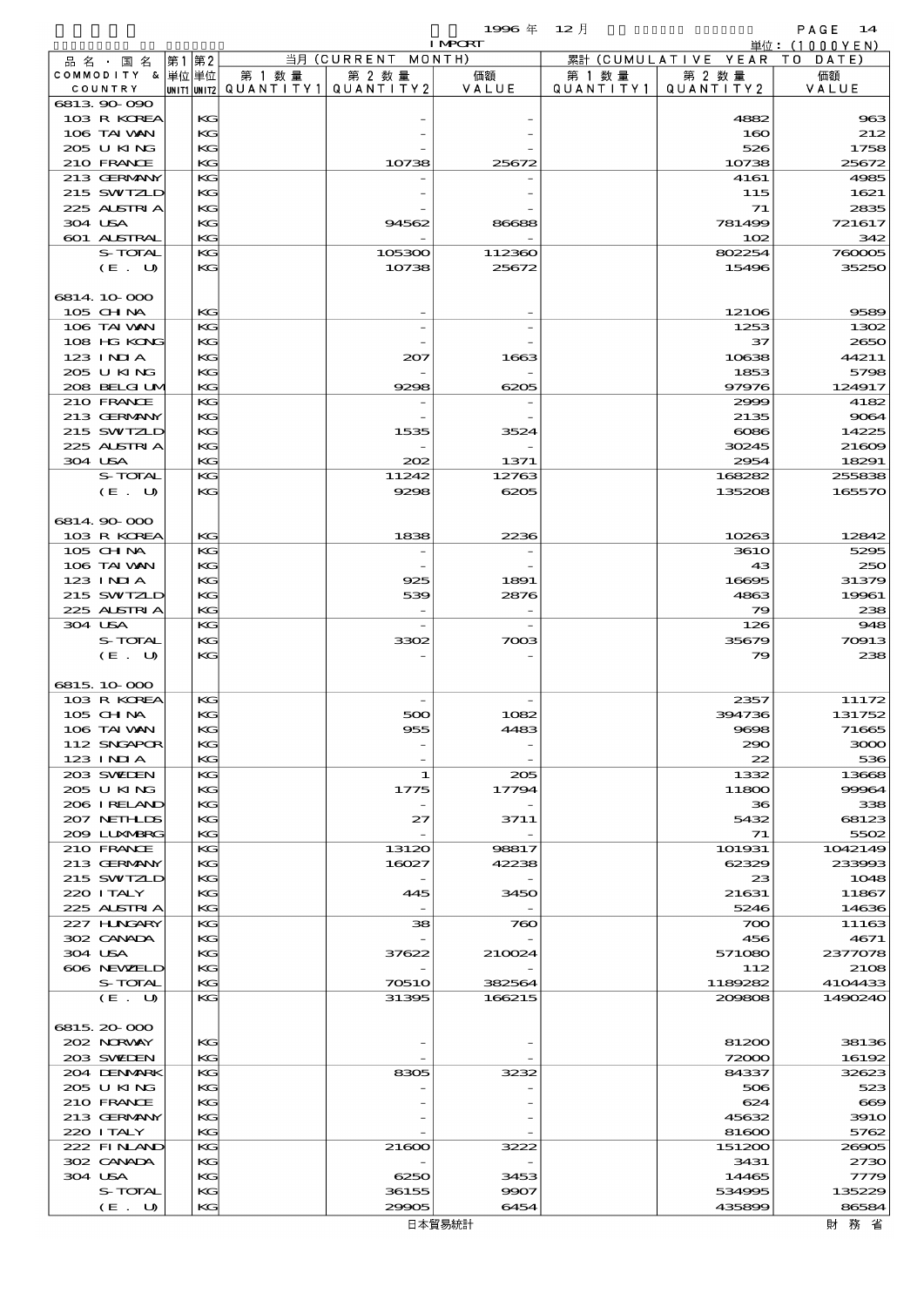## 品別国別表 輸 入 1996 12 確定 (Fixed Annual) 14

|                            |          |                                       |             | <b>I MPCRT</b> |           |                        | 単位: (1000YEN) |
|----------------------------|----------|---------------------------------------|-------------|----------------|-----------|------------------------|---------------|
| 品 名 ・ 国 名                  | 第1第2     |                                       | 当月 (CURRENT | MONTH)         |           | 累計 (CUMULATIVE YEAR TO | DATE          |
| COMMODITY & 単位単位           |          | 第 1 数量                                | 第 2 数量      | 価額             | 第 1 数量    | 第 2 数量                 | 価額            |
| COUNTRY                    |          | unit1 unit2  Q∪ANT   TY1  Q∪ANT   TY2 |             | VALUE          | QUANTITY1 | QUANTITY 2             | VALUE         |
| 6813 90 090                |          |                                       |             |                |           |                        |               |
| 103 R KOREA                | KG       |                                       |             |                |           | 4882                   | 963           |
| 106 TAI VAN<br>205 U KING  | KG<br>KG |                                       |             |                |           | 160<br>526             | 212           |
| 210 FRANCE                 | KG       |                                       |             |                |           |                        | 1758          |
|                            |          |                                       | 10738       | 25672          |           | 10738                  | 25672         |
| 213 GERMANY<br>215 SWIZLD  | KG       |                                       |             |                |           | 4161                   | 4985          |
| 225 ALSTRIA                | KG       |                                       |             |                |           | 115                    | 1621          |
| 304 USA                    | KG       |                                       |             |                |           | 71                     | 2835          |
| 601 ALSTRAL                | KG<br>KG |                                       | 94562       | 86688          |           | 781499<br>102          | 721617<br>342 |
| S-TOTAL                    | KG       |                                       | 105300      | 112360         |           | 802254                 | 760005        |
| (E. U)                     | KG       |                                       | 10738       | 25672          |           | 15496                  | 35250         |
|                            |          |                                       |             |                |           |                        |               |
| 6814 10 000                |          |                                       |             |                |           |                        |               |
| $105$ CHNA                 | KG       |                                       |             |                |           | 12106                  | 9589          |
| 106 TAI VAN                | KG       |                                       |             |                |           | 1253                   | 1302          |
| 108 HG KONG                | KG       |                                       |             |                |           | 37                     | 2650          |
| $123$ INIA                 |          |                                       |             |                |           |                        |               |
|                            | KG       |                                       | 207         | 1663           |           | 10638                  | 44211         |
| 205 U KING<br>208 BELGI UM | KG       |                                       |             | 6205           |           | 1853                   | 5798          |
|                            | KG       |                                       | 9298        |                |           | 97976                  | 124917        |
| 210 FRANCE                 | KG       |                                       |             |                |           | 2999                   | 4182          |
| 213 GERMANY                | KG       |                                       |             |                |           | 2135                   | 9064          |
| 215 SWIZLD                 | KG       |                                       | 1535        | 3524           |           | $\cos$                 | 14225         |
| 225 ALSTRIA                | KG       |                                       |             |                |           | 30245                  | 21609         |
| 304 USA                    | KG       |                                       | 202         | 1371           |           | 2954                   | 18291         |
| S-TOTAL                    | KG       |                                       | 11242       | 12763          |           | 168282                 | 255838        |
| (E. U)                     | KG       |                                       | 9298        | 6205           |           | 135208                 | 165570        |
|                            |          |                                       |             |                |           |                        |               |
| 6814 90 000                |          |                                       |             |                |           |                        |               |
| 103 R KOREA                | KG       |                                       | 1838        | 2236           |           | 10263                  | 12842         |
| 105 CHNA                   | KG       |                                       |             |                |           | <b>3610</b>            | 5295          |
| 106 TAI VAN                | KG       |                                       |             |                |           | 43                     | 250           |
| $123$ INIA                 | KG       |                                       | 925         | 1891           |           | 16695                  | 31379         |
| 215 SWIZLD                 | KG       |                                       | 539         | 2876           |           | 4863                   | 19961         |
| 225 ALSTRIA                | KG       |                                       |             |                |           | 79                     | 238           |
| 304 USA                    | KG       |                                       |             |                |           | 126                    | 948           |
| S-TOTAL                    | KG       |                                       | 3302        | 7003           |           | 35679                  | 70913         |
| (E. U)                     | KG       |                                       |             |                |           | 79                     | 238           |
|                            |          |                                       |             |                |           |                        |               |
| 6815 10 000                |          |                                       |             |                |           |                        |               |
| 103 R KOREA                | KG       |                                       |             |                |           | 2357                   | 11172         |
| 105 CHNA                   | KG       |                                       | 500         | 1082           |           | 394736                 | 131752        |
| 106 TAI VAN                | КG       |                                       | 955         | 4483           |           | 9698                   | 71665         |
| 112 SNGAPOR                | KG       |                                       |             |                |           | 290                    | 3000          |
| $123$ INIA                 | KG       |                                       |             |                |           | 22                     | 536           |
| 203 SWIDEN                 | KG       |                                       | 1           | 205            |           | 1332                   | 13668         |
| 205 U KING                 | KG       |                                       | 1775        | 17794          |           | 11800                  | 99964         |
| 206 IRELAND                | KG       |                                       |             |                |           | 36                     | 338           |
| 207 NETHLIS                | KG       |                                       | 27          | 3711           |           | 5432                   | 68123         |
| 2009 LUNARRG               | KG       |                                       |             |                |           | 71                     | 5502          |
| 210 FRANCE                 | KG       |                                       | 13120       | 98817          |           | 101931                 | 1042149       |
| 213 GERMANY                | КG       |                                       | 16027       | 42238          |           | 62329                  | 233993        |
| 215 SWIZLD                 | KG       |                                       |             |                |           | 23                     | 1048          |
| 220 I TALY                 | KG       |                                       | 445         | 3450           |           | 21631                  | 11867         |
| 225 ALSTRIA                | KG       |                                       |             |                |           | 5246                   | 14636         |
| 227 HNGARY                 | KG       |                                       | 38          | 760            |           | 700                    | 11163         |
| 302 CANADA                 | КG       |                                       |             |                |           | 456                    | 4671          |
| 304 USA                    | KG       |                                       | 37622       | 210024         |           | 571080                 | 2377078       |
| 606 NEWELD                 | KG       |                                       |             |                |           | 112                    | 2108          |
| S-TOTAL                    | KG       |                                       | 70510       | 382564         |           | 1189282                | 4104433       |
| (E. U)                     | KG       |                                       | 31395       | 166215         |           | 209808                 | 1490240       |
|                            |          |                                       |             |                |           |                        |               |
| 6815, 20-000               |          |                                       |             |                |           |                        |               |
| 202 NORWAY                 | KG       |                                       |             |                |           | 81200                  | 38136         |
| 203 SVELEN                 | KG       |                                       |             |                |           | 72000                  | 16192         |
| 204 DENMARK                | KG       |                                       | 8305        | 3232           |           | 84337                  | 32623         |
| 205 U KING                 | KG       |                                       |             |                |           | 506                    | 523           |
| 210 FRANCE                 | KG       |                                       |             |                |           | 624                    | $\bf{669}$    |
| 213 GERMANY                | KG       |                                       |             |                |           | 45632                  | <b>3910</b>   |
| 220 I TALY                 | KG       |                                       |             |                |           | 81600                  | 5762          |
| 222 FINLAND                | KG       |                                       | 21600       | 3222           |           | 151200                 | 26905         |
| 302 CANADA                 | КG       |                                       |             |                |           | 3431                   | 2730          |
| 304 USA                    | KG       |                                       | 6250        | 3453           |           | 14465                  | 7779          |
| S-TOTAL                    | KG       |                                       | 36155       | 9907           |           | 534995                 | 135229        |
| (E. U)                     | KG       |                                       | 29905       | 6454           |           | 435899                 | 86584         |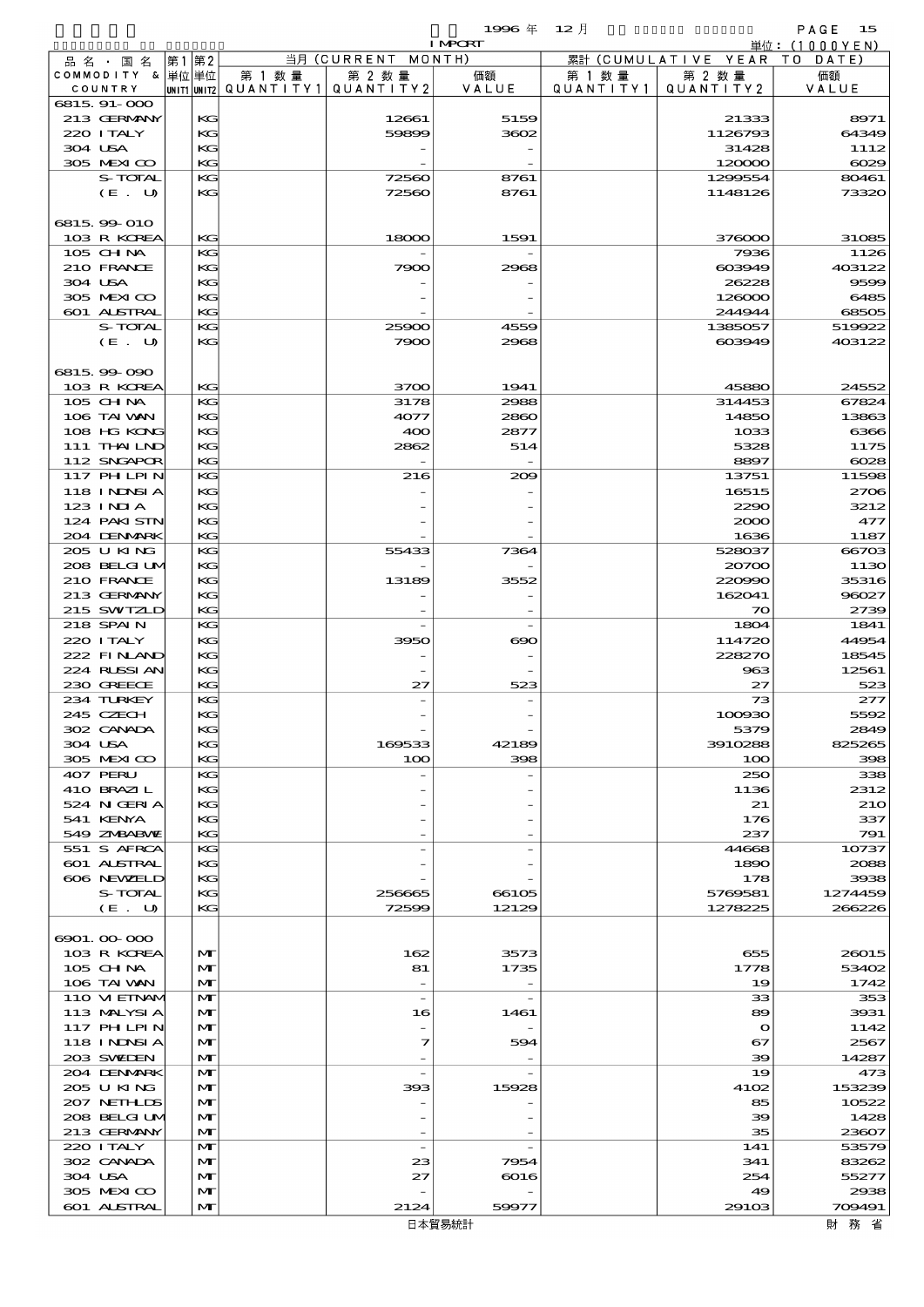$1996 \nrightarrow \text{ } 12 \nrightarrow$  PAGE 15

|               | PAGE |  |  | 15 |
|---------------|------|--|--|----|
| il位: (1000VFN |      |  |  |    |

|                            |              |                                       |                          | <b>I MPORT</b>        |           |                        | 単位: (1000YEN) |
|----------------------------|--------------|---------------------------------------|--------------------------|-----------------------|-----------|------------------------|---------------|
| 品 名 ・ 国 名                  | 第1第2         |                                       | 当月 (CURRENT MONTH)       |                       |           | 累計 (CUMULATIVE YEAR TO | DATE)         |
| COMMODITY & 単位単位           |              | 第 1 数量                                | 第 2 数量                   | 価額                    | 第 1 数 量   | 第 2 数量                 | 価額            |
| COUNTRY                    |              | UNIT1 UNIT2  QUANT   TY1  QUANT   TY2 |                          | VALUE                 | QUANTITY1 | QUANTITY2              | VALUE         |
| 6815, 91-000               |              |                                       |                          |                       |           |                        |               |
| 213 GERMANY                | KG           |                                       | 12661                    | 5159                  |           | 21333                  | 8971          |
| 220 I TALY                 | KG           |                                       | 59899                    | 3602                  |           | 1126793                | 64349         |
| 304 USA                    | KG           |                                       |                          |                       |           | 31428                  | 1112          |
| 305 MEXICO                 | KG           |                                       |                          |                       |           | 120000                 | $\cos$        |
| S-TOTAL                    | KG           |                                       | 72560                    | 8761                  |           | 1299554                | 80461         |
| (E. U)                     | KG           |                                       | 72560                    | 8761                  |           | 1148126                | 73320         |
|                            |              |                                       |                          |                       |           |                        |               |
| 6815 99 010                |              |                                       |                          |                       |           |                        |               |
| 103 R KOREA                | KG           |                                       | 18000                    | 1591                  |           | 376000                 | 31085         |
| 105 CHNA                   | KG           |                                       |                          |                       |           | 7936                   | 1126          |
| 210 FRANCE                 | KG           |                                       | 7900                     | 2968                  |           | 603949                 | 403122        |
| 304 USA                    | KG           |                                       |                          |                       |           | 26228                  | 9599          |
| 305 MEXICO                 | KG           |                                       |                          |                       |           | 126000                 | 6485          |
| 601 ALSTRAL                | KG           |                                       |                          |                       |           | 244944                 | 68505         |
| S-TOTAL                    | KG           |                                       | 25900                    | 4559                  |           | 1385057                | 519922        |
| (E. U)                     | KG           |                                       | 7900                     | 2968                  |           | 603949                 | 403122        |
|                            |              |                                       |                          |                       |           |                        |               |
| 6815 99 090<br>103 R KOREA |              |                                       |                          |                       |           |                        |               |
|                            | KG           |                                       | 3700                     | 1941                  |           | 45880                  | 24552         |
| 105 CHNA                   | KG           |                                       | 3178                     | 2988                  |           | 314453                 | 67824         |
| 106 TAI VAN                | KG           |                                       | 4077                     | 2860                  |           | 14850                  | 13863         |
| 108 HG KONG                | KG           |                                       | 400                      | 2877                  |           | 1033                   | 6366          |
| 111 THAILND                | KG           |                                       | 2862                     | 514                   |           | 5328                   | 1175          |
| 112 SNGAPOR                | KG           |                                       |                          |                       |           | 8897                   | $\cos$        |
| 117 PHLPIN                 | KG           |                                       | 216                      | 200                   |           | 13751                  | 11598         |
| 118 INNSI A                | KG           |                                       |                          |                       |           | 16515                  | 2706          |
| 123 INIA                   | KG           |                                       |                          |                       |           | 2290                   | 3212          |
| 124 PAKI STN               | KG           |                                       |                          |                       |           | 2000                   | 477           |
| 204 DENMARK                | KG           |                                       |                          |                       |           | 1636                   | 1187          |
| 205 U KING                 | KG           |                                       | 55433                    | 7364                  |           | 528037                 | 66703         |
| 208 BELGI UM               | KG           |                                       |                          |                       |           | 20700                  | 1130          |
| 210 FRANCE                 | KG           |                                       | 13189                    | 3552                  |           | 220990                 | 35316         |
| 213 GERMANY                | KG           |                                       |                          |                       |           | 162041                 | 96027         |
| 215 SWIZLD                 | KG           |                                       |                          |                       |           | $\infty$               | 2739          |
| 218 SPAIN                  | KG           |                                       |                          |                       |           | 1804                   | 1841          |
| 220 I TALY                 | KG           |                                       | 3950                     | $\boldsymbol{\infty}$ |           | 114720                 | 44954         |
| 222 FINAND                 | KG           |                                       |                          |                       |           | 228270                 | 18545         |
| 224 RLSSIAN                | KG           |                                       |                          |                       |           | 963                    | 12561         |
| 230 GREECE                 | KG           |                                       | 27                       | 523                   |           | 27                     | 523           |
| 234 TURKEY                 | KG           |                                       |                          |                       |           | 73                     | 277           |
| 245 CZECH                  | KG           |                                       |                          |                       |           | 100930                 | 5592          |
| 302 CANADA                 | KG           |                                       |                          |                       |           | 5379                   | 2849          |
| 304 USA                    | KG           |                                       | 169533                   | 42189                 |           | 3910288                | 825265        |
| 305 MEXICO                 | KG           |                                       | 100                      | 398                   |           | 100                    | 398           |
|                            |              |                                       |                          |                       |           |                        | 338           |
| 407 PERU                   | KG           |                                       |                          |                       |           | 250                    |               |
| 410 BRAZIL                 | KG           |                                       |                          |                       |           | 1136                   | 2312          |
| 524 N GERIA                | KG           |                                       |                          |                       |           | 21                     | 210           |
| 541 KENYA                  | KG           |                                       |                          |                       |           | 176                    | 337           |
| 549 ZNBABVE                | KG           |                                       |                          |                       |           | 237                    | 791           |
| 551 S AFRCA                | KG           |                                       |                          |                       |           | 44668                  | 10737         |
| 601 ALSTRAL                | KG           |                                       |                          |                       |           | 1890                   | 2088          |
| 606 NEWELD                 | KG           |                                       |                          |                       |           | 178                    | 3938          |
| S-TOTAL                    | KG           |                                       | 256665                   | 66105                 |           | 5769581                | 1274459       |
| (E. U)                     | KG           |                                       | 72599                    | 12129                 |           | 1278225                | 266226        |
|                            |              |                                       |                          |                       |           |                        |               |
| 6901.00-000                |              |                                       |                          |                       |           |                        |               |
| 103 R KOREA                | $\mathbf{M}$ |                                       | 162                      | 3573                  |           | 655                    | 26015         |
| 105 CH NA                  | $\mathbf{M}$ |                                       | 81                       | 1735                  |           | 1778                   | 53402         |
| 106 TAI VAN                | $\mathbf{M}$ |                                       |                          |                       |           | 19                     | 1742          |
| 110 VI EINAM               | $\mathbf{M}$ |                                       | $\overline{\phantom{a}}$ |                       |           | 33                     | 353           |
| 113 MALYSIA                | $\mathbf{M}$ |                                       | 16                       | 1461                  |           | 89                     | 3931          |
| 117 PHLPIN                 | $\mathbf{M}$ |                                       |                          |                       |           | $\bullet$              | 1142          |
| 118 I NINSI A              | M            |                                       | 7                        | 594                   |           | 67                     | 2567          |
| 203 SWIDEN                 | $\mathbf{M}$ |                                       |                          |                       |           | 39                     | 14287         |
| 204 DENMARK                | $\mathbf{M}$ |                                       | $\overline{\phantom{a}}$ |                       |           | 19                     | 473           |
| 205 U KING                 | $\mathbf{M}$ |                                       | 393                      | 15928                 |           | 4102                   | 153239        |
| 207 NETHLIS                | $\mathbf{M}$ |                                       |                          |                       |           | 85                     | 10522         |
| 208 BELGI UM               | M            |                                       |                          |                       |           | 39                     | 1428          |
| 213 GERMANY                | $\mathbf{M}$ |                                       |                          |                       |           | 35                     | 23607         |
| 220 I TALY                 | $\mathbf{M}$ |                                       | $\overline{\phantom{a}}$ |                       |           | 141                    | 53579         |
| 302 CANADA                 | $\mathbf{M}$ |                                       | 23                       | 7954                  |           | 341                    | 83262         |
| 304 USA                    | $\mathbf{M}$ |                                       | 27                       | 6016                  |           | 254                    | 55277         |
| 305 MEXICO                 | M            |                                       |                          |                       |           | 49                     | 2938          |
| 601 ALSTRAL                | $\mathbf{M}$ |                                       | 2124                     | 59977                 |           | 29103                  | 709491        |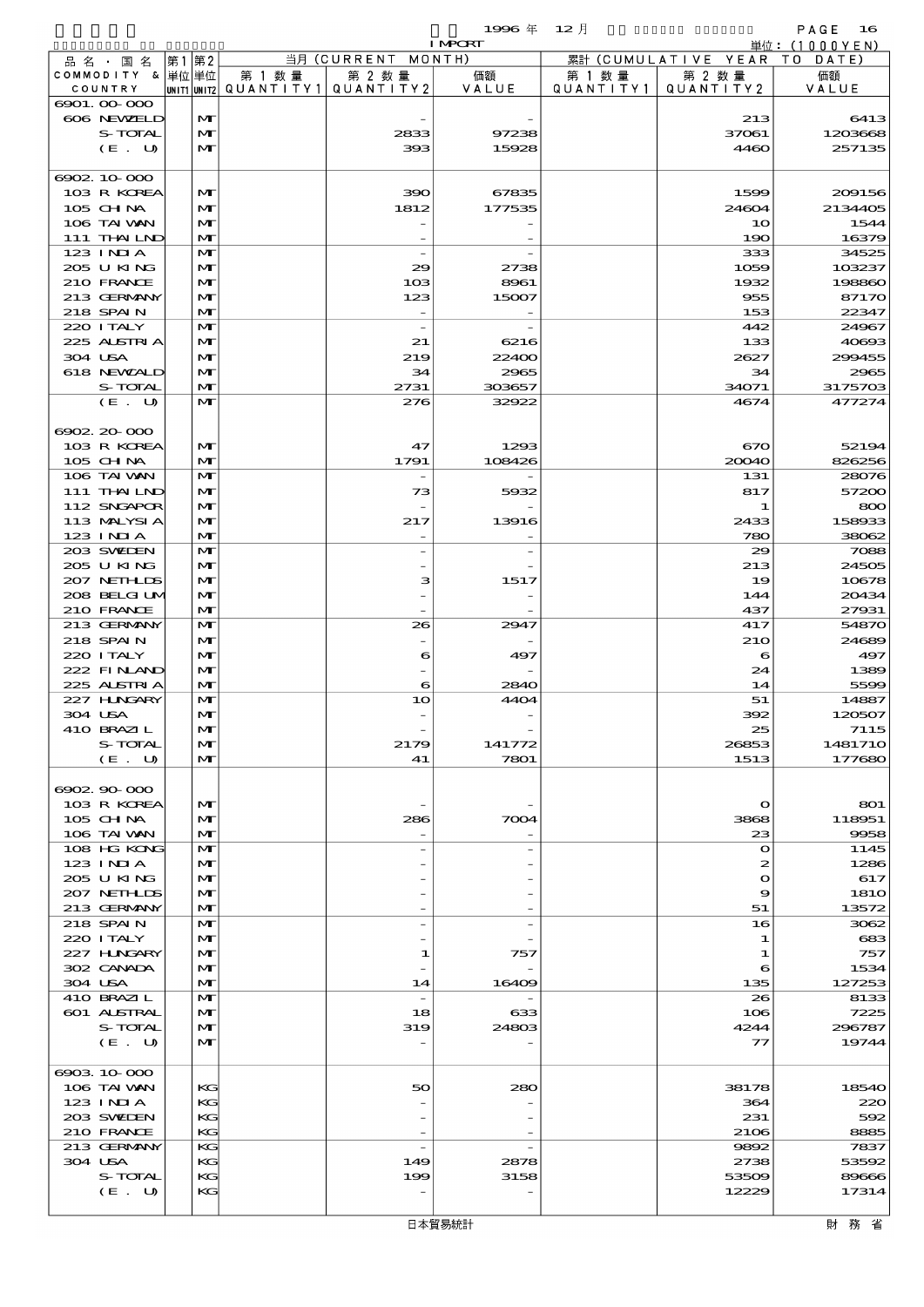$1$ 996 年  $12 \text{ }\overline{)}$  PAGE 16

|                             |                              |        |                                                  | <b>I MPORT</b> |                      |                              | 単位: (1000YEN)   |
|-----------------------------|------------------------------|--------|--------------------------------------------------|----------------|----------------------|------------------------------|-----------------|
| 品名・国名                       | 第1第2                         |        | 当月 (CURRENT MONTH)                               |                |                      | 累計 (CUMULATIVE YEAR TO DATE) |                 |
| COMMODITY & 単位単位<br>COUNTRY |                              | 第 1 数量 | 第 2 数量<br> UNIT1 UNIT2  QUANT   TY1  QUANT   TY2 | 価額<br>VALUE    | 第 1 数 量<br>QUANTITY1 | 第 2 数量<br>QUANTITY 2         | 価額<br>VALUE     |
| 6901.00-000                 |                              |        |                                                  |                |                      |                              |                 |
| 606 NEWELD                  | M                            |        |                                                  |                |                      | 213                          | 6413            |
| S-TOTAL                     | $\mathbf{M}$                 |        | 2833                                             | 97238          |                      | 37061                        | 1203668         |
| (E. U)                      | $\mathbf{M}$                 |        | 393                                              | 15928          |                      | 4460                         | 257135          |
| 6902 10 000                 |                              |        |                                                  |                |                      |                              |                 |
| 103 R KOREA                 | M                            |        | 390                                              | 67835          |                      | 1599                         | 209156          |
| 105 CHNA                    | M                            |        | 1812                                             | 177535         |                      | 24604                        | 2134405         |
| 106 TAI VAN                 | $\mathbf{M}$                 |        |                                                  |                |                      | 10                           | 1544            |
| 111 THAILND                 | $\mathbf{M}$                 |        |                                                  |                |                      | 190                          | 16379           |
| 123 INIA                    | $\mathbf{M}$                 |        | $\overline{\phantom{a}}$                         |                |                      | 333                          | 34525           |
| 205 U KING                  | M                            |        | 29                                               | 2738           |                      | 1059                         | 103237          |
| 210 FRANCE<br>213 GERMANY   | $\mathbf{M}$<br>$\mathbf{M}$ |        | 103<br>123                                       | 8961<br>15007  |                      | 1932<br>955                  | 198860<br>87170 |
| 218 SPAIN                   | $\mathbf{M}$                 |        |                                                  |                |                      | 153                          | 22347           |
| 220 I TALY                  | $\mathbf{M}$                 |        | $\overline{\phantom{a}}$                         |                |                      | 442                          | 24967           |
| 225 ALSTRIA                 | M                            |        | 21                                               | 6216           |                      | 133                          | 40693           |
| 304 USA                     | $\mathbf{M}$                 |        | 219                                              | 22400          |                      | 2627                         | 299455          |
| 618 NEWALD                  | $\mathbf{M}$                 |        | 34                                               | 2965           |                      | 34                           | 2965            |
| S-TOTAL                     | $\mathbf{M}$                 |        | 2731                                             | 303657         |                      | 34071                        | 3175703         |
| (E. U)                      | $\mathbf{M}$                 |        | 276                                              | 32922          |                      | 4674                         | 477274          |
| 6902.20-000                 |                              |        |                                                  |                |                      |                              |                 |
| 103 R KOREA                 | M                            |        | 47                                               | 1293           |                      | 670                          | 52194           |
| 105 CHNA                    | $\mathbf{M}$                 |        | 1791                                             | 108426         |                      | 20040                        | 826256          |
| 106 TAI VAN                 | $\mathbf{M}$                 |        |                                                  |                |                      | 131                          | 28076           |
| 111 THAILND                 | M                            |        | 73                                               | 5932           |                      | 817                          | 57200           |
| 112 SNGAPOR                 | $\mathbf{M}$                 |        |                                                  |                |                      | $\mathbf 1$                  | 800             |
| 113 MALYSIA                 | $\mathbf{M}$                 |        | 217                                              | 13916          |                      | 2433                         | 158933          |
| 123 INIA                    | $\mathbf{M}$                 |        |                                                  |                |                      | 780                          | 38062           |
| 203 SWIEN<br>205 U KING     | $\mathbf{M}$<br>M            |        |                                                  |                |                      | 29                           | 7088            |
| 207 NETHLIS                 | $\mathbf{M}$                 |        | з                                                | 1517           |                      | 213<br>19                    | 24505<br>10678  |
| 208 BELGI UM                | $\mathbf{M}$                 |        |                                                  |                |                      | 144                          | 20434           |
| 210 FRANCE                  | $\mathbf{M}$                 |        |                                                  |                |                      | 437                          | 27931           |
| 213 GERMANY                 | $\mathbf{M}$                 |        | 26                                               | 2947           |                      | 417                          | 54870           |
| 218 SPAIN                   | M                            |        |                                                  |                |                      | 210                          | 24689           |
| 220 I TALY                  | $\mathbf{M}$                 |        | 6                                                | 497            |                      | 6                            | 497             |
| 222 FINAND                  | M                            |        |                                                  |                |                      | 24                           | 1389            |
| 225 ALSTRIA<br>227 H.NGARY  | $\mathbf{M}$<br>$\mathbf{M}$ |        | 6<br>10                                          | 2840<br>4404   |                      | 14<br>51                     | 5599<br>14887   |
| 304 USA                     | M                            |        |                                                  |                |                      | 392                          | 120507          |
| 410 BRAZI L                 | $\mathbf{M}$                 |        |                                                  |                |                      | 25                           | 7115            |
| S-TOTAL                     | M                            |        | 2179                                             | 141772         |                      | 26853                        | 1481710         |
| (E. U)                      | M                            |        | 41                                               | 7801           |                      | 1513                         | 177680          |
|                             |                              |        |                                                  |                |                      |                              |                 |
| 690290000                   |                              |        |                                                  |                |                      |                              |                 |
| 103 R KOREA<br>105 CH NA    | $\mathbf{M}$<br>M            |        | 286                                              | 7004           |                      | $\mathbf o$<br>3868          | 801<br>118951   |
| 106 TAI VAN                 | M                            |        |                                                  |                |                      | 23                           | 9958            |
| 108 HG KONG                 | M                            |        |                                                  |                |                      | $\mathbf{o}$                 | 1145            |
| 123 INIA                    | M                            |        |                                                  |                |                      | 2                            | 1286            |
| 205 U KING                  | M                            |        |                                                  |                |                      | $\bullet$                    | 617             |
| 207 NETHLIS                 | $\mathbf{M}$                 |        |                                                  |                |                      | 9                            | <b>1810</b>     |
| 213 GERMANY                 | $\mathbf{M}$                 |        |                                                  |                |                      | 51                           | 13572           |
| 218 SPAIN<br>220 I TALY     | $\mathbf{M}$<br>M            |        |                                                  |                |                      | 16<br>1                      | 3062<br>683     |
| 227 H.NGARY                 | M                            |        | 1                                                | 757            |                      | 1                            | 757             |
| 302 CANADA                  | M                            |        |                                                  |                |                      | 6                            | 1534            |
| 304 USA                     | $\mathbf{M}$                 |        | 14                                               | 16409          |                      | 135                          | 127253          |
| 410 BRAZIL                  | $\mathbf{M}$                 |        | $\overline{\phantom{a}}$                         |                |                      | 26                           | 8133            |
| 601 ALSTRAL                 | M                            |        | 18                                               | ങ              |                      | 106                          | 7225            |
| S-TOTAL                     | M                            |        | 319                                              | 24803          |                      | 4244                         | 296787          |
| (E. U)                      | $\mathbf{M}$                 |        |                                                  |                |                      | $\tau$                       | 19744           |
| 6903 10 000                 |                              |        |                                                  |                |                      |                              |                 |
| 106 TAI VAN                 | KG                           |        | 50                                               | 280            |                      | 38178                        | 18540           |
| 123 INIA                    | KG                           |        |                                                  |                |                      | 364                          | 220             |
| 203 SWIDEN                  | KG                           |        |                                                  |                |                      | 231                          | 592             |
| 210 FRANCE                  | KG                           |        |                                                  |                |                      | 2106                         | 8885            |
| 213 GERMANY                 | KG                           |        | $\overline{\phantom{a}}$                         |                |                      | 9892                         | 7837            |
| 304 USA                     | KG                           |        | 149                                              | 2878           |                      | 2738                         | 53592           |
| S-TOTAL<br>(E. U)           | KG<br>KG                     |        | 199                                              | 3158           |                      | 53509<br>12229               | 89666<br>17314  |
|                             |                              |        |                                                  |                |                      |                              |                 |
|                             |                              |        |                                                  |                |                      |                              |                 |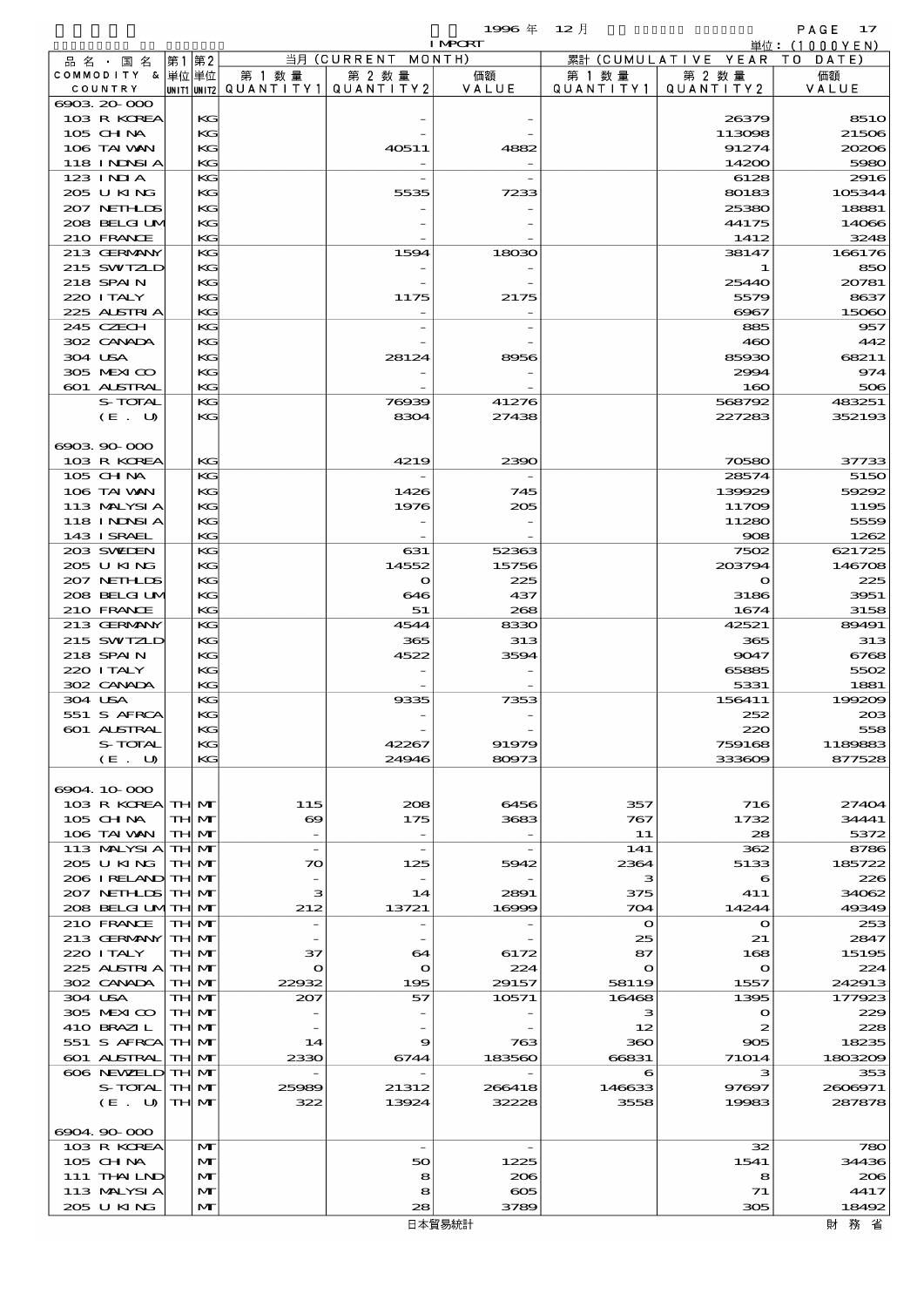$1996 \text{ } \# \quad 12 \text{ } \frac{1}{2}$  and  $12 \text{ } \frac{1}{2}$  and  $12 \text{ } \frac{1}{2}$  and  $12 \text{ } \frac{1}{2}$  and  $12 \text{ } \frac{1}{2}$  and  $12 \text{ } \frac{1}{2}$  and  $12 \text{ } \frac{1}{2}$  and  $12 \text{ } \frac{1}{2}$  and  $12 \text{ } \frac{1}{2}$  and  $12 \text{ } \frac{1}{2}$  and  $12 \text{ } \$ 

|         |                               |    |            |                                         |                          | <b>I MPORT</b> |             |                              | 単位:(1000YEN)   |
|---------|-------------------------------|----|------------|-----------------------------------------|--------------------------|----------------|-------------|------------------------------|----------------|
|         | 品名・国名                         | 第1 | 第2         |                                         | 当月 (CURRENT MONTH)       |                |             | 累計 (CUMULATIVE YEAR TO DATE) |                |
|         | COMMODITY & 単位 単位             |    |            | 第 1 数量                                  | 第 2 数量                   | 価額             | 第 1 数量      | 第 2 数量                       | 価額             |
|         | COUNTRY                       |    |            | UNIT1 UNIT2   QUANT   TY1   QUANT   TY2 |                          | VALUE          | QUANTITY1   | QUANTITY 2                   | VALUE          |
|         | 690320-000                    |    |            |                                         |                          |                |             |                              |                |
|         | 103 R KOREA                   |    | КG         |                                         |                          |                |             | 26379                        | <b>8510</b>    |
|         | 105 CH NA                     |    | KG         |                                         |                          |                |             | 113098                       | 21506          |
|         | 106 TAI VAN                   |    | KG<br>KG   |                                         | 40511                    | 4882           |             | 91274<br>14200               | 20206          |
|         | <b>118 INNSIA</b><br>123 INIA |    | KG         |                                         |                          |                |             | 6128                         | 5980           |
|         | 205 U KING                    |    | KG         |                                         | 5535                     | 7233           |             | 80183                        | 2916<br>105344 |
|         | 207 NETHLIS                   |    | KG         |                                         |                          |                |             | 25380                        | 18881          |
|         | 208 BELGI UM                  |    | KG         |                                         |                          |                |             | 44175                        | 14066          |
|         | 210 FRANCE                    |    | KG         |                                         |                          |                |             | 1412                         | 3248           |
|         | 213 GERMANY                   |    | KG         |                                         | 1594                     | 18030          |             | 38147                        | 166176         |
|         | 215 SWIZLD                    |    | KG         |                                         |                          |                |             | 1                            | 850            |
|         | 218 SPAIN                     |    | KG         |                                         |                          |                |             | 25440                        | 20781          |
|         | 220 I TALY                    |    | KG         |                                         | 1175                     | 2175           |             | 5579                         | 8637           |
|         | 225 ALSTRIA                   |    | KG         |                                         |                          |                |             | 6967                         | 15060          |
|         | 245 CZECH                     |    | KG         |                                         |                          |                |             | 885                          | 957            |
|         | 302 CANADA                    |    | KG         |                                         |                          |                |             | 460                          | 442            |
| 304 USA |                               |    | KG         |                                         | 28124                    | 8956           |             | 85930                        | 68211          |
|         | 305 MEXICO                    |    | KG         |                                         |                          |                |             | 2994                         | 974            |
|         | 601 ALSTRAL                   |    | KG         |                                         |                          |                |             | 160                          | 506            |
|         | S-TOTAL                       |    | KG         |                                         | 76939                    | 41276          |             | 568792                       | 483251         |
|         | (E. U)                        |    | КC         |                                         | 8304                     | 27438          |             | 227283                       | 352193         |
|         |                               |    |            |                                         |                          |                |             |                              |                |
|         | 690390000                     |    |            |                                         |                          |                |             |                              |                |
|         | 103 R KOREA                   |    | KG         |                                         | 4219                     | 2390           |             | 70580                        | 37733          |
|         | 105 CH NA                     |    | KG         |                                         |                          |                |             | 28574                        | 5150           |
|         | 106 TAI VAN                   |    | KG         |                                         | 1426                     | 745            |             | 139929                       | 59292          |
|         | 113 MALYSIA                   |    | KG         |                                         | 1976                     | 205            |             | 11709                        | 1195           |
|         | <b>118 INNSIA</b>             |    | KG         |                                         |                          |                |             | 11280                        | 5559           |
|         | 143 ISRAEL                    |    | KG         |                                         |                          |                |             | 908                          | 1262           |
|         | 203 SWIEN                     |    | KG         |                                         | 631                      | 52363          |             | 7502                         | 621725         |
|         | 205 U KING                    |    | KG         |                                         | 14552                    | 15756          |             | 203794                       | 146708         |
|         | 207 NETHLIS                   |    | KG         |                                         | $\mathbf{o}$             | 225            |             | $\mathbf o$                  | 225            |
|         | 208 BELGI UM                  |    | KG         |                                         | 646                      | 437            |             | 3186                         | 3951           |
|         | 210 FRANCE                    |    | KG         |                                         | 51                       | 268            |             | 1674                         | 3158           |
|         | 213 GERMANY                   |    | KG         |                                         | 4544                     | 8330           |             | 42521                        | 89491          |
|         | 215 SWIZLD                    |    | KG         |                                         | 365                      | 313            |             | 365                          | 313            |
|         | 218 SPAIN                     |    | KG         |                                         | 4522                     | 3594           |             | 9047                         | 6768           |
|         | 220 I TALY                    |    | KG         |                                         |                          |                |             | 65885                        | 5502           |
|         | 302 CANADA                    |    | KG         |                                         |                          |                |             | 5331                         | 1881           |
| 304 USA |                               |    | KG         |                                         | 9335                     | 7353           |             | 156411                       | 199209         |
|         | 551 S AFRCA                   |    | KG         |                                         |                          |                |             | 252                          | 208            |
|         | 601 ALSTRAL                   |    | KС         |                                         |                          |                |             | 220                          | 558            |
|         | S-TOTAL                       |    | КG         |                                         | 42267                    | 91979          |             | 759168                       | 1189883        |
|         | (E. U)                        |    | KG         |                                         | 24946                    | 80973          |             | 333609                       | 877528         |
|         |                               |    |            |                                         |                          |                |             |                              |                |
|         | 6904 10 000                   |    |            |                                         |                          |                |             |                              |                |
|         | 103 R KOREA                   |    | <b>THM</b> | 115                                     | 208                      | 6456           | 357         | 716                          | 27404          |
|         | 105 CH NA                     |    | TH MT      | 69                                      | 175                      | 3683           | 767         | 1732                         | 34441          |
|         | 106 TAI VAN                   |    | TH MT      | $\overline{\phantom{a}}$                |                          |                | 11          | 28                           | 5372           |
|         | 113 MALYSIA                   |    | TH MT      | $\qquad \qquad -$                       | $\overline{\phantom{a}}$ |                | 141         | 362                          | 8786           |
|         | 205 U KING                    |    | TH MT      | 70                                      | 125                      | 5942           | 2364        | 5133                         | 185722         |
|         | 206 IRELAND                   |    | <b>THM</b> |                                         |                          |                | з           | 6                            | 226            |
|         | 207 NETHLIDS                  |    | TH MT      | з                                       | 14                       | 2891           | 375         | 411                          | 34062          |
|         | 208 BELGI UMTH MT             |    |            | 212                                     | 13721                    | 16999          | 704         | 14244                        | 49349          |
|         | 210 FRANCE                    |    | TH MT      |                                         |                          |                | $\mathbf o$ | $\mathbf{\Omega}$            | 253            |
|         | 213 GERMANY                   |    | TH MT      |                                         |                          |                | 25          | 21                           | 2847           |
|         | 220 I TALY                    |    | TH MT      | 37                                      | 64                       | 6172           | 87          | 168                          | 15195          |
|         | 225 ALSTRIA                   |    | TH MT      | $\mathbf{\Omega}$                       | $\mathbf{\Omega}$        | 224            | $\mathbf o$ | $\mathbf{\Omega}$            | 224            |
|         | 302 CANADA                    |    | TH MT      | 22932                                   | 195                      | 29157          | 58119       | 1557                         | 242913         |
| 304 USA |                               |    | TH MT      | 207                                     | 57                       | 10571          | 16468       | 1395                         | 177923         |
|         | 305 MEXICO                    |    | TH MT      |                                         |                          |                | з           | $\mathbf{o}$                 | 229            |
|         | 410 BRAZIL                    |    | TH MT      |                                         |                          |                | 12          | 2                            | 228            |
|         | 551 S AFRCA                   |    | TH MT      | 14                                      | 9                        | 763            | 360         | 905                          | 18235          |
|         | 601 ALSTRAL                   |    | TH MT      | 2330                                    | 6744                     | 183560         | 66831       | 71014                        | 1803209        |
|         | 606 NEWELD                    |    | TH M       |                                         |                          |                | 6           | з                            | 353            |
|         | S-TOTAL                       |    | TH MT      | 25989                                   | 21312                    | 266418         | 146633      | 97697                        | 2606971        |
|         | (E. U)                        |    | TH MT      | 322                                     | 13924                    | 32228          | 3558        | 19983                        | 287878         |
|         |                               |    |            |                                         |                          |                |             |                              |                |
|         | 6904.90-000                   |    |            |                                         |                          |                |             |                              |                |
|         | 103 R KOREA                   |    | M          |                                         | $\overline{\phantom{a}}$ |                |             | 32                           | 780            |
|         | $105$ CHNA                    |    | M          |                                         | 50                       | 1225           |             | 1541                         | 34436          |
|         | 111 THAILND                   |    | M          |                                         | 8                        | 206            |             | 8                            | 206            |
|         | 113 MALYSIA                   |    | M          |                                         | 8                        | $\infty$       |             | 71                           | 4417           |
|         | 205 U KING                    |    | M          |                                         | 28                       | 3789           |             | 305                          | 18492          |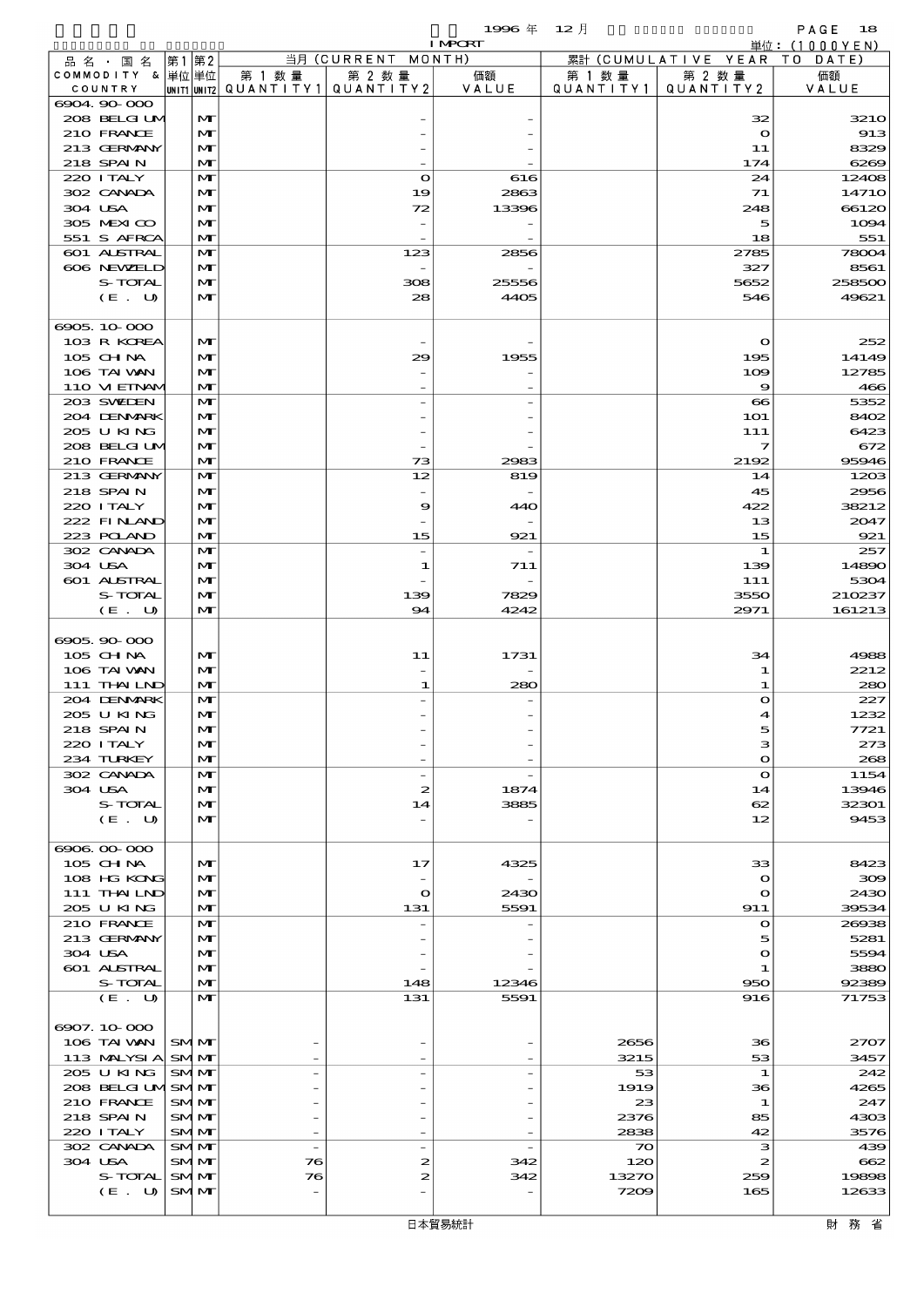$1996 \nless 12 \nless 12$ 

|                             |       |                              |                                                  |                          | <b>I MPCRT</b>           |                     |                              | 単位: (1000 Y E N) |
|-----------------------------|-------|------------------------------|--------------------------------------------------|--------------------------|--------------------------|---------------------|------------------------------|------------------|
| 品名・国名                       | 第1 第2 |                              |                                                  | 当月 (CURRENT MONTH)       |                          |                     | 累計 (CUMULATIVE YEAR TO DATE) |                  |
| COMMODITY & 単位単位<br>COUNTRY |       |                              | 第 1 数量<br> UNIT1 UNIT2  QUANT I TY1  QUANT I TY2 | 第 2 数量                   | 価額<br>VALUE              | 第 1 数量<br>QUANTITY1 | 第 2 数量<br>QUANTITY 2         | 価額<br>VALUE      |
| 6904.90-000                 |       |                              |                                                  |                          |                          |                     |                              |                  |
| 208 BELGI UM                |       | M                            |                                                  |                          |                          |                     | 32                           | 321O             |
| 210 FRANCE                  |       | $\mathbf{M}$                 |                                                  |                          |                          |                     | $\bullet$                    | 913              |
| 213 GERMANY                 |       | $\mathbf{M}$                 |                                                  |                          |                          |                     | 11                           | 8329             |
| 218 SPAIN<br>220 I TALY     |       | $\mathbf{M}$<br>M            |                                                  | $\bullet$                | 616                      |                     | 174<br>24                    | 6269<br>12408    |
| 302 CANADA                  |       | M                            |                                                  | 19                       | 2863                     |                     | 71                           | 1471O            |
| 304 USA                     |       | $\mathbf{M}$                 |                                                  | 72                       | 13396                    |                     | 248                          | 66120            |
| 305 MEXICO                  |       | M                            |                                                  |                          |                          |                     | 5                            | 1094             |
| 551 S AFRCA                 |       | $\mathbf{M}$                 |                                                  |                          |                          |                     | 18                           | 551              |
| 601 ALSTRAL<br>606 NEWELD   |       | M<br>M                       |                                                  | 123                      | 2856                     |                     | 2785<br>327                  | 78004<br>8561    |
| S-TOTAL                     |       | $\mathbf{M}$                 |                                                  | 308                      | 25556                    |                     | 5652                         | 258500           |
| (E. U)                      |       | $\mathbf{M}$                 |                                                  | 28                       | 4405                     |                     | 546                          | 49621            |
|                             |       |                              |                                                  |                          |                          |                     |                              |                  |
| 6905, 10-000                |       |                              |                                                  |                          |                          |                     |                              |                  |
| 103 R KOREA<br>105 CHNA     |       | $\mathbf{M}$<br>$\mathbf{M}$ |                                                  | 29                       | 1955                     |                     | $\mathbf{\Omega}$<br>195     | 252<br>14149     |
| 106 TAI VAN                 |       | M                            |                                                  |                          |                          |                     | 109                          | 12785            |
| 110 VIEINAM                 |       | $\mathbf{M}$                 |                                                  |                          |                          |                     | 9                            | 466              |
| 203 SWIEN                   |       | M                            |                                                  |                          |                          |                     | $\infty$                     | 5352             |
| 204 DENMARK                 |       | M                            |                                                  |                          |                          |                     | 1O1                          | 8402             |
| 205 U KING<br>208 BELGI UM  |       | $\mathbf{M}$<br>M            |                                                  |                          |                          |                     | 111<br>7                     | 6423<br>672      |
| 210 FRANCE                  |       | $\mathbf{M}$                 |                                                  | 73                       | 2983                     |                     | 2192                         | 95946            |
| 213 GERMANY                 |       | $\mathbf{M}$                 |                                                  | 12                       | 819                      |                     | 14                           | 1203             |
| 218 SPAIN                   |       | $\mathbf{M}$                 |                                                  |                          |                          |                     | 45                           | 2956             |
| 220 I TALY                  |       | $\mathbf{M}$                 |                                                  | 9                        | 440                      |                     | 422                          | 38212            |
| 222 FINAND<br>223 POLAND    |       | M<br>$\mathbf{M}$            |                                                  | 15                       | 921                      |                     | 13<br>15                     | 2047<br>921      |
| 302 CANADA                  |       | M                            |                                                  | $\overline{\phantom{a}}$ |                          |                     | 1                            | 257              |
| 304 USA                     |       | $\mathbf{M}$                 |                                                  | 1                        | 711                      |                     | 139                          | 14890            |
| 601 ALSTRAL                 |       | $\mathbf{M}$                 |                                                  |                          |                          |                     | 111                          | 5304             |
| S-TOTAL                     |       | M                            |                                                  | 139                      | 7829                     |                     | 3550                         | 210237           |
| (E. U)                      |       | $\mathbf{M}$                 |                                                  | 94                       | 4242                     |                     | 2971                         | 161213           |
| 6905, 90-000                |       |                              |                                                  |                          |                          |                     |                              |                  |
| 105 CHNA                    |       | $\mathbf{M}$                 |                                                  | 11                       | 1731                     |                     | 34                           | 4988             |
| 106 TAI VAN                 |       | M                            |                                                  |                          |                          |                     | -1                           | 2212             |
| 111 THAILND                 |       | $\mathbf{M}$                 |                                                  | 1                        | 280                      |                     | -1                           | 280              |
| 204 DENMARK<br>205 U KING   |       | M<br>$\mathbf{M}$            |                                                  |                          |                          |                     | $\mathbf{o}$<br>4            | 227<br>1232      |
| 218 SPAIN                   |       | $\mathbf{M}$                 |                                                  |                          |                          |                     |                              | 7721             |
| 220 I TALY                  |       | M                            |                                                  |                          |                          |                     | з                            | 273              |
| 234 TURKEY                  |       | $\mathbf{M}$                 |                                                  |                          |                          |                     | $\mathbf o$                  | 268              |
| 302 CANADA                  |       | M                            |                                                  | $\overline{\phantom{a}}$ |                          |                     | $\mathbf{o}$                 | 1154             |
| 304 USA<br>S-TOTAL          |       | $\mathbf{M}$<br>$\mathbf{M}$ |                                                  | $\boldsymbol{z}$<br>14   | 1874<br>3885             |                     | 14<br>62                     | 13946<br>32301   |
| (E. U)                      |       | $\mathbf{M}$                 |                                                  |                          |                          |                     | 12                           | 9453             |
|                             |       |                              |                                                  |                          |                          |                     |                              |                  |
| 0006000000                  |       |                              |                                                  |                          |                          |                     |                              |                  |
| 105 CHNA                    |       | $\mathbf{M}$                 |                                                  | 17                       | 4325                     |                     | 33                           | 8423             |
| 108 HG KONG<br>111 THAILND  |       | $\mathbf{M}$<br>$\mathbf{M}$ |                                                  | $\mathbf o$              | 2430                     |                     | $\mathbf o$<br>$\mathbf o$   | 309<br>2430      |
| 205 U KING                  |       | $\mathbf{M}$                 |                                                  | 131                      | 5591                     |                     | 911                          | 39534            |
| 210 FRANCE                  |       | $\mathbf{M}$                 |                                                  |                          |                          |                     | $\mathbf o$                  | 26938            |
| 213 GERMANY                 |       | $\mathbf{M}$                 |                                                  |                          |                          |                     | 5                            | 5281             |
| 304 USA                     |       | $\mathbf{M}$                 |                                                  |                          |                          |                     | $\mathbf o$                  | 5594             |
| 601 ALSTRAL<br>S-TOTAL      |       | M<br>$\mathbf{M}$            |                                                  | 148                      | 12346                    |                     | -1<br>950                    | 3880<br>92389    |
| (E. U)                      |       | $\mathbf{M}$                 |                                                  | 131                      | 5591                     |                     | 916                          | 71753            |
|                             |       |                              |                                                  |                          |                          |                     |                              |                  |
| 6907.10-000                 |       |                              |                                                  |                          |                          |                     |                              |                  |
| 106 TAI WAN<br>113 MALYSIA  |       | <b>SMM</b><br><b>SMM</b>     |                                                  |                          |                          | 2656<br>3215        | 36<br>53                     | 2707<br>3457     |
| 205 U KING                  |       | <b>SMM</b>                   | $\overline{\phantom{a}}$                         | $\overline{a}$           | $\overline{\phantom{a}}$ | 53                  | 1                            | 242              |
| 208 BELGI UMSMMT            |       |                              |                                                  |                          |                          | 1919                | 36                           | 4265             |
| 210 FRANCE                  |       | <b>SMM</b>                   |                                                  |                          |                          | 23                  | 1                            | 247              |
| 218 SPAIN                   |       | <b>SMM</b>                   |                                                  |                          |                          | 2376                | 85                           | 4303             |
| 220 I TALY<br>302 CANADA    |       | <b>SMM</b><br><b>SMM</b>     | $\overline{\phantom{a}}$                         | $\overline{\phantom{a}}$ |                          | 2838<br>$\infty$    | 42<br>з                      | 3576<br>439      |
| 304 USA                     |       | <b>SMM</b>                   | 76                                               | 2                        | 342                      | 120                 | 2                            | 662              |
| S-TOTAL                     |       | <b>SMM</b>                   | 76                                               | 2                        | 342                      | 13270               | 259                          | 19898            |
| (E. U)                      |       | <b>SMM</b>                   |                                                  |                          |                          | 7209                | 165                          | 12633            |
|                             |       |                              |                                                  |                          |                          |                     |                              |                  |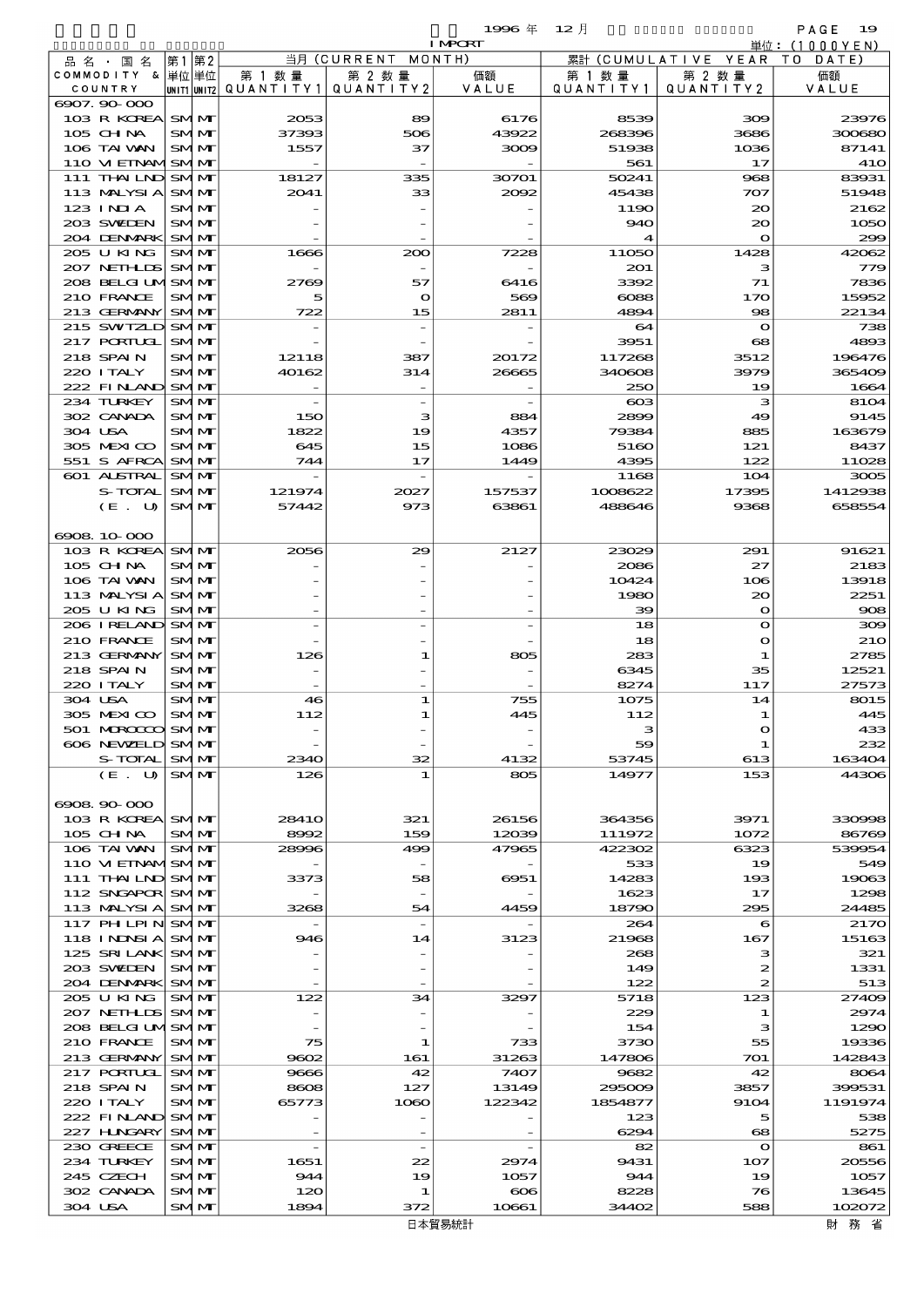品別国別表 輸 入 1996 12 確定 (Fixed Annual) 19

|         |                   |    |             |                          |                          | <b>I MPCRT</b> |                       |                     | 単位:(1000YEN) |
|---------|-------------------|----|-------------|--------------------------|--------------------------|----------------|-----------------------|---------------------|--------------|
|         | 品 名 ・ 国 名         | 第1 | 第2          |                          | 当月 (CURRENT              | MONTH)         |                       | 累計 (CUMULATIVE YEAR | DATE<br>T 0  |
|         | COMMODITY & 単位単位  |    |             | 第 1 数 量                  | 第 2 数量                   | 価額             | 第 1 数 量               | 第 2 数量              | 価額           |
|         | COUNTRY           |    |             | UNIT1 UNIT2  Q∪ANT I TY1 | QUANTITY2                | VALUE          | QUANTITY1             | QUANTITY2           | VALUE        |
|         | 6907.90-000       |    |             |                          |                          |                |                       |                     |              |
|         | 103 R KOREA       |    | <b>SMM</b>  | 2053                     | 89                       | 6176           | 8539                  | 300                 | 23976        |
|         | $105$ CHNA        |    | <b>SMM</b>  | 37393                    | 506                      | 43922          | 268396                | 3686                | 300680       |
|         | 106 TAI VAN       |    | <b>SMM</b>  | 1557                     | 37                       | 3009           | 51938                 | 1036                | 87141        |
|         | 110 VI EINAMSMM   |    |             |                          |                          |                | 561                   | 17                  | 41O          |
|         | 111 THAILND       |    | <b>SMM</b>  | 18127                    | 335                      | 30701          | 50241                 | 968                 | 83931        |
|         | 113 MALYSIA       |    | <b>SMM</b>  | 2041                     | 33                       | 2002           | 45438                 | 707                 | 51948        |
|         | $123$ INIA        |    | <b>SMM</b>  |                          |                          |                | 1190                  | $\infty$            | 2162         |
|         | 203 SWIEN         |    | <b>SMM</b>  |                          |                          |                | 940                   | $\infty$            | 1050         |
|         | 204 DENMARK       |    | <b>SMM</b>  |                          |                          |                | 4                     | $\circ$             | 299          |
|         | 205 U KING        |    | <b>SMM</b>  | 1666                     | 200                      | 7228           | 11050                 | 1428                | 42062        |
|         | 207 NETHLIS       |    | <b>SMM</b>  |                          |                          |                | 201                   | з                   | 779          |
|         | 208 BELGI UMSMM   |    |             | 2769                     | 57                       | 6416           | 3392                  | 71                  | 7836         |
|         | 210 FRANCE        |    | <b>SMM</b>  | 5                        | $\mathbf o$              | 569            | $\cos$                | 170                 | 15952        |
|         | 213 GERMANY       |    | <b>SMM</b>  | 722                      | 15                       | 2811           | 4894                  | 98                  | 22134        |
|         | 215 SWIZLD        |    | <b>SMM</b>  |                          | $\overline{\phantom{0}}$ |                | 64                    | $\mathbf{\Omega}$   | 738          |
|         | 217 PORTUGL       |    | <b>SMM</b>  |                          |                          |                | 3951                  | 68                  | 4893         |
|         | 218 SPAIN         |    | <b>SMM</b>  | 12118                    | 387                      | 20172          | 117268                | 3512                | 196476       |
|         | 220 I TALY        |    | <b>SMM</b>  | 40162                    | 314                      | 26665          | 340608                | 3979                | 365409       |
|         | 222 FINAND        |    | <b>SMM</b>  |                          |                          |                | 250                   | 19                  | 1664         |
|         | 234 TURKEY        |    | <b>SMM</b>  |                          | $\overline{\phantom{a}}$ |                | $\boldsymbol{\alpha}$ | з                   | 8104         |
|         | 302 CANADA        |    | <b>SMM</b>  | 150                      | з                        | 884            | 2899                  | 49                  | 9145         |
| 304 USA |                   |    | <b>SMM</b>  | 1822                     | 19                       | 4357           | 79384                 | 885                 | 163679       |
|         | 305 MEXICO        |    | <b>SMM</b>  | 645                      | 15                       | 1086           | 5160                  | 121                 | 8437         |
|         | 551 S AFRCA       |    | <b>SMM</b>  | 744                      | 17                       | 1449           | 4395                  | 122                 | 11028        |
|         | 601 ALSTRAL       |    | <b>SMM</b>  |                          | $\overline{\phantom{0}}$ |                | 1168                  | 104                 | 3005         |
|         | S-TOTAL           |    | <b>SMM</b>  | 121974                   | 2027                     | 157537         | 1008622               | 17395               | 1412938      |
|         | (E. U)            |    | <b>SMM</b>  | 57442                    | 973                      | 63861          | 488646                | 9368                | 658554       |
|         |                   |    |             |                          |                          |                |                       |                     |              |
|         | 6908 10 000       |    |             |                          |                          |                |                       |                     |              |
|         | 103 R KOREA       |    | <b>SMM</b>  | 2056                     | 29                       | 2127           | 23029                 | 291                 | 91621        |
|         | $105$ CHNA        |    | <b>SMM</b>  |                          |                          |                | 2086                  | 27                  | 2183         |
|         | 106 TAI WAN       |    | <b>SMM</b>  |                          |                          |                | 10424                 | 106                 | 13918        |
|         | 113 MALYSIA       |    | <b>SMM</b>  |                          |                          |                | 1980                  | $\infty$            | 2251         |
|         | 205 U KING        |    | <b>SMM</b>  |                          |                          |                | 39                    | $\mathbf{o}$        | 908          |
|         | 206 I RELAND      |    | <b>SMM</b>  |                          |                          |                | 18                    | $\mathbf{o}$        | 300          |
|         | 210 FRANCE        |    | <b>SMM</b>  |                          |                          |                | 18                    | $\mathbf o$         | <b>21O</b>   |
|         | 213 GERMANY       |    | <b>SMM</b>  | 126                      | 1                        | 805            | 283                   | 1                   | 2785         |
|         | 218 SPAIN         |    | <b>SMM</b>  |                          |                          |                | 6345                  | 35                  | 12521        |
|         | 220 I TALY        |    | <b>SMM</b>  |                          |                          |                | 8274                  | 117                 | 27573        |
| 304 USA |                   |    | <b>SMM</b>  | 46                       | 1                        | 755            | 1075                  | 14                  | 8015         |
|         | 305 MEXICO        |    | <b>SMM</b>  | 112                      | 1                        | 445            | 112                   | 1                   | 445          |
|         | 501 MROTO         |    | <b>SMMT</b> |                          |                          |                | з                     |                     | 433          |
|         | 606 NEWELD        |    | <b>SMM</b>  |                          |                          |                | 59                    | 1                   | 232          |
|         | S-TOTAL           |    | <b>SMM</b>  | 2340                     | 32                       | 4132           | 53745                 | 613                 | 163404       |
|         | (E. U)            |    | <b>SMM</b>  | 126                      | $\mathbf{1}$             | 805            | 14977                 | 153                 | 44306        |
|         | 6908 90 000       |    |             |                          |                          |                |                       |                     |              |
|         | 103 R KOREA       |    | <b>SMM</b>  | 2841O                    | 321                      | 26156          | 364356                | 3971                | 330998       |
|         | $105$ CHNA        |    | <b>SMM</b>  | 8992                     | 159                      | 12039          | 111972                | 1072                | 86769        |
|         | 106 TAI VAN       |    | <b>SMM</b>  | 28996                    | 499                      | 47965          | 422302                | 6323                | 539954       |
|         | 110 VI EINAMISMMT |    |             |                          |                          |                | 533                   | 19                  | 549          |
|         | $111$ THAILND     |    | <b>SMM</b>  | 3373                     | 58                       | 6951           | 14283                 | 193                 | 19063        |
|         | 112 SNGAPOR       |    | <b>SMM</b>  |                          |                          |                | 1623                  | 17                  | 1298         |
|         | 113 MALYSIA       |    | <b>SMM</b>  | 3268                     | 54                       | 4459           | 18790                 | 295                 | 24485        |
|         | 117 PH LPIN       |    | <b>SMM</b>  |                          | $\overline{\phantom{a}}$ |                | 264                   | 6                   | 2170         |
|         | 118 I NDSI A      |    | <b>SMM</b>  | 946                      | 14                       | 3123           | 21968                 | 167                 | 15163        |
|         | 125 SRILANK       |    | <b>SMM</b>  |                          |                          |                | 268                   | з                   | 321          |
|         | 203 SWIDEN        |    | <b>SMM</b>  |                          |                          |                | 149                   | 2                   | 1331         |
|         | 204 DENMARK       |    | <b>SMM</b>  |                          |                          |                | 122                   | 2                   | 513          |
|         | 205 U KING        |    | <b>SMM</b>  | 122                      | 34                       | 3297           | 5718                  | 123                 | 27409        |
|         | 207 NETHLIS       |    | <b>SMM</b>  |                          |                          |                | 229                   | 1                   | 2974         |
|         | 208 BELGI UMSMM   |    |             |                          |                          |                | 154                   | з                   | 1290         |
|         | 210 FRANCE        |    | <b>SMM</b>  | 75                       | 1                        | 733            | 3730                  | 55                  | 19336        |
|         | 213 GERMANY       |    | <b>SMM</b>  | 9602                     | 161                      | 31263          | 147806                | 701                 | 142843       |
|         | 217 PORTUGL       |    | <b>SMM</b>  | 9666                     | 42                       | 7407           | 9682                  | 42                  | 8064         |
|         | 218 SPAIN         |    | <b>SMM</b>  | 8608                     | 127                      | 13149          | 295009                | 3857                | 399531       |
|         | 220 I TALY        |    | <b>SMM</b>  | 65773                    | 1060                     | 122342         | 1854877               | 9104                | 1191974      |
|         | 222 FINAND        |    | <b>SMM</b>  |                          |                          |                | 123                   | 5                   | 538          |
|         | 227 H.NGARY       |    | <b>SMM</b>  |                          |                          |                | 6294                  | 68                  | 5275         |
|         | 230 GREECE        |    | <b>SMM</b>  |                          | $\overline{\phantom{a}}$ |                | 82                    | $\mathbf{o}$        | 861          |
|         | 234 TURKEY        |    | <b>SMM</b>  | 1651                     | 22                       | 2974           | 9431                  | 107                 | 20556        |
|         | 245 CZECH         |    | <b>SMM</b>  | 944                      | 19                       | 1057           | 944                   | 19                  | 1057         |
|         | 302 CANADA        |    | <b>SMM</b>  | 120                      | 1                        | $\infty$       | 8228                  | 76                  | 13645        |
|         | 304 USA           |    | <b>SMM</b>  | 1894                     | 372                      | 10661          | 34402                 | 588                 | 102072       |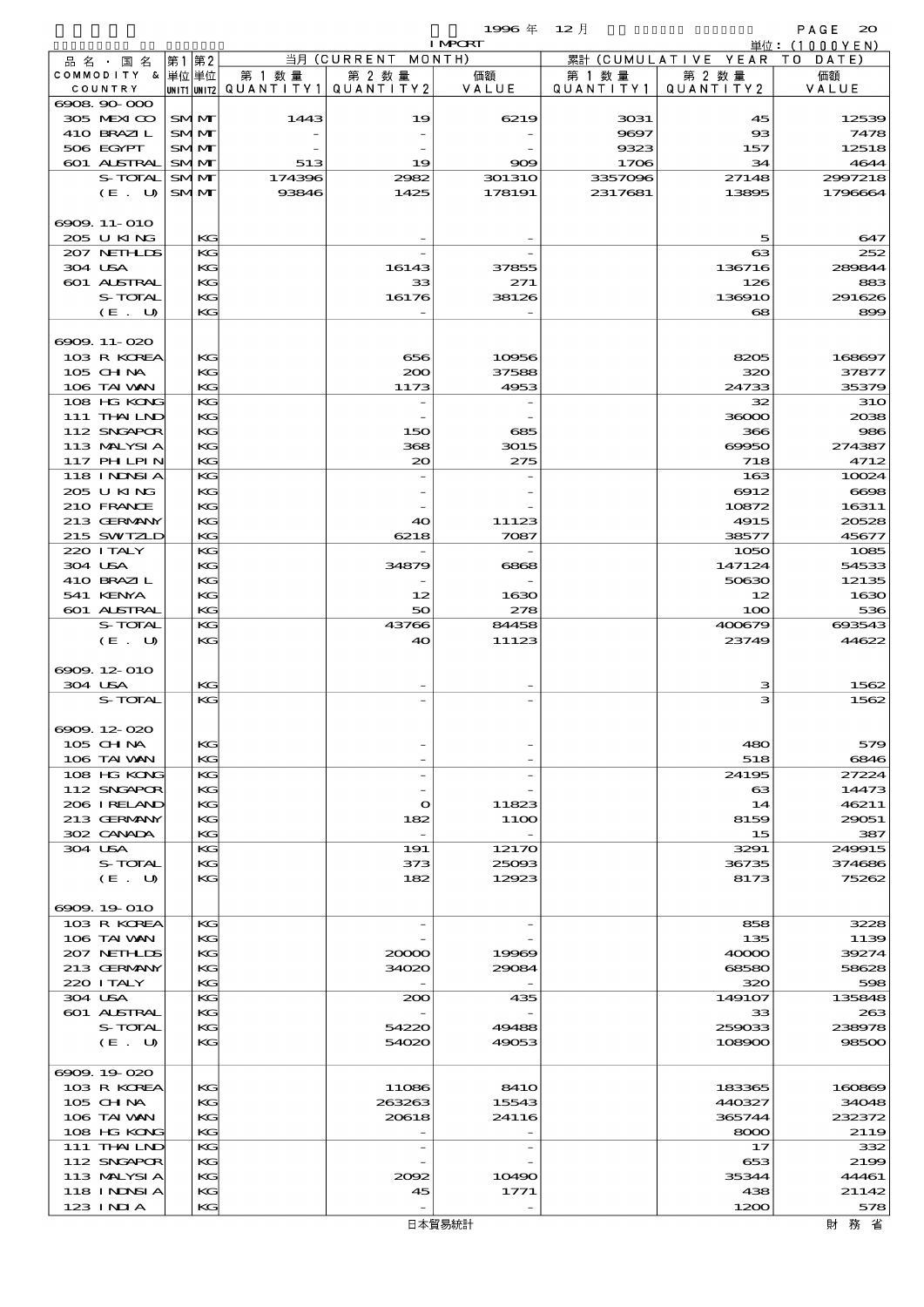品別国別表 輸 入 1996 12 確定 (Fixed Annual) 20

|                           |            |                                       |                          | <b>I MPORT</b>           |           |                              | 単位: (1000YEN)    |
|---------------------------|------------|---------------------------------------|--------------------------|--------------------------|-----------|------------------------------|------------------|
| 品名・国名                     | 第1 第2      |                                       | 当月 (CURRENT MONTH)       |                          |           | 累計 (CUMULATIVE YEAR TO DATE) |                  |
| COMMODITY & 単位単位          |            | 第 1 数量                                | 第 2 数量                   | 価額                       | 第 1 数 量   | 第 2 数量                       | 価額               |
| COUNTRY                   |            | UNIT1 UNIT2  QUANT   TY1  QUANT   TY2 |                          | VALUE                    | QUANTITY1 | QUANTITY 2                   | VALUE            |
| 6908 90 000               |            |                                       |                          |                          |           |                              |                  |
| 305 MEXICO                | <b>SMM</b> | 1443                                  | 19                       | 6219                     | 3031      | 45                           | 12539            |
| 410 BRAZIL                | <b>SMM</b> |                                       |                          |                          | 9697      | $_{\rm ss}$                  | 7478             |
| 506 EGYPT                 | <b>SMM</b> |                                       |                          |                          | 9323      | 157                          | 12518            |
| 601 ALSTRAL               | <b>SMM</b> | 513                                   | 19                       | 909                      | 1706      | 34                           | 4644             |
| S-TOTAL                   | <b>SMM</b> | 174396                                | 2982                     | <b>301310</b>            | 3357096   | 27148                        | 2997218          |
| (E. U)                    | <b>SMM</b> | 93846                                 | 1425                     | 178191                   | 2317681   | 13895                        | 1796664          |
|                           |            |                                       |                          |                          |           |                              |                  |
| 6909.11-010<br>205 U KING | KG         |                                       |                          |                          |           | 5                            | 647              |
| 207 NETHLIS               | KG         |                                       |                          |                          |           | $\boldsymbol{\alpha}$        | 252              |
| 304 USA                   | KG         |                                       | 16143                    | 37855                    |           | 136716                       | 289844           |
| 601 ALSTRAL               | KG         |                                       | 33                       | 271                      |           | 126                          | 883              |
| S-TOTAL                   | KG         |                                       | 16176                    | 38126                    |           | 136910                       | 291626           |
| (E. U)                    | KG         |                                       |                          |                          |           | $\mathbf{68}$                | 899              |
|                           |            |                                       |                          |                          |           |                              |                  |
| 6909.11-020               |            |                                       |                          |                          |           |                              |                  |
| 103 R KOREA               | KG         |                                       | 656                      | 10956                    |           | 8205                         | 168697           |
| $105$ CHNA                | KG         |                                       | 200                      | 37588                    |           | 320                          | 37877            |
| 106 TAI VAN               | KG         |                                       | 1173                     | 4953                     |           | 24733                        | 35379            |
| 108 HG KONG               | KG         |                                       |                          |                          |           | 32                           | <b>310</b>       |
| 111 THAILND               | KG         |                                       |                          |                          |           | 36000                        | 2038             |
| 112 SNGAPOR               | KG         |                                       | 150                      | 685                      |           | 366                          | 986              |
| 113 MALYSIA               | KG         |                                       | 368                      | 3015                     |           | 69950                        | 274387           |
| 117 PHLPIN                | KG         |                                       | $\infty$                 | 275                      |           | 718                          | 4712             |
| 118 I NJNSI A             | KG         |                                       |                          |                          |           | 163                          | 10024            |
| 205 U KING                | KG         |                                       |                          |                          |           | 6912                         | 6698             |
| 210 FRANCE                | KG         |                                       |                          |                          |           | 10872                        | 16311            |
| 213 GERMANY               | KG         |                                       | 40                       | 11123                    |           | 4915                         | 20528            |
| 215 SWIZLD                | KG         |                                       | 6218                     | 7087                     |           | 38577                        | 45677            |
| 220 I TALY                | KG         |                                       |                          |                          |           | 1050                         | 1085             |
| 304 USA                   | KG         |                                       | 34879                    | 6868                     |           | 147124                       | 54533            |
| 410 BRAZIL                | KG         |                                       |                          |                          |           | 50630                        | 12135            |
| 541 KENYA                 | KG         |                                       | 12                       | 1630                     |           | 12                           | 1630             |
| 601 ALSTRAL               | KG         |                                       | 50                       | 278                      |           | 100                          | 536              |
| S-TOTAL                   | KG         |                                       | 43766                    | 84458                    |           | 400679                       | 693543           |
| (E. U)                    | KG         |                                       | 40                       | 11123                    |           | 23749                        | 44622            |
|                           |            |                                       |                          |                          |           |                              |                  |
| 6909.12-010               |            |                                       |                          |                          |           |                              |                  |
| 304 USA                   | KG         |                                       |                          |                          |           | з                            | 1562             |
| S-TOTAL                   | KG         |                                       |                          |                          |           | з                            | 1562             |
|                           |            |                                       |                          |                          |           |                              |                  |
| 6909.12-020               |            |                                       |                          |                          |           |                              |                  |
| $105$ CHNA                | KG         |                                       |                          |                          |           | 480                          | 579              |
| 106 TAI VAN               | KG         |                                       |                          |                          |           | 518                          | 6846             |
| 108 HG KONG               | KG         |                                       |                          |                          |           | 24195                        | 27224            |
| 112 SNGAPOR               | KG         |                                       |                          | 11823                    |           | $_{\rm \alpha}$              | 14473            |
| 206 IRELAND               | KG         |                                       | $\mathbf o$              |                          |           | 14                           | 46211            |
| 213 GERMANY               | KG         |                                       | 182                      | 11OO                     |           | 8159                         | 29051            |
| 302 CANADA                | KG         |                                       | $\overline{\phantom{a}}$ | $\overline{\phantom{a}}$ |           | 15                           | 387              |
| 304 USA<br>S-TOTAL        | KG<br>KG   |                                       | 191<br>373               | 12170<br>25093           |           | 3291<br>36735                | 249915<br>374686 |
| (E. U)                    | KG         |                                       | 182                      | 12923                    |           | 8173                         | 75262            |
|                           |            |                                       |                          |                          |           |                              |                  |
| 6909.19-010               |            |                                       |                          |                          |           |                              |                  |
| 103 R KOREA               | KG         |                                       |                          |                          |           | 858                          | 3228             |
| 106 TAI VAN               | KG         |                                       |                          |                          |           | 135                          | 1139             |
| 207 NETHLIS               | KG         |                                       | 20000                    | 19969                    |           | 40000                        | 39274            |
| 213 GERMANY               | КG         |                                       | 34020                    | 29084                    |           | 68580                        | 58628            |
| 220 I TALY                | KG         |                                       |                          |                          |           | 320                          | 598              |
| 304 USA                   | КG         |                                       | 200                      | 435                      |           | 149107                       | 135848           |
| <b>601 ALSTRAL</b>        | KG         |                                       |                          |                          |           | 33                           | 263              |
| S-TOTAL                   | KG         |                                       | 54220                    | 49488                    |           | 259033                       | 238978           |
| (E. U)                    | KG         |                                       | 54020                    | 49053                    |           | 108900                       | 98500            |
|                           |            |                                       |                          |                          |           |                              |                  |
| 6909.19-020               |            |                                       |                          |                          |           |                              |                  |
| 103 R KOREA               | KG         |                                       | 11086                    | <b>8410</b>              |           | 183365                       | 160869           |
| $105$ CHNA                | KG         |                                       | 263263                   | 15543                    |           | 440327                       | 34048            |
| 106 TAI WAN               | КG         |                                       | 20618                    | 24116                    |           | 365744                       | 232372           |
| 108 HG KONG               | KG         |                                       |                          |                          |           | 8000                         | 2119             |
| 111 THAILND               | КG         |                                       |                          |                          |           | 17                           | 332              |
| 112 SNGAPOR               | KG         |                                       |                          |                          |           | 653                          | 2199             |
| 113 MALYSIA               | KG         |                                       | 2002                     | 10490                    |           | 35344                        | 44461            |
| 118 I NDSI A              | KG         |                                       | 45                       | 1771                     |           | 438                          | 21142            |
| 123 INIA                  | KG         |                                       |                          |                          |           | 1200                         | 578              |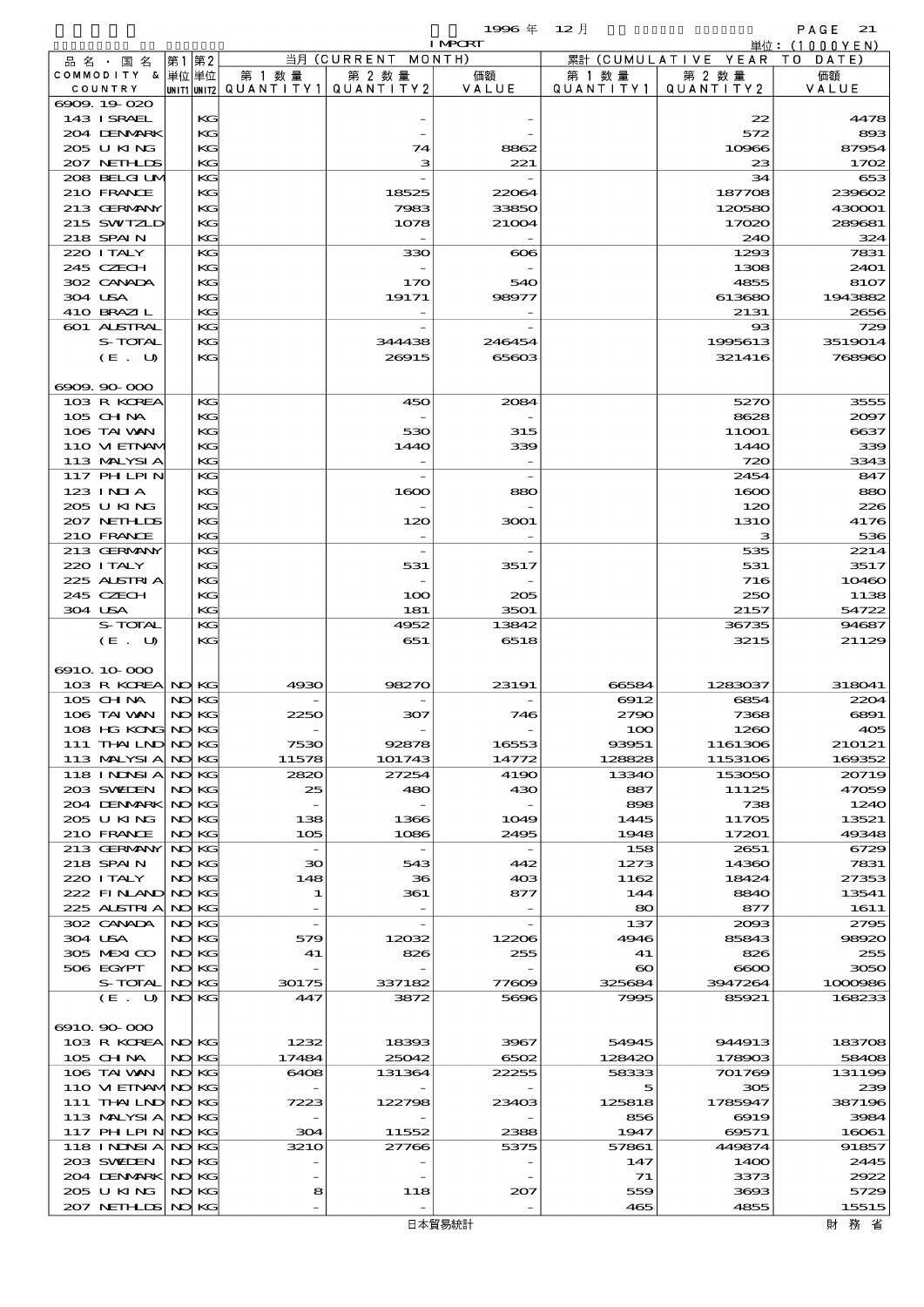$1996 \& 12 \rightarrow$  PAGE 21

|                         |       |          |                                       |                          | <b>I MPCRT</b>           |                       |                              | 単位:(1000YEN)  |
|-------------------------|-------|----------|---------------------------------------|--------------------------|--------------------------|-----------------------|------------------------------|---------------|
| 品名・国名                   | 第1 第2 |          |                                       | 当月 (CURRENT MONTH)       |                          |                       | 累計 (CUMULATIVE YEAR TO DATE) |               |
| COMMODITY & 単位単位        |       |          | 第 1 数量                                | 第 2 数量                   | 価額                       | 第 1 数 量               | 第 2 数量                       | 価額            |
| COUNTRY                 |       |          | UNIT1 UNIT2  QUANT   TY1  QUANT   TY2 |                          | VALUE                    | Q U A N T I T Y 1     | QUANTITY 2                   | VALUE         |
| 6909.19-020             |       |          |                                       |                          |                          |                       |                              |               |
| 143 ISRAEL              |       | KG       |                                       |                          |                          |                       | 22                           | 4478          |
| 204 DENMARK             |       | KG       |                                       |                          |                          |                       | 572                          | $890^{\circ}$ |
| 205 U KING              |       | KG       |                                       | 74                       | 8862                     |                       | 10966                        | 87954         |
| 207 NETHLIS             |       | KG       |                                       | з                        | 221                      |                       | 23                           | 1702          |
| 208 BELGI UM            |       | KG       |                                       |                          |                          |                       | 34                           | 653           |
| 210 FRANCE              |       | KG       |                                       | 18525                    | 22064                    |                       | 187708                       | 239602        |
| 213 GERMANY             |       | KG       |                                       | 7983                     | 33850                    |                       | 120580                       | 430001        |
| 215 SWIZLD              |       | KG       |                                       | 1078                     | 21004                    |                       | 17020                        | 289681        |
| 218 SPAIN               |       | KG       |                                       |                          |                          |                       | 240                          | 324           |
| 220 I TALY              |       | KG       |                                       | 330                      | $\boldsymbol{\infty}$    |                       | 1293                         | 7831          |
| 245 CZECH               |       | KG       |                                       |                          |                          |                       | 1308                         | 2401          |
| 302 CANADA              |       | KG       |                                       | 170                      | 540                      |                       | 4855                         | 8107          |
| 304 USA                 |       | KG       |                                       | 19171                    | 98977                    |                       | 613680                       | 1943882       |
| 410 BRAZIL              |       | KG       |                                       |                          |                          |                       | 2131                         | 2656          |
| 601 ALSTRAL<br>S-TOTAL  |       | KG<br>KG |                                       |                          |                          |                       | $_{\rm ss}$                  | 725           |
|                         |       | KG       |                                       | 344438                   | 246454<br>65603          |                       | 1995613<br>321416            | 3519014       |
| (E. U)                  |       |          |                                       | 26915                    |                          |                       |                              | 768960        |
| 6909.90-000             |       |          |                                       |                          |                          |                       |                              |               |
|                         |       |          |                                       |                          |                          |                       |                              |               |
| 103 R KOREA<br>105 CHNA |       | KG<br>KG |                                       | 450                      | 2084                     |                       | 5270<br>8628                 | 3555<br>2097  |
| 106 TAI VAN             |       |          |                                       |                          |                          |                       |                              |               |
| 110 VIEINAM             |       | KG<br>KG |                                       | 530<br>1440              | 315<br>339               |                       | 11OO1<br>1440                | 6637<br>33S   |
| 113 MALYSIA             |       | KG       |                                       |                          |                          |                       | 720                          | 3343          |
| 117 PHLPIN              |       | KG       |                                       |                          |                          |                       | 2454                         | 847           |
| 123 INIA                |       | KG       |                                       | 1600                     | 880                      |                       | 1600                         | 880           |
| 205 U KING              |       | KG       |                                       |                          |                          |                       | 120                          | 226           |
| 207 NETHLIS             |       | KG       |                                       | 120                      | 3001                     |                       | <b>1310</b>                  | 417€          |
| 210 FRANCE              |       | KG       |                                       |                          |                          |                       | з                            | 53€           |
| 213 GERMANY             |       | KG       |                                       |                          |                          |                       | 535                          | 2214          |
| 220 I TALY              |       | KG       |                                       | 531                      | 3517                     |                       | 531                          | 3517          |
| 225 ALSTRIA             |       | KG       |                                       |                          |                          |                       | 716                          | 10460         |
| 245 CZECH               |       | KG       |                                       | 100                      | 205                      |                       | 250                          | 1138          |
| 304 USA                 |       | KG       |                                       | 181                      | 3501                     |                       | 2157                         | 54722         |
| S-TOTAL                 |       | KG       |                                       | 4952                     | 13842                    |                       | 36735                        | 94687         |
| (E. U)                  |       | KG       |                                       | 651                      | 6518                     |                       | 3215                         | 21129         |
|                         |       |          |                                       |                          |                          |                       |                              |               |
| 6910 10 000             |       |          |                                       |                          |                          |                       |                              |               |
| 103 R KOREA NO KG       |       |          | 4930                                  | 98270                    | 23191                    | 66584                 | 1283037                      | 318041        |
| 105 CHNA                |       | NO KG    |                                       |                          |                          | 6912                  | 6854                         | 2204          |
| 106 TAI VAN             |       | NO KG    | 2250                                  | 307                      | 746                      | 2790                  | 7368                         | 6891          |
| 108 HG KONG NO KG       |       |          |                                       |                          |                          | 100                   | 1260                         | 40E           |
| 111 THAILND NO KG       |       |          | 7530                                  | 92878                    | 16553                    | 93951                 | 1161306                      | 210121        |
| 113 MALYSIA NO KG       |       |          | 11578                                 | 101743                   | 14772                    | 128828                | 1153106                      | 169352        |
| 118 INDSIANOKG          |       |          | 2820                                  | 27254                    | 4190                     | 13340                 | 153050                       | 20719         |
| 203 SWILEN              |       | NO KG    | 25                                    | 480                      | 430                      | 887                   | 11125                        | 47059         |
| 204 DENMARK NO KG       |       |          |                                       |                          |                          | 898                   | 738                          | 1240          |
| 205 U KING              |       | NO KG    | 138                                   | 1366                     | 1049                     | 1445                  | 11705                        | 13521         |
| 210 FRANCE              |       | NO KG    | 105                                   | 1086                     | 2495                     | 1948                  | 17201                        | 49348         |
| 213 GERMANY             |       | NO KG    | $\overline{\phantom{a}}$              | $\overline{\phantom{a}}$ | $\overline{\phantom{0}}$ | 158                   | 2651                         | 6729          |
| 218 SPAIN               |       | NO KG    | $\infty$                              | 543                      | 442                      | 1273                  | 14360                        | 7831          |
| 220 I TALY              |       | NO KG    | 148                                   | 36                       | 403                      | 1162                  | 18424                        | 27353         |
| 222 FINANO NO KG        |       |          | 1                                     | 361                      | 877                      | 144                   | 8840                         | 13541         |
| 225 ALSTRIA             |       | NO KG    |                                       |                          |                          | $80^{\circ}$          | 877                          | 1611          |
| 302 CANADA              |       | NO KG    |                                       |                          |                          | 137                   | 2093                         | 2795          |
| 304 USA                 |       | NO KG    | 579                                   | 12032                    | 12206                    | 4946                  | 85843                        | 98920         |
| 305 MEXICO              |       | NO KG    | 41                                    | 826                      | 255                      | 41                    | 826                          | 255           |
| 506 EGYPT               |       | NO KG    |                                       |                          |                          | $\boldsymbol{\infty}$ | $\infty$                     | 3050          |
| S-TOTAL                 |       | NO KG    | 30175                                 | 337182                   | 77609                    | 325684                | 3947264                      | 1000986       |
| (E. U)                  |       | NO KG    | 447                                   | 3872                     | 5696                     | 7995                  | 85921                        | 168233        |
|                         |       |          |                                       |                          |                          |                       |                              |               |
| 6910.90-000             |       |          |                                       |                          |                          |                       |                              |               |
| 103 R KOREA NO KG       |       |          | 1232                                  | 18393                    | 3967                     | 54945                 | 944913                       | 183706        |
| 105 CH NA               |       | NO KG    | 17484                                 | 25042                    | 6502                     | 128420                | 178903                       | 5840E         |
| 106 TAI WAN             |       | NO KG    | 6408                                  | 131364                   | 22255                    | 58333                 | 701769                       | 131199        |
| 110 VI EINAMINO KG      |       |          |                                       |                          |                          | 5                     | 305                          | 230           |
| 111 THAILND NO KG       |       |          | 7223                                  | 122798                   | 23403                    | 125818                | 1785947                      | 387196        |
| 113 MALYSIA NO KG       |       |          |                                       |                          |                          | 856                   | 6919                         | 3984          |
| $117$ PH LPIN NO KG     |       |          | 304                                   | 11552                    | 2388                     | 1947                  | 69571                        | 16061         |
| 118 INDSIANOKG          |       |          | 321O                                  | 27766                    | 5375                     | 57861                 | 449874                       | 91857         |
| 203 SWELEN              |       | NO KG    |                                       |                          |                          | 147                   | 14OO                         | 2445          |
| 204 DENMARK NO KG       |       |          |                                       |                          |                          | 71                    | 3373                         | 2922          |
| 205 U KING NO KG        |       |          | 8                                     | 118                      | 207                      | 559                   | 3693                         | 5729          |

財務省

207 NETHLDS NO KG - - - 465 4855 15515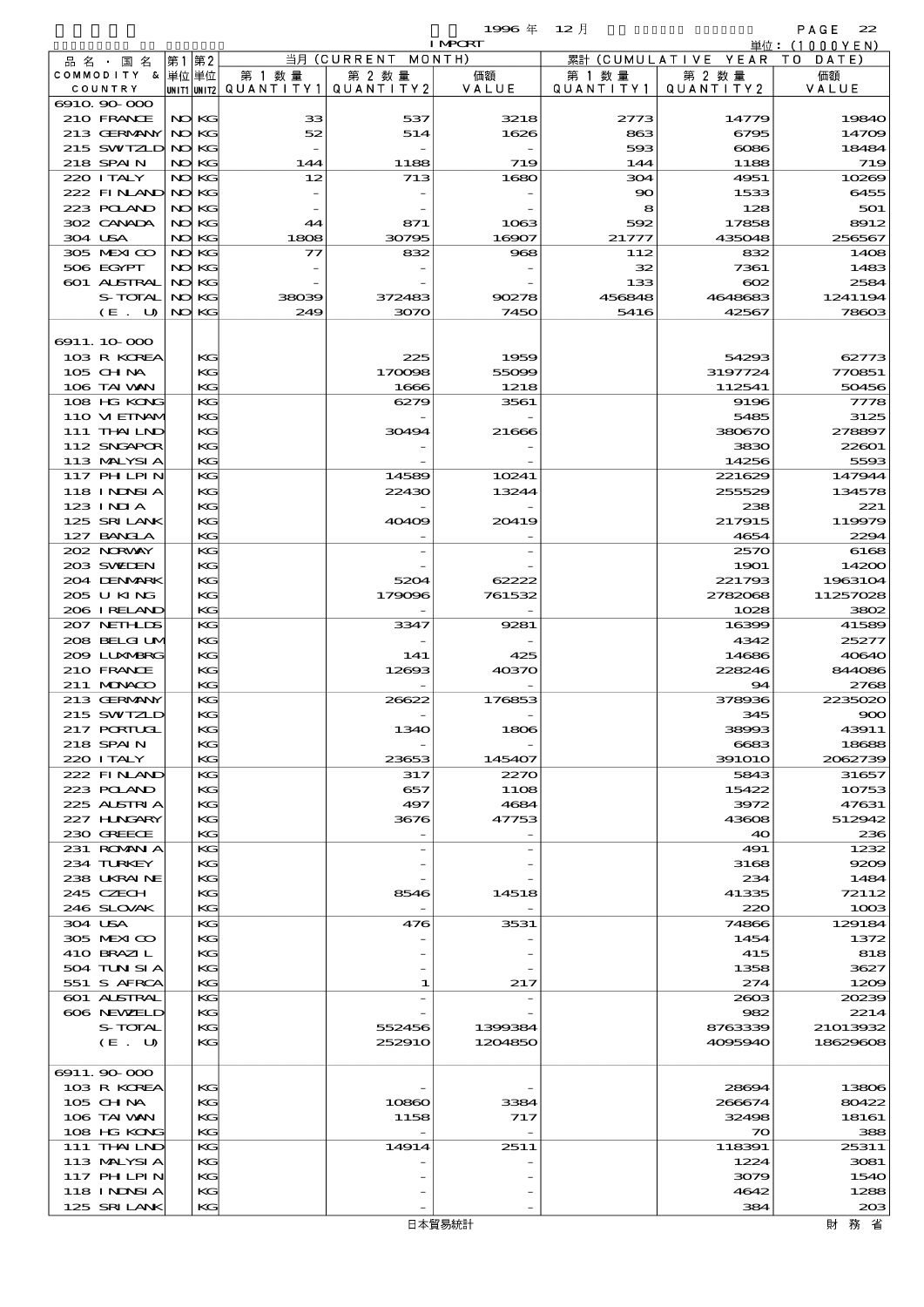|         |                             |       |                |                                             |                      | 1996年          | $12$ 月               |                        | PAGE<br>22       |
|---------|-----------------------------|-------|----------------|---------------------------------------------|----------------------|----------------|----------------------|------------------------|------------------|
|         |                             |       |                |                                             |                      | <b>I MPORT</b> |                      |                        | 単位: $(1000YEN)$  |
|         | 品 名 ・ 国 名                   | 第1 第2 |                |                                             | 当月 (CURRENT MONTH)   |                |                      | 累計 (CUMULATIVE YEAR TO | DATE             |
|         | COMMODITY & 単位単位<br>COUNTRY |       |                | 第 1 数 量<br>UNIT1  UNIT2   Q U A N T I T Y 1 | 第 2 数量<br>QUANTITY 2 | 価額<br>VALUE    | 第 1 数 量<br>QUANTITY1 | 第 2 数量<br>QUANTITY 2   | 価額<br>VALUE      |
|         | 6910 90 000                 |       |                |                                             |                      |                |                      |                        |                  |
|         | 210 FRANCE                  |       | NO KG          | 33                                          | 537                  | 3218           | 2773                 | 14779                  | 19840            |
|         | 213 GERMANY                 |       | NO KG          | 52                                          | 514                  | 1626           | 863                  | 6795                   | 14709            |
|         | 215 SWIZLD                  |       | NO KG          |                                             |                      |                | 593                  | $\cos$                 | 18484            |
|         | 218 SPAIN                   |       | NO KG          | 144                                         | 1188                 | 719            | 144                  | 1188                   | 719              |
|         | 220 I TALY                  |       | NO KG          | 12                                          | 713                  | 1680           | 304                  | 4951                   | 10269            |
|         | 222 FINAND NO KG            |       |                |                                             |                      |                | $\infty$             | 1533                   | 6455             |
|         | 223 POLAND<br>302 CANADA    |       | NO KG          |                                             |                      |                | 8                    | 128                    | 501              |
| 304 USA |                             |       | NO KG<br>NO KG | 44<br>1808                                  | 871<br>30795         | 1063<br>16907  | 592<br>21777         | 17858<br>435048        | 8912<br>256567   |
|         | 305 MEXICO                  |       | NO KG          | $\tau$                                      | 832                  | 968            | 112                  | 832                    | 1408             |
|         | 506 EGYPT                   |       | NO KG          |                                             |                      |                | 32                   | 7361                   | 1483             |
|         | 601 ALSTRAL                 |       | NO KG          |                                             |                      |                | 133                  | $\infty$               | 2584             |
|         | S-TOTAL                     |       | NO KG          | 38039                                       | 372483               | 90278          | 456848               | 4648683                | 1241194          |
|         | (E. U)                      |       | NO KG          | 249                                         | 3070                 | 7450           | 5416                 | 42567                  | 78603            |
|         |                             |       |                |                                             |                      |                |                      |                        |                  |
|         | 6911.10.000                 |       |                |                                             |                      |                |                      |                        |                  |
|         | 103 R KOREA                 |       | KС             |                                             | 225                  | 1959           |                      | 54293                  | 62773            |
|         | 105 CH NA                   |       | KG             |                                             | 170098               | 55099          |                      | 3197724                | 770851           |
|         | 106 TAI VAN<br>108 HG KONG  |       | KG<br>KG       |                                             | 1666<br>6279         | 1218<br>3561   |                      | 112541<br>9196         | 50456<br>7778    |
|         | 110 VIEINAM                 |       | KG             |                                             |                      |                |                      | 5485                   | 3125             |
|         | 111 THAILND                 |       | KG             |                                             | 30494                | 21666          |                      | 380670                 | 278897           |
|         | 112 SNGAPOR                 |       | KG             |                                             |                      |                |                      | 3830                   | 22601            |
|         | 113 MALYSIA                 |       | KG             |                                             |                      |                |                      | 14256                  | 5593             |
|         | 117 PHLPIN                  |       | KG             |                                             | 14589                | 10241          |                      | 221629                 | 147944           |
|         | <b>118 INNSIA</b>           |       | KG             |                                             | 22430                | 13244          |                      | 255529                 | 134578           |
|         | $123$ INIA                  |       | KG             |                                             |                      |                |                      | 238                    | 221              |
|         | 125 SRILANK                 |       | KG             |                                             | 40409                | 20419          |                      | 217915                 | 119979           |
|         | 127 BANCLA                  |       | KG             |                                             |                      |                |                      | 4654                   | 2294             |
|         | 202 NORWAY                  |       | KG             |                                             |                      |                |                      | 2570                   | 6168             |
|         | 203 SVELEN<br>204 DENMARK   |       | KG<br>KС       |                                             | 5204                 | 62222          |                      | 1901<br>221793         | 14200<br>1963104 |
|         | 205 U KING                  |       | KG             |                                             | 179096               | 761532         |                      | 2782068                | 11257028         |
|         | 206 I RELAND                |       | KG             |                                             |                      |                |                      | 1028                   | 3802             |
|         | 207 NETHLIS                 |       | KG             |                                             | 3347                 | 9281           |                      | 16399                  | 41589            |
|         | 208 BELGI UM                |       | KG             |                                             |                      |                |                      | 4342                   | 25277            |
|         | 2009 LUNABRG                |       | KС             |                                             | 141                  | 425            |                      | 14686                  | 40640            |
|         | 210 FRANCE                  |       | KG             |                                             | 12693                | 40370          |                      | 228246                 | 844086           |
|         | 211 MUNACO                  |       | KС             |                                             |                      |                |                      | 94                     | 2768             |
|         | 213 GERMANY                 |       | KG             |                                             | 26622                | 176853         |                      | 378936                 | 2235020          |
|         | 215 SWIZLD                  |       | KG             |                                             |                      |                |                      | 345                    | $\infty$         |
|         | 217 PORTUGL                 |       | KG             |                                             | 1340                 | 1806           |                      | 38993                  | 43911            |
|         | 218 SPAIN<br>220 I TALY     |       | KG<br>KG       |                                             | 23653                | 145407         |                      | 6683<br>391010         | 18688<br>2062739 |
|         | 222 FINAND                  |       | KG             |                                             | 317                  | 2270           |                      | 5843                   | 31657            |
|         | 223 POLAND                  |       | KG             |                                             | 657                  | 1108           |                      | 15422                  | 10753            |
|         | 225 ALSTRIA                 |       | KС             |                                             | 497                  | 4684           |                      | 3972                   | 47631            |
|         | 227 H.NGARY                 |       | KG             |                                             | 3676                 | 47753          |                      | 43608                  | 512942           |
|         | 230 GREECE                  |       | KG             |                                             |                      |                |                      | 40                     | 236              |
|         | 231 ROMANIA                 |       | KG             |                                             |                      |                |                      | 491                    | 1232             |
|         | 234 TURKEY                  |       | KG             |                                             |                      |                |                      | 3168                   | 9209             |
|         | 238 UKRAINE                 |       | КG             |                                             |                      |                |                      | 234                    | 1484             |
|         | 245 CZECH                   |       | KG             |                                             | 8546                 | 14518          |                      | 41335                  | 72112            |
|         | 246 SLOVAK                  |       | KG             |                                             |                      |                |                      | 220                    | 1003             |
| 304 USA | 305 MEXICO                  |       | KG<br>KG       |                                             | 476                  | 3531           |                      | 74866<br>1454          | 129184<br>1372   |
|         | 410 BRAZIL                  |       | КG             |                                             |                      |                |                      | 415                    | 818              |
|         | 504 TUN SI A                |       | KG             |                                             |                      |                |                      | 1358                   | 3627             |
|         | 551 S AFRCA                 |       | KG             |                                             | 1                    | 217            |                      | 274                    | 1209             |
|         | 601 ALSTRAL                 |       | KG             |                                             |                      |                |                      | 2603                   | 20239            |
|         | 606 NEWELD                  |       | KG             |                                             |                      |                |                      | 982                    | 2214             |
|         | S-TOTAL                     |       | KG             |                                             | 552456               | 1399384        |                      | 8763339                | 21013932         |
|         | (E. U)                      |       | KG             |                                             | 252910               | 1204850        |                      | 4095940                | 18629608         |
|         |                             |       |                |                                             |                      |                |                      |                        |                  |
|         | 6911.90-000                 |       |                |                                             |                      |                |                      |                        |                  |
|         | 103 R KOREA                 |       | KG             |                                             |                      |                |                      | 28694                  | 13806            |
|         | $105$ CHNA<br>106 TAI VAN   |       | KG<br>KG       |                                             | 10860<br>1158        | 3384<br>717    |                      | 266674<br>32498        | 80422<br>18161   |
|         | 108 HG KONG                 |       | KG             |                                             |                      |                |                      | $\boldsymbol{\pi}$     | 388              |
|         | 111 THAILND                 |       | KG             |                                             | 14914                | 2511           |                      | 118391                 | 25311            |
|         | 113 MALYSIA                 |       | KG             |                                             |                      |                |                      | 1224                   | 3081             |
|         | 117 PH LPIN                 |       | KG             |                                             |                      |                |                      | 3079                   | 1540             |
|         | 118 I NDSI A                |       | KG             |                                             |                      |                |                      | 4642                   | 1288             |

117 PHILPIN KG - - - 3079 1540<br>118 INDNSIA KG - - - - - - - 4642 1288 118 INDSIA  $\kappa$  - - - 4642 1288 125 SRILANK KG - - 384 203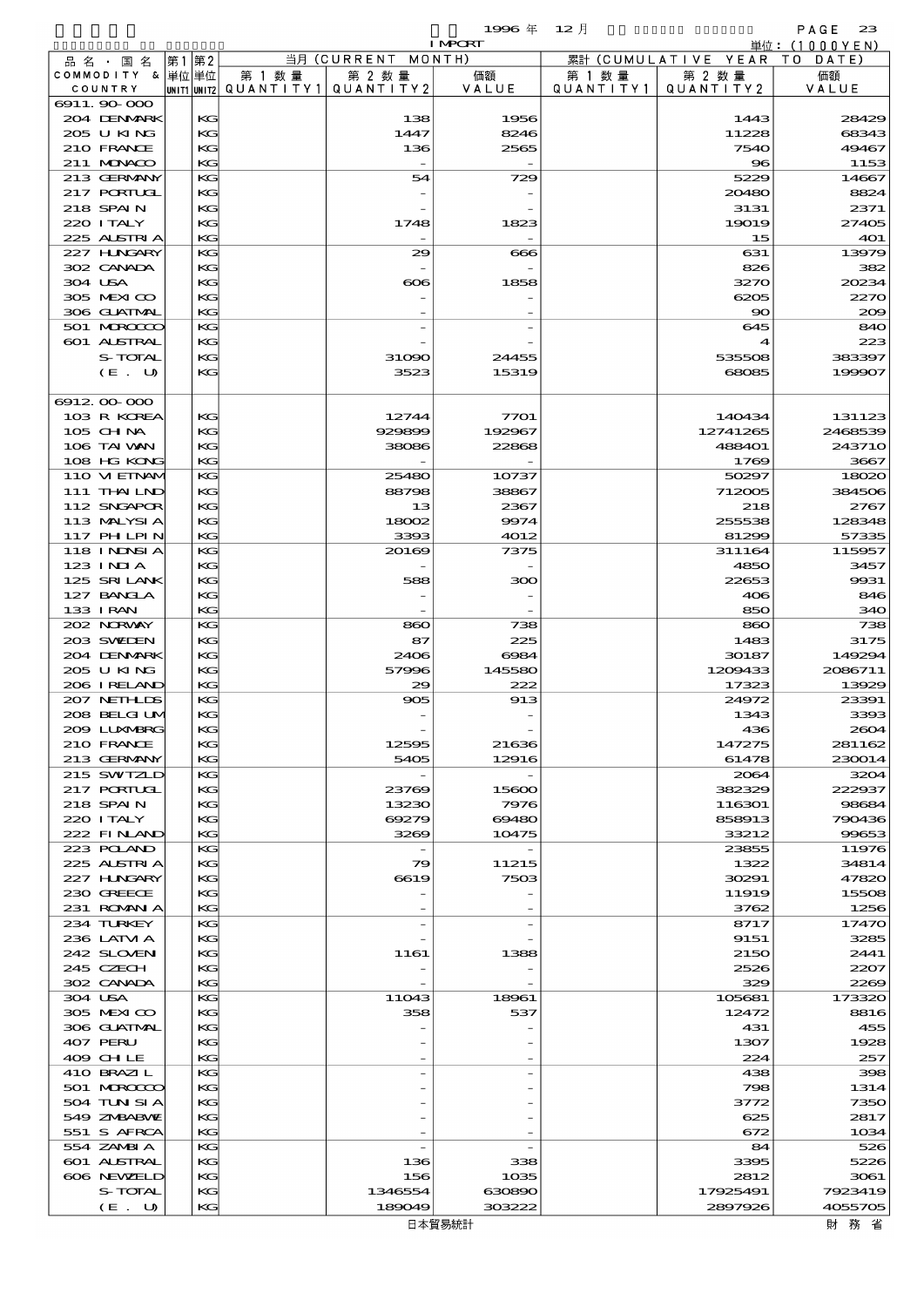|                           |    |          |                          |                       | 1996年          | $12$ 月    |                      | PAGE<br>23      |
|---------------------------|----|----------|--------------------------|-----------------------|----------------|-----------|----------------------|-----------------|
|                           |    |          |                          |                       | <b>I MPORT</b> |           |                      | 単位: (1000YEN)   |
| 品名・国名                     | 第1 | 第2       |                          | 当月 (CURRENT MONTH)    |                |           | 累計 (CUMULATIVE YEAR) | T O<br>DATE)    |
| COMMODITY & 単位単位          |    |          | 第 1 数量                   | 第 2 数 量               | 価額             | 第 1 数 量   | 第 2 数量               | 価額              |
| COUNTRY                   |    |          | unit1 unit2  Q∪ANT   TY1 | QUANTITY 2            | VALUE          | QUANTITY1 | QUANTITY 2           | VALUE           |
| 6911.90 000               |    |          |                          |                       |                |           |                      | 28429           |
| 204 DENMARK<br>205 U KING |    | KG<br>KG |                          | 138                   | 1956           |           | 1443                 | 68343           |
| 210 FRANCE                |    | KG       |                          | 1447<br>136           | 8246<br>2565   |           | 11228<br>7540        | 49467           |
| 211 MUNKOO                |    | KG       |                          |                       |                |           | $\bf{S}$             | 1153            |
| 213 GERMANY               |    | KG       |                          | 54                    | 729            |           | 5229                 | 14667           |
| 217 PORTUGL               |    | KG       |                          |                       |                |           | 20480                | 8824            |
| 218 SPAIN                 |    | KG       |                          |                       |                |           | 3131                 | 2371            |
| 220 I TALY                |    | KG       |                          | 1748                  | 1823           |           | 19019                | 27405           |
| 225 ALSTRIA               |    | KG       |                          |                       |                |           | 15                   | <b>401</b>      |
| 227 HNGARY                |    | KG       |                          | 29                    | 666            |           | 631                  | 13979           |
| 302 CANADA                |    | KG       |                          |                       |                |           | 826                  | 382             |
| 304 USA                   |    | KG       |                          | $\boldsymbol{\infty}$ | 1858           |           | 3270                 | 20234           |
| 305 MEXICO                |    | KG       |                          |                       |                |           | 6205                 | 227C            |
| 306 GUATMAL               |    | KG       |                          |                       |                |           | $\infty$             | 200             |
| 501 MRODOC                |    | KG       |                          |                       |                |           | 645                  | 84C             |
| 601 ALSTRAL               |    | KG       |                          |                       |                |           | 4                    | 223             |
| S-TOTAL                   |    | KG       |                          | 31090                 | 24455          |           | 535508               | 383397          |
| (E. U)                    |    | KG       |                          | 3523                  | 15319          |           | 68085                | 199907          |
|                           |    |          |                          |                       |                |           |                      |                 |
| 6912 00 000               |    |          |                          |                       |                |           |                      |                 |
| 103 R KOREA               |    | KG       |                          | 12744                 | 7701           |           | 140434               | 131123          |
| 105 CHNA                  |    | KG       |                          | 929899                | 192967         |           | 12741265             | 2468539         |
| 106 TAI VAN               |    | KG       |                          | 38086                 | 22868          |           | 488401               | 24371C          |
| 108 HG KONG               |    | KG       |                          |                       |                |           | 1769                 | 3667            |
| 110 VIEINAM               |    | KG       |                          | 25480                 | 10737          |           | 50297                | 1802C           |
| 111 THAILND               |    | KG       |                          | 88798                 | 38867          |           | 712005               | 384506          |
| 112 SNGAPOR               |    | KG       |                          | 13                    | 2367           |           | 218                  | 2767            |
| 113 MALYSIA<br>117 PHLPIN |    | KG<br>KG |                          | 18002<br>3393         | 9974<br>4012   |           | 255538<br>81299      | 128348          |
| <b>118 INNSIA</b>         |    | KG       |                          | 20169                 | 7375           |           | 311164               | 57335<br>115957 |
| 123 INIA                  |    | KG       |                          |                       |                |           | 4850                 | 3457            |
| 125 SRILANK               |    | KG       |                          | 588                   | 300            |           | 22653                | 9931            |
| 127 BANCLA                |    | KG       |                          |                       |                |           | 406                  | 846             |
| 133 I RAN                 |    | KG       |                          |                       |                |           | 850                  | 34C             |
| 202 NORWAY                |    | KG       |                          | 860                   | 738            |           | 860                  | 738             |
| 203 SWIDEN                |    | KG       |                          | 87                    | 225            |           | 1483                 | 3175            |
| 204 DENMARK               |    | KG       |                          | 2406                  | $-6084$        |           | 30187                | 149294          |
| 205 U KING                |    | KG       |                          | 57996                 | 145580         |           | 1209433              | 2086711         |
| 206 IRELAND               |    | KG       |                          | 29                    | 222            |           | 17323                | 13929           |
| 207 NETHLIS               |    | KG       |                          | 905                   | 913            |           | 24972                | 23391           |
| 208 BELGI UN              |    | KG       |                          |                       |                |           | 1343                 | 3393            |
| 2009 LUNABRG              |    | KG       |                          |                       |                |           | 436                  | 2604            |
| 210 FRANCE                |    | KG       |                          | 12595                 | 21636          |           | 147275               | 281162          |
| 213 GERMANY               |    | KG       |                          | 5405                  | 12916          |           | 61478                | 230014          |
| 215 SWIZLD                |    | KG       |                          |                       |                |           | 2064                 | 3204            |
| <b>217 PORTUGL</b>        |    | KG       |                          | 23769                 | 15600          |           | 382329               | 222937          |
| 218 SPAIN                 |    | KG       |                          | 13230                 | 7976           |           | 116301               | 98684           |
| 220 I TALY                |    | KG       |                          | 69279                 | 69480          |           | 858913               | 790436          |
| 222 FINAND                |    | KG       |                          | 3269                  | 10475          |           | 33212                | 99653           |
| 223 POLAND                |    | KG       |                          |                       |                |           | 23855                | 11976           |
| 225 ALSTRIA               |    | KC       |                          | 79                    | 11215          |           | 1322                 | 34814           |
| 227 HNGARY                |    | KG       |                          | 6619                  | 7503           |           | 30291                | 47820           |
| 230 GREECE                |    | KG<br>KG |                          |                       |                |           | 11919<br>3762        | 15508           |
| 231 ROMANIA<br>234 TURKEY |    | KG       |                          |                       |                |           | 8717                 | 1256<br>1747C   |
| 236 LATM A                |    | KG       |                          |                       |                |           | 9151                 | 3285            |
| 242 SLOVEN                |    | KG       |                          | 1161                  | 1388           |           | 2150                 | 2441            |
| 245 CZECH                 |    | KG       |                          |                       |                |           | 2526                 | 2207            |
| 302 CANADA                |    | KG       |                          |                       |                |           | 329                  | 2200            |
| 304 USA                   |    | KG       |                          | 11043                 | 18961          |           | 105681               | 173320          |
| 305 MEXICO                |    | KG       |                          | 358                   | 537            |           | 12472                | 8816            |
| 306 GUATNAL               |    | KG       |                          |                       |                |           | 431                  | 455             |
| 407 PERU                  |    | KG       |                          |                       |                |           | 1307                 | 1928            |
| 409 CHLE                  |    | KG       |                          |                       |                |           | 224                  | 257             |
| 410 BRAZIL                |    | KG       |                          |                       |                |           | 438                  | 398             |
| 501 MRODO                 |    | KG       |                          |                       |                |           | 798                  | 1314            |
| 504 TUN SI A              |    | KG       |                          |                       |                |           | 3772                 | <b>7350</b>     |
| 549 ZNBABVIE              |    | KG       |                          |                       |                |           | 625                  | 2817            |
| 551 S AFRCA               |    | KG       |                          |                       |                |           | 672                  | 1034            |
| 554 ZAMBI A               |    | KG       |                          |                       |                |           | 84                   | 526             |
| 601 ALSTRAL               |    | KC       |                          | 136                   | 338            |           | 3395                 | 5226            |
| 606 NEWELD                |    | KG       |                          | 156                   | 1035           |           | 2812                 | 3061            |
| S-TOTAL                   |    | KG       |                          | 1346554               | 630890         |           | 17925491             | 7923419         |
| (E. U)                    |    | KG       |                          | 189049                | 303222         |           | 2897926              | 4055705         |

財務省

日本貿易統計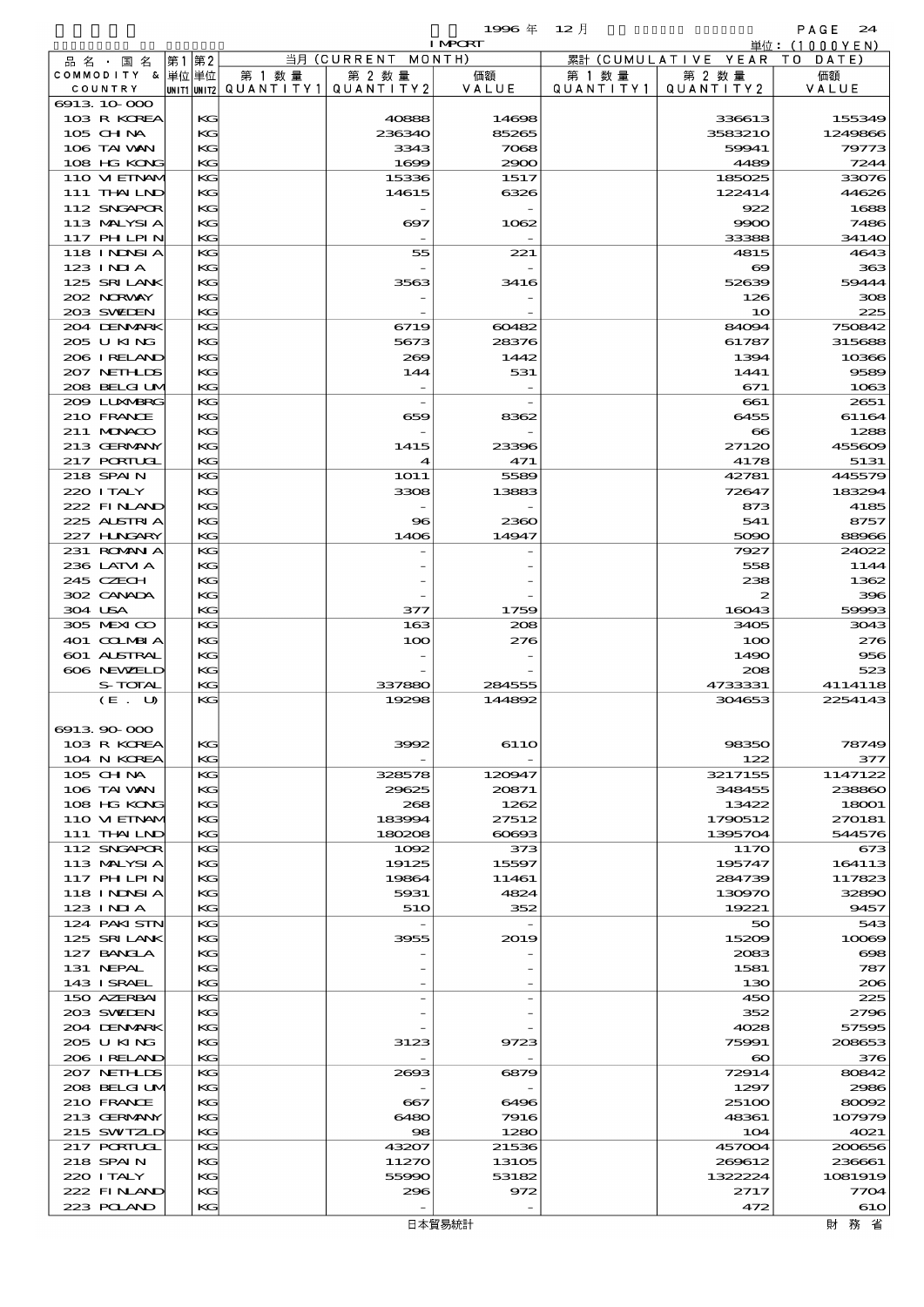|         |                                 |    |             |                     |                          | 1996年          | $12$ 月               |                                | PAGE<br>24      |
|---------|---------------------------------|----|-------------|---------------------|--------------------------|----------------|----------------------|--------------------------------|-----------------|
|         |                                 |    |             |                     |                          | <b>I MPCRT</b> |                      |                                | 単位: $(1000YEN)$ |
|         | 品 名 ・ 国 名                       | 第1 | 第2          |                     | 当月 (CURRENT MONTH)       |                |                      | 累計 (CUMULATIVE YEAR            | DATE)<br>T O    |
|         | COMMODITY & 単位単位<br>COUNTRY     |    | UNIT1 UNIT2 | 第 1 数量<br>QUANTITY1 | 第 2 数量<br>QUANTITY 2     | 価額<br>VALUE    | 第 1 数 量<br>QUANTITY1 | 第 2 数量<br>QUANTITY 2           | 価額<br>VALUE     |
|         | 6913 10 000                     |    |             |                     |                          |                |                      |                                |                 |
|         | 103 R KOREA                     |    | KG          |                     | 40888                    | 14698          |                      | 336613                         | 155349          |
|         | 105 CH NA                       |    | KG          |                     | 236340                   | 85265          |                      | 3583210                        | 1249866         |
|         | 106 TAI WAN                     |    | KG          |                     | 3343                     | 7068           |                      | 59941                          | 79773           |
|         | 108 HG KONG                     |    | KG          |                     | 1699                     | 2900           |                      | 4489                           | 7244            |
|         | 110 VIEINAM<br>111 THAILND      |    | KG          |                     | 15336                    | 1517           |                      | 185025<br>122414               | 33076           |
|         | 112 SNGAPOR                     |    | KG<br>KG    |                     | 14615                    | 6326           |                      | 922                            | 44626<br>1688   |
|         | 113 MALYSIA                     |    | KG          |                     | $\boldsymbol{\omega}$    | 1062           |                      | 9900                           | 7486            |
|         | <b>117 PHLPIN</b>               |    | KG          |                     |                          |                |                      | 33388                          | 34140           |
|         | <b>118 INNSIA</b>               |    | KG          |                     | 55                       | 221            |                      | 4815                           | 4643            |
|         | $123$ INIA                      |    | KG          |                     |                          |                |                      | $\boldsymbol{\infty}$          | 363             |
|         | 125 SRILANK                     |    | KG          |                     | 3563                     | 3416           |                      | 52639                          | 59444           |
|         | 202 NRWAY                       |    | KG          |                     |                          |                |                      | 126                            | 308             |
|         | 203 SWIDEN                      |    | KG          |                     |                          |                |                      | 10                             | 225             |
|         | 204 DENMARK                     |    | KG          |                     | 6719                     | 60482          |                      | 84094                          | 750842          |
|         | 205 U KING                      |    | KG<br>KG    |                     | 5673                     | 28376          |                      | 61787                          | 315688          |
|         | 206 IRELAND<br>207 NETHLIS      |    | KG          |                     | 269<br>144               | 1442<br>531    |                      | 1394<br>1441                   | 10366<br>9589   |
|         | 208 BELGI UM                    |    | KG          |                     | $\overline{\phantom{a}}$ |                |                      | 671                            | 1063            |
|         | 2009 LUXMBRG                    |    | KG          |                     |                          |                |                      | 661                            | 2651            |
|         | 210 FRANCE                      |    | KG          |                     | 659                      | 8362           |                      | 6455                           | 61164           |
|         | 211 MUNACO                      |    | KG          |                     |                          |                |                      | $\bf{8}$                       | 1288            |
|         | 213 GERMANY                     |    | KG          |                     | 1415                     | 23396          |                      | 27120                          | 455609          |
|         | 217 PORTUGI                     |    | KG          |                     | 4                        | 471            |                      | 4178                           | 5131            |
|         | 218 SPAIN                       |    | KG          |                     | <b>1O11</b>              | 5589           |                      | 42781                          | 445579          |
|         | 220 I TALY                      |    | KG          |                     | 3308                     | 13883          |                      | 72647                          | 183294          |
|         | 222 FINLAND                     |    | KG          |                     |                          |                |                      | 873                            | 4185            |
|         | 225 ALSTRIA                     |    | KG          |                     | 96                       | 2360           |                      | 541                            | 8757            |
|         | 227 H.NGARY<br>231 ROMANIA      |    | KG<br>KG    |                     | 1406                     | 14947          |                      | 5090<br>7927                   | 88966<br>24022  |
|         | 236 LATM A                      |    | KG          |                     |                          |                |                      | 558                            | 1144            |
|         | 245 CZECH                       |    | KG          |                     |                          |                |                      | 238                            | 1362            |
|         | 302 CANADA                      |    | KG          |                     |                          |                |                      | 2                              | 396             |
| 304 USA |                                 |    | KG          |                     | 377                      | 1759           |                      | 16043                          | 59993           |
|         | 305 MEXICO                      |    | KG          |                     | 163                      | 208            |                      | 3405                           | 3043            |
|         | 401 COLMBIA                     |    | KG          |                     | 100                      | 276            |                      | 100                            | 276             |
|         | 601 ALSTRAL                     |    | KG          |                     |                          |                |                      | 1490                           | 956             |
|         | 606 NEWELD                      |    | KG          |                     |                          |                |                      | 208                            | 523             |
|         | S-TOTAL                         |    | KG          |                     | 337880                   | 284555         |                      | 4733331                        | 4114118         |
|         | (E. U)                          |    | KG          |                     | 19298                    | 144892         |                      | 304653                         | 2254143         |
|         | 6913.90-000                     |    |             |                     |                          |                |                      |                                |                 |
|         | 103 R KOREA                     |    | KG          |                     | 3992                     | 611O           |                      | 98350                          | 78749           |
|         | 104 N KOREA                     |    | KG          |                     |                          |                |                      | 122                            | 377             |
|         | $105$ CHNA                      |    | KG          |                     | 328578                   | 120947         |                      | 3217155                        | 1147122         |
|         | 106 TAI VAN                     |    | KC          |                     | 29625                    | 20871          |                      | 348455                         | 238860          |
|         | 108 HG KONG                     |    | KG          |                     | 268                      | 1262           |                      | 13422                          | 18001           |
|         | 110 VIEINAM                     |    | KG          |                     | 183994                   | 27512          |                      | 1790512                        | 270181          |
|         | 111 THAILND                     |    | KG          |                     | 180208                   | 00003          |                      | 1395704                        | 544576          |
|         | 112 SNGAPOR                     |    | KG          |                     | 1002                     | 373            |                      | 1170                           | 673             |
|         | 113 MALYSIA                     |    | KG          |                     | 19125                    | 15597          |                      | 195747                         | 164113          |
|         | 117 PHLPIN<br><b>118 INDSIA</b> |    | KG<br>KG    |                     | 19864<br>5931            | 11461<br>4824  |                      | 284739<br>130970               | 117823<br>32890 |
|         | $123$ INIA                      |    | KG          |                     | 510                      | 352            |                      | 19221                          | 9457            |
|         | 124 PAKISTN                     |    | KG          |                     |                          |                |                      | 50                             | 543             |
|         | 125 SRILANK                     |    | KG          |                     | 3955                     | 2019           |                      | 15209                          | 10069           |
|         | 127 BANCLA                      |    | KG          |                     |                          |                |                      | 2083                           | 698             |
|         | 131 NEPAL                       |    | KG          |                     |                          |                |                      | 1581                           | 787             |
|         | 143 ISRAEL                      |    | KG          |                     |                          |                |                      | 130                            | 206             |
|         | 150 AZERBAI                     |    | KG          |                     |                          |                |                      | 450                            | 225             |
|         | 203 SWIDEN                      |    | KG          |                     |                          |                |                      | 352                            | 2796            |
|         | 204 DENMARK                     |    | KG          |                     |                          |                |                      | 4028                           | 57595           |
|         | 205 U KING                      |    | KG          |                     | 3123                     | 9723           |                      | 75991                          | 208653          |
|         | 206 I RELAND<br>207 NETHLIS     |    | KG<br>KG    |                     | 2693                     | 6879           |                      | $\boldsymbol{\infty}$<br>72914 | 376<br>80842    |
|         | 208 BELGI UM                    |    | KG          |                     |                          |                |                      | 1297                           | 2986            |
|         | 210 FRANCE                      |    | KG          |                     | 667                      | 6496           |                      | 25100                          | 80092           |
|         | 213 GERMANY                     |    | KG          |                     | 6480                     | 7916           |                      | 48361                          | 107979          |
|         | 215 SWIZLD                      |    | KG          |                     | 98                       | 1280           |                      | 104                            | 4021            |
|         | 217 PORTUGL                     |    | KG          |                     | 43207                    | 21536          |                      | 457004                         | 200656          |
|         | 218 SPAIN                       |    | KG          |                     | 11270                    | 13105          |                      | 269612                         | 236661          |
|         | 220 I TALY                      |    | KG          |                     | 55990                    | 53182          |                      | 1322224                        | 1081919         |
|         | 222 FINLAND                     |    | KG          |                     | 296                      | 972            |                      | 2717                           | 7704            |
|         | 223 POLAND                      |    | KG          |                     |                          |                |                      | 472                            | 610             |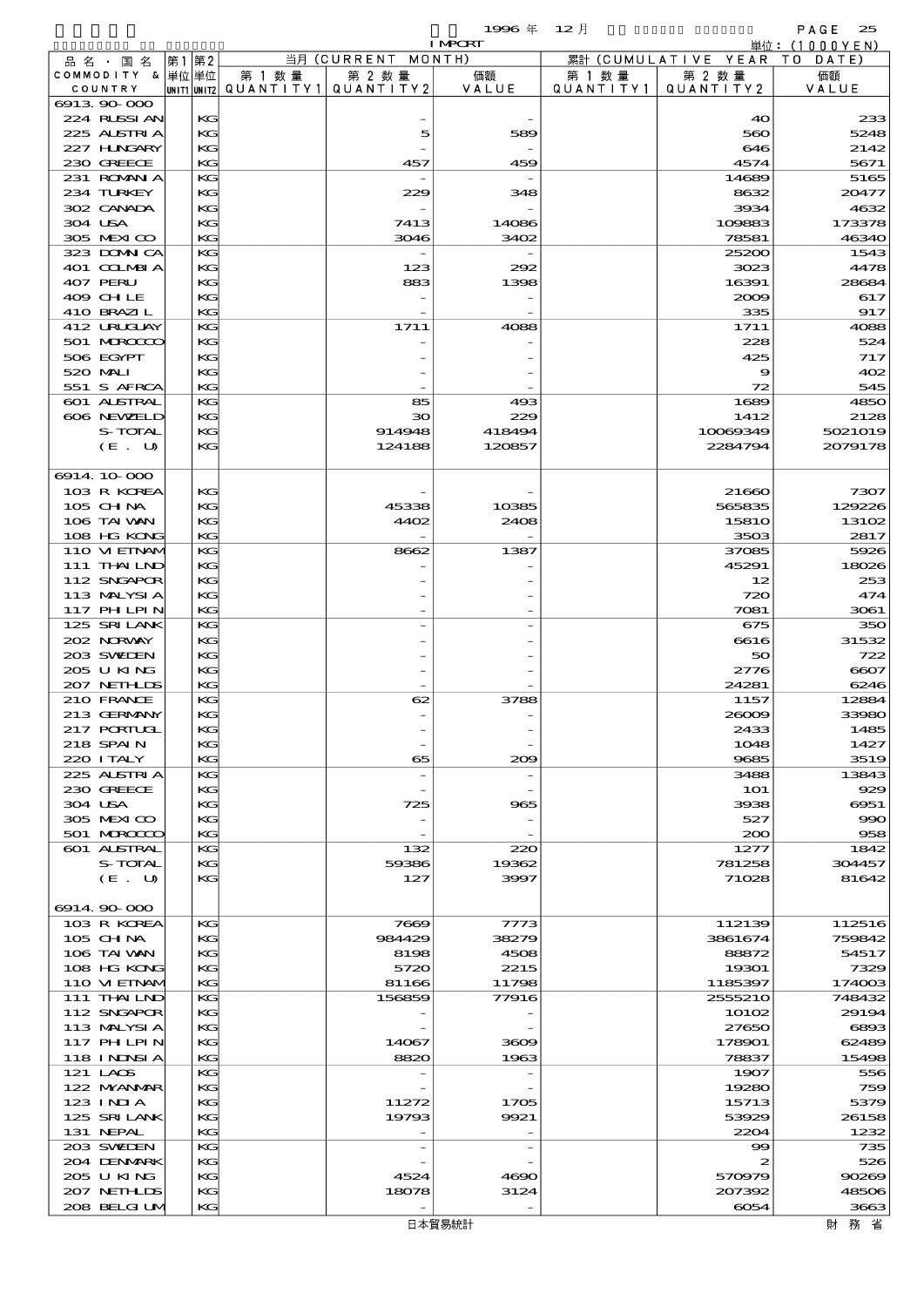$1996 \# 12$   $\frac{1}{2}$   $12$   $\frac{1}{2}$   $\frac{1}{2}$   $\frac{1}{2}$   $\frac{1}{2}$   $\frac{1}{2}$   $\frac{1}{2}$   $\frac{1}{2}$   $\frac{1}{2}$   $\frac{1}{2}$   $\frac{1}{2}$   $\frac{1}{2}$   $\frac{1}{2}$   $\frac{1}{2}$   $\frac{1}{2}$   $\frac{1}{2}$   $\frac{1}{2}$   $\frac{1}{2}$   $\frac{1}{2}$   $\frac{1}{2}$   $\frac{$ 

|                    |      |        |                                       | <b>I MPORT</b> |           |                              | 単位: <u>(1000YEN)</u> |
|--------------------|------|--------|---------------------------------------|----------------|-----------|------------------------------|----------------------|
| 品 名 ・ 国 名          | 第1第2 |        | 当月 (CURRENT MONTH)                    |                |           | 累計 (CUMULATIVE YEAR TO DATE) |                      |
| COMMODITY & 単位単位   |      | 第 1 数量 | 第 2 数量                                | 価額             | 第 1 数 量   | 第 2 数量                       | 価額                   |
| COUNTRY            |      |        | UNIT1 UNIT2  QUANT   TY1  QUANT   TY2 | VALUE          | QUANTITY1 | QUANTITY 2                   | VALUE                |
| 6913 90 000        |      |        |                                       |                |           |                              |                      |
| 224 RUSSI AN       | KG   |        |                                       |                |           | 40                           | 233                  |
| 225 ALSTRIA        | KG   |        | 5                                     | 589            |           | 560                          | 5248                 |
| 227 H.NGARY        | KG   |        |                                       |                |           | 646                          | 2142                 |
| 230 GREECE         | KG   |        | 457                                   | 459            |           | 4574                         | 5671                 |
| 231 ROMANIA        | KG   |        |                                       |                |           | 14689                        | 5165                 |
| 234 TURKEY         | KС   |        | 229                                   | 348            |           | 8632                         | 20477                |
| 302 CANADA         | KG   |        |                                       |                |           | 3934                         | 4632                 |
| 304 USA            | KG   |        | 7413                                  | 14086          |           | 109883                       | 173378               |
| 305 MEXICO         | KG   |        | 3046                                  | 3402           |           | 78581                        | 46340                |
| 323 DOMNICA        | KG   |        |                                       |                |           | 25200                        | 1543                 |
| 401 COLMBIA        | KС   |        | 123                                   | 292            |           | 3023                         | 4478                 |
| 407 PERU           | KG   |        | 883                                   | 1398           |           | 16391                        | 28684                |
| 409 CHLE           | KG   |        |                                       |                |           | 2009                         | 617                  |
| 410 BRAZIL         | KG   |        |                                       |                |           | 335                          | 917                  |
| 412 URUCUAY        | KG   |        | 1711                                  | 4088           |           | 1711                         | 4088                 |
| 501 MERCECO        | KС   |        |                                       |                |           | 228                          | 524                  |
| 506 EGYPT          | KG   |        |                                       |                |           | 425                          | 717                  |
| 520 MALI           | KG   |        |                                       |                |           | 9                            | 402                  |
| 551 S AFRCA        | KG   |        |                                       |                |           | 72                           | 545                  |
| 601 ALSTRAL        | KG   |        | 85                                    | 493            |           | 1689                         | 4850                 |
| 606 NEWELD         | KС   |        | 30                                    | 229            |           | 1412                         | 2128                 |
| S-TOTAL            | KG   |        | 914948                                | 418494         |           | 10088349                     | 5021019              |
| (E. U)             | KG   |        | 124188                                | 120857         |           | 2284794                      | 2079178              |
|                    |      |        |                                       |                |           |                              |                      |
| 6914 10 000        |      |        |                                       |                |           |                              |                      |
| 103 R KOREA        | KG   |        |                                       |                |           | 21660                        | 7307                 |
| 105 CH NA          | KG   |        | 45338                                 | 10385          |           | 565835                       | 129226               |
| 106 TAI VAN        | KG   |        | 4402                                  | 2408           |           | 1581O                        | 13102                |
| 108 HG KONG        | KG   |        |                                       |                |           | 3503                         | 2817                 |
| 110 VIEINAM        | KG   |        | 8662                                  | 1387           |           | 37085                        | 5926                 |
| 111 THAILND        | KG   |        |                                       |                |           | 45291                        | 18026                |
| 112 SNGAPOR        | KG   |        |                                       |                |           | 12                           | 253                  |
| 113 MALYSIA        | KG   |        |                                       |                |           | 720                          | 474                  |
| 117 PHLPIN         | KG   |        |                                       |                |           | 7081                         | 3061                 |
| 125 SRILANK        | KG   |        |                                       |                |           | 675                          | 350                  |
| 202 NORWAY         | KG   |        |                                       |                |           | 6616                         | 31532                |
| 203 SWIEN          | KG   |        |                                       |                |           | 50                           | 722                  |
| 2005 U KING        | KG   |        |                                       |                |           | 2776                         | $\rm 6607$           |
| 207 NETHLIS        | KG   |        |                                       |                |           | 24281                        | 6246                 |
| 210 FRANCE         | KG   |        | 62                                    | 3788           |           | 1157                         | 12884                |
| 213 GERMANY        | KG   |        |                                       |                |           | 26009                        | 33980                |
| <b>217 PORTUGL</b> | KG   |        |                                       |                |           | 2433                         | 1485                 |
| 218 SPAIN          | KG   |        |                                       |                |           | 1048                         | 1427                 |
| 220 I TALY         | KG   |        | 65                                    | 209            |           | 9685                         | 3519                 |
| 225 ALSTRIA        | KG   |        |                                       |                |           | 3488                         | 13843                |
| 230 GREECE         | KG   |        |                                       |                |           | <b>1O1</b>                   | 929                  |
| 304 USA            | KG   |        | 725                                   | 965            |           | 3938                         | 6951                 |
| 305 MEXICO         | KG   |        |                                       |                |           | 527                          | 990                  |
| 501 MROCCO         | KG   |        |                                       |                |           | 200                          | 958                  |
| 601 ALSTRAL        | KG   |        | 132                                   | 220            |           | 1277                         | 1842                 |
| S-TOTAL            | KG   |        | 59386                                 | 19362          |           | 781258                       | 304457               |
| (E. U)             | KG   |        | 127                                   | 3997           |           | 71028                        | 81642                |
|                    |      |        |                                       |                |           |                              |                      |
| 6914.90-000        |      |        |                                       |                |           |                              |                      |
| 103 R KOREA        | KG   |        | 7669                                  | 7773           |           | 112139                       | 112516               |
| $105$ CHNA         | KG   |        | 984429                                | 38279          |           | 3861674                      | 759842               |
| 106 TAI VAN        | KG   |        | 8198                                  | 4508           |           | 88872                        | 54517                |
| 108 HG KONG        | KG   |        | 5720                                  | 2215           |           | 19301                        | 7329                 |
|                    |      |        |                                       |                |           |                              |                      |
| 110 VIEINAM        | KG   |        | 81166                                 | 11798          |           | 1185397                      | 174003               |
| 111 THAILND        | KG   |        | 156859                                | 77916          |           | 2555210                      | 748432               |
| 112 SNGAPOR        | KG   |        |                                       |                |           | 10102                        | 29194                |
| 113 MALYSIA        | KG   |        |                                       |                |           | 27650                        | 6893                 |
| 117 PH LPIN        | KG   |        | 14067                                 | 3609           |           | 178901                       | 62489                |
| <b>118 INNSIA</b>  | KG   |        | 8820                                  | 1963           |           | 78837                        | 15498                |
| 121 LAOS           | KG   |        |                                       |                |           | 1907                         | 556                  |
| 122 MYANMAR        | KG   |        |                                       |                |           | 19280                        | 759                  |
| 123 INIA           | KG   |        | 11272                                 | 1705           |           | 15713                        | 5379                 |
| 125 SRILANK        | KG   |        | 19793                                 | 9921           |           | 53929                        | 26158                |
| 131 NEPAL          | KG   |        |                                       |                |           | 2204                         | 1232                 |
| 203 SWIDEN         | KG   |        |                                       |                |           | 99                           | 735                  |
| 204 DENMARK        | KG   |        |                                       |                |           | 2                            | 526                  |
| 205 U KING         | KG   |        | 4524                                  | 4690           |           | 570979                       | 90269                |
| 207 NETHLIS        | KG   |        | 18078                                 | 3124           |           | 207392                       | 48506                |
| 208 BELGI UM       | KG   |        |                                       |                |           | 6054                         | 3663                 |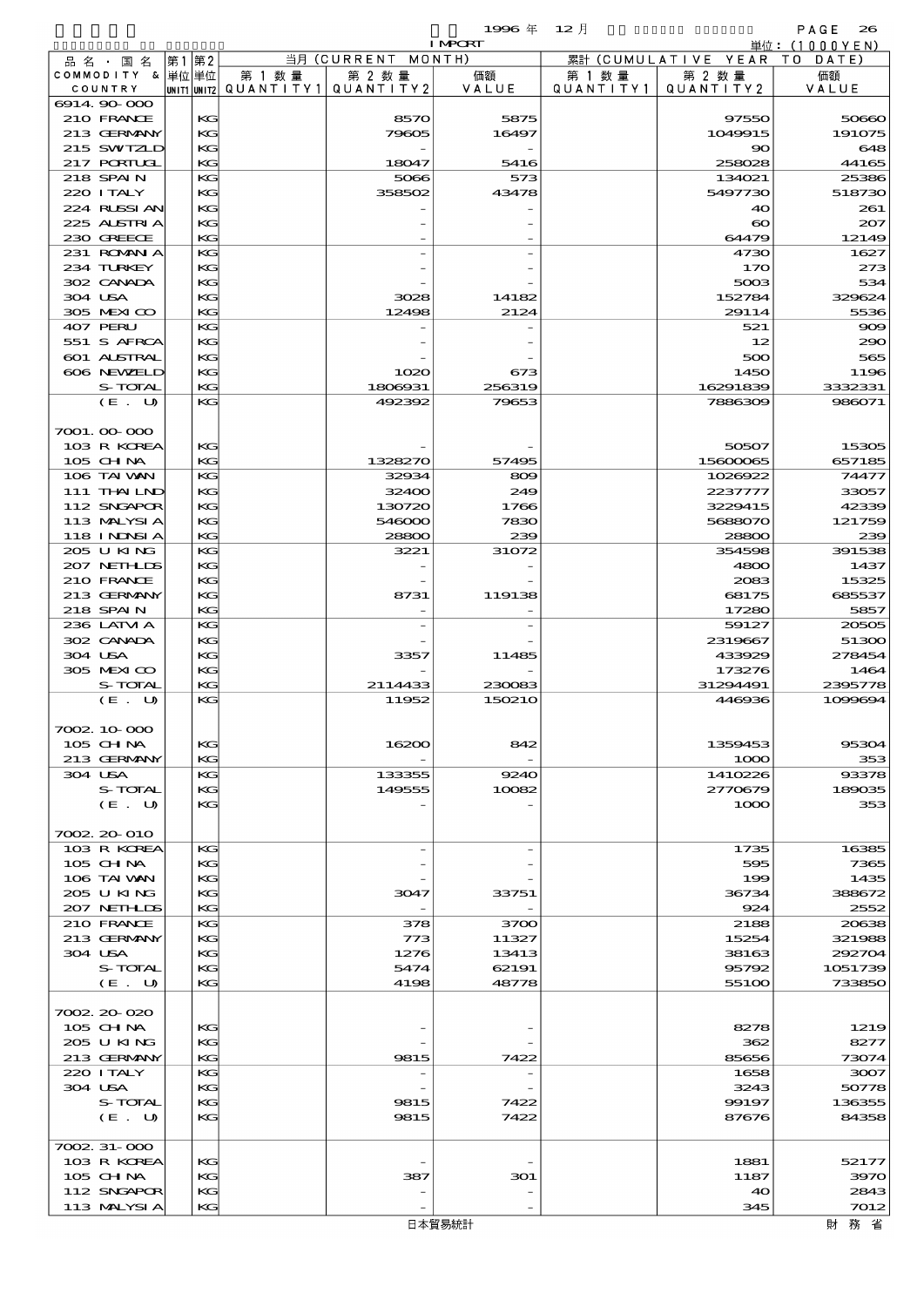$\begin{array}{lll} \textbf{1996} & \textbf{6} & \textbf{72} & \textbf{86} \\ \textbf{128} & \textbf{128} & \textbf{128} & \textbf{128} \\ \textbf{131} & \textbf{141} & \textbf{151} & \textbf{161} & \textbf{171} & \textbf{181} \\ \textbf{151} & \textbf{161} & \textbf{171} & \textbf{181} & \textbf{181} & \textbf{181} \\ \textbf{171} & \textbf{181} & \textbf{181} & \textbf{181$ 

|                            |          |        |                                       | <b>I MPCRT</b> |        |                                | 単位: (1000 Y E N) |
|----------------------------|----------|--------|---------------------------------------|----------------|--------|--------------------------------|------------------|
| 品 名 ・ 国 名                  | 第1 第2    |        | 当月 (CURRENT MONTH)                    |                |        | 累計 (CUMULATIVE YEAR TO DATE)   |                  |
| COMMODITY & 単位単位           |          | 第 1 数量 | 第 2 数量                                | 価額             | 第 1 数量 | 第 2 数量                         | 価額<br>VALUE      |
| COUNTRY<br>6914.90-000     |          |        | unit1 unit2  QUANT   TY1  QUANT   TY2 | VALUE          |        | QUANTITY1   QUANTITY2          |                  |
| 210 FRANCE                 | KG       |        | 8570                                  | 5875           |        | 97550                          | 50660            |
| 213 GERMANY                | KG       |        | 79605                                 | 16497          |        | 1049915                        | 191075           |
| 215 SWIZLD                 | KG       |        |                                       |                |        | 90                             | 648              |
| 217 PORTUGL                | KG       |        | 18047                                 | 5416           |        | 258028                         | 44165            |
| 218 SPAIN                  | KG       |        | 5066                                  | 573            |        | 134021                         | 25386            |
| 220 I TALY                 | KG       |        | 358502                                | 43478          |        | 5497730                        | 518730           |
| 224 RUSSIAN                | KG       |        |                                       |                |        | 40                             | 261              |
| 225 ALSTRIA<br>230 GREECE  | KG<br>KG |        |                                       |                |        | $\boldsymbol{\infty}$<br>64479 | 207<br>12149     |
| 231 ROMAN A                | KG       |        |                                       |                |        | 4730                           | 1627             |
| 234 TURKEY                 | KG       |        |                                       |                |        | 170                            | 273              |
| 302 CANADA                 | KG       |        |                                       |                |        | 5003                           | 534              |
| 304 USA                    | KG       |        | 3028                                  | 14182          |        | 152784                         | 329624           |
| 305 MEXICO                 | KG       |        | 12498                                 | 2124           |        | 29114                          | 5536             |
| 407 PERU                   | KG       |        |                                       |                |        | 521                            | 909              |
| 551 S AFRCA                | KG       |        |                                       |                |        | 12                             | 290              |
| 601 ALSTRAL<br>606 NEWELD  | KG<br>KG |        | 1020                                  | 673            |        | 500<br>1450                    | 565<br>1196      |
| S-TOTAL                    | KG       |        | 1806931                               | 256319         |        | 16291839                       | 3332331          |
| $(E_U U)$                  | KG       |        | 492392                                | 79653          |        | 7886309                        | 986071           |
|                            |          |        |                                       |                |        |                                |                  |
| 7001.00.000                |          |        |                                       |                |        |                                |                  |
| 103 R KOREA                | KG       |        |                                       |                |        | 50507                          | 15305            |
| 105 CHNA                   | KG       |        | 1328270                               | 57495          |        | 15600065                       | 657185           |
| 106 TAI VAN                | KG       |        | 32934                                 | 809            |        | 1026922                        | 74477            |
| 111 THAILND                | KG       |        | 32400                                 | 249            |        | 2237777                        | 33057            |
| 112 SNGAPOR<br>113 MALYSIA | KG<br>KG |        | 130720<br>546000                      | 1766<br>7830   |        | 3229415<br>5688070             | 42339<br>121759  |
| 118 I NDSI A               | KG       |        | 28800                                 | 239            |        | 28800                          | 239              |
| 205 U KING                 | KG       |        | 3221                                  | 31072          |        | 354598                         | 391538           |
| 207 NETHLIS                | KG       |        |                                       |                |        | 4800                           | 1437             |
| 210 FRANCE                 | KG       |        |                                       |                |        | 2083                           | 15325            |
| 213 GERMANY                | KG       |        | 8731                                  | 119138         |        | 68175                          | 685537           |
| 218 SPAIN                  | KG       |        |                                       |                |        | 17280                          | 5857             |
| 236 LATM A                 | KG       |        |                                       |                |        | 59127                          | 20505            |
| 302 CANADA<br>304 USA      | KG<br>KG |        | 3357                                  | 11485          |        | 2319667<br>433929              | 51300<br>278454  |
| 305 MEXICO                 | KG       |        |                                       |                |        | 173276                         | 1464             |
| S-TOTAL                    | KG       |        | 2114433                               | 230083         |        | 31294491                       | 2395778          |
| $(E_U U)$                  | KG       |        | 11952                                 | 150210         |        | 446936                         | 1099694          |
|                            |          |        |                                       |                |        |                                |                  |
| 7002 10 000                |          |        |                                       |                |        |                                |                  |
| 105 CH NA                  | KG       |        | 16200                                 | 842            |        | 1359453                        | 95304            |
| 213 GERMANY<br>304 USA     | КG<br>KG |        | 133355                                | 9240           |        | 1000<br>1410226                | 353<br>93378     |
| S-TOTAL                    | KG       |        | 149555                                | 10082          |        | 2770679                        | 189035           |
| (E. U)                     | KG       |        |                                       |                |        | 1000                           | 353              |
|                            |          |        |                                       |                |        |                                |                  |
| 7002 20 010                |          |        |                                       |                |        |                                |                  |
| 103 R KOREA                | KG       |        |                                       |                |        | 1735                           | 16385            |
| $105$ CHNA                 | KG       |        |                                       |                |        | 595                            | 7365             |
| 106 TAI VAN                | KG       |        |                                       |                |        | 199                            | 1435             |
| 205 U KING                 | KG       |        | 3047                                  | 33751          |        | 36734                          | 388672           |
| 207 NETHLIS                | KG<br>KG |        |                                       |                |        | 924<br>2188                    | 2552<br>20638    |
| 210 FRANCE<br>213 GERMANY  | KG       |        | 378<br>773                            | 3700<br>11327  |        | 15254                          | 321988           |
| 304 USA                    | KG       |        | 1276                                  | 13413          |        | 38163                          | 292704           |
| S-TOTAL                    | KG       |        | 5474                                  | 62191          |        | 95792                          | 1051739          |
| (E. U)                     | KG       |        | 4198                                  | 48778          |        | 55100                          | 733850           |
|                            |          |        |                                       |                |        |                                |                  |
| 7002 20 020                |          |        |                                       |                |        |                                |                  |
| $105$ CHNA                 | КG       |        |                                       |                |        | 8278                           | 1219             |
| 205 U KING                 | KG       |        |                                       |                |        | 362                            | 8277             |
| 213 GERMANY<br>220 I TALY  | КG<br>KG |        | 9815                                  | 7422           |        | 85656<br>1658                  | 73074            |
| 304 USA                    | KC       |        |                                       |                |        | 3243                           | 3007<br>50778    |
| S-TOTAL                    | KG       |        | 9815                                  | 7422           |        | 99197                          | 136355           |
| (E. U)                     | KG       |        | 9815                                  | 7422           |        | 87676                          | 84358            |
|                            |          |        |                                       |                |        |                                |                  |
| 7002.31-000                |          |        |                                       |                |        |                                |                  |
| 103 R KOREA                | KG       |        |                                       |                |        | 1881                           | 52177            |
| $105$ CHNA                 | KG       |        | 387                                   | 301            |        | 1187                           | 3970             |
| 112 SNGAPOR                | KG       |        |                                       |                |        | 40                             | 2843             |
| 113 MALYSIA                | KG       |        |                                       |                |        | 345                            | 7012             |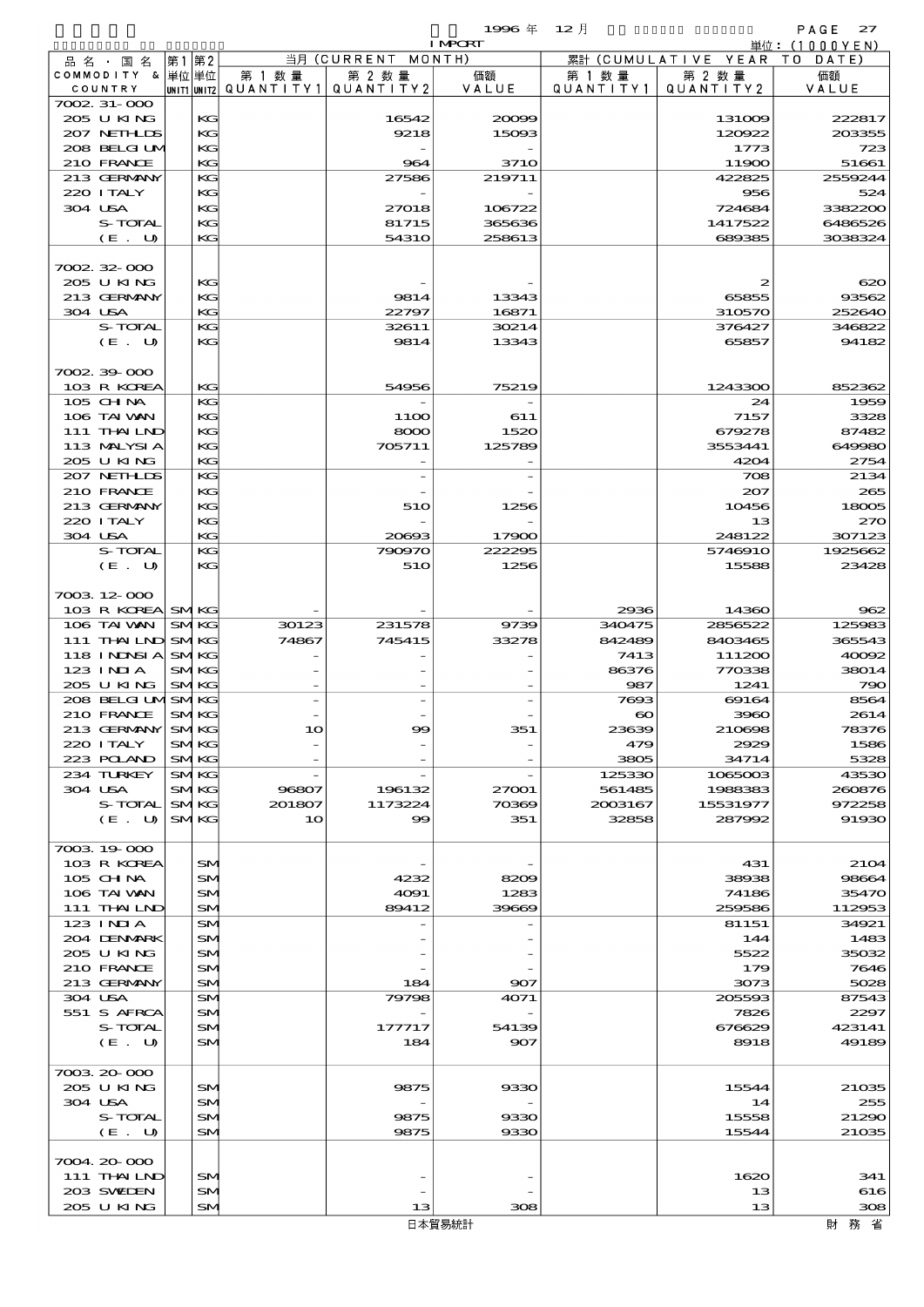|                             |    |                            |                     |                     | 1996 $#$         | $12$ 月               |                      | PAGE<br>27         |
|-----------------------------|----|----------------------------|---------------------|---------------------|------------------|----------------------|----------------------|--------------------|
|                             |    |                            |                     |                     | <b>I MPORT</b>   |                      |                      | 単位:(1000YEN)       |
| 品 名 ・ 国 名                   | 第1 | 第2                         |                     | 当月(CURRENT MONTH)   |                  |                      | 累計 (CUMULATIVE YEAR) | T O<br>DATE        |
| COMMODITY & 単位単位<br>COUNTRY |    | UNIT1 UNIT2                | 第 1 数量<br>QUANTITY1 | 第 2 数量<br>QUANTITY2 | 価額<br>VALUE      | 第 1 数 量<br>QUANTITY1 | 第 2 数量<br>QUANTITY 2 | 価額<br>VALUE        |
| 7002.31-000                 |    |                            |                     |                     |                  |                      |                      |                    |
| 205 U KING                  |    | KG                         |                     | 16542               | 20099            |                      | 131009               | 222817             |
| 207 NETHLIS                 |    | KG                         |                     | 9218                | 15093            |                      | 120922               | 203355             |
| 208 BELGI UM                |    | KG                         |                     |                     |                  |                      | 1773                 | 723                |
| 210 FRANCE                  |    | KG                         |                     | 964                 | <b>3710</b>      |                      | 11900                | 51661              |
| 213 GERMANY                 |    | KG                         |                     | 27586               | 219711           |                      | 422825               | 2559244            |
| 220 I TALY                  |    | KG                         |                     |                     |                  |                      | 956                  | 524                |
| 304 USA                     |    | KG                         |                     | 27018               | 106722           |                      | 724684               | 3382200            |
| <b>S-TOTAL</b><br>(E. U)    |    | KG<br>KG                   |                     | 81715<br>5431O      | 365636<br>258613 |                      | 1417522<br>689385    | 6486526<br>3038324 |
|                             |    |                            |                     |                     |                  |                      |                      |                    |
| $7002.32 \cdot 000$         |    |                            |                     |                     |                  |                      |                      |                    |
| 205 U KING                  |    | KG                         |                     |                     |                  |                      | 2                    | $\infty$           |
| 213 GERMANY                 |    | KG                         |                     | 9814                | 13343            |                      | 65855                | 93562              |
| 304 USA                     |    | KG                         |                     | 22797               | 16871            |                      | 310570               | 252640             |
| S-TOTAL                     |    | KG                         |                     | 32611               | 30214            |                      | 376427               | 346822             |
| $(E_U U)$                   |    | KG                         |                     | 9814                | 13343            |                      | 65857                | 94182              |
|                             |    |                            |                     |                     |                  |                      |                      |                    |
| 7002.39.000                 |    |                            |                     |                     |                  |                      |                      |                    |
| 103 R KOREA                 |    | KG                         |                     | 54956               | 75219            |                      | 1243300              | 852362             |
| $105$ CHNA                  |    | KG                         |                     |                     |                  |                      | 24                   | 1959               |
| 106 TAI VAN                 |    | KG                         |                     | 11OO                | 611              |                      | 7157                 | 3328               |
| 111 THAILND                 |    | KG                         |                     | 8000                | 1520             |                      | 679278               | 87482              |
| 113 MALYSIA<br>205 U KING   |    | KG                         |                     | 705711              | 125789           |                      | 3553441              | 649980             |
| 207 NETHLIS                 |    | KG<br>KG                   |                     |                     |                  |                      | 4204<br>708          | 2754<br>2134       |
| 210 FRANCE                  |    | KС                         |                     |                     |                  |                      | 207                  | 265                |
| 213 GERMANY                 |    | KG                         |                     | 510                 | 1256             |                      | 10456                | 18005              |
| 220 I TALY                  |    | KG                         |                     |                     |                  |                      | 13                   | 270                |
| 304 USA                     |    | KG                         |                     | 20693               | 17900            |                      | 248122               | 307123             |
| S-TOTAL                     |    | KG                         |                     | 790970              | 222295           |                      | 5746910              | 1925662            |
| (E. U)                      |    | KG                         |                     | 510                 | 1256             |                      | 15588                | 23428              |
|                             |    |                            |                     |                     |                  |                      |                      |                    |
| 7003 12 000                 |    |                            |                     |                     |                  |                      |                      |                    |
| 103 R KOREA SMKG            |    |                            |                     |                     |                  | 2936                 | 14360                | 962                |
| 106 TAI WAN                 |    | <b>SMKG</b>                | 30123               | 231578              | 9739             | 340475               | 2856522              | 125983             |
| 111 THAILND SMKG            |    |                            | 74867               | 745415              | 33278            | 842489               | 8403465              | 365543             |
| 118 INNSI A                 |    | <b>SMKG</b>                |                     |                     |                  | 7413                 | 111200               | 40092              |
| $123$ INIA<br>205 U KING    |    | <b>SMKG</b><br><b>SMKG</b> |                     |                     |                  | 86376<br>987         | 770338<br>1241       | 38014              |
| 208 BELGI UMSMKG            |    |                            |                     |                     |                  | 7693                 | 69164                | 790<br>8564        |
| 210 FRANCE                  |    | <b>SMKG</b>                |                     |                     |                  | $\infty$             | 3960                 | 2614               |
| 213 GERMANY                 |    | <b>SMKG</b>                | 10                  | 99                  | 351              | 23639                | 210698               | 78376              |
| 220 I TALY                  |    | <b>SMKG</b>                |                     |                     |                  | 479                  | 2929                 | 1586               |
| 223 POLAND                  |    | <b>SMKG</b>                |                     |                     |                  | 3805                 | 34714                | 5328               |
| 234 TURKEY                  |    | <b>SMKG</b>                |                     |                     |                  | 125330               | 1065003              | 43530              |
| 304 USA                     |    | <b>SMKG</b>                | 96807               | 196132              | 27001            | 561485               | 1988383              | 260876             |
| S-TOTAL                     |    | <b>SMKG</b>                | 201807              | 1173224             | 70369            | 2003167              | 15531977             | 972258             |
| (E. U)                      |    | <b>SMKG</b>                | 10                  | $\infty$            | 351              | 32858                | 287992               | 91930              |
|                             |    |                            |                     |                     |                  |                      |                      |                    |
| 7003 19 000                 |    |                            |                     |                     |                  |                      |                      |                    |
| 103 R KOREA                 |    | <b>SM</b>                  |                     |                     |                  |                      | 431                  | 2104               |
| 105 CH NA<br>106 TAI VAN    |    | SM<br>SM <sub>1</sub>      |                     | 4232<br>4091        | 8209<br>1283     |                      | 38938<br>74186       | 98664<br>35470     |
| 111 THAILND                 |    | SM                         |                     | 89412               | 39669            |                      | 259586               | 112953             |
| $123$ INIA                  |    | SM                         |                     |                     |                  |                      | 81151                | 34921              |
| 204 DENMARK                 |    | SM                         |                     |                     |                  |                      | 144                  | 1483               |
| 205 U KING                  |    | SM                         |                     |                     |                  |                      | 5522                 | 35032              |
| 210 FRANCE                  |    | SM <sub>1</sub>            |                     |                     |                  |                      | 179                  | 7646               |
| 213 GERMANY                 |    | SM                         |                     | 184                 | 907              |                      | 3073                 | 5028               |
| 304 USA                     |    | SM                         |                     | 79798               | 4071             |                      | 205593               | 87543              |
| 551 S AFRCA                 |    | SM                         |                     |                     |                  |                      | 7826                 | 2297               |
| S-TOTAL                     |    | SM                         |                     | 177717              | 54139            |                      | 676629               | 423141             |
| (E. U)                      |    | SM                         |                     | 184                 | 907              |                      | 8918                 | 49189              |
|                             |    |                            |                     |                     |                  |                      |                      |                    |
| 7003 20 000                 |    |                            |                     |                     |                  |                      |                      |                    |
| 205 U KING                  |    | SM                         |                     | 9875                | 9330             |                      | 15544                | 21035              |
| 304 USA<br>S-TOTAL          |    | SM<br>SM                   |                     | 9875                | 9330             |                      | 14<br>15558          | 255<br>21290       |
| (E. U)                      |    | <b>SM</b>                  |                     | 9875                | 9330             |                      | 15544                | 21035              |
|                             |    |                            |                     |                     |                  |                      |                      |                    |
| 7004.20-000                 |    |                            |                     |                     |                  |                      |                      |                    |
| $111$ THAILND               |    | SM                         |                     |                     |                  |                      | 1620                 | 341                |
| 203 SWIEN                   |    | <b>SM</b>                  |                     |                     |                  |                      | 13                   | 616                |
| 205 U KING                  |    | SM                         |                     | 13                  | 308              |                      | 13                   | 308                |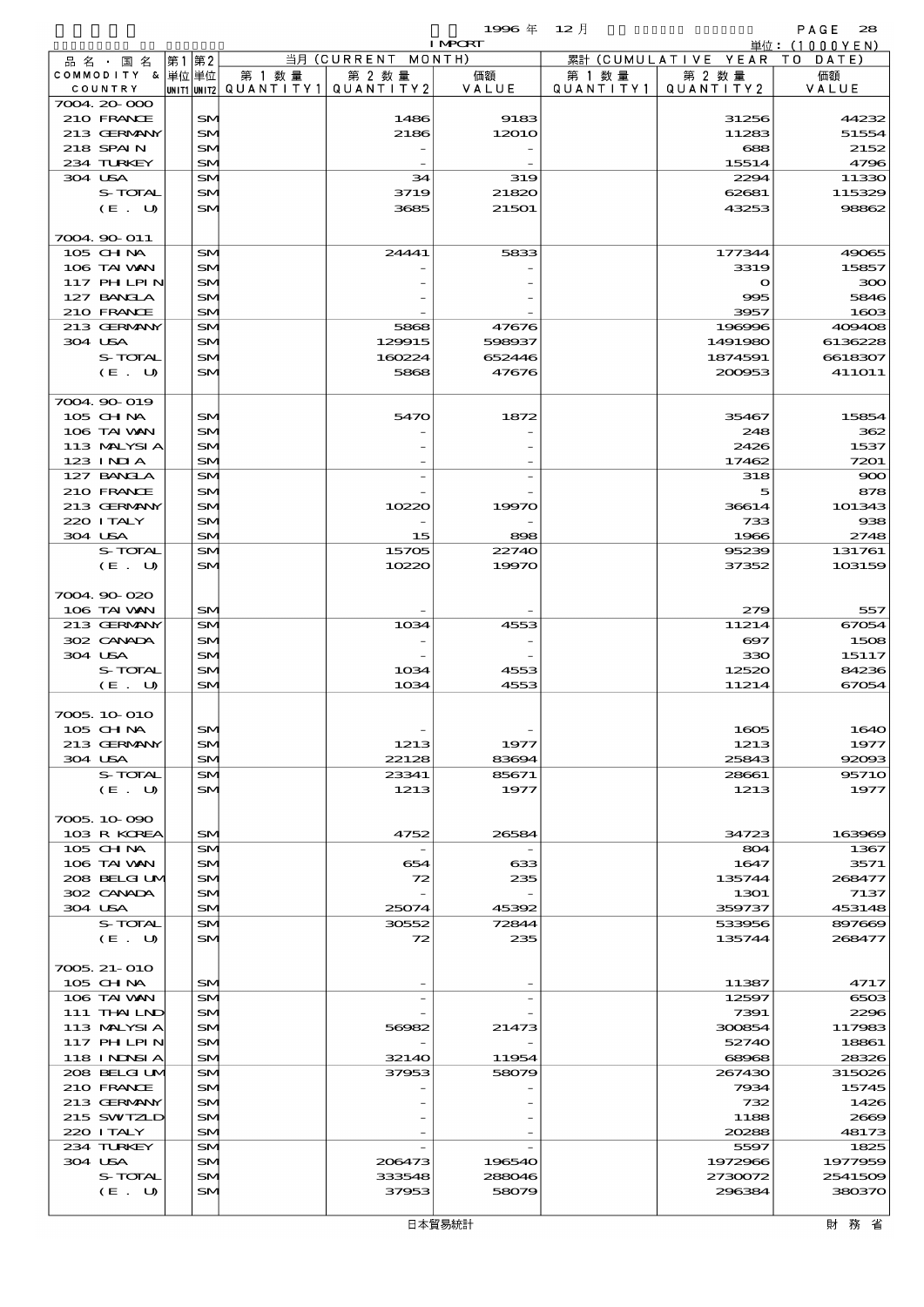|                                   |                        |        |                                         | 1996年           | - 12 月               |                              | PAGE<br>28        |
|-----------------------------------|------------------------|--------|-----------------------------------------|-----------------|----------------------|------------------------------|-------------------|
|                                   |                        |        |                                         | <b>I MPORT</b>  |                      |                              | 単位: (1000YEN)     |
| 品 名 ・ 国 名                         | 第1 第2                  |        | 当月 (CURRENT MONTH)                      |                 |                      | 累計 (CUMULATIVE YEAR TO DATE) |                   |
| COMMODITY & 単位単位                  |                        | 第 1 数量 | 第 2 数量                                  | 価額              | 第 1 数 量<br>QUANTITY1 | 第 2 数量                       | 価額                |
| COUNTRY<br>7004.20-000            |                        |        | UNIT1 UNIT2   QUANT   TY1   QUANT   TY2 | VALUE           |                      | QUANTITY 2                   | VALUE             |
| 210 FRANCE                        | <b>SM</b>              |        | 1486                                    | 9183            |                      | 31256                        | 44232             |
| 213 GERMANY                       | <b>SM</b>              |        | 2186                                    | 1201O           |                      | 11283                        | 51554             |
| 218 SPAIN                         | <b>SM</b>              |        |                                         |                 |                      | 688                          | 2152              |
| 234 TURKEY                        | <b>SM</b>              |        | $\overline{\phantom{a}}$                |                 |                      | 15514                        | 4796              |
| 304 USA                           | <b>SM</b>              |        | 34                                      | 319             |                      | 2294                         | 11330             |
| S-TOTAL                           | <b>SM</b>              |        | 3719                                    | 21820           |                      | 62681                        | 115329            |
| (E. U)                            | <b>SM</b>              |        | 3685                                    | 21501           |                      | 43253                        | 98862             |
| 7004 90 011                       |                        |        |                                         |                 |                      |                              |                   |
| $105$ CHNA                        | <b>SM</b>              |        | 24441                                   | 5833            |                      | 177344                       | 49065             |
| 106 TAI VAN                       | SM                     |        |                                         |                 |                      | 3319                         | 15857             |
| 117 PH LPIN                       | <b>SM</b>              |        |                                         |                 |                      | $\mathbf o$                  | 300               |
| 127 BANCLA                        | <b>SM</b>              |        |                                         |                 |                      | 995                          | 5846              |
| 210 FRANCE                        | <b>SM</b>              |        |                                         |                 |                      | 3957                         | 1603              |
| 213 GERMANY<br>304 USA            | <b>SM</b><br><b>SM</b> |        | 5868<br>129915                          | 47676<br>598937 |                      | 196996<br>1491980            | 409408<br>6136228 |
| S-TOTAL                           | SM                     |        | 160224                                  | 652446          |                      | 1874591                      | 6618307           |
| $(E_U U)$                         | <b>SM</b>              |        | 5868                                    | 47676           |                      | 200953                       | 411O11            |
|                                   |                        |        |                                         |                 |                      |                              |                   |
| 7004.90-019                       |                        |        |                                         |                 |                      |                              |                   |
| 105 CH NA                         | <b>SM</b>              |        | 5470                                    | 1872            |                      | 35467                        | 15854             |
| 106 TAI VAN                       | SM                     |        |                                         |                 |                      | 248                          | 362               |
| 113 MALYSIA<br>123 INIA           | <b>SM</b>              |        |                                         |                 |                      | 2426<br>17462                | 1537<br>7201      |
| 127 BANCLA                        | <b>SM</b><br><b>SM</b> |        |                                         |                 |                      | 318                          | $\infty$          |
| 210 FRANCE                        | <b>SM</b>              |        |                                         |                 |                      | 5                            | 878               |
| 213 GERMANY                       | <b>SM</b>              |        | 10220                                   | 19970           |                      | 36614                        | 101343            |
| 220 I TALY                        | <b>SM</b>              |        |                                         |                 |                      | 733                          | 938               |
| 304 USA                           | <b>SM</b>              |        | 15                                      | 898             |                      | 1966                         | 2748              |
| S-TOTAL                           | <b>SM</b>              |        | 15705                                   | 22740           |                      | 95239                        | 131761            |
| (E. U)                            | <b>SM</b>              |        | 10220                                   | 19970           |                      | 37352                        | 103159            |
| 7004.90-020                       |                        |        |                                         |                 |                      |                              |                   |
| 106 TAI VAN                       | <b>SM</b>              |        |                                         |                 |                      | 279                          | 557               |
| 213 GERMANY                       | <b>SM</b>              |        | 1034                                    | 4553            |                      | 11214                        | 67054             |
| 302 CANADA                        | <b>SM</b>              |        |                                         |                 |                      | $\boldsymbol{\alpha}$        | 1508              |
| 304 USA                           | SM                     |        |                                         |                 |                      | 330                          | 15117             |
| S-TOTAL                           | SM                     |        | 1034                                    | 4553            |                      | 12520                        | 84236             |
| (E. U)                            | <b>SM</b>              |        | 1034                                    | 4553            |                      | 11214                        | 67054             |
| 7005.10-010                       |                        |        |                                         |                 |                      |                              |                   |
| 105 CH NA                         | SM.                    |        |                                         |                 |                      | 1605                         | 1640              |
| 213 GERMANY                       | <b>SM</b>              |        | 1213                                    | 1977            |                      | 1213                         | 1977              |
| 304 USA                           | <b>SM</b>              |        | 22128                                   | 83694           |                      | 25843                        | 92093             |
| S-TOTAL                           | SM                     |        | 23341                                   | 85671           |                      | 28661                        | 95710             |
| (E. U)                            | <b>SM</b>              |        | 1213                                    | 1977            |                      | 1213                         | 1977              |
|                                   |                        |        |                                         |                 |                      |                              |                   |
| 7005.10.090<br>103 R KOREA        | <b>SM</b>              |        | 4752                                    | 26584           |                      | 34723                        | 163969            |
| 105 CH NA                         | <b>SM</b>              |        |                                         |                 |                      | 804                          | 1367              |
| 106 TAI VAN                       | <b>SM</b>              |        | 654                                     | 633             |                      | 1647                         | 3571              |
| 208 BELGI UM                      | SM                     |        | 72                                      | 235             |                      | 135744                       | 268477            |
| 302 CANADA                        | <b>SM</b>              |        |                                         |                 |                      | 1301                         | 7137              |
| 304 USA                           | SM.                    |        | 25074                                   | 45392           |                      | 359737                       | 453148            |
| S-TOTAL                           | <b>SM</b>              |        | 30552                                   | 72844           |                      | 533956                       | 897669            |
| (E. U)                            | <b>SM</b>              |        | 72                                      | 235             |                      | 135744                       | 268477            |
| 7005, 21-010                      |                        |        |                                         |                 |                      |                              |                   |
| 105 CHNA                          | <b>SM</b>              |        |                                         |                 |                      | 11387                        | 4717              |
| 106 TAI VAN                       | <b>SM</b>              |        |                                         |                 |                      | 12597                        | 6503              |
| 111 THAILND                       | <b>SM</b>              |        |                                         |                 |                      | 7391                         | 2296              |
| 113 MALYSIA                       | <b>SM</b>              |        | 56982                                   | 21473           |                      | 300854                       | 117983            |
| 117 PH LPIN                       | <b>SM</b>              |        |                                         |                 |                      | 52740                        | 18861             |
| <b>118 INDSIA</b><br>208 BELGI UM | <b>SM</b><br>SM        |        | 32140<br>37953                          | 11954<br>58079  |                      | 68968<br>267430              | 28326<br>315026   |
| 210 FRANCE                        | <b>SM</b>              |        |                                         |                 |                      | 7934                         | 15745             |
| 213 GERMANY                       | SM                     |        |                                         |                 |                      | 732                          | 1426              |
| 215 SWIZLD                        | <b>SM</b>              |        |                                         |                 |                      | 1188                         | 2669              |
| 220 I TALY                        | <b>SM</b>              |        |                                         |                 |                      | 20288                        | 48173             |
| 234 TURKEY                        | <b>SM</b>              |        |                                         |                 |                      | 5597                         | 1825              |
| 304 USA                           | <b>SM</b>              |        | 206473                                  | 196540          |                      | 1972966                      | 1977959           |
| S-TOTAL                           | SM                     |        | 333548                                  | 288046<br>58079 |                      | 2730072                      | 2541509           |
| (E. U)                            | <b>SM</b>              |        | 37953                                   |                 |                      | 296384                       | 380370            |
|                                   |                        |        |                                         |                 |                      |                              |                   |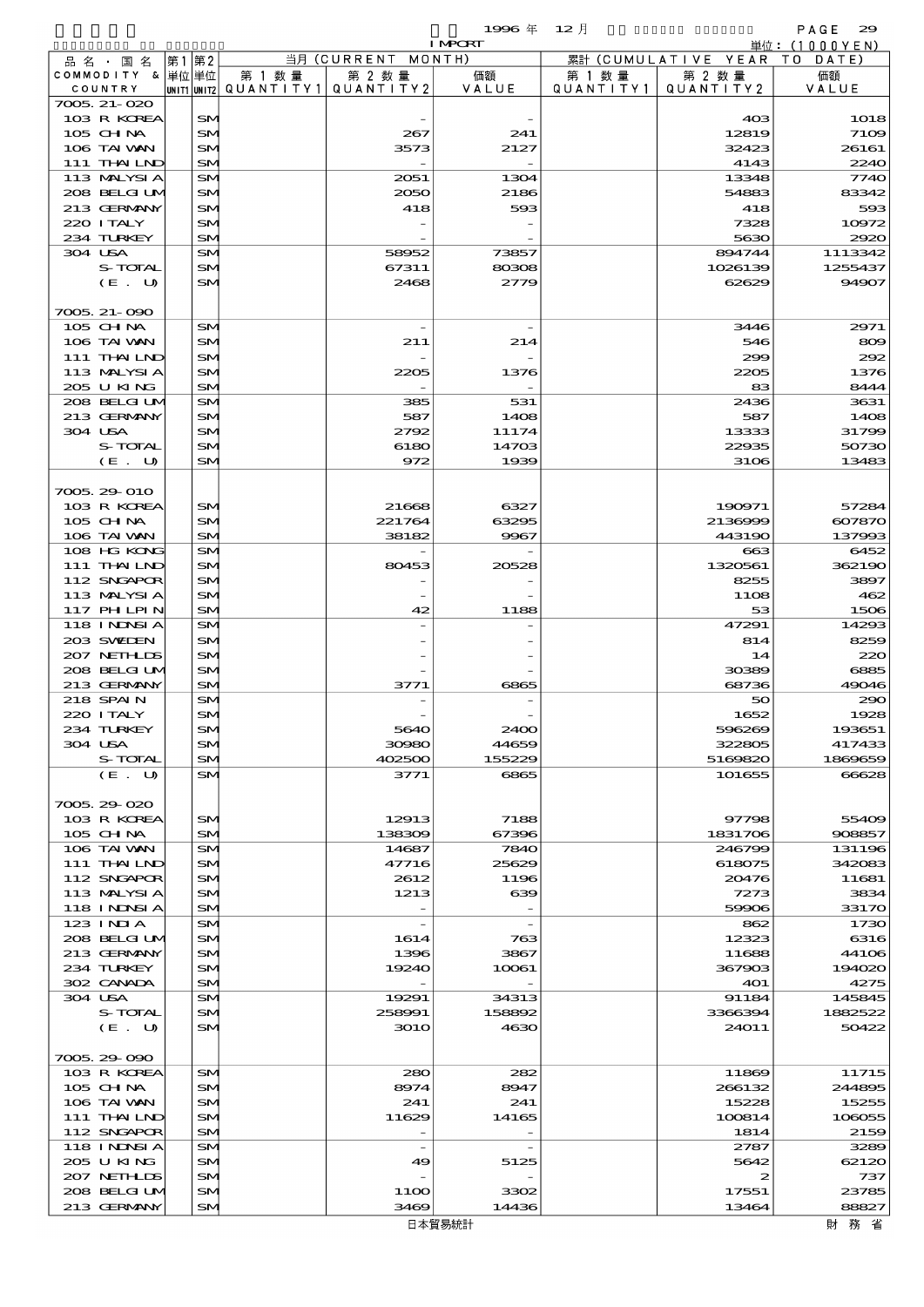|                             |      |                   |                                                  |                          | 1996年                    | $12$ 月               |                              | PAGE<br>29      |
|-----------------------------|------|-------------------|--------------------------------------------------|--------------------------|--------------------------|----------------------|------------------------------|-----------------|
|                             |      |                   |                                                  |                          | <b>I MPORT</b>           |                      |                              | 単位:(1000YEN)    |
| 品 名 ・ 国 名                   | 第1第2 |                   |                                                  | 当月 (CURRENT MONTH)       |                          |                      | 累計 (CUMULATIVE YEAR TO DATE) |                 |
| COMMODITY & 単位単位<br>COUNTRY |      |                   | 第 1 数量<br> unit1 unit2  Q∪ANT   TY1  Q∪ANT   TY2 | 第 2 数量                   | 価額<br>VALUE              | 第 1 数 量<br>QUANTITY1 | 第 2 数量<br>QUANTITY 2         | 価額<br>VALUE     |
| 7005. 21 - 020              |      |                   |                                                  |                          |                          |                      |                              |                 |
| 103 R KOREA                 |      | <b>SM</b>         |                                                  |                          |                          |                      | 40 <sup>3</sup>              | 1018            |
| 105 CH NA                   |      | $\text{SN}$       |                                                  | 267                      | 241                      |                      | 12819                        | 7109            |
| 106 TAI VAN                 |      | SM                |                                                  | 3573                     | 2127                     |                      | 32423                        | 26161           |
| 111 THAILND                 |      | SM                |                                                  |                          |                          |                      | 4143                         | 2240            |
| 113 MALYSIA                 |      | SM                |                                                  | 2051                     | 1304                     |                      | 13348                        | 7740            |
| 208 BELGI UM                |      | SM                |                                                  | 2050                     | 2186                     |                      | 54883                        | 83342           |
| 213 GERMANY<br>220 I TALY   |      | SN<br>SN          |                                                  | 418                      | 593                      |                      | 418<br>7328                  | 593<br>10972    |
| 234 TURKEY                  |      | SM                |                                                  |                          |                          |                      | 5630                         | 2920            |
| 304 USA                     |      | SM                |                                                  | 58952                    | 73857                    |                      | 894744                       | 1113342         |
| S-TOTAL                     |      | SN                |                                                  | 67311                    | 80308                    |                      | 1026139                      | 1255437         |
| (E. U)                      |      | SM                |                                                  | 2468                     | 2779                     |                      | 62629                        | 94907           |
|                             |      |                   |                                                  |                          |                          |                      |                              |                 |
| 7005.21-090                 |      |                   |                                                  |                          |                          |                      |                              |                 |
| $105$ CHNA                  |      | SM                |                                                  |                          |                          |                      | 3446                         | 2971            |
| 106 TAI VAN                 |      | SM                |                                                  | 211                      | 214                      |                      | 546                          | 809             |
| 111 THAILND<br>113 MALYSIA  |      | SN                |                                                  |                          |                          |                      | 299                          | 292             |
| 205 U KING                  |      | SM<br>SM          |                                                  | 2205                     | 1376                     |                      | 2205<br>83                   | 1376<br>8444    |
| 208 BELGI UM                |      | SM                |                                                  | 385                      | 531                      |                      | 2436                         | 3631            |
| 213 GERMANY                 |      | SM                |                                                  | 587                      | 1408                     |                      | 587                          | 1408            |
| 304 USA                     |      | SN                |                                                  | 2792                     | 11174                    |                      | 13333                        | 31799           |
| <b>S-TOTAL</b>              |      | SN                |                                                  | 6180                     | 14703                    |                      | 22935                        | 50730           |
| (E. U)                      |      | SM                |                                                  | 972                      | 1939                     |                      | 3106                         | 13483           |
|                             |      |                   |                                                  |                          |                          |                      |                              |                 |
| 7005.29-010                 |      |                   |                                                  |                          |                          |                      |                              |                 |
| 103 R KOREA                 |      | <b>SM</b>         |                                                  | 21668                    | 6327                     |                      | 190971                       | 57284           |
| $105$ CHNA                  |      | SM                |                                                  | 221764                   | 63295                    |                      | 2136999                      | 607870          |
| 106 TAI VAN                 |      | SM                |                                                  | 38182                    | 9967                     |                      | 443190                       | 137993          |
| 108 HG KONG<br>111 THAILND  |      | SM<br><b>SM</b>   |                                                  | 80453                    | 20528                    |                      | $-663$<br>1320561            | 6452<br>362190  |
| 112 SNGAPOR                 |      | SN                |                                                  |                          |                          |                      | 8255                         | 3897            |
| 113 MALYSIA                 |      | SM                |                                                  |                          |                          |                      | 11O <sub>8</sub>             | 462             |
| <b>117 PHLPIN</b>           |      | SM                |                                                  | 42                       | 1188                     |                      | 53                           | 1506            |
| 118 I NDSI A                |      | SM                |                                                  |                          |                          |                      | 47291                        | 14293           |
| 203 SWIEN                   |      | <b>SM</b>         |                                                  |                          |                          |                      | 814                          | 8259            |
| 207 NETHLIS                 |      | SN                |                                                  |                          |                          |                      | 14                           | 220             |
| 208 BELGI UM                |      | SN                |                                                  |                          |                          |                      | 30389                        | 6885            |
| 213 GERMANY                 |      | SN                |                                                  | 3771                     | 6865                     |                      | 68736                        | 49046           |
| 218 SPAIN                   |      | SM                |                                                  |                          |                          |                      | 50                           | 290             |
| 220 I TALY<br>234 TURKEY    |      | $_{\rm SN}$<br>SM |                                                  | 5640                     | 2400                     |                      | 1652<br>596269               | 1928<br>193651  |
| 304 USA                     |      | SM                |                                                  | 30980                    | 44659                    |                      | 322805                       | 417433          |
| S-TOTAL                     |      | <b>SM</b>         |                                                  | 402500                   | 155229                   |                      | 5169820                      | 1869659         |
| (E. U)                      |      | SM                |                                                  | 3771                     | 6865                     |                      | 101655                       | 66628           |
|                             |      |                   |                                                  |                          |                          |                      |                              |                 |
| 7005.29-020                 |      |                   |                                                  |                          |                          |                      |                              |                 |
| 103 R KOREA                 |      | SM                |                                                  | 12913                    | 7188                     |                      | 97798                        | 55409           |
| 105 CHNA                    |      | SM                |                                                  | 138309                   | 67396                    |                      | 1831706                      | 908857          |
| 106 TAI VAN                 |      | SM                |                                                  | 14687                    | 7840                     |                      | 246799                       | 131196          |
| 111 THAILND<br>112 SNGAPOR  |      | SM<br><b>SM</b>   |                                                  | 47716                    | 25629<br>1196            |                      | 618075                       | 342083<br>11681 |
| 113 MALYSIA                 |      | SM                |                                                  | 2612<br>1213             | 639                      |                      | 20476<br>7273                | 3834            |
| 118 I NDSI A                |      | SM                |                                                  | $\overline{\phantom{a}}$ | $\overline{\phantom{a}}$ |                      | 59906                        | 33170           |
| 123 INIA                    |      | SM                |                                                  |                          |                          |                      | 862                          | 1730            |
| 208 BELGI UM                |      | SM                |                                                  | 1614                     | 763                      |                      | 12323                        | 6316            |
| 213 GERMANY                 |      | <b>SM</b>         |                                                  | 1396                     | 3867                     |                      | 11688                        | 44106           |
| 234 TURKEY                  |      | SM                |                                                  | 19240                    | 10061                    |                      | 367903                       | 194020          |
| 302 CANADA                  |      | SM                |                                                  | $\overline{\phantom{a}}$ | $\overline{\phantom{a}}$ |                      | <b>401</b>                   | 4275            |
| 304 USA                     |      | SM                |                                                  | 19291                    | 34313                    |                      | 91184                        | 145845          |
| S-TOTAL                     |      | SM                |                                                  | 258991                   | 158892                   |                      | 3366394                      | 1882522         |
| (E. U)                      |      | SM                |                                                  | <b>3010</b>              | 4630                     |                      | 24011                        | 50422           |
| 7005.29-090                 |      |                   |                                                  |                          |                          |                      |                              |                 |
| 103 R KOREA                 |      | SM                |                                                  | 280                      | 282                      |                      | 11869                        | 11715           |
| 105 CHNA                    |      | SM                |                                                  | 8974                     | 8947                     |                      | 266132                       | 244895          |
| 106 TAI VAN                 |      | SM                |                                                  | 241                      | 241                      |                      | 15228                        | 15255           |
| 111 THAILND                 |      | SM                |                                                  | 11629                    | 14165                    |                      | 100814                       | 108055          |
| 112 SNGAPOR                 |      | SM                |                                                  | $\overline{\phantom{a}}$ | $\overline{\phantom{a}}$ |                      | 1814                         | 2159            |
| 118 I NINSI A               |      | SM                |                                                  |                          |                          |                      | 2787                         | 3289            |
| 205 U KING                  |      | SM                |                                                  | 49                       | 5125                     |                      | 5642                         | 62120           |
| 207 NETH LIS                |      | SM                |                                                  |                          |                          |                      | 2                            | 737             |
| 208 BELGI UM                |      | SM                |                                                  | 11OO                     | 3302                     |                      | 17551                        | 23785           |
| 213 GERMANY                 |      | SM                |                                                  | 3469                     | 14436                    |                      | 13464                        | 88827           |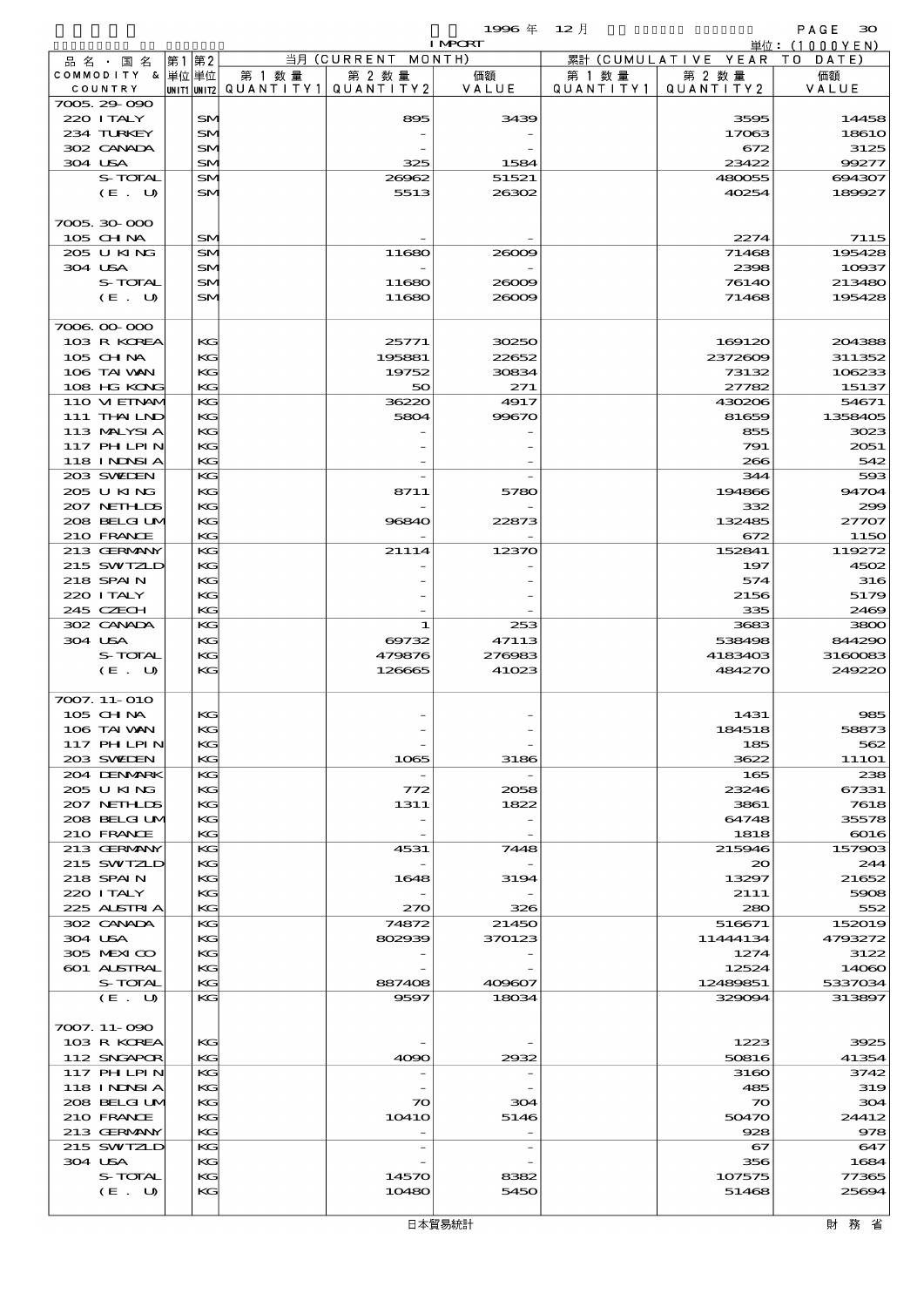|                               |                   |      |                        |                                      |                      |                    | 1996年           | $12$ 月               |                      | PAGE<br>$30^{\circ}$ |
|-------------------------------|-------------------|------|------------------------|--------------------------------------|----------------------|--------------------|-----------------|----------------------|----------------------|----------------------|
|                               |                   |      |                        |                                      |                      |                    | <b>I MPORT</b>  |                      |                      | 単位: (1000YEN)        |
| 品 名 ・ 国 名<br>COMMODITY & 単位単位 |                   | 第1第2 |                        |                                      | 当月 (CURRENT MONTH)   |                    |                 |                      | 累計 (CUMULATIVE YEAR) | T O<br>DATE          |
| COUNTRY                       |                   |      |                        | 第 1 数 量<br> unit1 unit2  Q∪ANT   TY1 | 第 2 数量<br>QUANTITY 2 |                    | 価額<br>VALUE     | 第 1 数 量<br>QUANTITY1 | 第 2 数量<br>QUANTITY2  | 価額<br>VALUE          |
| 7005.29.090                   |                   |      |                        |                                      |                      |                    |                 |                      |                      |                      |
| 220 I TALY                    |                   |      | <b>SM</b>              |                                      |                      | 895                | 3439            |                      | 3595                 | 14458                |
| 234 TURKEY                    |                   |      | <b>SM</b>              |                                      |                      |                    |                 |                      | 17063                | 1861O                |
| 302 CANADA                    |                   |      | <b>SM</b>              |                                      |                      |                    |                 |                      | 672                  | 3125                 |
| 304 USA                       | S-TOTAL           |      | <b>SM</b><br><b>SM</b> |                                      |                      | 325<br>26962       | 1584<br>51521   |                      | 23422<br>480055      | 99277<br>694307      |
|                               | $(E_U U)$         |      | <b>SM</b>              |                                      |                      | 5513               | 26302           |                      | 40254                | 189927               |
|                               |                   |      |                        |                                      |                      |                    |                 |                      |                      |                      |
| 7005.30-000                   |                   |      |                        |                                      |                      |                    |                 |                      |                      |                      |
| 105 CHNA                      |                   |      | <b>SM</b>              |                                      |                      |                    |                 |                      | 2274                 | 7115                 |
| 205 U KING                    |                   |      | <b>SM</b>              |                                      |                      | 11680              | 26009           |                      | 71468                | 195428               |
| 304 USA                       |                   |      | <b>SM</b>              |                                      |                      |                    |                 |                      | 2398                 | 10937                |
|                               | S-TOTAL<br>(E. U) |      | <b>SM</b><br><b>SM</b> |                                      |                      | 11680<br>11680     | 26009<br>26009  |                      | 76140<br>71468       | 213480<br>195428     |
|                               |                   |      |                        |                                      |                      |                    |                 |                      |                      |                      |
| 7006.00.000                   |                   |      |                        |                                      |                      |                    |                 |                      |                      |                      |
| 103 R KOREA                   |                   |      | KG                     |                                      |                      | 25771              | 30250           |                      | 169120               | 204388               |
| $105$ CHNA                    |                   |      | KG                     |                                      |                      | 195881             | 22652           |                      | 2372609              | 311352               |
| 106 TAI VAN                   |                   |      | KG                     |                                      |                      | 19752              | 30834           |                      | 73132                | 106233               |
| 108 HG KONG                   |                   |      | KG                     |                                      |                      | 50                 | 271             |                      | 27782                | 15137                |
| 110 VI EINAM<br>111 THAILND   |                   |      | KG<br>KG               |                                      |                      | 36220<br>5804      | 4917<br>99670   |                      | 430206<br>81659      | 54671<br>1358405     |
| 113 MALYSIA                   |                   |      | KG                     |                                      |                      |                    |                 |                      | 855                  | 3023                 |
| 117 PHLPIN                    |                   |      | KG                     |                                      |                      |                    |                 |                      | 791                  | 2051                 |
| 118 I NDSI A                  |                   |      | KG                     |                                      |                      |                    |                 |                      | 266                  | 542                  |
| 203 SWEDEN                    |                   |      | KG                     |                                      |                      |                    |                 |                      | 344                  | 593                  |
| 205 U KING                    |                   |      | KG                     |                                      |                      | 8711               | 5780            |                      | 194866               | 94704                |
| 207 NETHLIS                   |                   |      | KG                     |                                      |                      |                    |                 |                      | 332                  | 299                  |
| 208 BELGI UM<br>210 FRANCE    |                   |      | KG<br>KG               |                                      |                      | 96840              | 22873           |                      | 132485<br>672        | 27707<br>1150        |
| 213 GERMANY                   |                   |      | KG                     |                                      |                      | 21114              | 12370           |                      | 152841               | 119272               |
| 215 SWIZLD                    |                   |      | KG                     |                                      |                      |                    |                 |                      | 197                  | 4502                 |
| 218 SPAI N                    |                   |      | KG                     |                                      |                      |                    |                 |                      | 574                  | 316                  |
| 220 I TALY                    |                   |      | KG                     |                                      |                      |                    |                 |                      | 2156                 | 5179                 |
| 245 CZECH                     |                   |      | KG                     |                                      |                      |                    |                 |                      | 335                  | 2469                 |
| 302 CANADA                    |                   |      | KG                     |                                      |                      | 1                  | 253             |                      | 3683                 | 3800                 |
| 304 USA                       | S-TOTAL           |      | KG<br>KG               |                                      |                      | 69732<br>479876    | 47113<br>276983 |                      | 538498<br>4183403    | 844290<br>3160083    |
|                               | (E. U)            |      | KG                     |                                      |                      | 126665             | 41023           |                      | 484270               | 249220               |
|                               |                   |      |                        |                                      |                      |                    |                 |                      |                      |                      |
| 7007. 11-010                  |                   |      |                        |                                      |                      |                    |                 |                      |                      |                      |
| 105 CH NA                     |                   |      | KG                     |                                      |                      |                    |                 |                      | 1431                 | 985                  |
| 106 TAI WAN                   |                   |      | KG                     |                                      |                      |                    |                 |                      | 184518               | 58873                |
| 117 PH LPIN<br>203 SWIDEN     |                   |      | KG<br>KG               |                                      |                      | 1065               | 3186            |                      | 185<br>3622          | 562<br>111O1         |
| 204 DENMARK                   |                   |      | KG                     |                                      |                      |                    |                 |                      | 165                  | 238                  |
| 205 U KING                    |                   |      | KG                     |                                      |                      | 772                | 2058            |                      | 23246                | 67331                |
| 207 NETHLIS                   |                   |      | КG                     |                                      |                      | 1311               | 1822            |                      | 3861                 | 7618                 |
| 208 BELGI UM                  |                   |      | KG                     |                                      |                      |                    |                 |                      | 64748                | 35578                |
| 210 FRANCE                    |                   |      | KG                     |                                      |                      |                    |                 |                      | 1818                 | $\boldsymbol{6016}$  |
| 213 GERMANY                   |                   |      | KG                     |                                      |                      | 4531               | 7448            |                      | 215946               | 157903               |
| 215 SWIZLD<br>218 SPAIN       |                   |      | KG<br>КG               |                                      |                      | 1648               | 3194            |                      | 20<br>13297          | 244<br>21652         |
| 220 I TALY                    |                   |      | KG                     |                                      |                      |                    |                 |                      | 2111                 | 5908                 |
| 225 ALSTRIA                   |                   |      | KG                     |                                      |                      | 270                | 326             |                      | 280                  | 552                  |
| 302 CANADA                    |                   |      | KG                     |                                      |                      | 74872              | 21450           |                      | 516671               | 152019               |
| 304 USA                       |                   |      | KG                     |                                      |                      | 802939             | 370123          |                      | 11444134             | 4793272              |
| 305 MEXICO                    |                   |      | KG                     |                                      |                      |                    |                 |                      | 1274                 | 3122                 |
| 601 ALSTRAL                   |                   |      | KG                     |                                      |                      |                    |                 |                      | 12524                | 14060                |
|                               | S-TOTAL<br>(E. U) |      | KG<br>KG               |                                      |                      | 887408<br>9597     | 409607<br>18034 |                      | 12489851<br>329094   | 5337034<br>313897    |
|                               |                   |      |                        |                                      |                      |                    |                 |                      |                      |                      |
| 7007. 11-090                  |                   |      |                        |                                      |                      |                    |                 |                      |                      |                      |
| 103 R KOREA                   |                   |      | KG                     |                                      |                      |                    |                 |                      | 1223                 | 3925                 |
| 112 SNGAPOR                   |                   |      | KG                     |                                      |                      | 4000               | 2932            |                      | 50816                | 41354                |
| 117 PH LPIN                   |                   |      | KG                     |                                      |                      |                    |                 |                      | 3160                 | 3742                 |
| 118 I NINSI A                 |                   |      | KG<br>KG               |                                      |                      |                    |                 |                      | 485                  | 319                  |
| 208 BELGI UM<br>210 FRANCE    |                   |      | KG                     |                                      |                      | 70<br><b>10410</b> | 304<br>5146     |                      | $\infty$<br>50470    | 304<br>24412         |
| 213 GERMANY                   |                   |      | КG                     |                                      |                      |                    |                 |                      | 928                  | 978                  |
| 215 SWTZLD                    |                   |      | KG                     |                                      |                      |                    |                 |                      | 67                   | 647                  |
| 304 USA                       |                   |      | KG                     |                                      |                      |                    |                 |                      | 356                  | 1684                 |
|                               | S-TOTAL           |      | KG                     |                                      |                      | 14570              | 8382            |                      | 107575               | 77365                |

 $(E. U)$  KG 10480 5450 51468 25694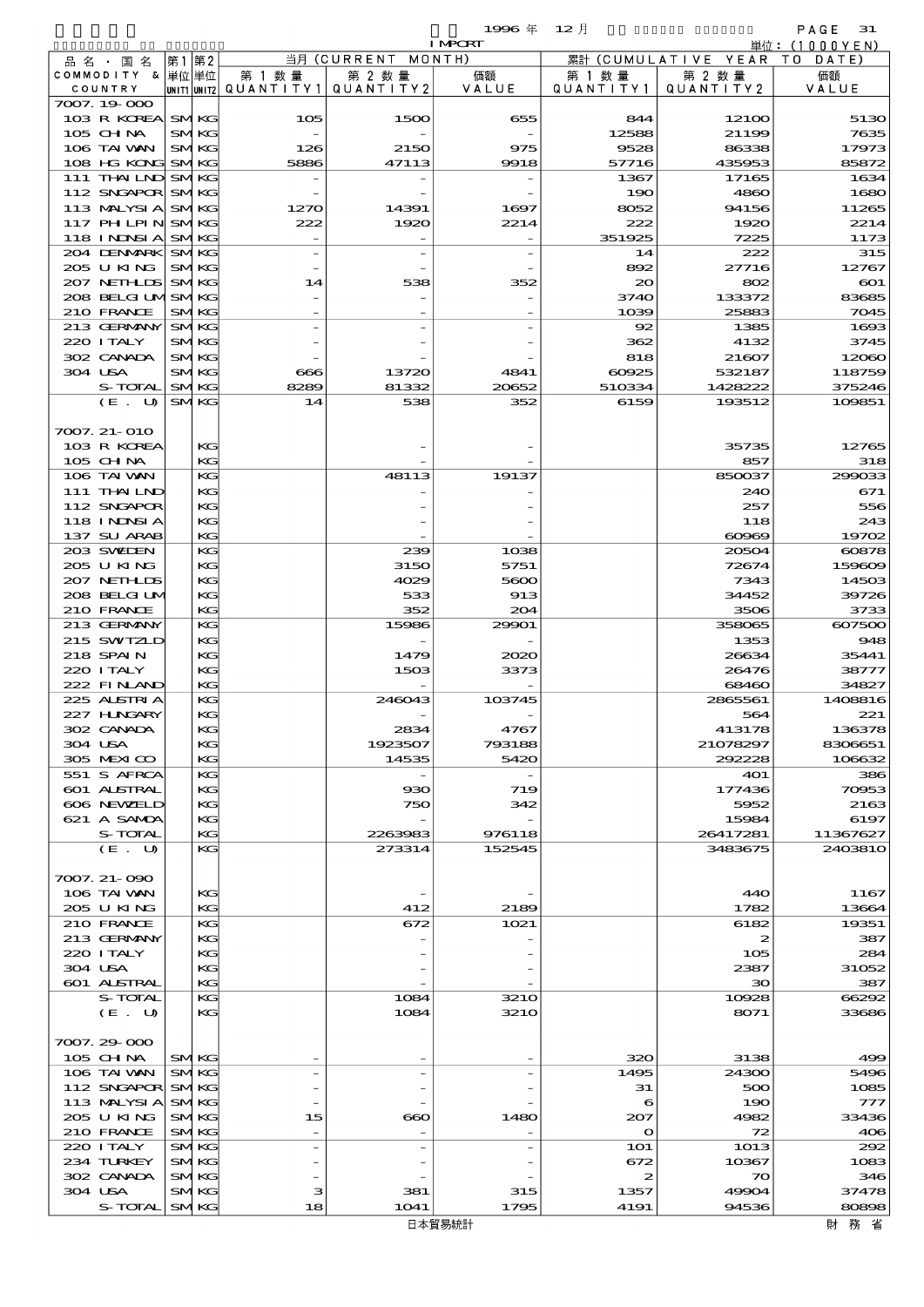|                           |       |             |                          |            | 1996 $#$       | $12$ 月       |                  | PAGE<br>31   |
|---------------------------|-------|-------------|--------------------------|------------|----------------|--------------|------------------|--------------|
|                           |       |             |                          |            | <b>I MPCRT</b> |              |                  | 単位:(1000YEN) |
| 品名・国名                     | 第1 第2 |             |                          | 当月(CURRENT | MONTH)         | 累計           | (CUMULATIVE YEAR | T O<br>DATE  |
| COMMODITY & 単位 単位         |       |             | 第 1 数 量                  | 第 2 数量     | 価額             | 第 1 数 量      | 第 2 数量           | 価額           |
| COUNTRY                   |       |             | unit1 unit2  Q∪ANT   TY1 | QUANTITY2  | VALUE          | QUANTITY1    | QUANTITY2        | VALUE        |
| 7007.19-000               |       |             |                          |            |                |              |                  |              |
| 103 R KOREA SMKG          |       |             | 105                      | 1500       | 655            | 844          | 12100            | 5130         |
| $105$ CHNA                |       | <b>SMKG</b> |                          |            |                | 12588        | 21199            | 7635         |
| 106 TAI VAN               |       | <b>SMKG</b> | 126                      | 2150       | 975            | 9528         | 86338            | 17973        |
| 108 HG KONG SMKG          |       |             | 5886                     | 47113      | 9918           | 57716        | 435953           | 85872        |
| 111 THAILND SMKG          |       |             |                          |            |                | 1367         | 17165            | 1634         |
| 112 SNGAPOR SMKG          |       |             |                          |            |                | 190          | 4860             | 1680         |
| 113 MALYSIA               |       | <b>SMKG</b> | 1270                     | 14391      | 1697           | 8052         | 94156            | 11265        |
| 117 PH LPIN               |       | <b>SMKG</b> | 222                      | 1920       | 2214           | 222          | 1920             | 2214         |
| 118 INNSI A               |       | <b>SMKG</b> |                          |            |                | 351925       | 7225             | 1173         |
| 204 DENMARK SMKG          |       |             |                          |            |                | 14           | 222              | 315          |
| 205 U KING                |       | <b>SMKG</b> |                          |            |                | 892          | 27716            | 12767        |
| 207 NETHLIS               |       | <b>SMKG</b> | 14                       | 538        | 352            | 20           | 802              | $\infty$     |
| 208 BELGI UMSMKG          |       |             |                          |            |                | 3740         | 133372           | 83685        |
| 210 FRANCE                |       | <b>SMKG</b> |                          |            |                | 1039         | 25883            | 7045         |
| 213 GERMANY               |       | <b>SMKG</b> |                          |            |                |              | 1385             | 1693         |
| 220 I TALY                |       |             |                          |            |                | 92<br>362    |                  |              |
|                           |       | <b>SMKG</b> |                          |            |                |              | 4132             | 3745         |
| 302 CANADA                |       | <b>SMKG</b> |                          |            |                | 818          | 21607            | 12000        |
| 304 USA                   |       | SMKG        | 666                      | 13720      | 4841           | 60925        | 532187           | 118759       |
| S-TOTAL                   |       | <b>SMKG</b> | 8289                     | 81332      | 20652          | 510334       | 1428222          | 375246       |
| (E. U)                    |       | <b>SMKG</b> | 14                       | 538        | 352            | 6159         | 193512           | 109851       |
|                           |       |             |                          |            |                |              |                  |              |
| 7007. 21-010              |       |             |                          |            |                |              |                  |              |
| 103 R KOREA               |       | КG          |                          |            |                |              | 35735            | 12765        |
| 105 CH NA                 |       | KG          |                          |            |                |              | 857              | 318          |
| 106 TAI VAN               |       | KG          |                          | 48113      | 19137          |              | 850037           | 299033       |
| 111 THAILND               |       | KG          |                          |            |                |              | 240              | 671          |
| 112 SNGAPOR               |       | KG          |                          |            |                |              | 257              | 556          |
| 118 INNSI A               |       | KG          |                          |            |                |              | 118              | 243          |
| 137 SU ARAB               |       | KG          |                          |            |                |              | 00000            | 19702        |
| 203 SVEDEN                |       | KG          |                          | 239        | 1038           |              | 20504            | 60878        |
| 205 U KING                |       | KG          |                          | 3150       | 5751           |              | 72674            | 159609       |
| 207 NETHLIS               |       | KG          |                          | 4029       | 5600           |              | 7343             | 14503        |
| 208 BELGI UM              |       | KG          |                          | 533        | 913            |              | 34452            | 39726        |
| 210 FRANCE                |       | KG          |                          | 352        | 204            |              | 3506             | 3733         |
| 213 GERMANY               |       | KG          |                          | 15986      | 29901          |              | 358065           | 607500       |
| 215 SWIZLD                |       | KG          |                          |            |                |              | 1353             | 948          |
| 218 SPAIN                 |       | KG          |                          | 1479       | 2020           |              | 26634            | 35441        |
| 220 I TALY                |       | KG          |                          | 1503       | 3373           |              | 26476            | 38777        |
| 222 FINLAND               |       | KG          |                          |            |                |              | 68460            | 34827        |
| 225 ALSTRIA               |       | KG          |                          | 246043     | 103745         |              | 2865561          | 1408816      |
| 227 H.NGARY               |       | KG          |                          |            |                |              | 564              | 221          |
| 302 CANADA                |       | KG          |                          | 2834       | 4767           |              | 413178           | 136378       |
| 304 USA                   |       | KG          |                          | 1923507    | 793188         |              | 21078297         | 8306651      |
| 305 MEXICO                |       | KG          |                          | 14535      | 5420           |              | 292228           | 106632       |
| 551 S AFRCA               |       | KG          |                          |            |                |              | <b>401</b>       | 386          |
| 601 ALSTRAL               |       | KG          |                          | 930        | 719            |              | 177436           | 70953        |
| 606 NEWELD                |       | KG          |                          | 750        | 342            |              | 5952             | 2163         |
| 621 A SAMDA               |       | KG          |                          |            |                |              | 15984            | 6197         |
| S-TOTAL                   |       | KG          |                          | 2263983    | 976118         |              | 26417281         | 11367627     |
| (E. U)                    |       | KG          |                          | 273314     | 152545         |              | 3483675          | 240381C      |
|                           |       |             |                          |            |                |              |                  |              |
| 7007. 21-090              |       |             |                          |            |                |              |                  |              |
| 106 TAI VAN               |       | KG          |                          |            |                |              | 440              | 1167         |
| 205 U KING                |       | KG          |                          | 412        | 2189           |              | 1782             | 13664        |
| 210 FRANCE                |       | KG          |                          | 672        | 1021           |              | 6182             | 19351        |
|                           |       | KG          |                          |            |                |              | 2                | 387          |
| 213 GERMANY<br>220 I TALY |       | KG          |                          |            |                |              | 105              | 284          |
|                           |       |             |                          |            |                |              |                  |              |
| 304 USA                   |       | KG          |                          |            |                |              | 2387             | 31052        |
| <b>601 ALSTRAL</b>        |       | KG          |                          |            |                |              | $\infty$         | 387          |
| S-TOTAL                   |       | KG          |                          | 1084       | 321O           |              | 10928            | 66292        |
| (E. U)                    |       | KG          |                          | 1084       | <b>3210</b>    |              | 8071             | 33686        |
|                           |       |             |                          |            |                |              |                  |              |
| 7007.29-000               |       |             |                          |            |                |              |                  |              |
| 105 CH NA                 |       | <b>SMKG</b> |                          |            |                | 320          | 3138             | 49C          |
| 106 TAI WAN               |       | <b>SMKG</b> |                          |            |                | 1495         | 24300            | 5496         |
| 112 SNGAPOR SMKG          |       |             |                          |            |                | 31           | 500              | 1085         |
| 113 MALYSIA               |       | <b>SMKG</b> |                          |            |                | 6            | 190              | 777          |
| 205 U KING                |       | <b>SMKG</b> | 15                       | $\bf{60}$  | 1480           | 207          | 4982             | 33436        |
| 210 FRANCE                |       | <b>SMKG</b> |                          |            |                | $\Omega$     | 72               | 400          |
| 220 I TALY                |       | <b>SMKG</b> |                          |            |                | <b>1O1</b>   | 1013             | 292          |
| 234 TURKEY                |       | <b>SMKG</b> |                          |            |                | 672          | 10367            | 1083         |
| 302 CANADA                |       | <b>SMKG</b> |                          |            |                | $\mathbf{z}$ | $\infty$         | 346          |
| 304 USA                   |       | SMKG        | з                        | 381        | 315            | 1357         | 49904            | 37478        |

S-TOTAL SMKG 18 1041 1795 4191 94536 80898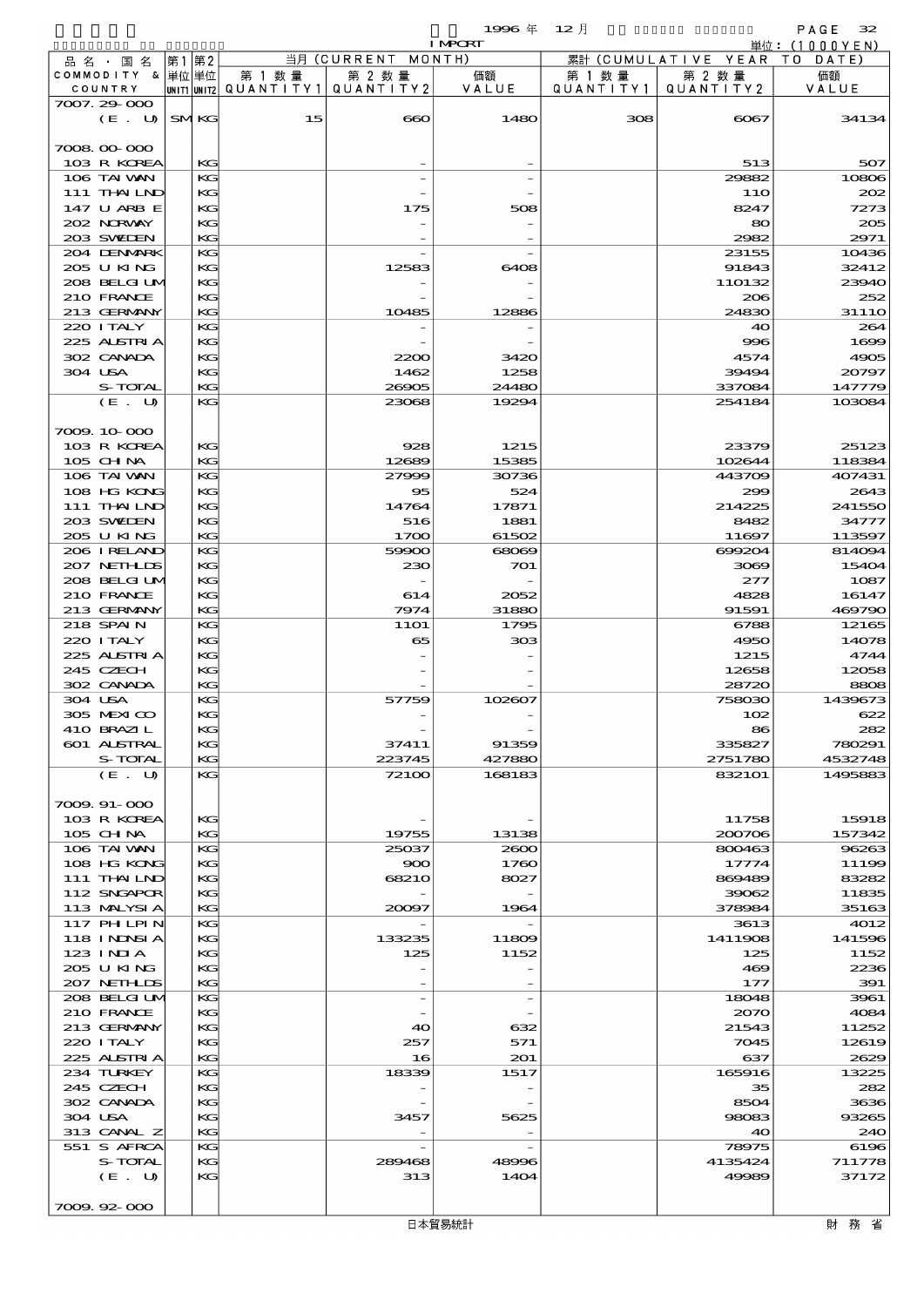$1996 \nleftrightarrow 12 \nparallel$  PAGE 32

|                             |             |          |                                           |                    | <b>I MPORT</b>  |                      |                              | 単位:(1000YEN)      |
|-----------------------------|-------------|----------|-------------------------------------------|--------------------|-----------------|----------------------|------------------------------|-------------------|
| 品名・国名                       | 第1 第2       |          |                                           | 当月 (CURRENT MONTH) |                 |                      | 累計 (CUMULATIVE YEAR TO DATE) |                   |
| COMMODITY & 単位単位<br>COUNTRY |             |          | 第 1 数量<br>UNIT1 UNIT2 QUANTITY1 QUANTITY2 | 第 2 数量             | 価額<br>VALUE     | 第 1 数 量<br>QUANTITY1 | 第 2 数量<br>QUANTITY 2         | 価額<br>VALUE       |
| 7007.29-000                 |             |          |                                           |                    |                 |                      |                              |                   |
| (E. U)                      | <b>SMKG</b> |          | 15                                        | $\infty$           | 1480            | 308                  | 6067                         | 34134             |
| 7008 00 000                 |             |          |                                           |                    |                 |                      |                              |                   |
| 103 R KOREA                 |             | KG       |                                           |                    |                 |                      | 513                          | 507               |
| 106 TAI VAN                 |             | KG       |                                           |                    |                 |                      | 29882                        | 10806             |
| 111 THAILND                 |             | KG       |                                           |                    |                 |                      | 11O                          | 202               |
| 147 U ARB E                 |             | KG       |                                           | 175                | 508             |                      | 8247                         | 7273              |
| 202 NRWAY<br>203 SWIDEN     |             | KG<br>KG |                                           |                    |                 |                      | 80<br>2982                   | 205<br>2971       |
| 204 DENMARK                 |             | KG       |                                           |                    |                 |                      | 23155                        | 10436             |
| 205 U KING                  |             | KG       |                                           | 12583              | 6408            |                      | 91843                        | 32412             |
| 208 BELGI UM                |             | KG       |                                           |                    |                 |                      | 110132                       | 23940             |
| 210 FRANCE<br>213 GERMANY   |             | KG<br>KG |                                           | 10485              | 12886           |                      | 206<br>24830                 | 252<br>3111O      |
| 220 I TALY                  |             | KG       |                                           |                    |                 |                      | 40                           | 264               |
| 225 ALSTRIA                 |             | KG       |                                           |                    |                 |                      | 996                          | 1699              |
| 302 CANADA                  |             | KG       |                                           | 2200               | 3420            |                      | 4574                         | 4905              |
| 304 USA                     |             | KG       |                                           | 1462               | 1258            |                      | 39494                        | 20797             |
| S-TOTAL<br>(E. U)           |             | KG<br>KG |                                           | 26905<br>23068     | 24480<br>19294  |                      | 337084<br>254184             | 147779<br>103084  |
|                             |             |          |                                           |                    |                 |                      |                              |                   |
| 7009.10.000                 |             |          |                                           |                    |                 |                      |                              |                   |
| 103 R KOREA                 |             | KG       |                                           | 928                | 1215            |                      | 23379                        | 25123             |
| 105 CH NA                   |             | KG       |                                           | 12689              | 15385           |                      | 102644                       | 118384            |
| 106 TAI VAN<br>108 HG KONG  |             | KG<br>KG |                                           | 27999<br>95        | 30736<br>524    |                      | 443709<br>299                | 407431<br>2643    |
| 111 THAILND                 |             | KG       |                                           | 14764              | 17871           |                      | 214225                       | 241550            |
| 203 SWIDEN                  |             | KG       |                                           | 516                | 1881            |                      | 8482                         | 34777             |
| 205 U KING                  |             | KG       |                                           | 1700               | 61502           |                      | 11697                        | 113597            |
| 206 IRELAND                 |             | KG       |                                           | 59900              | 68069           |                      | 699204                       | 814094            |
| 207 NETHLIS<br>208 BELGI UM |             | KG<br>KG |                                           | 230                | 701             |                      | 3069<br>277                  | 15404<br>1087     |
| 210 FRANCE                  |             | KG       |                                           | 614                | 2052            |                      | 4828                         | 16147             |
| 213 GERMANY                 |             | KG       |                                           | 7974               | 31880           |                      | 91591                        | 469790            |
| 218 SPAIN                   |             | KG       |                                           | <b>11O1</b>        | 1795            |                      | 6788                         | 12165             |
| 220 I TALY                  |             | KG       |                                           | 65                 | 308             |                      | 4950                         | 14078             |
| 225 ALSTRIA<br>245 CZECH    |             | KG<br>KG |                                           |                    |                 |                      | 1215<br>12658                | 4744<br>12058     |
| 302 CANADA                  |             | KG       |                                           |                    |                 |                      | 28720                        | 8808              |
| 304 USA                     |             | KG       |                                           | 57759              | 102607          |                      | 758030                       | 1439673           |
| 305 MEXICO                  |             | KG       |                                           |                    |                 |                      | 102                          | 622               |
| 410 BRAZIL                  |             | КG       |                                           |                    |                 |                      | 86                           | 282               |
| 601 ALSTRAL<br>S-TOTAL      |             | КG<br>KG |                                           | 37411<br>223745    | 91359<br>427880 |                      | 335827<br>2751780            | 780291<br>4532748 |
| $(E_U U)$                   |             | KG       |                                           | 72100              | 168183          |                      | 832101                       | 1495883           |
|                             |             |          |                                           |                    |                 |                      |                              |                   |
| 7009.91-000                 |             |          |                                           |                    |                 |                      |                              |                   |
| 103 R KOREA<br>$105$ CHNA   |             | KС<br>KG |                                           | 19755              | 13138           |                      | 11758<br>200706              | 15918<br>157342   |
| 106 TAI VAN                 |             | KG       |                                           | 25037              | 2600            |                      | 800463                       | 96263             |
| 108 HG KONG                 |             | KG       |                                           | $\infty$           | 1760            |                      | 17774                        | 11199             |
| 111 THAILND                 |             | KG       |                                           | 68210              | 8027            |                      | 869489                       | 83282             |
| 112 SNGAPOR                 |             | KG       |                                           |                    |                 |                      | 39062                        | 11835             |
| 113 MALYSIA<br>117 PHLPIN   |             | KG<br>KG |                                           | 20097              | 1964            |                      | 378984<br>3613               | 35163<br>4012     |
| <b>118 INNSIA</b>           |             | KG       |                                           | 133235             | 11809           |                      | 1411908                      | 141596            |
| 123 INIA                    |             | KG       |                                           | 125                | 1152            |                      | 125                          | 1152              |
| 205 U KING                  |             | KG       |                                           |                    |                 |                      | 469                          | 2236              |
| 207 NETHLIS                 |             | KG       |                                           |                    |                 |                      | 177                          | 391               |
| 208 BELGI UM<br>210 FRANCE  |             | KG<br>KG |                                           |                    |                 |                      | 18048<br>2070                | 3961<br>4084      |
| 213 GERMANY                 |             | KG       |                                           | 40                 | 632             |                      | 21543                        | 11252             |
| 220 I TALY                  |             | KG       |                                           | 257                | 571             |                      | 7045                         | 12619             |
| 225 ALSTRIA                 |             | KG       |                                           | 16                 | 201             |                      | 637                          | 2629              |
| 234 TURKEY                  |             | KG       |                                           | 18339              | 1517            |                      | 165916                       | 13225             |
| 245 CZECH<br>302 CANADA     |             | KG<br>KG |                                           |                    |                 |                      | 35<br>8504                   | 282<br>3636       |
| 304 USA                     |             | KG       |                                           | 3457               | 5625            |                      | 98083                        | 93265             |
| 313 CANAL Z                 |             | KG       |                                           |                    |                 |                      | 40                           | 240               |
| 551 S AFRCA                 |             | KG       |                                           |                    |                 |                      | 78975                        | 6196              |
| S-TOTAL<br>(E. U)           |             | KG<br>KG |                                           | 289468<br>313      | 48996<br>1404   |                      | 4135424<br>49989             | 711778<br>37172   |
|                             |             |          |                                           |                    |                 |                      |                              |                   |
| 7009.92-000                 |             |          |                                           |                    |                 |                      |                              |                   |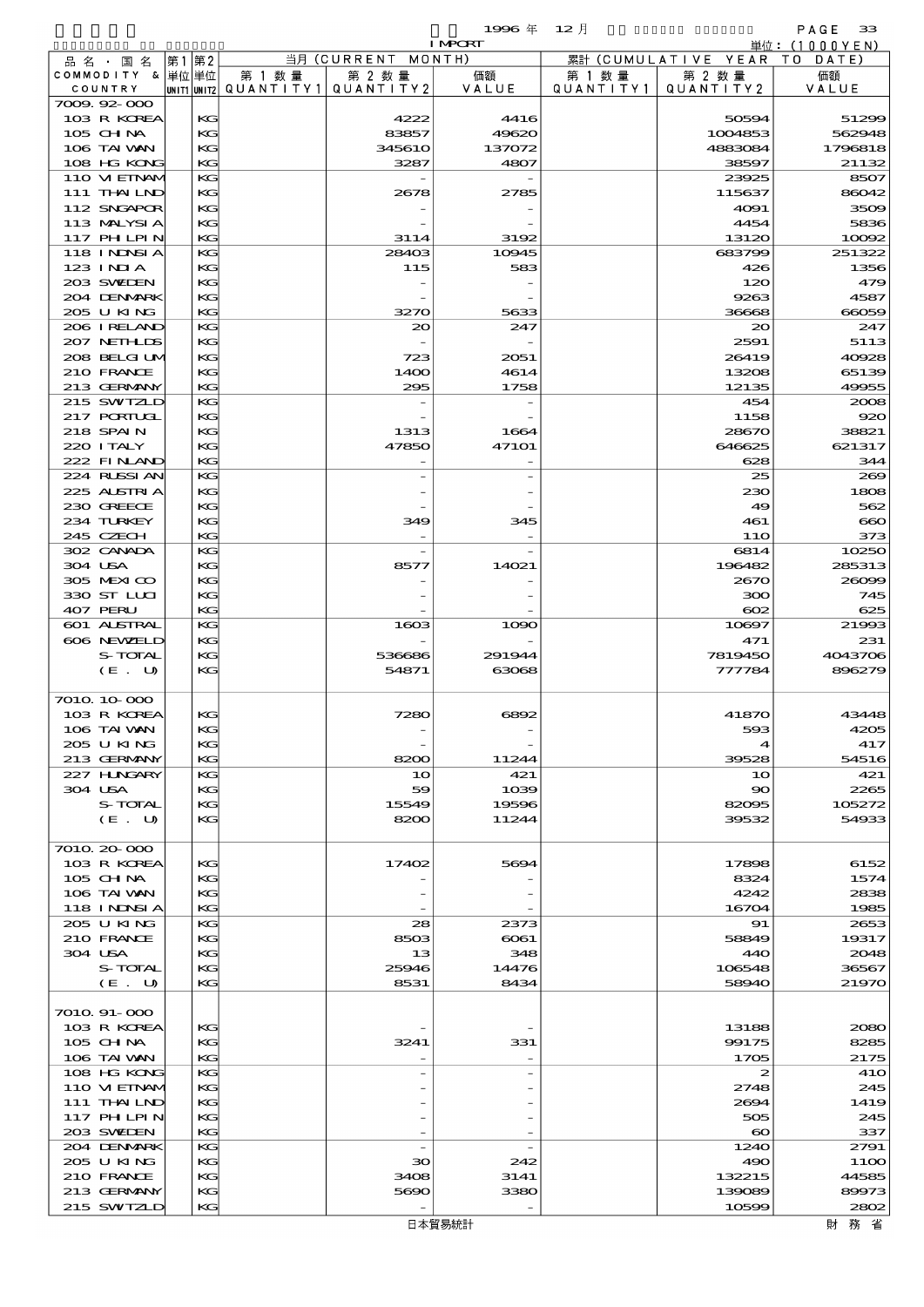$1996 \nsubseteq 12 \nparallel$  PAGE 33

|                  |                                       |                    | <b>I MPCRT</b> |           |                              | 単位: (1000YEN) |
|------------------|---------------------------------------|--------------------|----------------|-----------|------------------------------|---------------|
| 第1第2<br>品名・国名    |                                       | 当月 (CURRENT MONTH) |                |           | 累計 (CUMULATIVE YEAR TO DATE) |               |
| COMMODITY & 単位単位 | 第 1 数量                                | 第 2 数量             | 価額             | 第 1 数 量   | 第 2 数量                       | 価額            |
| COUNTRY          | UNIT1 UNIT2  QUANT   TY1  QUANT   TY2 |                    | VALUE          | QUANTITY1 | QUANTITY 2                   | VALUE         |
| 7009.92-000      |                                       |                    |                |           |                              |               |
| 103 R KOREA      | KG                                    | 4222               | 4416           |           | 50594                        | 51299         |
| 105 CHNA         | KG                                    | 83857              | 49620          |           | 1004853                      | 562948        |
| 106 TAI VAN      | KG                                    | <b>345610</b>      | 137072         |           | 4883084                      | 1796818       |
| 108 HG KONG      | KG                                    | 3287               | 4807           |           | 38597                        | 21132         |
|                  |                                       |                    |                |           |                              |               |
| 110 VI EINAM     | KG                                    |                    |                |           | 23925                        | 8507          |
| 111 THAILND      | KG                                    | 2678               | 2785           |           | 115637                       | 86042         |
| 112 SNGAPOR      | KG                                    |                    |                |           | 4091                         | 3509          |
| 113 MALYSIA      | KG                                    |                    |                |           | 4454                         | 5836          |
| 117 PHLPIN       | KG                                    | 3114               | 3192           |           | 13120                        | 10092         |
| 118 I NDSI A     | KG                                    | 28403              | 10945          |           | 683799                       | 251322        |
| 123 INIA         | KG                                    | 115                | 583            |           | 426                          | 1356          |
| 203 SWIEN        | KG                                    |                    |                |           | 120                          | 479           |
| 204 DENMARK      | KG                                    |                    |                |           | 9263                         | 4587          |
| 205 U KING       | KG                                    | 3270               | 5633           |           | 36668                        | 66059         |
| 206 IRELAND      | KG                                    | $\infty$           | 247            |           | $\infty$                     | 247           |
| 207 NETHLIS      | KG                                    |                    |                |           | 2591                         | 5113          |
| 208 BELGI UM     | KС                                    | 723                | 2051           |           | 26419                        | 40928         |
|                  |                                       |                    |                |           |                              | 65139         |
| 210 FRANCE       | KG                                    | 14OO               | 4614           |           | 13208                        |               |
| 213 GERMANY      | KG                                    | 295                | 1758           |           | 12135                        | 49955         |
| 215 SWIZLD       | KG                                    |                    |                |           | 454                          | 2008          |
| 217 PORTUGL      | KG                                    |                    |                |           | 1158                         | 920           |
| 218 SPAIN        | KG                                    | 1313               | 1664           |           | 28670                        | 38821         |
| 220 I TALY       | KG                                    | 47850              | <b>47101</b>   |           | 646625                       | 621317        |
| 222 FINLAND      | KG                                    |                    |                |           | 628                          | 344           |
| 224 RUSSI AN     | KG                                    |                    |                |           | 25                           | 269           |
| 225 ALSTRIA      | KG                                    |                    |                |           | 230                          | 1808          |
| 230 GREECE       | KG                                    |                    |                |           | 49                           | 562           |
| 234 TURKEY       | KG                                    | 349                | 345            |           | 461                          | 660           |
| 245 CZECH        | KG                                    |                    |                |           | 11O                          | 373           |
| 302 CANADA       | KG                                    |                    |                |           | 6814                         | 10250         |
| 304 USA          | KG                                    | 8577               |                |           |                              |               |
|                  |                                       |                    | 14021          |           | 196482                       | 285313        |
| 305 MEXICO       | KG                                    |                    |                |           | 2670                         | 26099         |
| 330 ST LLCI      | KG                                    |                    |                |           | ဆာ                           | 745           |
| 407 PERU         | KG                                    |                    |                |           | $\infty$                     | 625           |
| 601 ALSTRAL      | KG                                    | 1603               | 1090           |           | 10697                        | 21993         |
| 606 NEWELD       | KG                                    |                    |                |           | 471                          | 231           |
| S-TOTAL          | KG                                    | 536686             | 291944         |           | 7819450                      | 4043706       |
| (E. U)           | KG                                    | 54871              | 63068          |           | 777784                       | 896279        |
|                  |                                       |                    |                |           |                              |               |
| 7010 10 000      |                                       |                    |                |           |                              |               |
| 103 R KOREA      | KG                                    | 7280               | 6892           |           | 41870                        | 43448         |
| 106 TAI VAN      | KG                                    |                    |                |           | 593                          | 4205          |
| 205 U KING       | KG                                    |                    |                |           | 4                            | 417           |
| 213 GERMANY      | KG                                    | 8200               | 11244          |           | 39528                        | 54516         |
| 227 HNGARY       | KG                                    | 10                 | 421            |           | 10                           | 421           |
| 304 USA          | KG                                    | 59                 | 1039           |           | $\infty$                     | 2265          |
|                  |                                       | 15549              |                |           |                              |               |
| S-TOTAL          | KG                                    |                    | 19596          |           | 82095                        | 105272        |
| (E. U)           | KG                                    | 8200               | 11244          |           | 39532                        | 54933         |
|                  |                                       |                    |                |           |                              |               |
| 7010 20 000      |                                       |                    |                |           |                              |               |
| 103 R KOREA      | KG                                    | 17402              | 5694           |           | 17898                        | 6152          |
| $105$ CHNA       | KG                                    |                    |                |           | 8324                         | 1574          |
| 106 TAI VAN      | КC                                    |                    |                |           | 4242                         | 2838          |
| 118 I NDSI A     | KG                                    |                    |                |           | 16704                        | 1985          |
| 205 U KING       | KG                                    | 28                 | 2373           |           | 91                           | 2653          |
| 210 FRANCE       | КC                                    | 8503               | $\infty$ 61    |           | 58849                        | 19317         |
| 304 USA          | KG                                    | 13                 | 348            |           | 440                          | 2048          |
| S-TOTAL          | KG                                    | 25946              | 14476          |           | 106548                       | 36567         |
| (E. U)           | KG                                    | 8531               | 8434           |           | 58940                        | 21970         |
|                  |                                       |                    |                |           |                              |               |
| 7010 91-000      |                                       |                    |                |           |                              |               |
|                  |                                       |                    |                |           |                              |               |
| 103 R KOREA      | KG                                    |                    |                |           | 13188                        | 2080          |
| $105$ CHNA       | КC                                    | 3241               | 331            |           | 99175                        | 8285          |
| 106 TAI VAN      | KG                                    |                    |                |           | 1705                         | 2175          |
| 108 HG KONG      | KG                                    |                    |                |           | 2                            | 41O           |
| 110 VIEINAM      | KG                                    |                    |                |           | 2748                         | 245           |
| 111 THAILND      | KG                                    |                    |                |           | 2694                         | 1419          |
| 117 PH LPIN      | KG                                    |                    |                |           | 505                          | 245           |
| 203 SWIEN        | KG                                    |                    |                |           | $\infty$                     | 337           |
| 204 DENMARK      | KG                                    |                    |                |           | 1240                         | 2791          |
| 205 U KING       | KG                                    | $\infty$           | 242            |           | 490                          | 11OO          |
| 210 FRANCE       | KG                                    | 3408               | 3141           |           | 132215                       | 44585         |
| 213 GERMANY      | KG                                    | 5690               | 3380           |           | 139089                       | 89973         |
| 215 SWIZLD       | KG                                    |                    |                |           | 10599                        | 2802          |
|                  |                                       |                    |                |           |                              |               |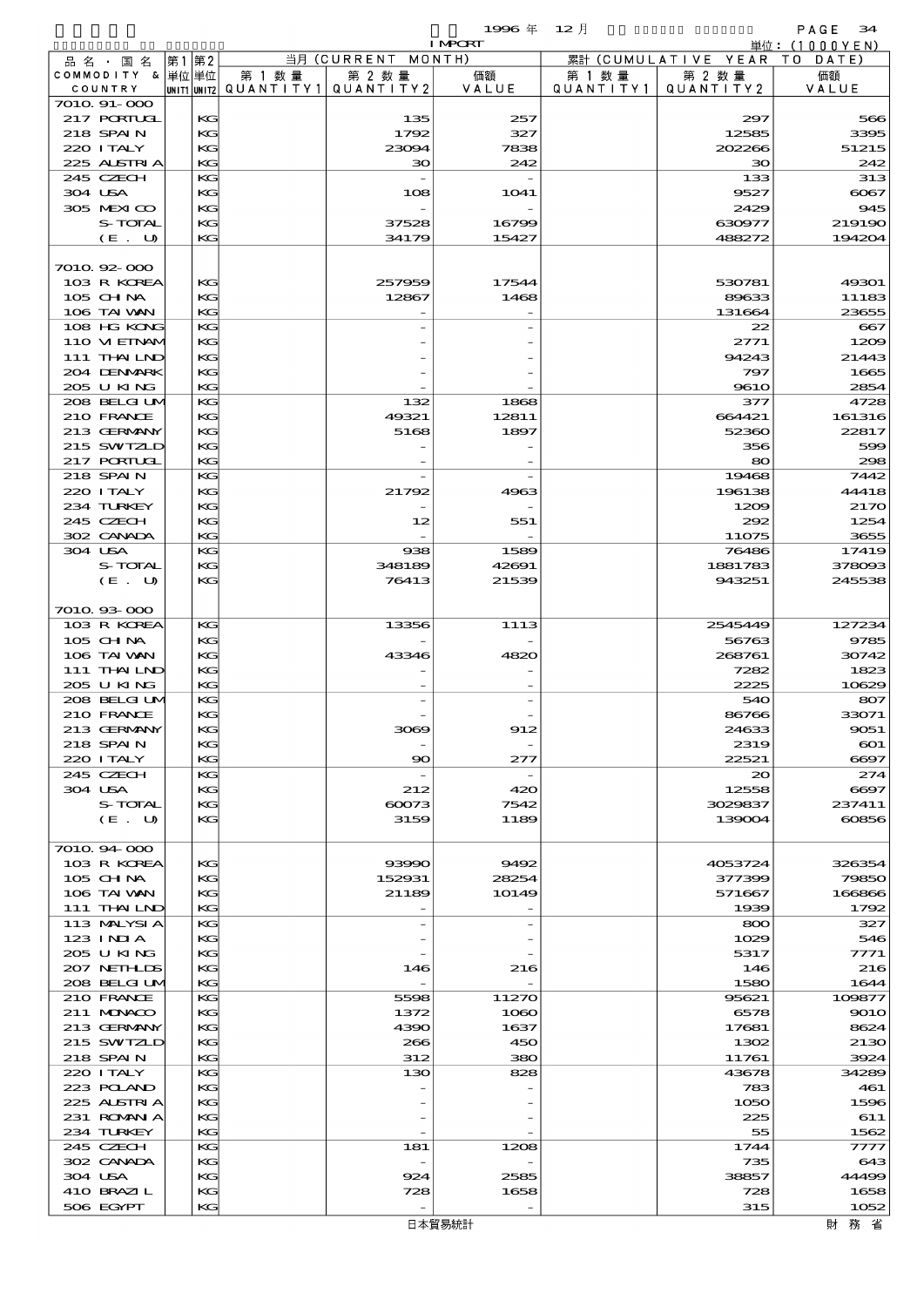$1996 \nless 12 \nless 12$ 

|                             |          |                                                  |                                      | <b>I MPORT</b> |                      |                              | 単位: (1000YEN)   |
|-----------------------------|----------|--------------------------------------------------|--------------------------------------|----------------|----------------------|------------------------------|-----------------|
| 品名・国名                       | 第1第2     |                                                  | 当月 (CURRENT MONTH)                   |                |                      | 累計 (CUMULATIVE YEAR TO DATE) |                 |
| COMMODITY & 単位単位<br>COUNTRY |          | 第 1 数量<br> unit1 unit2  QUANT   TY1  QUANT   TY2 | 第 2 数量                               | 価額<br>VALUE    | 第 1 数 量<br>QUANTITY1 | 第 2 数量<br>QUANTITY 2         | 価額<br>VALUE     |
| 7010 91-000                 |          |                                                  |                                      |                |                      |                              |                 |
| 217 PORTUGL                 | KG       |                                                  | 135                                  | 257            |                      | 297                          | 566             |
| 218 SPAIN                   | KG       |                                                  | 1792                                 | 327            |                      | 12585                        | 3395            |
| 220 I TALY                  | KG       |                                                  | 23094                                | 7838           |                      | 202266                       | 51215           |
| 225 ALSTRIA                 | KG       |                                                  | $30^{\circ}$                         | 242            |                      | 30                           | 242             |
| 245 CZECH<br>304 USA        | KG<br>KG |                                                  | 108                                  | 1041           |                      | 133<br>9527                  | 313<br>$\cos$   |
| 305 MEXICO                  | KG       |                                                  |                                      |                |                      | 2429                         | 945             |
| S-TOTAL                     | KG       |                                                  | 37528                                | 16799          |                      | 630977                       | 219190          |
| (E. U)                      | KG       |                                                  | 34179                                | 15427          |                      | 488272                       | 194204          |
|                             |          |                                                  |                                      |                |                      |                              |                 |
| 7010.92-000                 |          |                                                  |                                      |                |                      |                              |                 |
| 103 R KOREA<br>$105$ CHNA   | KG<br>KG |                                                  | 257959<br>12867                      | 17544<br>1468  |                      | 530781<br>89633              | 49301<br>11183  |
| 106 TAI VAN                 | KG       |                                                  |                                      |                |                      | 131664                       | 23655           |
| 108 HG KONG                 | KG       |                                                  |                                      |                |                      | 22                           | 667             |
| 110 VIEINAM                 | KG       |                                                  |                                      |                |                      | 2771                         | 1209            |
| 111 THAILND                 | KG       |                                                  |                                      |                |                      | 94243                        | 21443           |
| 204 DENMARK                 | KG       |                                                  |                                      |                |                      | 797                          | 1665            |
| 205 U KING                  | KG       |                                                  |                                      |                |                      | <b>9610</b>                  | 2854            |
| 208 BELGILM<br>210 FRANCE   | KG<br>KG |                                                  | 132<br>49321                         | 1868<br>12811  |                      | 377                          | 4728<br>161316  |
| 213 GERMANY                 | KG       |                                                  | 5168                                 | 1897           |                      | 664421<br>52360              | 22817           |
| 215 SWIZLD                  | KG       |                                                  |                                      |                |                      | 356                          | 599             |
| 217 PORTUGL                 | KG       |                                                  |                                      |                |                      | 80                           | 298             |
| 218 SPAIN                   | KG       |                                                  |                                      |                |                      | 19468                        | 7442            |
| 220 I TALY                  | KG       |                                                  | 21792                                | 4963           |                      | 196138                       | 44418           |
| 234 TURKEY                  | KG       |                                                  |                                      |                |                      | 1209                         | 2170            |
| 245 CZECH                   | KG       |                                                  | 12                                   | 551            |                      | 292                          | 1254            |
| 302 CANADA<br>304 USA       | KG<br>KG |                                                  | 938                                  | 1589           |                      | 11075<br>76486               | 3655<br>17419   |
| S-TOTAL                     | KG       |                                                  | 348189                               | 42691          |                      | 1881783                      | 378093          |
| (E. U)                      | KG       |                                                  | 76413                                | 21539          |                      | 943251                       | 245538          |
|                             |          |                                                  |                                      |                |                      |                              |                 |
| 7010.93-000                 |          |                                                  |                                      |                |                      |                              |                 |
| 103 R KOREA                 | KG       |                                                  | 13356                                | 1113           |                      | 2545449                      | 127234          |
| $105$ CHNA                  | KG       |                                                  |                                      |                |                      | 56763                        | 9785            |
| 106 TAI VAN<br>111 THAILND  | KG<br>KG |                                                  | 43346                                | 4820           |                      | 268761<br>7282               | 30742<br>1823   |
| 205 U KING                  | KG       |                                                  |                                      |                |                      | 2225                         | 10629           |
| 208 BELGI UM                | KG       |                                                  |                                      |                |                      | 540                          | 807             |
| 210 FRANCE                  | KG       |                                                  |                                      |                |                      | 86766                        | 33071           |
| 213 GERMANY                 | KG       |                                                  | æ                                    | 912            |                      | 24633                        | 9051            |
| 218 SPAIN                   | KG       |                                                  |                                      |                |                      | 2319                         | $\bf{601}$      |
| 220 I TALY<br>245 CZECH     | KG       |                                                  | $\infty$<br>$\overline{\phantom{a}}$ | 277            |                      | 22521                        | 6697            |
| 304 USA                     | KG<br>KG |                                                  | 212                                  | 420            |                      | 20<br>12558                  | 274<br>6697     |
| S-TOTAL                     | KG       |                                                  | 60073                                | 7542           |                      | 3029837                      | 237411          |
| (E. U)                      | KG       |                                                  | 3159                                 | 1189           |                      | 139004                       | 60856           |
|                             |          |                                                  |                                      |                |                      |                              |                 |
| 7010.94.000                 |          |                                                  |                                      |                |                      |                              |                 |
| 103 R KOREA                 | KG       |                                                  | 93990<br>152931                      | 9492           |                      | 4053724                      | 326354          |
| 105 CH NA<br>106 TAI VAN    | KG<br>KG |                                                  | 21189                                | 28254<br>10149 |                      | 377399<br>571667             | 79850<br>166866 |
| 111 THAILND                 | KG       |                                                  |                                      |                |                      | 1939                         | 1792            |
| 113 MALYSIA                 | KG       |                                                  |                                      |                |                      | 800                          | 327             |
| 123 INIA                    | KG       |                                                  |                                      |                |                      | 1029                         | 546             |
| 205 U KING                  | KG       |                                                  |                                      |                |                      | 5317                         | 7771            |
| 207 NETHLIS                 | KG       |                                                  | 146                                  | 216            |                      | 146                          | 216             |
| 208 BELGI UM<br>210 FRANCE  | KG<br>KG |                                                  | 5598                                 | 11270          |                      | 1580<br>95621                | 1644<br>109877  |
| 211 MUNACO                  | KG       |                                                  | 1372                                 | 1080           |                      | 6578                         | 9010            |
| 213 GERMANY                 | KG       |                                                  | 4390                                 | 1637           |                      | 17681                        | 8624            |
| 215 SWIZLD                  | KG       |                                                  | 266                                  | 450            |                      | 1302                         | 2130            |
| 218 SPAIN                   | KG       |                                                  | 312                                  | 380            |                      | 11761                        | 3924            |
| 220 I TALY                  | KG       |                                                  | 130                                  | 828            |                      | 43678                        | 34289           |
| 223 POLAND                  | KG       |                                                  |                                      |                |                      | 783                          | 461             |
| 225 ALSTRIA<br>231 ROMAN A  | KG<br>KG |                                                  |                                      |                |                      | 1050<br>225                  | 1596<br>611     |
| 234 TURKEY                  | KG       |                                                  |                                      |                |                      | 55                           | 1562            |
| 245 CZECH                   | KG       |                                                  | 181                                  | 1208           |                      | 1744                         | 7777            |
| 302 CANADA                  | KG       |                                                  |                                      |                |                      | 735                          | 643             |
| 304 USA                     | KG       |                                                  | 924                                  | 2585           |                      | 38857                        | 44499           |
| 410 BRAZIL                  | KG       |                                                  | 728                                  | 1658           |                      | 728                          | 1658            |
| 506 EGYPT                   | KС       |                                                  |                                      |                |                      | 315                          | 1052            |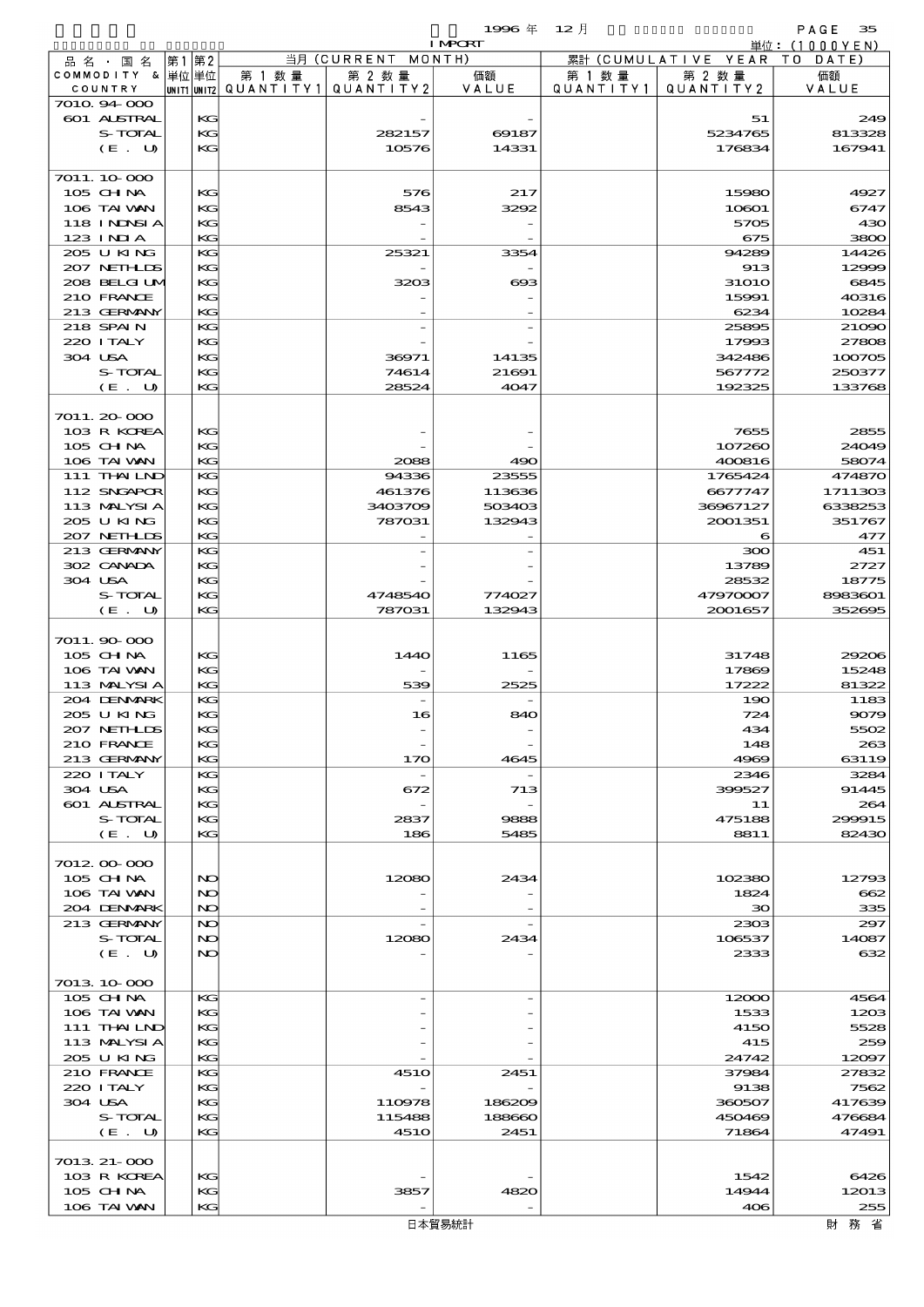|                            |    |          |                                       |                    | 1996年            | $12$ 月    |                               | PAGE<br>35        |
|----------------------------|----|----------|---------------------------------------|--------------------|------------------|-----------|-------------------------------|-------------------|
|                            |    |          |                                       | 当月 (CURRENT MONTH) | <b>I MPCRT</b>   |           |                               | 単位: $(1000YEN)$   |
| 品名・国名<br>COMMODITY & 単位 単位 | 第1 | 第2       | 第 1 数 量                               | 第 2 数量             | 価額               | 第 1 数 量   | 累計 (CUMULATIVE YEAR<br>第 2 数量 | T O<br>DATE<br>価額 |
| COUNTRY                    |    |          | unit1 unit2  Q∪ANT   TY1  Q∪ANT   TY2 |                    | VALUE            | QUANTITY1 | QUANTITY2                     | VALUE             |
| 7010.94.000                |    |          |                                       |                    |                  |           |                               |                   |
| <b>601 ALSTRAL</b>         |    | KG       |                                       |                    |                  |           | 51                            | 249               |
| S-TOTAL<br>(E. U)          |    | KG<br>KG |                                       | 282157<br>10576    | 69187<br>14331   |           | 5234765<br>176834             | 813328<br>167941  |
|                            |    |          |                                       |                    |                  |           |                               |                   |
| 7011.10-000                |    |          |                                       |                    |                  |           |                               |                   |
| 105 CH NA                  |    | KG       |                                       | 576                | 217              |           | 15980                         | 4927              |
| 106 TAI WAN                |    | KG       |                                       | 8543               | 3292             |           | 10601                         | 6747              |
| 118 INNSI A<br>$123$ INIA  |    | КG<br>KG |                                       |                    |                  |           | 5705<br>675                   | 430<br>3800       |
| 205 U KING                 |    | KG       |                                       | 25321              | 3354             |           | 94289                         | 14426             |
| 207 NETHLIS                |    | KG       |                                       |                    |                  |           | 913                           | 12999             |
| 208 BELGI UM               |    | KG       |                                       | 3203               | $\bf{60}$        |           | <b>31010</b>                  | 6845              |
| 210 FRANCE                 |    | КG       |                                       |                    |                  |           | 15991                         | 40316             |
| 213 GERMANY<br>218 SPAIN   |    | KG<br>KG |                                       |                    |                  |           | 6234<br>25895                 | 10284             |
| 220 I TALY                 |    | KG       |                                       |                    |                  |           | 17993                         | 21090<br>27808    |
| 304 USA                    |    | KG       |                                       | 36971              | 14135            |           | 342486                        | 100705            |
| <b>S-TOTAL</b>             |    | КG       |                                       | 74614              | 21691            |           | 567772                        | 250377            |
| (E. U)                     |    | KG       |                                       | 28524              | 4047             |           | 192325                        | 133768            |
|                            |    |          |                                       |                    |                  |           |                               |                   |
| 7011.20.000<br>103 R KOREA |    | KG       |                                       |                    |                  |           | 7655                          | 2855              |
| $105$ CHNA                 |    | КG       |                                       |                    |                  |           | 107260                        | 24049             |
| 106 TAI WAN                |    | KG       |                                       | 2088               | 490              |           | 400816                        | 58074             |
| 111 THAILND                |    | KG       |                                       | 94336              | 23555            |           | 1765424                       | 474870            |
| 112 SNGAPOR                |    | КG       |                                       | 461376             | 113636           |           | 6677747                       | 1711303           |
| 113 MALYSIA                |    | KG       |                                       | 3403709            | 503403           |           | 36967127                      | 6338253           |
| 205 U KING<br>207 NETHLIS  |    | КG<br>KG |                                       | 787031             | 132943           |           | 2001351<br>6                  | 351767<br>477     |
| 213 GERMANY                |    | KG       |                                       |                    |                  |           | 300                           | 451               |
| 302 CANADA                 |    | КG       |                                       |                    |                  |           | 13789                         | 2727              |
| 304 USA                    |    | KG       |                                       |                    |                  |           | 28532                         | 18775             |
| S-TOTAL                    |    | КG       |                                       | 4748540            | 774027           |           | 47970007                      | 8983601           |
| (E. U)                     |    | KG       |                                       | 787031             | 132943           |           | 2001657                       | 352695            |
| 7011.90-000                |    |          |                                       |                    |                  |           |                               |                   |
| 105 CH NA                  |    | KG       |                                       | 1440               | 1165             |           | 31748                         | 29206             |
| 106 TAI VAN                |    | KG       |                                       |                    |                  |           | 17869                         | 15248             |
| 113 MALYSIA                |    | KG       |                                       | 539                | 2525             |           | 17222                         | 81322             |
| 204 DENMARK                |    | KG       |                                       |                    |                  |           | 190                           | 1183              |
| 205 U KING<br>207 NETHLIDS |    | KG<br>KG |                                       | 16                 | 84C              |           | 724<br>434                    | 9079<br>5502      |
| 210 FRANCE                 |    | KG       |                                       |                    |                  |           | 148                           | 263               |
| 213 GERMANY                |    | KG       |                                       | 170                | 4645             |           | 4969                          | 63119             |
| 220 I TALY                 |    | KG       |                                       |                    |                  |           | 2346                          | 3284              |
| 304 USA                    |    | KG       |                                       | 672                | 713              |           | 399527                        | 91445             |
| 601 ALSTRAL<br>S-TOTAL     |    | KG<br>KС |                                       | 2837               | 9888             |           | 11<br>475188                  | 264<br>299915     |
| (E. U)                     |    | KG       |                                       | 186                | 5485             |           | 8811                          | 82430             |
|                            |    |          |                                       |                    |                  |           |                               |                   |
| 7012.00-000                |    |          |                                       |                    |                  |           |                               |                   |
| 105 CH NA                  |    | NO       |                                       | 12080              | 2434             |           | 102380                        | 12793             |
| 106 TAI VAN                |    | NO       |                                       |                    |                  |           | 1824                          | 662               |
| 204 DENMARK<br>213 GERMANY |    | NO<br>NO |                                       |                    |                  |           | $30^{\circ}$<br>2303          | 335<br>297        |
| S-TOTAL                    |    | NO       |                                       | 12080              | 2434             |           | 106537                        | 14087             |
| (E. U)                     |    | NO       |                                       |                    |                  |           | 2333                          | 632               |
|                            |    |          |                                       |                    |                  |           |                               |                   |
| 7013 10 000                |    |          |                                       |                    |                  |           |                               |                   |
| 105 CHNA<br>106 TAI VAN    |    | KG<br>KG |                                       |                    |                  |           | 12000<br>1533                 | 4564<br>120B      |
| 111 THAILND                |    | KG       |                                       |                    |                  |           | 4150                          | 5528              |
| 113 MALYSIA                |    | KС       |                                       |                    |                  |           | 415                           | 259               |
| 205 U KING                 |    | KG       |                                       |                    |                  |           | 24742                         | 12097             |
| 210 FRANCE                 |    | KG       |                                       | 451O               | 2451             |           | 37984                         | 27832             |
| 220 I TALY                 |    | КG       |                                       |                    |                  |           | 9138                          | 7562              |
| 304 USA<br>S-TOTAL         |    | KG<br>KG |                                       | 110978<br>115488   | 186209<br>188660 |           | 360507<br>450469              | 417639<br>476684  |
| (E. U)                     |    | KG       |                                       | <b>4510</b>        | 2451             |           | 71864                         | 47491             |
|                            |    |          |                                       |                    |                  |           |                               |                   |
| 7013 21-000                |    |          |                                       |                    |                  |           |                               |                   |
| 103 R KOREA                |    | KG       |                                       |                    |                  |           | 1542                          | 6426              |
| $105$ CHNA<br>106 TAI VAN  |    | KG<br>KG |                                       | 3857               | 4820             |           | 14944<br>406                  | 12013<br>255      |
|                            |    |          |                                       |                    |                  |           |                               |                   |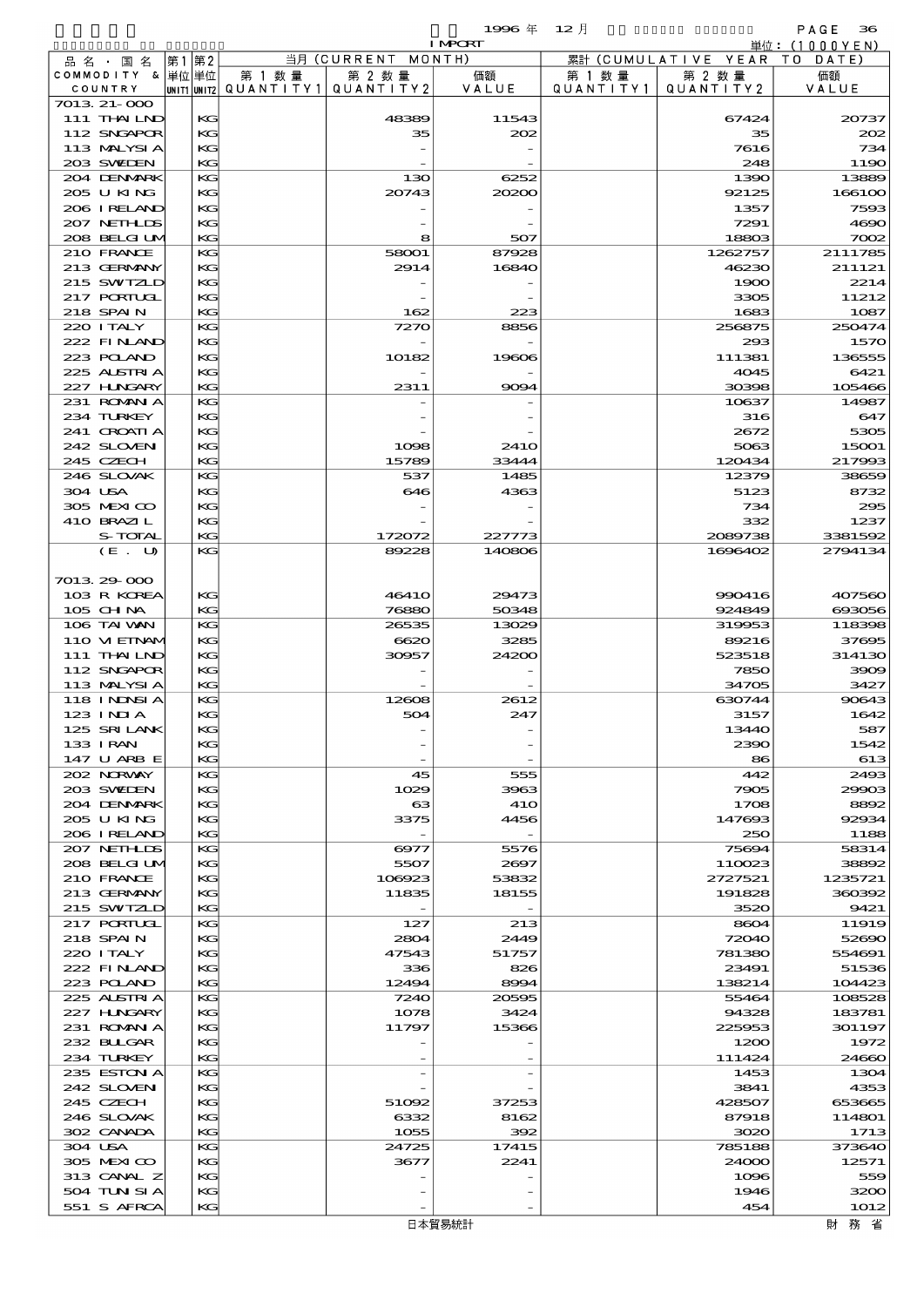$1996 \nexists$   $\uparrow$   $12 \nexists$ 

|         |                                 |    |          |                                       |                 | <b>I MPORT</b> |           |                              | 単位: (1000YEN)   |
|---------|---------------------------------|----|----------|---------------------------------------|-----------------|----------------|-----------|------------------------------|-----------------|
|         | 品 名 ・ 国 名                       | 第1 | 第2       |                                       | 当月(CURRENT      | MONTH)         |           | 累計 (CUMULATIVE YEAR TO DATE) |                 |
|         | COMMODITY & 単位単位                |    |          | 第 1 数量                                | 第 2 数量          | 価額             | 第 1 数 量   | 第 2 数量                       | 価額              |
|         | COUNTRY<br>7013 21-000          |    |          | unit1 unit2  QUANT   TY1  QUANT   TY2 |                 | VALUE          | QUANTITY1 | QUANTITY 2                   | VALUE           |
|         | 111 THAILND                     |    | КG       |                                       | 48389           | 11543          |           | 67424                        | 20737           |
|         | 112 SNGAPOR                     |    | KG       |                                       | 35              | 202            |           | 35                           | 202             |
|         | 113 MALYSIA                     |    | KG       |                                       |                 |                |           | 7616                         | 734             |
|         | 203 SWIDEN                      |    | KG       |                                       |                 |                |           | 248                          | 1190            |
|         | 204 DENMARK                     |    | KG       |                                       | 130<br>20743    | 6252           |           | 1390                         | 13889<br>166100 |
|         | 205 U KING<br>206 IRELAND       |    | KG<br>KG |                                       |                 | 20200          |           | 92125<br>1357                | 7593            |
|         | 207 NETH LIS                    |    | KG       |                                       |                 |                |           | 7291                         | 4690            |
|         | 208 BELGI UM                    |    | KG       |                                       | 8               | 507            |           | 18803                        | 7002            |
|         | 210 FRANCE                      |    | KG       |                                       | 58001           | 87928          |           | 1262757                      | 2111785         |
|         | 213 GERMANY                     |    | KG       |                                       | 2914            | 16840          |           | 46230                        | 211121          |
|         | 215 SWIZLD                      |    | KG       |                                       |                 |                |           | 1900                         | 2214            |
|         | <b>217 PORIUGL</b><br>218 SPAIN |    | KG<br>KG |                                       | 162             | 223            |           | 3305<br>1683                 | 11212<br>1087   |
|         | 220 I TALY                      |    | KG       |                                       | 7270            | 8856           |           | 256875                       | 250474          |
|         | 222 FINAND                      |    | KG       |                                       |                 |                |           | 293                          | 1570            |
|         | 223 POLAND                      |    | KG       |                                       | 10182           | 19606          |           | 111381                       | 136555          |
|         | 225 ALSTRIA                     |    | KG       |                                       |                 |                |           | 4045                         | 6421            |
|         | 227 H.NGARY                     |    | KG       |                                       | 2311            | 9094           |           | 30398                        | 105466          |
|         | 231 ROMAN A<br>234 TURKEY       |    | KG<br>KG |                                       |                 |                |           | 10637<br>316                 | 14987<br>647    |
|         | 241 CROATIA                     |    | KG       |                                       |                 |                |           | 2672                         | 5305            |
|         | 242 SLOVEN                      |    | KG       |                                       | 1098            | <b>2410</b>    |           | 5063                         | 15001           |
|         | 245 CZECH                       |    | KG       |                                       | 15789           | 33444          |           | 120434                       | 217993          |
|         | 246 SLOVAK                      |    | KG       |                                       | 537             | 1485           |           | 12379                        | 38659           |
| 304 USA |                                 |    | KG       |                                       | 646             | 4363           |           | 5123                         | 8732            |
|         | 305 MEXICO                      |    | KG       |                                       |                 |                |           | 734                          | 295             |
|         | 410 BRAZIL<br>S-TOTAL           |    | KG<br>KG |                                       | 172072          | 227773         |           | 332<br>2089738               | 1237<br>3381592 |
|         | (E. U)                          |    | KG       |                                       | 89228           | 140806         |           | 1696402                      | 2794134         |
|         |                                 |    |          |                                       |                 |                |           |                              |                 |
|         | 7013 29 000                     |    |          |                                       |                 |                |           |                              |                 |
|         | 103 R KOREA                     |    | KG       |                                       | <b>46410</b>    | 29473          |           | 990416                       | 407560          |
|         | 105 CHNA                        |    | KG       |                                       | 76880           | 50348          |           | 924849                       | 693056          |
|         | 106 TAI VAN<br>110 VIEINAM      |    | KG<br>KG |                                       | 26535<br>6620   | 13029<br>3285  |           | 319953<br>89216              | 118398<br>37695 |
|         | 111 THAILND                     |    | KG       |                                       | 30957           | 24200          |           | 523518                       | 314130          |
|         | 112 SNGAPOR                     |    | KG       |                                       |                 |                |           | 7850                         | 3909            |
|         | 113 MALYSIA                     |    | KG       |                                       |                 |                |           | 34705                        | 3427            |
|         | 118 I NJNSI A                   |    | KG       |                                       | 12608           | 2612           |           | 630744                       | 90643           |
|         | 123 INIA                        |    | KG       |                                       | 504             | 247            |           | 3157                         | 1642            |
|         | 125 SRILANK<br>133 I RAN        |    | KG<br>KG |                                       |                 |                |           | 13440<br>2390                | 587<br>1542     |
|         | 147 U ARB E                     |    | KG       |                                       |                 |                |           | 86                           | 613             |
|         | 202 NORWAY                      |    | KG       |                                       | 45              | 555            |           | 442                          | 2493            |
|         | 203 SWIDEN                      |    | KG       |                                       | 1029            | 3963           |           | 7905                         | 29903           |
|         | 204 DENMARK                     |    | KG       |                                       | $_{\rm \alpha}$ | <b>41O</b>     |           | 1708                         | 8892            |
|         | 205 U KING                      |    | KG       |                                       | 3375            | 4456           |           | 147693                       | 92934           |
|         | 206 IRELAND<br>207 NETHLIS      |    | KG<br>KG |                                       | 6977            | 5576           |           | 250<br>75694                 | 1188<br>58314   |
|         | 208 BELGI UM                    |    | KG       |                                       | 5507            | 2697           |           | 110023                       | 38892           |
|         | 210 FRANCE                      |    | KG       |                                       | 106923          | 53832          |           | 2727521                      | 1235721         |
|         | 213 GERMANY                     |    | KG       |                                       | 11835           | 18155          |           | 191828                       | 360392          |
|         | 215 SWIZLD                      |    | KG       |                                       |                 |                |           | 3520                         | 9421            |
|         | 217 PORTUGL                     |    | KG       |                                       | 127             | 213            |           | 8604                         | 11919           |
|         | 218 SPAIN<br>220 I TALY         |    | KG<br>KG |                                       | 2804<br>47543   | 2449<br>51757  |           | 72040<br>781380              | 52690<br>554691 |
|         | 222 FINAND                      |    | KG       |                                       | 336             | 826            |           | 23491                        | 51536           |
|         | 223 POLAND                      |    | KG       |                                       | 12494           | 8994           |           | 138214                       | 104423          |
|         | 225 ALSTRIA                     |    | KG       |                                       | 7240            | 20595          |           | 55464                        | 108528          |
|         | 227 HNGARY                      |    | KG       |                                       | 1078            | 3424           |           | 94328                        | 183781          |
|         | 231 ROMANIA                     |    | KG       |                                       | 11797           | 15366          |           | 225953                       | 301197          |
|         | 232 BULGAR                      |    | KG       |                                       |                 |                |           | 1200                         | 1972            |
|         | 234 TURKEY<br>235 ESTON A       |    | KG<br>KG |                                       |                 |                |           | 111424<br>1453               | 24660<br>1304   |
|         | 242 SLOVEN                      |    | KG       |                                       |                 |                |           | 3841                         | 4353            |
|         | 245 CZECH                       |    | KG       |                                       | 51092           | 37253          |           | 428507                       | 653665          |
|         | 246 SLOVAK                      |    | KG       |                                       | 6332            | 8162           |           | 87918                        | 114801          |
|         | 302 CANADA                      |    | KG       |                                       | 1055            | 392            |           | 3020                         | 1713            |
| 304 USA |                                 |    | KG       |                                       | 24725           | 17415          |           | 785188                       | 373640          |
|         | 305 MEXICO<br>313 CANAL Z       |    | KG       |                                       | 3677            | 2241           |           | 24000                        | 12571           |
|         | 504 TUN SI A                    |    | KG<br>KG |                                       |                 |                |           | 1096<br>1946                 | 559<br>3200     |
|         | 551 S AFRCA                     |    | KG       |                                       |                 |                |           | 454                          | 1012            |
|         |                                 |    |          |                                       |                 |                |           |                              |                 |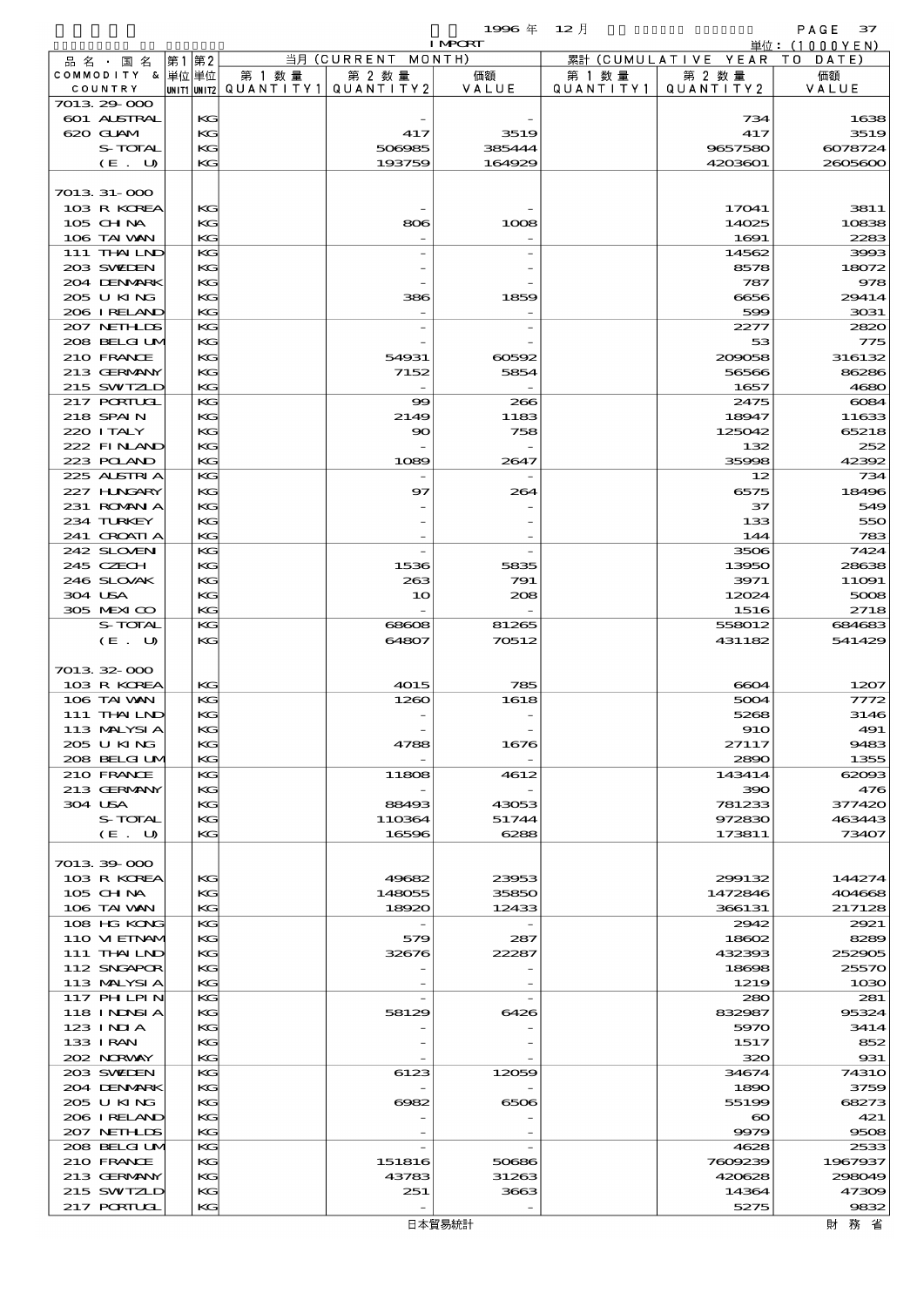- 1999年 12月 - PAGE 37<br>エコトランス - 国立:(1000YEN)<br>- 単位:(1000YEN) I MPORT

| COMMODITY & 単位単位<br>第 1 数量<br>第 2 数量<br>価額<br>第 1 数 量<br>第 2 数量<br>価額<br>UNIT1 UNIT2 QUANTITY1 QUANTITY2<br>COUNTRY<br>VALUE<br>QUANTITY1<br>QUANTITY 2<br>VALUE<br>7013 29 000<br>601 ALSTRAL<br>KG<br>734<br>1638<br>620 GUAM<br>417<br>KС<br>417<br>3519<br>S-TOTAL<br>KG<br>506985<br>385444<br>9657580<br>KG<br>4203601<br>(E. U)<br>193759<br>164929<br>7013 31-000<br>103 R KOREA<br>3811<br>КG<br>17041<br>105 CH NA<br>KG<br>806<br>1008<br>14025<br>10838<br>106 TAI VAN<br>KG<br>2283<br>1691<br>KG<br>111 THAILND<br>14562<br>3993<br>203 SWIEN<br>KG<br>8578<br>18072<br>204 DENMARK<br>KС<br>787<br>205 U KING<br>KG<br>386<br>1859<br>6656<br>206 IRELAND<br>KG<br>3031<br>599<br>KG<br>207 NETHLIS<br>2277<br>208 BELGI UM<br>KG<br>53<br>210 FRANCE<br>60592<br>209058<br>316132<br>KС<br>54931<br>213 GERMANY<br>KG<br>56566<br>7152<br>5854<br>86286<br>215 SWIZLD<br>KG<br>1657<br>4680<br>KG<br>217 PORIUGL<br>$\infty$<br>266<br>2475<br>6084<br>218 SPAIN<br>KG<br>2149<br>18947<br>11633<br>1183<br>220 I TALY<br>125042<br>KС<br>$\mathbf{S}$<br>758<br>222 FINAND<br>KG<br>132<br>KG<br>223 POLAND<br>35998<br>1089<br>2647<br>KG<br>225 ALSTRIA<br>12<br>227 HJXGARY<br>KG<br>97<br>264<br>6575<br>231 ROMAN A<br>KС<br>37<br>234 TURKEY<br>KG<br>133<br>KG<br>241 CROATIA<br>783<br>144<br>242 SLOVEN<br>KG<br>3506<br>7424<br>245 CZECH<br>KG<br>1536<br>5835<br>28638<br>13950<br>246 SLOVAK<br>791<br>3971<br>11091<br>KС<br>263<br>304 USA<br>KG<br>10<br>208<br>12024<br>5008<br>305 MEXICO<br>KG<br>1516<br>KG<br>S-TOTAL<br>68608<br>81265<br>558012<br>(E. U)<br>KG<br>64807<br>70512<br>431182<br>7013 32 000<br>103 R KOREA<br>KG<br>4015<br>785<br>1207<br>6604<br>106 TAI VAN<br>KG<br>1260<br>1618<br>5004<br>7772<br>111 THAILND<br>5268<br>3146<br>KС<br>113 MALYSIA<br>KG<br>491<br>910<br>205 U KING<br>KG<br>27117<br>9483<br>1676<br>4788<br>KG<br>208 BELGI UM<br>2890<br>210 FRANCE<br>KG<br>11808<br>4612<br>143414<br>213 GERMANY<br>KG<br>390<br>304 USA<br>KС<br>88493<br>43053<br>781233<br>S-TOTAL<br>KG<br>51744<br>972830<br>463443<br>110364<br>KG<br>(E. U)<br>16596<br>6288<br>173811<br>73407<br>7013 39 000<br>103 R KOREA<br>КG<br>49682<br>23953<br>299132<br>144274<br>$105$ CHNA<br>KG<br>148055<br>35850<br>1472846<br>KG<br>106 TAI VAN<br>366131<br>18920<br>12433<br>108 HG KONG<br>KG<br>2942<br>2921<br>110 VI EINAM<br>18602<br>KС<br>579<br>287<br>111 THAILND<br>KС<br>32676<br>22287<br>432393<br>112 SNGAPOR<br>KG<br>18698<br>113 MALYSIA<br>KG<br>1219<br>1030<br>117 PHLPIN<br>KG<br>281<br>280<br>118 I NDSI A<br>6426<br>832987<br>95324<br>KG<br>58129<br>123 INIA<br>KG<br>3414<br>5970<br>133 I RAN<br>KG<br>1517<br>852<br>KG<br>202 NORVAY<br>931<br>320<br>203 SWIDEN<br>KG<br>6123<br>12059<br>34674<br>204 DENMARK<br>KС<br>1890<br>205 U KING<br>KG<br>55199<br>6982<br>6506<br>206 IRELAND<br>KG<br>$\boldsymbol{\infty}$<br>421<br>207 NETHLIS<br>KG<br>9979<br>208 BELGI UM<br>KG<br>4628<br>210 FRANCE<br>KG<br>7609239<br>151816<br>50686<br>1967937<br>213 GERMANY<br>KG<br>43783<br>31263<br>420628<br>298049<br>KG<br>215 SWIZLD<br>251<br>3663<br>14364<br>47309<br>KG<br>217 PORTUGL<br>5275<br>日本貿易統計<br>財<br>務 省 | 品名・国名 | 第1 | 第2 | 当月 (CURRENT MONTH) |  | 累計 (CUMULATIVE YEAR TO DATE) | .            |
|-------------------------------------------------------------------------------------------------------------------------------------------------------------------------------------------------------------------------------------------------------------------------------------------------------------------------------------------------------------------------------------------------------------------------------------------------------------------------------------------------------------------------------------------------------------------------------------------------------------------------------------------------------------------------------------------------------------------------------------------------------------------------------------------------------------------------------------------------------------------------------------------------------------------------------------------------------------------------------------------------------------------------------------------------------------------------------------------------------------------------------------------------------------------------------------------------------------------------------------------------------------------------------------------------------------------------------------------------------------------------------------------------------------------------------------------------------------------------------------------------------------------------------------------------------------------------------------------------------------------------------------------------------------------------------------------------------------------------------------------------------------------------------------------------------------------------------------------------------------------------------------------------------------------------------------------------------------------------------------------------------------------------------------------------------------------------------------------------------------------------------------------------------------------------------------------------------------------------------------------------------------------------------------------------------------------------------------------------------------------------------------------------------------------------------------------------------------------------------------------------------------------------------------------------------------------------------------------------------------------------------------------------------------------------------------------------------------------------------------------------------------------------------------------------------------------------------------------------------------------------------------------------------------------------------------------------------------------------------------------------------------------------------------------------------------------------------------------------------------------------------------------------------------------------------------------------------------------------|-------|----|----|--------------------|--|------------------------------|--------------|
|                                                                                                                                                                                                                                                                                                                                                                                                                                                                                                                                                                                                                                                                                                                                                                                                                                                                                                                                                                                                                                                                                                                                                                                                                                                                                                                                                                                                                                                                                                                                                                                                                                                                                                                                                                                                                                                                                                                                                                                                                                                                                                                                                                                                                                                                                                                                                                                                                                                                                                                                                                                                                                                                                                                                                                                                                                                                                                                                                                                                                                                                                                                                                                                                                         |       |    |    |                    |  |                              |              |
|                                                                                                                                                                                                                                                                                                                                                                                                                                                                                                                                                                                                                                                                                                                                                                                                                                                                                                                                                                                                                                                                                                                                                                                                                                                                                                                                                                                                                                                                                                                                                                                                                                                                                                                                                                                                                                                                                                                                                                                                                                                                                                                                                                                                                                                                                                                                                                                                                                                                                                                                                                                                                                                                                                                                                                                                                                                                                                                                                                                                                                                                                                                                                                                                                         |       |    |    |                    |  |                              |              |
|                                                                                                                                                                                                                                                                                                                                                                                                                                                                                                                                                                                                                                                                                                                                                                                                                                                                                                                                                                                                                                                                                                                                                                                                                                                                                                                                                                                                                                                                                                                                                                                                                                                                                                                                                                                                                                                                                                                                                                                                                                                                                                                                                                                                                                                                                                                                                                                                                                                                                                                                                                                                                                                                                                                                                                                                                                                                                                                                                                                                                                                                                                                                                                                                                         |       |    |    |                    |  |                              |              |
|                                                                                                                                                                                                                                                                                                                                                                                                                                                                                                                                                                                                                                                                                                                                                                                                                                                                                                                                                                                                                                                                                                                                                                                                                                                                                                                                                                                                                                                                                                                                                                                                                                                                                                                                                                                                                                                                                                                                                                                                                                                                                                                                                                                                                                                                                                                                                                                                                                                                                                                                                                                                                                                                                                                                                                                                                                                                                                                                                                                                                                                                                                                                                                                                                         |       |    |    |                    |  |                              | 3519         |
|                                                                                                                                                                                                                                                                                                                                                                                                                                                                                                                                                                                                                                                                                                                                                                                                                                                                                                                                                                                                                                                                                                                                                                                                                                                                                                                                                                                                                                                                                                                                                                                                                                                                                                                                                                                                                                                                                                                                                                                                                                                                                                                                                                                                                                                                                                                                                                                                                                                                                                                                                                                                                                                                                                                                                                                                                                                                                                                                                                                                                                                                                                                                                                                                                         |       |    |    |                    |  |                              | 6078724      |
|                                                                                                                                                                                                                                                                                                                                                                                                                                                                                                                                                                                                                                                                                                                                                                                                                                                                                                                                                                                                                                                                                                                                                                                                                                                                                                                                                                                                                                                                                                                                                                                                                                                                                                                                                                                                                                                                                                                                                                                                                                                                                                                                                                                                                                                                                                                                                                                                                                                                                                                                                                                                                                                                                                                                                                                                                                                                                                                                                                                                                                                                                                                                                                                                                         |       |    |    |                    |  |                              | 2605600      |
|                                                                                                                                                                                                                                                                                                                                                                                                                                                                                                                                                                                                                                                                                                                                                                                                                                                                                                                                                                                                                                                                                                                                                                                                                                                                                                                                                                                                                                                                                                                                                                                                                                                                                                                                                                                                                                                                                                                                                                                                                                                                                                                                                                                                                                                                                                                                                                                                                                                                                                                                                                                                                                                                                                                                                                                                                                                                                                                                                                                                                                                                                                                                                                                                                         |       |    |    |                    |  |                              |              |
|                                                                                                                                                                                                                                                                                                                                                                                                                                                                                                                                                                                                                                                                                                                                                                                                                                                                                                                                                                                                                                                                                                                                                                                                                                                                                                                                                                                                                                                                                                                                                                                                                                                                                                                                                                                                                                                                                                                                                                                                                                                                                                                                                                                                                                                                                                                                                                                                                                                                                                                                                                                                                                                                                                                                                                                                                                                                                                                                                                                                                                                                                                                                                                                                                         |       |    |    |                    |  |                              |              |
|                                                                                                                                                                                                                                                                                                                                                                                                                                                                                                                                                                                                                                                                                                                                                                                                                                                                                                                                                                                                                                                                                                                                                                                                                                                                                                                                                                                                                                                                                                                                                                                                                                                                                                                                                                                                                                                                                                                                                                                                                                                                                                                                                                                                                                                                                                                                                                                                                                                                                                                                                                                                                                                                                                                                                                                                                                                                                                                                                                                                                                                                                                                                                                                                                         |       |    |    |                    |  |                              |              |
|                                                                                                                                                                                                                                                                                                                                                                                                                                                                                                                                                                                                                                                                                                                                                                                                                                                                                                                                                                                                                                                                                                                                                                                                                                                                                                                                                                                                                                                                                                                                                                                                                                                                                                                                                                                                                                                                                                                                                                                                                                                                                                                                                                                                                                                                                                                                                                                                                                                                                                                                                                                                                                                                                                                                                                                                                                                                                                                                                                                                                                                                                                                                                                                                                         |       |    |    |                    |  |                              |              |
|                                                                                                                                                                                                                                                                                                                                                                                                                                                                                                                                                                                                                                                                                                                                                                                                                                                                                                                                                                                                                                                                                                                                                                                                                                                                                                                                                                                                                                                                                                                                                                                                                                                                                                                                                                                                                                                                                                                                                                                                                                                                                                                                                                                                                                                                                                                                                                                                                                                                                                                                                                                                                                                                                                                                                                                                                                                                                                                                                                                                                                                                                                                                                                                                                         |       |    |    |                    |  |                              |              |
|                                                                                                                                                                                                                                                                                                                                                                                                                                                                                                                                                                                                                                                                                                                                                                                                                                                                                                                                                                                                                                                                                                                                                                                                                                                                                                                                                                                                                                                                                                                                                                                                                                                                                                                                                                                                                                                                                                                                                                                                                                                                                                                                                                                                                                                                                                                                                                                                                                                                                                                                                                                                                                                                                                                                                                                                                                                                                                                                                                                                                                                                                                                                                                                                                         |       |    |    |                    |  |                              |              |
|                                                                                                                                                                                                                                                                                                                                                                                                                                                                                                                                                                                                                                                                                                                                                                                                                                                                                                                                                                                                                                                                                                                                                                                                                                                                                                                                                                                                                                                                                                                                                                                                                                                                                                                                                                                                                                                                                                                                                                                                                                                                                                                                                                                                                                                                                                                                                                                                                                                                                                                                                                                                                                                                                                                                                                                                                                                                                                                                                                                                                                                                                                                                                                                                                         |       |    |    |                    |  |                              | 978          |
|                                                                                                                                                                                                                                                                                                                                                                                                                                                                                                                                                                                                                                                                                                                                                                                                                                                                                                                                                                                                                                                                                                                                                                                                                                                                                                                                                                                                                                                                                                                                                                                                                                                                                                                                                                                                                                                                                                                                                                                                                                                                                                                                                                                                                                                                                                                                                                                                                                                                                                                                                                                                                                                                                                                                                                                                                                                                                                                                                                                                                                                                                                                                                                                                                         |       |    |    |                    |  |                              | 29414        |
|                                                                                                                                                                                                                                                                                                                                                                                                                                                                                                                                                                                                                                                                                                                                                                                                                                                                                                                                                                                                                                                                                                                                                                                                                                                                                                                                                                                                                                                                                                                                                                                                                                                                                                                                                                                                                                                                                                                                                                                                                                                                                                                                                                                                                                                                                                                                                                                                                                                                                                                                                                                                                                                                                                                                                                                                                                                                                                                                                                                                                                                                                                                                                                                                                         |       |    |    |                    |  |                              |              |
|                                                                                                                                                                                                                                                                                                                                                                                                                                                                                                                                                                                                                                                                                                                                                                                                                                                                                                                                                                                                                                                                                                                                                                                                                                                                                                                                                                                                                                                                                                                                                                                                                                                                                                                                                                                                                                                                                                                                                                                                                                                                                                                                                                                                                                                                                                                                                                                                                                                                                                                                                                                                                                                                                                                                                                                                                                                                                                                                                                                                                                                                                                                                                                                                                         |       |    |    |                    |  |                              | 2820         |
|                                                                                                                                                                                                                                                                                                                                                                                                                                                                                                                                                                                                                                                                                                                                                                                                                                                                                                                                                                                                                                                                                                                                                                                                                                                                                                                                                                                                                                                                                                                                                                                                                                                                                                                                                                                                                                                                                                                                                                                                                                                                                                                                                                                                                                                                                                                                                                                                                                                                                                                                                                                                                                                                                                                                                                                                                                                                                                                                                                                                                                                                                                                                                                                                                         |       |    |    |                    |  |                              | 775          |
|                                                                                                                                                                                                                                                                                                                                                                                                                                                                                                                                                                                                                                                                                                                                                                                                                                                                                                                                                                                                                                                                                                                                                                                                                                                                                                                                                                                                                                                                                                                                                                                                                                                                                                                                                                                                                                                                                                                                                                                                                                                                                                                                                                                                                                                                                                                                                                                                                                                                                                                                                                                                                                                                                                                                                                                                                                                                                                                                                                                                                                                                                                                                                                                                                         |       |    |    |                    |  |                              |              |
|                                                                                                                                                                                                                                                                                                                                                                                                                                                                                                                                                                                                                                                                                                                                                                                                                                                                                                                                                                                                                                                                                                                                                                                                                                                                                                                                                                                                                                                                                                                                                                                                                                                                                                                                                                                                                                                                                                                                                                                                                                                                                                                                                                                                                                                                                                                                                                                                                                                                                                                                                                                                                                                                                                                                                                                                                                                                                                                                                                                                                                                                                                                                                                                                                         |       |    |    |                    |  |                              |              |
|                                                                                                                                                                                                                                                                                                                                                                                                                                                                                                                                                                                                                                                                                                                                                                                                                                                                                                                                                                                                                                                                                                                                                                                                                                                                                                                                                                                                                                                                                                                                                                                                                                                                                                                                                                                                                                                                                                                                                                                                                                                                                                                                                                                                                                                                                                                                                                                                                                                                                                                                                                                                                                                                                                                                                                                                                                                                                                                                                                                                                                                                                                                                                                                                                         |       |    |    |                    |  |                              |              |
|                                                                                                                                                                                                                                                                                                                                                                                                                                                                                                                                                                                                                                                                                                                                                                                                                                                                                                                                                                                                                                                                                                                                                                                                                                                                                                                                                                                                                                                                                                                                                                                                                                                                                                                                                                                                                                                                                                                                                                                                                                                                                                                                                                                                                                                                                                                                                                                                                                                                                                                                                                                                                                                                                                                                                                                                                                                                                                                                                                                                                                                                                                                                                                                                                         |       |    |    |                    |  |                              |              |
|                                                                                                                                                                                                                                                                                                                                                                                                                                                                                                                                                                                                                                                                                                                                                                                                                                                                                                                                                                                                                                                                                                                                                                                                                                                                                                                                                                                                                                                                                                                                                                                                                                                                                                                                                                                                                                                                                                                                                                                                                                                                                                                                                                                                                                                                                                                                                                                                                                                                                                                                                                                                                                                                                                                                                                                                                                                                                                                                                                                                                                                                                                                                                                                                                         |       |    |    |                    |  |                              | 65218        |
|                                                                                                                                                                                                                                                                                                                                                                                                                                                                                                                                                                                                                                                                                                                                                                                                                                                                                                                                                                                                                                                                                                                                                                                                                                                                                                                                                                                                                                                                                                                                                                                                                                                                                                                                                                                                                                                                                                                                                                                                                                                                                                                                                                                                                                                                                                                                                                                                                                                                                                                                                                                                                                                                                                                                                                                                                                                                                                                                                                                                                                                                                                                                                                                                                         |       |    |    |                    |  |                              | 252          |
|                                                                                                                                                                                                                                                                                                                                                                                                                                                                                                                                                                                                                                                                                                                                                                                                                                                                                                                                                                                                                                                                                                                                                                                                                                                                                                                                                                                                                                                                                                                                                                                                                                                                                                                                                                                                                                                                                                                                                                                                                                                                                                                                                                                                                                                                                                                                                                                                                                                                                                                                                                                                                                                                                                                                                                                                                                                                                                                                                                                                                                                                                                                                                                                                                         |       |    |    |                    |  |                              | 42392        |
|                                                                                                                                                                                                                                                                                                                                                                                                                                                                                                                                                                                                                                                                                                                                                                                                                                                                                                                                                                                                                                                                                                                                                                                                                                                                                                                                                                                                                                                                                                                                                                                                                                                                                                                                                                                                                                                                                                                                                                                                                                                                                                                                                                                                                                                                                                                                                                                                                                                                                                                                                                                                                                                                                                                                                                                                                                                                                                                                                                                                                                                                                                                                                                                                                         |       |    |    |                    |  |                              | 734          |
|                                                                                                                                                                                                                                                                                                                                                                                                                                                                                                                                                                                                                                                                                                                                                                                                                                                                                                                                                                                                                                                                                                                                                                                                                                                                                                                                                                                                                                                                                                                                                                                                                                                                                                                                                                                                                                                                                                                                                                                                                                                                                                                                                                                                                                                                                                                                                                                                                                                                                                                                                                                                                                                                                                                                                                                                                                                                                                                                                                                                                                                                                                                                                                                                                         |       |    |    |                    |  |                              | 18496        |
|                                                                                                                                                                                                                                                                                                                                                                                                                                                                                                                                                                                                                                                                                                                                                                                                                                                                                                                                                                                                                                                                                                                                                                                                                                                                                                                                                                                                                                                                                                                                                                                                                                                                                                                                                                                                                                                                                                                                                                                                                                                                                                                                                                                                                                                                                                                                                                                                                                                                                                                                                                                                                                                                                                                                                                                                                                                                                                                                                                                                                                                                                                                                                                                                                         |       |    |    |                    |  |                              | 549          |
|                                                                                                                                                                                                                                                                                                                                                                                                                                                                                                                                                                                                                                                                                                                                                                                                                                                                                                                                                                                                                                                                                                                                                                                                                                                                                                                                                                                                                                                                                                                                                                                                                                                                                                                                                                                                                                                                                                                                                                                                                                                                                                                                                                                                                                                                                                                                                                                                                                                                                                                                                                                                                                                                                                                                                                                                                                                                                                                                                                                                                                                                                                                                                                                                                         |       |    |    |                    |  |                              | 550          |
|                                                                                                                                                                                                                                                                                                                                                                                                                                                                                                                                                                                                                                                                                                                                                                                                                                                                                                                                                                                                                                                                                                                                                                                                                                                                                                                                                                                                                                                                                                                                                                                                                                                                                                                                                                                                                                                                                                                                                                                                                                                                                                                                                                                                                                                                                                                                                                                                                                                                                                                                                                                                                                                                                                                                                                                                                                                                                                                                                                                                                                                                                                                                                                                                                         |       |    |    |                    |  |                              |              |
|                                                                                                                                                                                                                                                                                                                                                                                                                                                                                                                                                                                                                                                                                                                                                                                                                                                                                                                                                                                                                                                                                                                                                                                                                                                                                                                                                                                                                                                                                                                                                                                                                                                                                                                                                                                                                                                                                                                                                                                                                                                                                                                                                                                                                                                                                                                                                                                                                                                                                                                                                                                                                                                                                                                                                                                                                                                                                                                                                                                                                                                                                                                                                                                                                         |       |    |    |                    |  |                              |              |
|                                                                                                                                                                                                                                                                                                                                                                                                                                                                                                                                                                                                                                                                                                                                                                                                                                                                                                                                                                                                                                                                                                                                                                                                                                                                                                                                                                                                                                                                                                                                                                                                                                                                                                                                                                                                                                                                                                                                                                                                                                                                                                                                                                                                                                                                                                                                                                                                                                                                                                                                                                                                                                                                                                                                                                                                                                                                                                                                                                                                                                                                                                                                                                                                                         |       |    |    |                    |  |                              |              |
|                                                                                                                                                                                                                                                                                                                                                                                                                                                                                                                                                                                                                                                                                                                                                                                                                                                                                                                                                                                                                                                                                                                                                                                                                                                                                                                                                                                                                                                                                                                                                                                                                                                                                                                                                                                                                                                                                                                                                                                                                                                                                                                                                                                                                                                                                                                                                                                                                                                                                                                                                                                                                                                                                                                                                                                                                                                                                                                                                                                                                                                                                                                                                                                                                         |       |    |    |                    |  |                              |              |
|                                                                                                                                                                                                                                                                                                                                                                                                                                                                                                                                                                                                                                                                                                                                                                                                                                                                                                                                                                                                                                                                                                                                                                                                                                                                                                                                                                                                                                                                                                                                                                                                                                                                                                                                                                                                                                                                                                                                                                                                                                                                                                                                                                                                                                                                                                                                                                                                                                                                                                                                                                                                                                                                                                                                                                                                                                                                                                                                                                                                                                                                                                                                                                                                                         |       |    |    |                    |  |                              | 2718         |
|                                                                                                                                                                                                                                                                                                                                                                                                                                                                                                                                                                                                                                                                                                                                                                                                                                                                                                                                                                                                                                                                                                                                                                                                                                                                                                                                                                                                                                                                                                                                                                                                                                                                                                                                                                                                                                                                                                                                                                                                                                                                                                                                                                                                                                                                                                                                                                                                                                                                                                                                                                                                                                                                                                                                                                                                                                                                                                                                                                                                                                                                                                                                                                                                                         |       |    |    |                    |  |                              | 684683       |
|                                                                                                                                                                                                                                                                                                                                                                                                                                                                                                                                                                                                                                                                                                                                                                                                                                                                                                                                                                                                                                                                                                                                                                                                                                                                                                                                                                                                                                                                                                                                                                                                                                                                                                                                                                                                                                                                                                                                                                                                                                                                                                                                                                                                                                                                                                                                                                                                                                                                                                                                                                                                                                                                                                                                                                                                                                                                                                                                                                                                                                                                                                                                                                                                                         |       |    |    |                    |  |                              | 541429       |
|                                                                                                                                                                                                                                                                                                                                                                                                                                                                                                                                                                                                                                                                                                                                                                                                                                                                                                                                                                                                                                                                                                                                                                                                                                                                                                                                                                                                                                                                                                                                                                                                                                                                                                                                                                                                                                                                                                                                                                                                                                                                                                                                                                                                                                                                                                                                                                                                                                                                                                                                                                                                                                                                                                                                                                                                                                                                                                                                                                                                                                                                                                                                                                                                                         |       |    |    |                    |  |                              |              |
|                                                                                                                                                                                                                                                                                                                                                                                                                                                                                                                                                                                                                                                                                                                                                                                                                                                                                                                                                                                                                                                                                                                                                                                                                                                                                                                                                                                                                                                                                                                                                                                                                                                                                                                                                                                                                                                                                                                                                                                                                                                                                                                                                                                                                                                                                                                                                                                                                                                                                                                                                                                                                                                                                                                                                                                                                                                                                                                                                                                                                                                                                                                                                                                                                         |       |    |    |                    |  |                              |              |
|                                                                                                                                                                                                                                                                                                                                                                                                                                                                                                                                                                                                                                                                                                                                                                                                                                                                                                                                                                                                                                                                                                                                                                                                                                                                                                                                                                                                                                                                                                                                                                                                                                                                                                                                                                                                                                                                                                                                                                                                                                                                                                                                                                                                                                                                                                                                                                                                                                                                                                                                                                                                                                                                                                                                                                                                                                                                                                                                                                                                                                                                                                                                                                                                                         |       |    |    |                    |  |                              |              |
|                                                                                                                                                                                                                                                                                                                                                                                                                                                                                                                                                                                                                                                                                                                                                                                                                                                                                                                                                                                                                                                                                                                                                                                                                                                                                                                                                                                                                                                                                                                                                                                                                                                                                                                                                                                                                                                                                                                                                                                                                                                                                                                                                                                                                                                                                                                                                                                                                                                                                                                                                                                                                                                                                                                                                                                                                                                                                                                                                                                                                                                                                                                                                                                                                         |       |    |    |                    |  |                              |              |
|                                                                                                                                                                                                                                                                                                                                                                                                                                                                                                                                                                                                                                                                                                                                                                                                                                                                                                                                                                                                                                                                                                                                                                                                                                                                                                                                                                                                                                                                                                                                                                                                                                                                                                                                                                                                                                                                                                                                                                                                                                                                                                                                                                                                                                                                                                                                                                                                                                                                                                                                                                                                                                                                                                                                                                                                                                                                                                                                                                                                                                                                                                                                                                                                                         |       |    |    |                    |  |                              |              |
|                                                                                                                                                                                                                                                                                                                                                                                                                                                                                                                                                                                                                                                                                                                                                                                                                                                                                                                                                                                                                                                                                                                                                                                                                                                                                                                                                                                                                                                                                                                                                                                                                                                                                                                                                                                                                                                                                                                                                                                                                                                                                                                                                                                                                                                                                                                                                                                                                                                                                                                                                                                                                                                                                                                                                                                                                                                                                                                                                                                                                                                                                                                                                                                                                         |       |    |    |                    |  |                              |              |
|                                                                                                                                                                                                                                                                                                                                                                                                                                                                                                                                                                                                                                                                                                                                                                                                                                                                                                                                                                                                                                                                                                                                                                                                                                                                                                                                                                                                                                                                                                                                                                                                                                                                                                                                                                                                                                                                                                                                                                                                                                                                                                                                                                                                                                                                                                                                                                                                                                                                                                                                                                                                                                                                                                                                                                                                                                                                                                                                                                                                                                                                                                                                                                                                                         |       |    |    |                    |  |                              | 1355         |
|                                                                                                                                                                                                                                                                                                                                                                                                                                                                                                                                                                                                                                                                                                                                                                                                                                                                                                                                                                                                                                                                                                                                                                                                                                                                                                                                                                                                                                                                                                                                                                                                                                                                                                                                                                                                                                                                                                                                                                                                                                                                                                                                                                                                                                                                                                                                                                                                                                                                                                                                                                                                                                                                                                                                                                                                                                                                                                                                                                                                                                                                                                                                                                                                                         |       |    |    |                    |  |                              | 62093        |
|                                                                                                                                                                                                                                                                                                                                                                                                                                                                                                                                                                                                                                                                                                                                                                                                                                                                                                                                                                                                                                                                                                                                                                                                                                                                                                                                                                                                                                                                                                                                                                                                                                                                                                                                                                                                                                                                                                                                                                                                                                                                                                                                                                                                                                                                                                                                                                                                                                                                                                                                                                                                                                                                                                                                                                                                                                                                                                                                                                                                                                                                                                                                                                                                                         |       |    |    |                    |  |                              | 476          |
|                                                                                                                                                                                                                                                                                                                                                                                                                                                                                                                                                                                                                                                                                                                                                                                                                                                                                                                                                                                                                                                                                                                                                                                                                                                                                                                                                                                                                                                                                                                                                                                                                                                                                                                                                                                                                                                                                                                                                                                                                                                                                                                                                                                                                                                                                                                                                                                                                                                                                                                                                                                                                                                                                                                                                                                                                                                                                                                                                                                                                                                                                                                                                                                                                         |       |    |    |                    |  |                              | 377420       |
|                                                                                                                                                                                                                                                                                                                                                                                                                                                                                                                                                                                                                                                                                                                                                                                                                                                                                                                                                                                                                                                                                                                                                                                                                                                                                                                                                                                                                                                                                                                                                                                                                                                                                                                                                                                                                                                                                                                                                                                                                                                                                                                                                                                                                                                                                                                                                                                                                                                                                                                                                                                                                                                                                                                                                                                                                                                                                                                                                                                                                                                                                                                                                                                                                         |       |    |    |                    |  |                              |              |
|                                                                                                                                                                                                                                                                                                                                                                                                                                                                                                                                                                                                                                                                                                                                                                                                                                                                                                                                                                                                                                                                                                                                                                                                                                                                                                                                                                                                                                                                                                                                                                                                                                                                                                                                                                                                                                                                                                                                                                                                                                                                                                                                                                                                                                                                                                                                                                                                                                                                                                                                                                                                                                                                                                                                                                                                                                                                                                                                                                                                                                                                                                                                                                                                                         |       |    |    |                    |  |                              |              |
|                                                                                                                                                                                                                                                                                                                                                                                                                                                                                                                                                                                                                                                                                                                                                                                                                                                                                                                                                                                                                                                                                                                                                                                                                                                                                                                                                                                                                                                                                                                                                                                                                                                                                                                                                                                                                                                                                                                                                                                                                                                                                                                                                                                                                                                                                                                                                                                                                                                                                                                                                                                                                                                                                                                                                                                                                                                                                                                                                                                                                                                                                                                                                                                                                         |       |    |    |                    |  |                              |              |
|                                                                                                                                                                                                                                                                                                                                                                                                                                                                                                                                                                                                                                                                                                                                                                                                                                                                                                                                                                                                                                                                                                                                                                                                                                                                                                                                                                                                                                                                                                                                                                                                                                                                                                                                                                                                                                                                                                                                                                                                                                                                                                                                                                                                                                                                                                                                                                                                                                                                                                                                                                                                                                                                                                                                                                                                                                                                                                                                                                                                                                                                                                                                                                                                                         |       |    |    |                    |  |                              |              |
|                                                                                                                                                                                                                                                                                                                                                                                                                                                                                                                                                                                                                                                                                                                                                                                                                                                                                                                                                                                                                                                                                                                                                                                                                                                                                                                                                                                                                                                                                                                                                                                                                                                                                                                                                                                                                                                                                                                                                                                                                                                                                                                                                                                                                                                                                                                                                                                                                                                                                                                                                                                                                                                                                                                                                                                                                                                                                                                                                                                                                                                                                                                                                                                                                         |       |    |    |                    |  |                              | 404668       |
|                                                                                                                                                                                                                                                                                                                                                                                                                                                                                                                                                                                                                                                                                                                                                                                                                                                                                                                                                                                                                                                                                                                                                                                                                                                                                                                                                                                                                                                                                                                                                                                                                                                                                                                                                                                                                                                                                                                                                                                                                                                                                                                                                                                                                                                                                                                                                                                                                                                                                                                                                                                                                                                                                                                                                                                                                                                                                                                                                                                                                                                                                                                                                                                                                         |       |    |    |                    |  |                              | 217128       |
|                                                                                                                                                                                                                                                                                                                                                                                                                                                                                                                                                                                                                                                                                                                                                                                                                                                                                                                                                                                                                                                                                                                                                                                                                                                                                                                                                                                                                                                                                                                                                                                                                                                                                                                                                                                                                                                                                                                                                                                                                                                                                                                                                                                                                                                                                                                                                                                                                                                                                                                                                                                                                                                                                                                                                                                                                                                                                                                                                                                                                                                                                                                                                                                                                         |       |    |    |                    |  |                              |              |
|                                                                                                                                                                                                                                                                                                                                                                                                                                                                                                                                                                                                                                                                                                                                                                                                                                                                                                                                                                                                                                                                                                                                                                                                                                                                                                                                                                                                                                                                                                                                                                                                                                                                                                                                                                                                                                                                                                                                                                                                                                                                                                                                                                                                                                                                                                                                                                                                                                                                                                                                                                                                                                                                                                                                                                                                                                                                                                                                                                                                                                                                                                                                                                                                                         |       |    |    |                    |  |                              | 8289         |
|                                                                                                                                                                                                                                                                                                                                                                                                                                                                                                                                                                                                                                                                                                                                                                                                                                                                                                                                                                                                                                                                                                                                                                                                                                                                                                                                                                                                                                                                                                                                                                                                                                                                                                                                                                                                                                                                                                                                                                                                                                                                                                                                                                                                                                                                                                                                                                                                                                                                                                                                                                                                                                                                                                                                                                                                                                                                                                                                                                                                                                                                                                                                                                                                                         |       |    |    |                    |  |                              | 252905       |
|                                                                                                                                                                                                                                                                                                                                                                                                                                                                                                                                                                                                                                                                                                                                                                                                                                                                                                                                                                                                                                                                                                                                                                                                                                                                                                                                                                                                                                                                                                                                                                                                                                                                                                                                                                                                                                                                                                                                                                                                                                                                                                                                                                                                                                                                                                                                                                                                                                                                                                                                                                                                                                                                                                                                                                                                                                                                                                                                                                                                                                                                                                                                                                                                                         |       |    |    |                    |  |                              | 25570        |
|                                                                                                                                                                                                                                                                                                                                                                                                                                                                                                                                                                                                                                                                                                                                                                                                                                                                                                                                                                                                                                                                                                                                                                                                                                                                                                                                                                                                                                                                                                                                                                                                                                                                                                                                                                                                                                                                                                                                                                                                                                                                                                                                                                                                                                                                                                                                                                                                                                                                                                                                                                                                                                                                                                                                                                                                                                                                                                                                                                                                                                                                                                                                                                                                                         |       |    |    |                    |  |                              |              |
|                                                                                                                                                                                                                                                                                                                                                                                                                                                                                                                                                                                                                                                                                                                                                                                                                                                                                                                                                                                                                                                                                                                                                                                                                                                                                                                                                                                                                                                                                                                                                                                                                                                                                                                                                                                                                                                                                                                                                                                                                                                                                                                                                                                                                                                                                                                                                                                                                                                                                                                                                                                                                                                                                                                                                                                                                                                                                                                                                                                                                                                                                                                                                                                                                         |       |    |    |                    |  |                              |              |
|                                                                                                                                                                                                                                                                                                                                                                                                                                                                                                                                                                                                                                                                                                                                                                                                                                                                                                                                                                                                                                                                                                                                                                                                                                                                                                                                                                                                                                                                                                                                                                                                                                                                                                                                                                                                                                                                                                                                                                                                                                                                                                                                                                                                                                                                                                                                                                                                                                                                                                                                                                                                                                                                                                                                                                                                                                                                                                                                                                                                                                                                                                                                                                                                                         |       |    |    |                    |  |                              |              |
|                                                                                                                                                                                                                                                                                                                                                                                                                                                                                                                                                                                                                                                                                                                                                                                                                                                                                                                                                                                                                                                                                                                                                                                                                                                                                                                                                                                                                                                                                                                                                                                                                                                                                                                                                                                                                                                                                                                                                                                                                                                                                                                                                                                                                                                                                                                                                                                                                                                                                                                                                                                                                                                                                                                                                                                                                                                                                                                                                                                                                                                                                                                                                                                                                         |       |    |    |                    |  |                              |              |
|                                                                                                                                                                                                                                                                                                                                                                                                                                                                                                                                                                                                                                                                                                                                                                                                                                                                                                                                                                                                                                                                                                                                                                                                                                                                                                                                                                                                                                                                                                                                                                                                                                                                                                                                                                                                                                                                                                                                                                                                                                                                                                                                                                                                                                                                                                                                                                                                                                                                                                                                                                                                                                                                                                                                                                                                                                                                                                                                                                                                                                                                                                                                                                                                                         |       |    |    |                    |  |                              |              |
|                                                                                                                                                                                                                                                                                                                                                                                                                                                                                                                                                                                                                                                                                                                                                                                                                                                                                                                                                                                                                                                                                                                                                                                                                                                                                                                                                                                                                                                                                                                                                                                                                                                                                                                                                                                                                                                                                                                                                                                                                                                                                                                                                                                                                                                                                                                                                                                                                                                                                                                                                                                                                                                                                                                                                                                                                                                                                                                                                                                                                                                                                                                                                                                                                         |       |    |    |                    |  |                              | <b>74310</b> |
|                                                                                                                                                                                                                                                                                                                                                                                                                                                                                                                                                                                                                                                                                                                                                                                                                                                                                                                                                                                                                                                                                                                                                                                                                                                                                                                                                                                                                                                                                                                                                                                                                                                                                                                                                                                                                                                                                                                                                                                                                                                                                                                                                                                                                                                                                                                                                                                                                                                                                                                                                                                                                                                                                                                                                                                                                                                                                                                                                                                                                                                                                                                                                                                                                         |       |    |    |                    |  |                              | 3759         |
|                                                                                                                                                                                                                                                                                                                                                                                                                                                                                                                                                                                                                                                                                                                                                                                                                                                                                                                                                                                                                                                                                                                                                                                                                                                                                                                                                                                                                                                                                                                                                                                                                                                                                                                                                                                                                                                                                                                                                                                                                                                                                                                                                                                                                                                                                                                                                                                                                                                                                                                                                                                                                                                                                                                                                                                                                                                                                                                                                                                                                                                                                                                                                                                                                         |       |    |    |                    |  |                              | 68273        |
|                                                                                                                                                                                                                                                                                                                                                                                                                                                                                                                                                                                                                                                                                                                                                                                                                                                                                                                                                                                                                                                                                                                                                                                                                                                                                                                                                                                                                                                                                                                                                                                                                                                                                                                                                                                                                                                                                                                                                                                                                                                                                                                                                                                                                                                                                                                                                                                                                                                                                                                                                                                                                                                                                                                                                                                                                                                                                                                                                                                                                                                                                                                                                                                                                         |       |    |    |                    |  |                              |              |
|                                                                                                                                                                                                                                                                                                                                                                                                                                                                                                                                                                                                                                                                                                                                                                                                                                                                                                                                                                                                                                                                                                                                                                                                                                                                                                                                                                                                                                                                                                                                                                                                                                                                                                                                                                                                                                                                                                                                                                                                                                                                                                                                                                                                                                                                                                                                                                                                                                                                                                                                                                                                                                                                                                                                                                                                                                                                                                                                                                                                                                                                                                                                                                                                                         |       |    |    |                    |  |                              | 9508         |
|                                                                                                                                                                                                                                                                                                                                                                                                                                                                                                                                                                                                                                                                                                                                                                                                                                                                                                                                                                                                                                                                                                                                                                                                                                                                                                                                                                                                                                                                                                                                                                                                                                                                                                                                                                                                                                                                                                                                                                                                                                                                                                                                                                                                                                                                                                                                                                                                                                                                                                                                                                                                                                                                                                                                                                                                                                                                                                                                                                                                                                                                                                                                                                                                                         |       |    |    |                    |  |                              | 2533         |
|                                                                                                                                                                                                                                                                                                                                                                                                                                                                                                                                                                                                                                                                                                                                                                                                                                                                                                                                                                                                                                                                                                                                                                                                                                                                                                                                                                                                                                                                                                                                                                                                                                                                                                                                                                                                                                                                                                                                                                                                                                                                                                                                                                                                                                                                                                                                                                                                                                                                                                                                                                                                                                                                                                                                                                                                                                                                                                                                                                                                                                                                                                                                                                                                                         |       |    |    |                    |  |                              |              |
|                                                                                                                                                                                                                                                                                                                                                                                                                                                                                                                                                                                                                                                                                                                                                                                                                                                                                                                                                                                                                                                                                                                                                                                                                                                                                                                                                                                                                                                                                                                                                                                                                                                                                                                                                                                                                                                                                                                                                                                                                                                                                                                                                                                                                                                                                                                                                                                                                                                                                                                                                                                                                                                                                                                                                                                                                                                                                                                                                                                                                                                                                                                                                                                                                         |       |    |    |                    |  |                              |              |
|                                                                                                                                                                                                                                                                                                                                                                                                                                                                                                                                                                                                                                                                                                                                                                                                                                                                                                                                                                                                                                                                                                                                                                                                                                                                                                                                                                                                                                                                                                                                                                                                                                                                                                                                                                                                                                                                                                                                                                                                                                                                                                                                                                                                                                                                                                                                                                                                                                                                                                                                                                                                                                                                                                                                                                                                                                                                                                                                                                                                                                                                                                                                                                                                                         |       |    |    |                    |  |                              | 9832         |
|                                                                                                                                                                                                                                                                                                                                                                                                                                                                                                                                                                                                                                                                                                                                                                                                                                                                                                                                                                                                                                                                                                                                                                                                                                                                                                                                                                                                                                                                                                                                                                                                                                                                                                                                                                                                                                                                                                                                                                                                                                                                                                                                                                                                                                                                                                                                                                                                                                                                                                                                                                                                                                                                                                                                                                                                                                                                                                                                                                                                                                                                                                                                                                                                                         |       |    |    |                    |  |                              |              |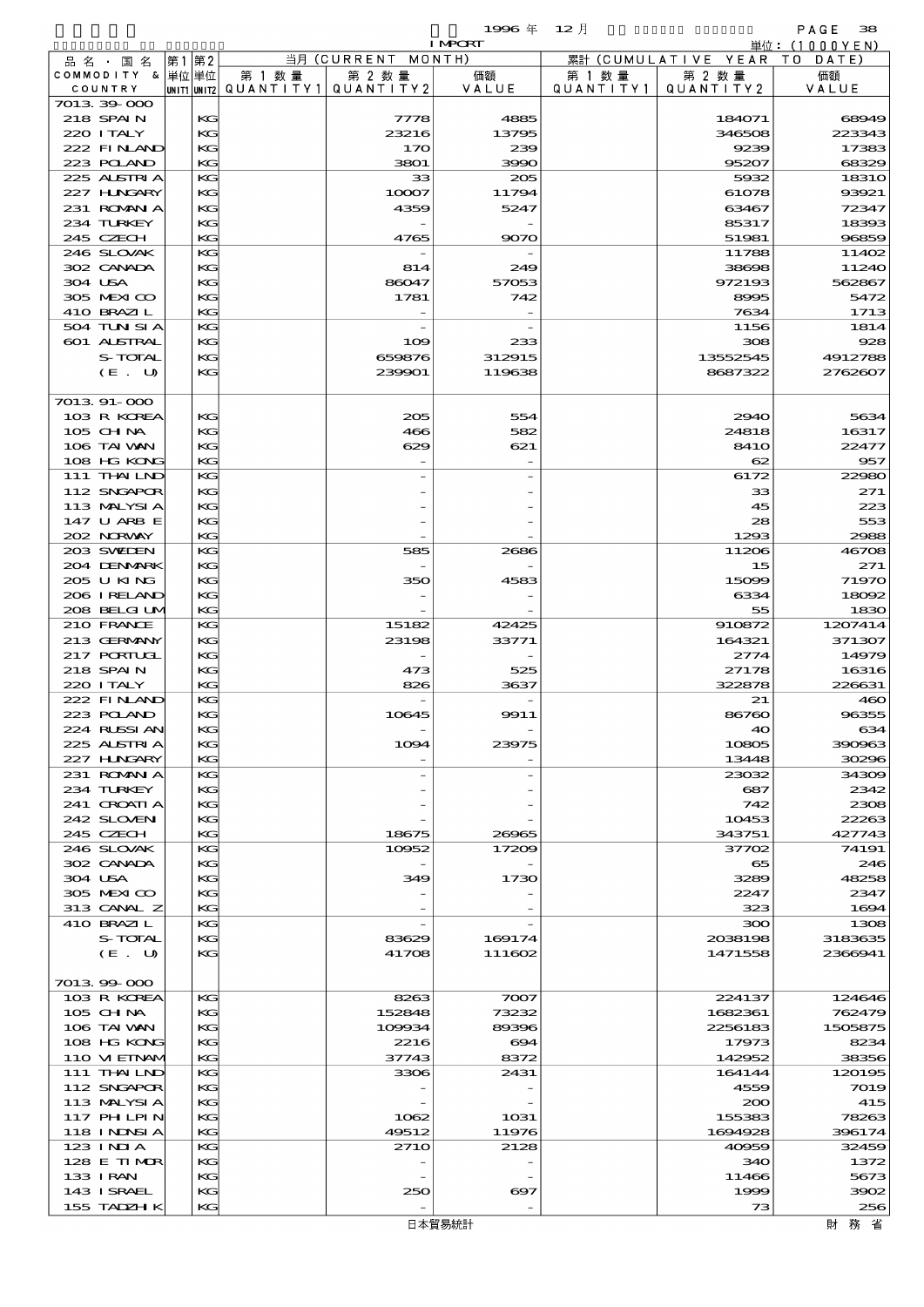|         |                            |    |             |         |                                                         | 1996年                    | $12$ 月    |                     | PAGE<br>38            |
|---------|----------------------------|----|-------------|---------|---------------------------------------------------------|--------------------------|-----------|---------------------|-----------------------|
|         |                            |    |             |         | $\overline{\mathbb{H}}\overline{\mathfrak{H}}$ (CURRENT | <b>I MPORT</b><br>MONTH) |           | 累計 (CUMULATIVE YEAR | 単位: (1000 Y E N )     |
|         | 品名・国名<br>COMMODITY & 単位単位  | 第1 | 第2          | 第 1 数 量 | 第 2 数量                                                  | 価額                       | 第 1 数 量   | 第 2 数量              | T 0<br>DATE<br>価額     |
|         | COUNTRY                    |    | UNIT1 UNIT2 |         | QUANTITY1 QUANTITY2                                     | VALUE                    | QUANTITY1 | QUANTITY 2          | VALUE                 |
|         | 7013.39-000                |    |             |         |                                                         |                          |           |                     |                       |
|         | 218 SPAIN                  |    | KG          |         | 7778                                                    | 4885                     |           | 184071              | 68949                 |
|         | 220 I TALY                 |    | KG          |         | 23216                                                   | 13795                    |           | 346508              | 223343                |
|         | 222 FINAND                 |    | KG          |         | 170                                                     | 239                      |           | 9239                | 17383                 |
|         | 223 POLAND<br>225 ALSTRIA  |    | KG<br>KG    |         | 3801<br>33                                              | 3990<br>205              |           | 95207<br>5932       | 68329<br><b>18310</b> |
|         | 227 H.NGARY                |    | KG          |         | 10007                                                   | 11794                    |           | 61078               | 93921                 |
|         | 231 ROMNA                  |    | КG          |         | 4359                                                    | 5247                     |           | 63467               | 72347                 |
|         | 234 TURKEY                 |    | KG          |         |                                                         |                          |           | 85317               | 18393                 |
|         | 245 CZECH                  |    | KG          |         | 4765                                                    | 9070                     |           | 51981               | 96859                 |
|         | 246 SLOVAK                 |    | KG          |         |                                                         |                          |           | 11788               | 11402                 |
|         | 302 CANADA                 |    | KG          |         | 814                                                     | 249                      |           | 38608               | 11240                 |
| 304 USA |                            |    | КG          |         | 86047                                                   | 57053                    |           | 972193              | 562867                |
|         | 305 MEXICO<br>410 BRAZIL   |    | KG<br>KG    |         | 1781                                                    | 742                      |           | 8995<br>7634        | 5472<br>1713          |
|         | 504 TUN SI A               |    | KG          |         |                                                         |                          |           | 1156                | 1814                  |
|         | 601 ALSTRAL                |    | KG          |         | 109                                                     | 233                      |           | 308                 | 928                   |
|         | S-TOTAL                    |    | КG          |         | 659876                                                  | 312915                   |           | 13552545            | 4912788               |
|         | (E. U)                     |    | KG          |         | 239901                                                  | 119638                   |           | 8687322             | 2762607               |
|         |                            |    |             |         |                                                         |                          |           |                     |                       |
|         | 7013.91-000                |    |             |         |                                                         |                          |           |                     |                       |
|         | 103 R KOREA                |    | KG          |         | 205                                                     | 554                      |           | <b>2940</b>         | 5634                  |
|         | 105 CH NA                  |    | КG          |         | 466                                                     | 582                      |           | 24818               | 16317                 |
|         | 106 TAI VAN                |    | KG          |         | 629                                                     | 621                      |           | <b>8410</b>         | 22477                 |
|         | 108 HG KONG<br>111 THAILND |    | KG<br>KG    |         |                                                         |                          |           | 62<br>6172          | 957<br>22980          |
|         | 112 SNGAPOR                |    | КG          |         |                                                         |                          |           | 33                  | 271                   |
|         | 113 MALYSIA                |    | KG          |         |                                                         |                          |           | 45                  | 223                   |
|         | 147 U ARB E                |    | KG          |         |                                                         |                          |           | 28                  | 553                   |
|         | 202 NORWAY                 |    | KG          |         |                                                         |                          |           | 1293                | 2988                  |
|         | 203 SWIDEN                 |    | KG          |         | 585                                                     | 2686                     |           | 11206               | 46708                 |
|         | 204 DENMARK                |    | KG          |         |                                                         |                          |           | 15                  | 271                   |
|         | 205 U KING                 |    | КG          |         | 350                                                     | 4583                     |           | 15099               | 71970                 |
|         | 206 IRELAND                |    | KG          |         |                                                         |                          |           | 6334                | 18092                 |
|         | 208 BELGI UM               |    | KG          |         |                                                         |                          |           | 55                  | 1830                  |
|         | 210 FRANCE<br>213 GERMANY  |    | KG<br>KG    |         | 15182<br>23198                                          | 42425<br>33771           |           | 910872<br>164321    | 1207414<br>371307     |
|         | 217 PORTUGL                |    | KG          |         |                                                         |                          |           | 2774                | 14979                 |
|         | 218 SPAIN                  |    | KG          |         | 473                                                     | 525                      |           | 27178               | 16316                 |
|         | 220 ITALY                  |    | KG          |         | 826                                                     | 3637                     |           | 322878              | 226631                |
|         | 222 FINLAND                |    | KG          |         |                                                         |                          |           | 21                  | 460                   |
|         | 223 FOLAND                 |    | KG          |         | 10645                                                   | 9911                     |           | 86760               | 96355                 |
|         | 224 RUSSI AN               |    | КG          |         |                                                         |                          |           | 40                  | 634                   |
|         | 225 ALSTRIA                |    | KG          |         | 1094                                                    | 23975                    |           | 10805               | 390963                |
|         | 227 HNGARY                 |    | KG          |         |                                                         |                          |           | 13448               | 30296                 |
|         | 231 ROMANIA                |    | KG          |         |                                                         |                          |           | 23032               | 34309                 |
|         | 234 TURKEY<br>241 CROATIA  |    | КG<br>КG    |         |                                                         |                          |           | 687<br>742          | 2342<br>2308          |
|         | 242 SLOVEN                 |    | KG          |         |                                                         |                          |           | 10453               | 22263                 |
|         | 245 CZECH                  |    | KG          |         | 18675                                                   | 26965                    |           | 343751              | 427743                |
|         | 246 SLOVAK                 |    | KG          |         | 10952                                                   | 17209                    |           | 37702               | 74191                 |
|         | 302 CANADA                 |    | КG          |         |                                                         |                          |           | 65                  | 246                   |
| 304 USA |                            |    | КG          |         | 349                                                     | 1730                     |           | 3289                | 48258                 |
|         | 305 MEXICO                 |    | KG          |         |                                                         |                          |           | 2247                | 2347                  |
|         | 313 CANAL Z                |    | KG          |         |                                                         |                          |           | 323                 | 1694                  |
|         | 410 BRAZIL<br>S-TOTAL      |    | KG<br>КG    |         | 83629                                                   | 169174                   |           | 300<br>2038198      | 1308<br>3183635       |
|         | (E. U)                     |    | KG          |         | 41708                                                   | 111602                   |           | 1471558             | 2366941               |
|         |                            |    |             |         |                                                         |                          |           |                     |                       |
|         | 7013.99-000                |    |             |         |                                                         |                          |           |                     |                       |
|         | 103 R KOREA                |    | KG          |         | 8263                                                    | 7007                     |           | 224137              | 124646                |
|         | $105$ CHNA                 |    | KG          |         | 152848                                                  | 73232                    |           | 1682361             | 762479                |
|         | 106 TAI VAN                |    | KG          |         | 109934                                                  | 89396                    |           | 2256183             | 1505875               |
|         | 108 HG KONG                |    | KG          |         | 2216                                                    | $\boldsymbol{\infty}$    |           | 17973               | 8234                  |
|         | 110 VIEINAM                |    | KG          |         | 37743                                                   | 8372                     |           | 142952              | 38356                 |
|         | 111 THAILND                |    | KG          |         | 3306                                                    | 2431                     |           | 164144              | 120195                |
|         | 112 SNGAPOR                |    | KG<br>KG    |         |                                                         |                          |           | 4559                | 7019                  |
|         | 113 MALYSIA<br>117 PH LPIN |    | KG          |         | 1062                                                    | 1031                     |           | 200<br>155383       | 415<br>78263          |
|         | 118 I NDSI A               |    | KG          |         | 49512                                                   | 11976                    |           | 1694928             | 396174                |
|         | 123 INIA                   |    | KG          |         | <b>2710</b>                                             | 2128                     |           | 40959               | 32459                 |
|         | 128 E TIMOR                |    | КG          |         |                                                         |                          |           | 340                 | 1372                  |
|         | 133 I RAN                  |    | KG          |         |                                                         |                          |           | 11466               | 5673                  |
|         | 143 ISRAEL                 |    | KG          |         | 250                                                     | $_{\rm e}$               |           | 1999                | 3902                  |
|         | 155 TADZH K                |    | KG          |         |                                                         |                          |           | 73                  | 256                   |
|         |                            |    |             |         |                                                         | 日本貿易統計                   |           |                     | 財務省                   |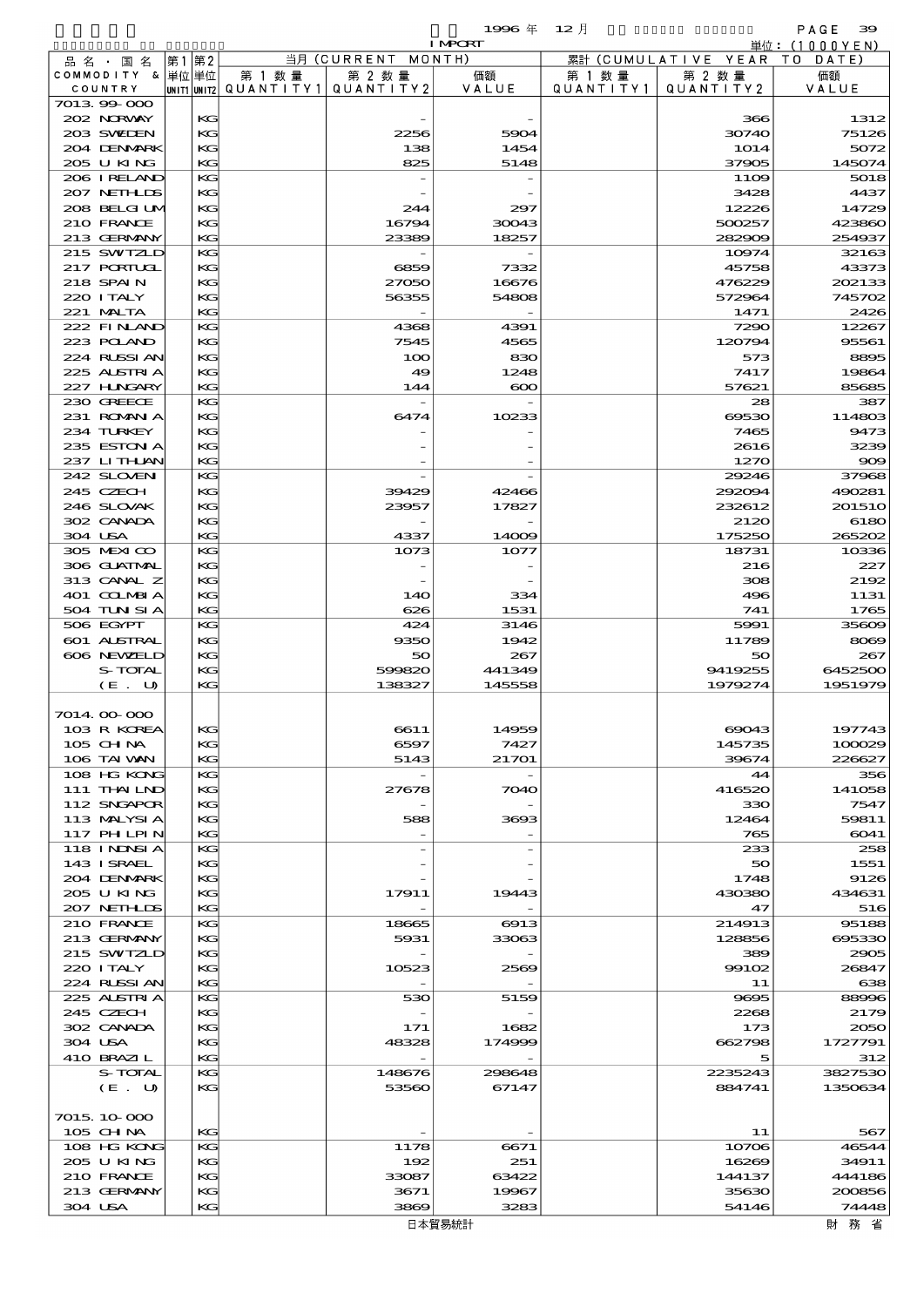$1996 \nsubseteq$   $12 \nexists$  $1996 \text{ } \# \quad 12 \text{ } \frac{1}{2}$ <br>INPORT 単位: (1000YEN) 当月 (CURRENT MONTH) 累計 (CUMULATIVE YEAR 第1第2 TO DATE) 品名 · 国名 COMMODITY &  $\frac{1}{20}$  $\frac{1}{10}$  $\frac{1}{10}$ 第 1 数量 第 2 数 量 価額 第 1 数量 第 2 数量 価額 VALUE VALUE COUNTRY UNIT1 UNIT2 QUANTITY1 QUANTITY2 QUANTITY1 QUANTITY2  $\overline{7013.99.000}$  $202 \text{ NORMAY}$   $\begin{array}{|l|l|} \hline \end{array}$   $\begin{array}{|l|l|} \hline \end{array}$   $\begin{array}{|l|l|} \hline \end{array}$   $\begin{array}{|l|l|} \hline \end{array}$   $\begin{array}{|l|l|} \hline \end{array}$   $\begin{array}{|l|l|} \hline \end{array}$   $\begin{array}{|l|l|} \hline \end{array}$   $\begin{array}{|l|l|} \hline \end{array}$   $\begin{array}{|l|l|} \hline \end{array}$   $\begin{array}{|l|l$ 203 SWEDEN KG 2256 5904 30740 75126 204 DENMARK KG 138 1454 1454 1014 5072 205 U KING KG 825 5148 37905 145074 206 IRELAND KG - 1109 5018 207 NETHLDS KG - - 3428 4437 208 BELGIUM KG 244 297 12226 14729 210 FRANCE KG 16794 30043 500257 423860 213 GERMANY KG 23389 18257 282909 254937 215 SWIZLD KG - 10974 32163 217 PORTUGL KG 6859 7332 43373 218 SPAIN KG 27050 16676 476229 202133 220 ITALY KG 56355 54808 572964 745702  $221$  MALTA  $\begin{array}{|c|c|c|c|c|c|}\n\hline\n & \text{IG} & \text{I471} & \text{2426}\n\hline\n\end{array}$ 222 FINAND KG 4368 4391 7290 12267 223 POLAND KG 7545 4565 120794 95561 224 RUSSIAN KG 100 830 573 8895 225 ALSTRIA KG 49 1248 7417 19864 227 HNARY KG 144 600 57621 85685 230 GREECE KG - 28 387 231 ROMANIA KG 6474 10233 69530 114803 234 TURKEY KG - - 7465 9473 235 ESTONIA KG - - 2616 3239 237 LITHUAN KG - - 1270 909 242 SLOVEN**IKG** - 29246 37968 245 CZECH KG 39429 42466 292094 490281 246 SLOVAK KG 23957 17827 232612 232612  $302 \text{ CANDA}$   $\text{KG}$   $\text{KG}$   $\text{G130}$   $\text{G130}$   $\text{G130}$  304 USA KG 4337 14009 175250 265202 305 MEXICO KG 1073 1077 18731 10336  $306 \text{ GATMAL}$  KG  $227$  $313 \text{ CANL } Z$  KG  $3192$ 401 COLMBIA KG 140  $140$  334 496 1131  $504 \text{ TUNSIA}$   $\begin{vmatrix} 12 \\ 16 \\ 176 \end{vmatrix}$  626 1531 741 741 1765 506 EGYPT KG 424 3146 5991 35600 601 AUSTRAL KG 9350 1942 11789 8069 606 NEWELD KG 50 267 50 267 50 267  $S$ -TOTAL KG 599820 441349 9419255 6452500  $(E. U)$  KG 138327 145558 1979274 1951979 Ϊ  $7014.00 \text{ m}$  $103 \text{ R K O } \text{R}$   $| \text{KG} |$   $| \text{KG} |$   $| \text{G} 011 |$   $| \text{G} 0043 |$   $| \text{G} 0043 |$   $| \text{G} 7743 |$  $105 \text{ GHM}$   $| \text{KG} |$  6597 7427 145735 100029  $106$  TAI WAN KG 5143  $21701$  39674 226627 108 HG KONG KG - - 44 356 111 THAILND KG  $27678$  7040 416520 141058 112 SNGAPOR KG - - 330 7547 113 MALYSIA KG 588 3693 3693 12464 59811 117 PHILPIN KG  $\begin{array}{|c|c|c|c|c|c|c|c|c|}\n\hline\n117 & 117 & 117 & 118 & 16041\n\end{array}$ 118 INNSIA KG - 233 258 143 ISRAEL KG - - 50 1551 204 DENMARK KG - - 1748 9126 205 U KING KG 17911 19443 430380 434631 207 NETHLDS KG - - 47 516 210 FRANCE KG 18665 6913 214913 95188 213 GERMANY KG 5931 5931 33063 128856 695330 215 SWITZLD KG - - 389 2905 220 ITALY KG 10523 2569 99102 26847 224 RUSSIAN KG - 11 638 225 ALSTRIA KG 530 5159 9695 88996 245 CZECH KG - - 2268 2179  $302 \text{ CANDA}$   $\begin{vmatrix} 171 \\ 171 \end{vmatrix}$   $1682$  1682 173 2050 304 USA KG 48328 174909 662798 1727791 410 BRAZIL KG - - 5 312 S-TOTAL KG 148676 298648 2235243 3827530  $(E. U)$  KG 53560 67147 884741 1350634 7015.10-000  $105 \text{ GHM}$   $\vert \text{KG} \vert$   $- \vert$   $- \vert$   $- \vert$   $- \vert$   $- \vert$   $- \vert$   $- \vert$   $- \vert$   $- \vert$   $- \vert$   $- \vert$   $- \vert$   $- \vert$   $- \vert$   $- \vert$   $- \vert$   $- \vert$   $- \vert$   $- \vert$   $- \vert$   $- \vert$   $- \vert$   $- \vert$   $- \vert$   $- \vert$   $- \vert$   $- \vert$   $- \vert$   $- \vert$   $- \vert$   $- \vert$   $- \vert$   $- \vert$ 108 HG KONG KG 1178 6671 10706 46544 205 U KING  $\begin{array}{|c|c|c|c|c|c|c|c|c|} \hline \text{205 U K1N G} & \text{KG} & & & & & 16200\ \hline \end{array}$ 210 FRANCE KG 33087 63422 144137 444186 213 GERMANY KG 3671 36871 19967 35630 200856 304 USA KG 3869 3283 54146 74448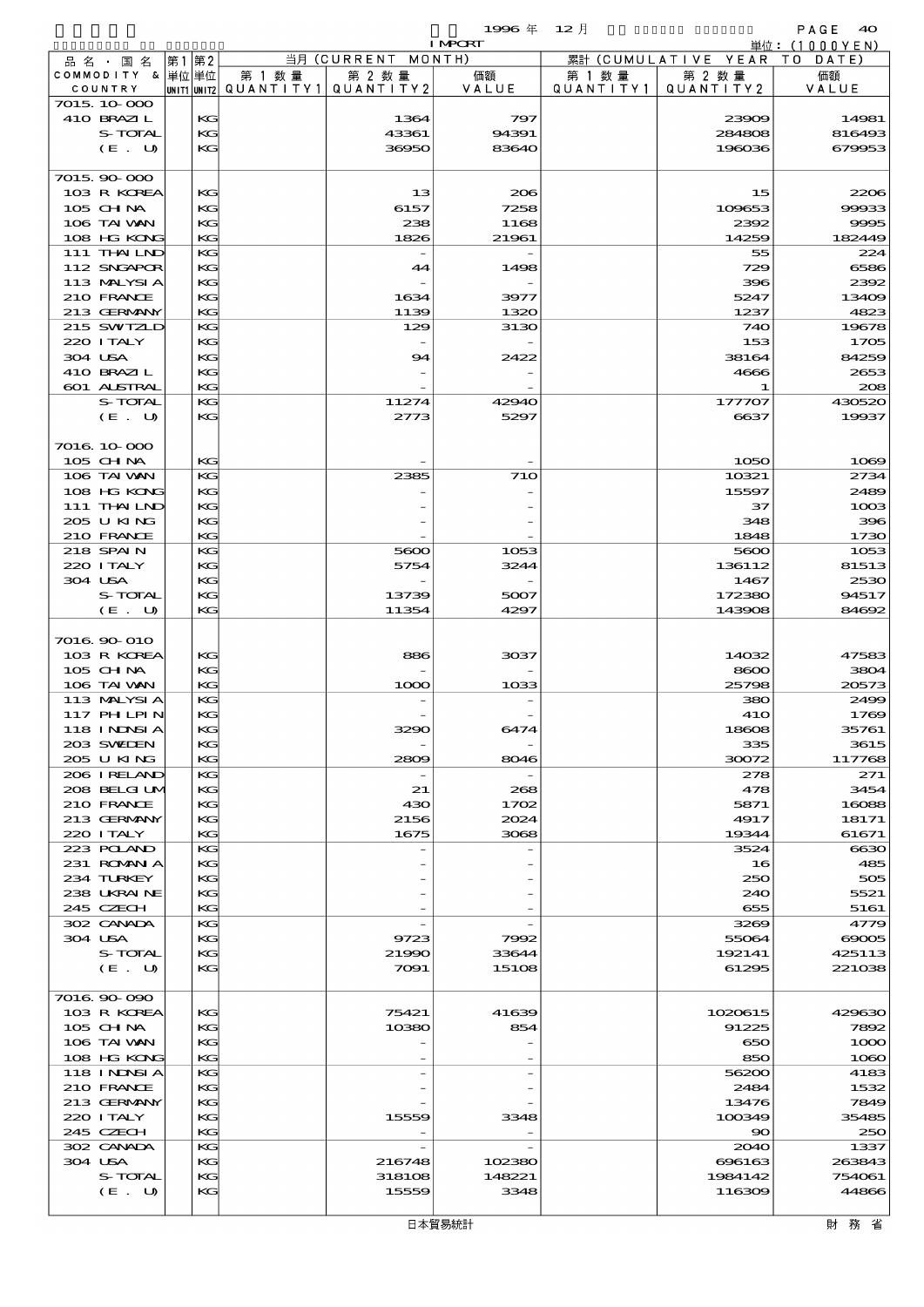$1996 \& 12 \cancel{1}$ 

|         |                                   |          |                                       |                                    | <b>I MPORT</b> |           |                              | 単位: (1000YEN)   |
|---------|-----------------------------------|----------|---------------------------------------|------------------------------------|----------------|-----------|------------------------------|-----------------|
|         | 品 名 ・ 国 名                         | 第1 第2    |                                       | 当月 (CURRENT MONTH)                 |                |           | 累計 (CUMULATIVE YEAR TO DATE) |                 |
|         | COMMODITY & 単位単位                  |          | 第 1 数 量                               | 第 2 数量                             | 価額             | 第 1 数量    | 第 2 数量                       | 価額              |
|         | COUNTRY                           |          | UNIT1 UNIT2  Q∪ANT   TY1  Q∪ANT   TY2 |                                    | VALUE          | QUANTITY1 | QUANTITY2                    | VALUE           |
|         | 7015 10 000                       |          |                                       |                                    |                |           |                              |                 |
|         | 410 BRAZIL<br>S-TOTAL             | KG<br>KG |                                       | 1364<br>43361                      | 797<br>94391   |           | 23909<br>284808              | 14981<br>816493 |
|         | (E. U)                            | KG       |                                       | 36950                              | 83640          |           | 196036                       | 679953          |
|         |                                   |          |                                       |                                    |                |           |                              |                 |
|         | 7015, 90-000                      |          |                                       |                                    |                |           |                              |                 |
|         | 103 R KOREA                       | KG       |                                       | 13                                 | 206            |           | 15                           | 2206            |
|         | 105 CHNA                          | KG       |                                       | 6157                               | 7258           |           | 109653                       | 99933           |
|         | 106 TAI VAN                       | KG       |                                       | 238                                | 1168           |           | 2392                         | 9995            |
|         | 108 HG KONG                       | KG       |                                       | 1826                               | 21961          |           | 14259                        | 182449          |
|         | 111 THAILND<br>112 SNGAPOR        | KG<br>KG |                                       |                                    |                |           | 55<br>729                    | 224             |
|         | 113 MALYSIA                       | KG       |                                       | 44                                 | 1498           |           | 396                          | 6586<br>2392    |
|         | 210 FRANCE                        | KG       |                                       | 1634                               | 3977           |           | 5247                         | 13409           |
|         | 213 GERMANY                       | KG       |                                       | 1139                               | 1320           |           | 1237                         | 4823            |
|         | 215 SWIZLD                        | KG       |                                       | 129                                | 3130           |           | 740                          | 19678           |
|         | 220 I TALY                        | KG       |                                       |                                    |                |           | 153                          | 1705            |
| 304 USA |                                   | KG       |                                       | 94                                 | 2422           |           | 38164                        | 84259           |
|         | 410 BRAZIL                        | KG       |                                       |                                    |                |           | 4666                         | 2653            |
|         | 601 ALSTRAL                       | KG       |                                       |                                    |                |           | 1                            | 208             |
|         | S-TOTAL                           | KG       |                                       | 11274                              | 42940          |           | 177707                       | 430520<br>19937 |
|         | (E. U)                            | KG       |                                       | 2773                               | 5297           |           | 6637                         |                 |
|         | 7016 10 000                       |          |                                       |                                    |                |           |                              |                 |
|         | 105 CH NA                         | KG       |                                       |                                    |                |           | 1050                         | 1069            |
|         | 106 TAI VAN                       | KG       |                                       | 2385                               | <b>71O</b>     |           | 10321                        | 2734            |
|         | 108 HG KONG                       | KG       |                                       |                                    |                |           | 15597                        | 2489            |
|         | 111 THAILND                       | KG       |                                       |                                    |                |           | 37                           | 1003            |
|         | 205 U KING                        | KG       |                                       |                                    |                |           | 348                          | 396             |
|         | 210 FRANCE                        | KG       |                                       |                                    |                |           | 1848                         | 1730            |
|         | 218 SPAIN                         | KG       |                                       | 5600                               | 1053           |           | 5600                         | 1053            |
| 304 USA | 220 I TALY                        | KG<br>KG |                                       | 5754                               | 3244           |           | 136112<br>1467               | 81513<br>2530   |
|         | S-TOTAL                           | KG       |                                       | 13739                              | 5007           |           | 172380                       | 94517           |
|         | (E. U)                            | KG       |                                       | 11354                              | 4297           |           | 143908                       | 84692           |
|         |                                   |          |                                       |                                    |                |           |                              |                 |
|         | 7016 90 010                       |          |                                       |                                    |                |           |                              |                 |
|         | 103 R KOREA                       | KG       |                                       | 886                                | 3037           |           | 14032                        | 47583           |
|         | 105 CH NA                         | KG       |                                       |                                    |                |           | 8600                         | 3804            |
|         | 106 TAI VAN                       | KG       |                                       | 1000                               | 1033           |           | 25798                        | 20573           |
|         | 113 MALYSIA                       | KG<br>KG |                                       |                                    |                |           | 380                          | 2499            |
|         | <b>117 PHLPIN</b><br>118 I NDSI A | KG       |                                       | 32.U                               | 6474           |           | <b>41O</b><br>18608          | 1769<br>35761   |
|         | 203 SWIDEN                        | KС       |                                       |                                    |                |           | 335                          | 3615            |
|         | 205 U KING                        | KG       |                                       | 2809                               | 8046           |           | 30072                        | 117768          |
|         | 206 I RELAND                      | KG       |                                       |                                    |                |           | 278                          | 271             |
|         | 208 BELGI UM                      | KG       |                                       | 21                                 | 268            |           | 478                          | 3454            |
|         | 210 FRANCE                        | KG       |                                       | 430                                | 1702           |           | 5871                         | 16088           |
|         | 213 GERMANY                       | KG       |                                       | 2156                               | 2024           |           | 4917                         | 18171           |
|         | 220 I TALY                        | KG       |                                       | 1675                               | 3068           |           | 19344                        | 61671           |
|         | 223 POLAND<br>231 ROMANIA         | KG<br>KG |                                       |                                    |                |           | 3524                         | 6630<br>485     |
|         | 234 TURKEY                        | KG       |                                       |                                    |                |           | 16<br>250                    | 505             |
|         | 238 UKRAINE                       | KG       |                                       |                                    |                |           | 240                          | 5521            |
|         | 245 CZECH                         | KG       |                                       |                                    |                |           | 655                          | 5161            |
|         | 302 CANADA                        | KG       |                                       |                                    |                |           | 3269                         | 4779            |
| 304 USA |                                   | KG       |                                       | 9723                               | 7992           |           | 55064                        | $\infty$        |
|         | S-TOTAL                           | KG       |                                       | 21990                              | 33644          |           | 192141                       | 425113          |
|         | (E. U)                            | KG       |                                       | 7091                               | 15108          |           | 61295                        | 221038          |
|         |                                   |          |                                       |                                    |                |           |                              |                 |
|         | 7016.90-090<br>103 R KOREA        | KG       |                                       | 75421                              | 41639          |           | 1020615                      | 429630          |
|         | 105 CHNA                          | KG       |                                       | 10380                              | 854            |           | 91225                        | 7892            |
|         | 106 TAI VAN                       | KG       |                                       |                                    |                |           | 650                          | 1000            |
|         | 108 HG KONG                       | KG       |                                       |                                    |                |           | 850                          | 1080            |
|         | 118 I NINSI A                     | KG       |                                       |                                    |                |           | 56200                        | 4183            |
|         | 210 FRANCE                        | KG       |                                       |                                    |                |           | 2484                         | 1532            |
|         | 213 GERMANY                       | KG       |                                       |                                    |                |           | 13476                        | 7849            |
|         | 220 I TALY                        | KG       |                                       | 15559                              | 3348           |           | 100349                       | 35485           |
|         | 245 CZECH                         | KG       |                                       |                                    |                |           | $\infty$                     | 250             |
| 304 USA | 302 CANADA                        | KG<br>KG |                                       | $\overline{\phantom{a}}$<br>216748 | 102380         |           | 2040<br>696163               | 1337<br>263843  |
|         | S-TOTAL                           | KG       |                                       | 318108                             | 148221         |           | 1984142                      | 754061          |
|         | (E. U)                            | KG       |                                       | 15559                              | 3348           |           | 116309                       | 44866           |
|         |                                   |          |                                       |                                    |                |           |                              |                 |

T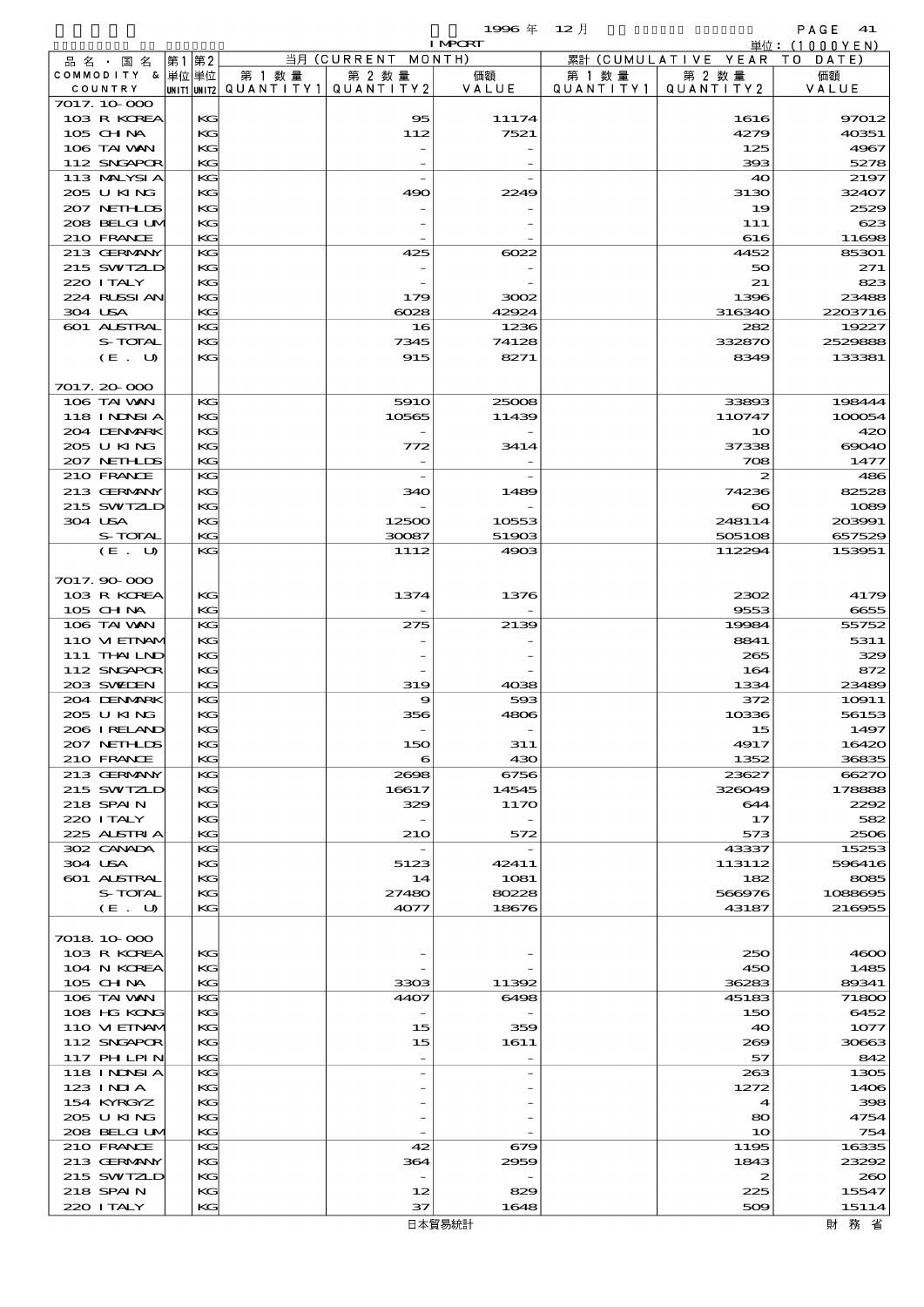$1996 \n& 12 \nparallel$  PAGE 41

|                  |                               |          |        |                                       | <b>I MPORT</b> |           |                                  | 単位: (1000YEN)    |
|------------------|-------------------------------|----------|--------|---------------------------------------|----------------|-----------|----------------------------------|------------------|
| 品名・国名            |                               | 第1 第2    |        | 当月 (CURRENT MONTH)                    |                |           | 累計 (CUMULATIVE YEAR TO DATE)     |                  |
| COMMODITY & 単位単位 |                               |          | 第 1 数量 | 第 2 数量                                | 価額             | 第 1 数 量   | 第 2 数量                           | 価額               |
| COUNTRY          |                               |          |        | UNIT1 UNIT2  QUANT   TY1  QUANT   TY2 | VALUE          | QUANTITY1 | QUANTITY 2                       | VALUE            |
| 7017.10.000      | 103 R KOREA                   | KG       |        | $\bf{5}$                              | 11174          |           | 1616                             | 97012            |
| 105 CHNA         |                               | KG       |        | 112                                   | 7521           |           | 4279                             | 40351            |
|                  | 106 TAI VAN                   | KG       |        |                                       |                |           | 125                              | 4967             |
|                  | 112 SNGAPOR                   | KG       |        |                                       |                |           | 393                              | 5278             |
|                  | 113 MALYSIA                   | KG       |        |                                       |                |           | 40                               | 2197             |
| 205 U KING       |                               | КG       |        | 490                                   | 2249           |           | 3130                             | 32407            |
|                  | 207 NETHLIS                   | KG       |        |                                       |                |           | 19                               | 2529             |
| 210 FRANCE       | 208 BELGI UM                  | KG<br>KG |        |                                       |                |           | 111<br>616                       | 623<br>11698     |
|                  | 213 GERMANY                   | KG       |        | 425                                   | 6022           |           | 4452                             | 85301            |
|                  | 215 SWIZLD                    | КG       |        |                                       |                |           | 50                               | 271              |
| 220 I TALY       |                               | KG       |        |                                       |                |           | 21                               | 823              |
|                  | 224 RUSSI AN                  | KG       |        | 179                                   | 3002           |           | 1396                             | 23488            |
| 304 USA          |                               | KG       |        | 6028                                  | 42924          |           | 316340                           | 2203716          |
|                  | 601 ALSTRAL<br>S-TOTAL        | KG<br>КG |        | 16<br>7345                            | 1236<br>74128  |           | 282                              | 19227<br>2529888 |
|                  | (E. U)                        | KG       |        | 915                                   | 8271           |           | 332870<br>8349                   | 133381           |
|                  |                               |          |        |                                       |                |           |                                  |                  |
| 7017.20-000      |                               |          |        |                                       |                |           |                                  |                  |
| 106 TAI VAN      |                               | KG       |        | 591O                                  | 25008          |           | 33893                            | 198444           |
|                  | <b>118 INNSIA</b>             | KG       |        | 10565                                 | 11439          |           | 110747                           | 100054           |
|                  | 204 DENMARK                   | KG       |        |                                       |                |           | 10                               | 420              |
| 205 U KING       | 207 NETHLIS                   | KG<br>KG |        | 772                                   | 3414           |           | 37338<br>708                     | 69040<br>1477    |
| 210 FRANCE       |                               | KG       |        |                                       |                |           | 2                                | 486              |
|                  | 213 GERMANY                   | KG       |        | 340                                   | 1489           |           | 74236                            | 82528            |
|                  | 215 SWIZLD                    | KG       |        |                                       |                |           | $\infty$                         | 1089             |
| 304 USA          |                               | KG       |        | 12500                                 | 10553          |           | 248114                           | 203991           |
|                  | S-TOTAL                       | KG       |        | 30087                                 | 51903          |           | 505108                           | 657529           |
|                  | (E. U)                        | KG       |        | 1112                                  | 4903           |           | 112294                           | 153951           |
| 7017.90-000      |                               |          |        |                                       |                |           |                                  |                  |
|                  | 103 R KOREA                   | KG       |        | 1374                                  | 1376           |           | 2302                             | 4179             |
| 105 CHNA         |                               | KG       |        |                                       |                |           | 9553                             | 6655             |
| 106 TAI VAN      |                               | KG       |        | 275                                   | 2139           |           | 19984                            | 55752            |
|                  | 110 VIEINAM                   | KG       |        |                                       |                |           | 8841                             | 5311             |
|                  | 111 THAILND                   | KG       |        |                                       |                |           | 265                              | 329              |
| 203 SWIEN        | 112 SNGAPOR                   | KG<br>KG |        | 319                                   | 4038           |           | 164<br>1334                      | 872<br>23489     |
|                  | 204 DENMRK                    | KG       |        | 9                                     | 593            |           | 372                              | 10911            |
| 205 U KING       |                               | KG       |        | 356                                   | 4806           |           | 10336                            | 56153            |
|                  | 206 I RELAND                  | KG       |        |                                       |                |           | 15                               | 1497             |
|                  | 207 NETHLIS                   | КG       |        | 150                                   | 311            |           | 4917                             | 16420            |
| 210 FRANCE       |                               | KG       |        | 6                                     | 430            |           | 1352                             | 36835            |
|                  | 213 GERMANY<br>215 SWIZLD     | KG<br>KG |        | 2698<br>16617                         | 6756<br>14545  |           | 23627<br>326049                  | 66270<br>178888  |
| 218 SPAIN        |                               | KG       |        | 329                                   | 1170           |           | 644                              | 2292             |
| 220 I TALY       |                               | KG       |        |                                       |                |           | 17                               | 582              |
|                  | 225 ALSTRIA                   | KG       |        | <b>21O</b>                            | 572            |           | 573                              | 2506             |
| 302 CANADA       |                               | KG       |        |                                       |                |           | 43337                            | 15253            |
| 304 USA          |                               | KG       |        | 5123                                  | 42411          |           | 113112                           | 596416           |
|                  | <b>601 ALSTRAL</b><br>S-TOTAL | KG<br>KG |        | 14<br>27480                           | 1081<br>80228  |           | 182<br>566976                    | 8085<br>1088695  |
|                  | (E. U)                        | KG       |        | 4077                                  | 18676          |           | 43187                            | 216955           |
|                  |                               |          |        |                                       |                |           |                                  |                  |
| 7018 10 000      |                               |          |        |                                       |                |           |                                  |                  |
|                  | 103 R KOREA                   | KG       |        |                                       |                |           | 250                              | 4600             |
|                  | 104 N KOREA                   | KG       |        |                                       |                |           | 450                              | 1485             |
| $105$ CHNA       | 106 TAI VAN                   | KG<br>KG |        | 3303<br>4407                          | 11392<br>6498  |           | 36283<br>45183                   | 89341<br>71800   |
|                  | 108 HG KONG                   | KG       |        |                                       |                |           | 150                              | 6452             |
|                  | 110 VIEINAMI                  | KG       |        | 15                                    | 359            |           | 40                               | 1077             |
|                  | 112 SNGAPOR                   | KG       |        | 15                                    | 1611           |           | 269                              | 30663            |
|                  | 117 PH LPIN                   | KG       |        |                                       |                |           | 57                               | 842              |
|                  | <b>118 INNSIA</b>             | KG       |        |                                       |                |           | 263                              | 1305             |
| 123 INIA         |                               | KG       |        |                                       |                |           | 1272                             | 1406             |
| 205 U KING       | 154 KYRGYZ                    | KG<br>КG |        |                                       |                |           | $\boldsymbol{\mathcal{A}}$<br>80 | 398<br>4754      |
|                  | 208 BELGI UM                  | KG       |        |                                       |                |           | 10                               | 754              |
| 210 FRANCE       |                               | KG       |        | 42                                    | 679            |           | 1195                             | 16335            |
|                  | 213 GERMANY                   | KG       |        | 364                                   | 2959           |           | 1843                             | 23292            |
|                  | 215 SWIZLD                    | KG       |        |                                       |                |           | 2                                | 260              |
| 218 SPAIN        |                               | KG       |        | 12                                    | 829            |           | 225                              | 15547            |
| 220 I TALY       |                               | KG       |        | 37                                    | 1648           |           | 509                              | 15114            |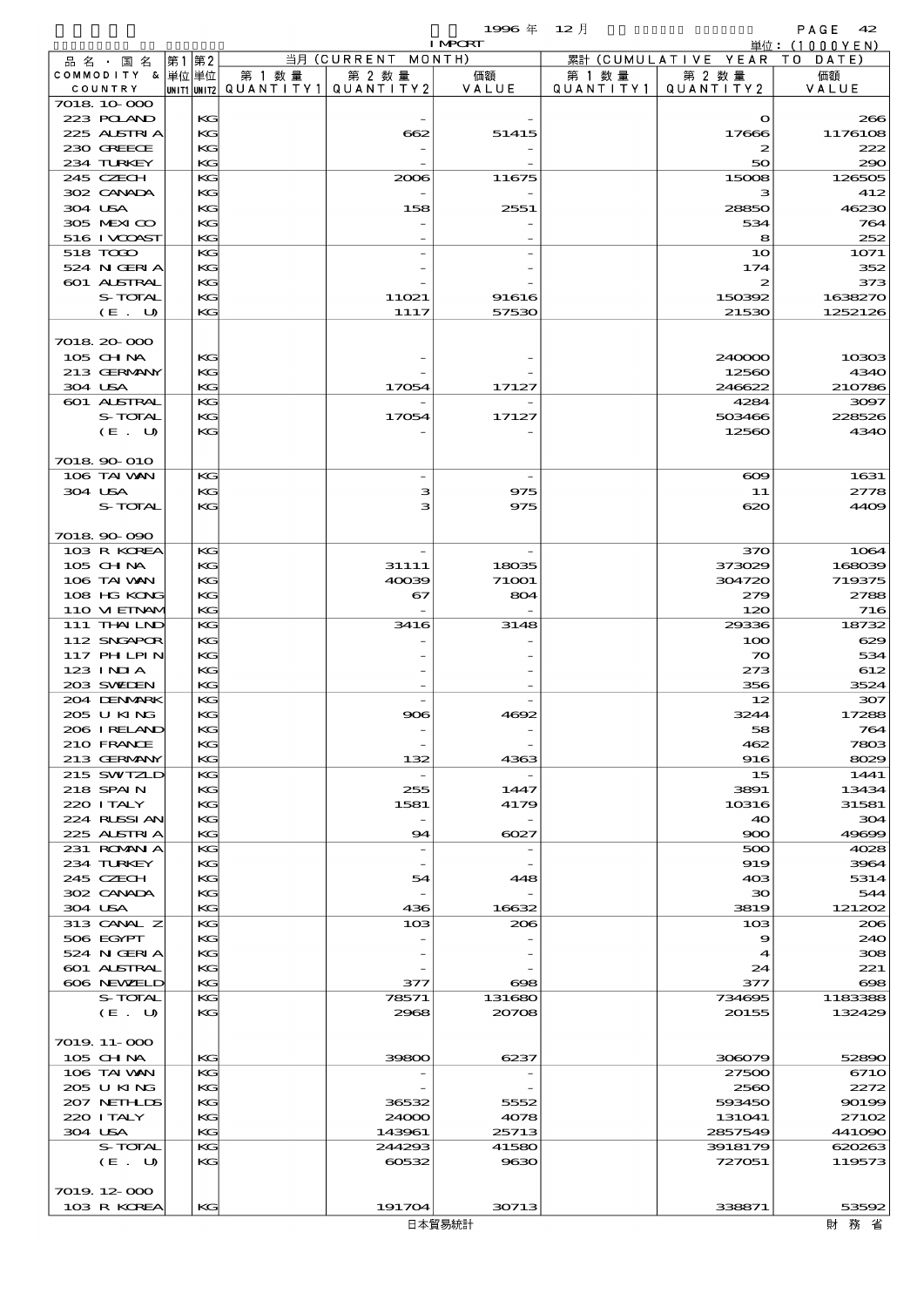|                               |       |          |                                       |                              | 1996年          | $12$ 月    |                               | PAGE $42$         |
|-------------------------------|-------|----------|---------------------------------------|------------------------------|----------------|-----------|-------------------------------|-------------------|
|                               |       |          |                                       |                              | <b>I MPORT</b> |           |                               | 単位:(1000YEN)      |
| 品 名 ・ 国 名<br>COMMODITY & 単位単位 | 第1 第2 |          | 第 1 数量                                | 当月 (CURRENT MONTH)<br>第 2 数量 | 価額             | 第 1 数 量   | 累計 (CUMULATIVE YEAR<br>第 2 数量 | T O<br>DATE<br>価額 |
| COUNTRY                       |       |          | unit1 unit2  Q∪ANT   TY1  Q∪ANT   TY2 |                              | VALUE          | QUANTITY1 | QUANTITY2                     | VALUE             |
| 7018 10 000                   |       |          |                                       |                              |                |           |                               |                   |
| 223 POLAND                    |       | KG       |                                       |                              |                |           | $\mathbf o$                   | 266               |
| 225 ALSTRIA<br>230 GREECE     |       | KG<br>KG |                                       | 662                          | 51415          |           | 17666<br>2                    | 1176108<br>222    |
| 234 TURKEY                    |       | KG       |                                       |                              |                |           | 50                            | 290               |
| 245 CZECH                     |       | KG       |                                       | 2006                         | 11675          |           | 15008                         | 126505            |
| 302 CANADA                    |       | KG       |                                       |                              |                |           | з                             | 412               |
| 304 USA                       |       | KG       |                                       | 158                          | 2551           |           | 28850                         | 46230             |
| 305 MEXICO                    |       | KG       |                                       |                              |                |           | 534                           | 764               |
| 516 I VOOST<br>518 TODO       |       | KG<br>KG |                                       |                              |                |           | 8<br>10                       | 252<br>1071       |
| 524 N GERIA                   |       | KG       |                                       |                              |                |           | 174                           | 352               |
| 601 ALSTRAL                   |       | KG       |                                       |                              |                |           | 2                             | 373               |
| S-TOTAL                       |       | KG       |                                       | 11021                        | 91616          |           | 150392                        | 1638270           |
| (E. U)                        |       | KG       |                                       | 1117                         | 57530          |           | 21530                         | 1252126           |
| 7018 20 000                   |       |          |                                       |                              |                |           |                               |                   |
| 105 CHNA                      |       | KG       |                                       |                              |                |           | 240000                        | 10303             |
| 213 GERMANY                   |       | KG       |                                       |                              |                |           | 12560                         | 4340              |
| 304 USA                       |       | KG       |                                       | 17054                        | 17127          |           | 246622                        | 210786            |
| 601 ALSTRAL                   |       | KG       |                                       |                              |                |           | 4284                          | 3097              |
| S-TOTAL                       |       | KG       |                                       | 17054                        | 17127          |           | 503466                        | 228526            |
| (E. U)                        |       | KG       |                                       |                              |                |           | 12560                         | 4340              |
| 7018 90 010                   |       |          |                                       |                              |                |           |                               |                   |
| 106 TAI VAN                   |       | KG       |                                       |                              |                |           | $\infty$                      | 1631              |
| 304 USA                       |       | KG       |                                       | з                            | 975            |           | 11                            | 2778              |
| S-TOTAL                       |       | KG       |                                       | з                            | 975            |           | 620                           | 4409              |
|                               |       |          |                                       |                              |                |           |                               |                   |
| 7018 90 090                   |       |          |                                       |                              |                |           |                               |                   |
| 103 R KOREA                   |       | KG       |                                       |                              |                |           | 370                           | 1064              |
| 105 CHNA<br>106 TAI VAN       |       | KG<br>KG |                                       | 31111<br>40039               | 18035<br>71001 |           | 373029<br>304720              | 168039<br>719375  |
| 108 HG KONG                   |       | KG       |                                       | 67                           | 804            |           | 279                           | 2788              |
| 110 VIEINAM                   |       | KG       |                                       |                              |                |           | 120                           | 716               |
| 111 THAILND                   |       | KG       |                                       | 3416                         | 3148           |           | 29336                         | 18732             |
| 112 SNGAPOR                   |       | KG       |                                       |                              |                |           | 100                           | 629               |
| 117 PH LPIN                   |       | KG       |                                       |                              |                |           | $\infty$                      | 534               |
| $123$ INIA<br>203 SWIEN       |       | KG<br>KG |                                       |                              |                |           | 273<br>356                    | 612<br>3524       |
| 204 DENMARK                   |       | KG       |                                       |                              |                |           | 12                            | 307               |
| 205 U KING                    |       | KG       |                                       |                              | 4692           |           | 3244                          | 17288             |
| 206 IRELAND                   |       | KG       |                                       |                              |                |           | 58                            | 764               |
| 210 FRANCE                    |       | KG       |                                       |                              |                |           | 462                           | 7803              |
| 213 GERMANY                   |       | KG       |                                       | 132                          | 4363           |           | 916                           | 8029              |
| 215 SWIZLD<br>218 SPAIN       |       | KG<br>KG |                                       | 255                          | 1447           |           | 15<br>3891                    | 1441<br>13434     |
| 220 I TALY                    |       | KG       |                                       | 1581                         | 4179           |           | 10316                         | 31581             |
| 224 RUSSI AN                  |       | KG       |                                       |                              |                |           | 40                            | 304               |
| 225 ALSTRIA                   |       | KG       |                                       | 94                           | 6027           |           | 900                           | 49699             |
| 231 ROMAN A                   |       | KG       |                                       |                              |                |           | 500                           | 4028              |
| 234 TURKEY<br>245 CZECH       |       | KG<br>KG |                                       |                              |                |           | 919                           | 3964<br>5314      |
| 302 CANADA                    |       | KG       |                                       | 54                           | 448            |           | 403<br>$\infty$               | 544               |
| 304 USA                       |       | KG       |                                       | 436                          | 16632          |           | 3819                          | 121202            |
| 313 CANAL Z                   |       | KG       |                                       | 10 <sup>3</sup>              | 206            |           | 10 <sub>3</sub>               | 206               |
| 506 EGYPT                     |       | KG       |                                       |                              |                |           | 9                             | 240               |
| 524 N GERIA                   |       | KG       |                                       |                              |                |           | 4                             | 308               |
| 601 ALSTRAL<br>606 NEWELD     |       | KG<br>KG |                                       | 377                          | $\infty$       |           | 24<br>377                     | 221<br>$\bf{698}$ |
| S-TOTAL                       |       | KG       |                                       | 78571                        | 131680         |           | 734695                        | 1183388           |
| (E. U)                        |       | KG       |                                       | 2968                         | 20708          |           | 20155                         | 132429            |
|                               |       |          |                                       |                              |                |           |                               |                   |
| 7019.11-000                   |       |          |                                       |                              |                |           |                               |                   |
| 105 CHNA<br>106 TAI VAN       |       | KG<br>KG |                                       | 39800                        | 6237           |           | 306079<br>27500               | 52890<br>6710     |
| 205 U KING                    |       | KG       |                                       |                              |                |           | 2560                          | 2272              |
| 207 NETHLIS                   |       | KG       |                                       | 36532                        | 5552           |           | 593450                        | 90199             |
| 220 I TALY                    |       | KG       |                                       | 24000                        | 4078           |           | 131041                        | 27102             |
| 304 USA                       |       | KG       |                                       | 143961                       | 25713          |           | 2857549                       | 441090            |
| S-TOTAL                       |       | КG       |                                       | 244293                       | 41580          |           | 3918179                       | 620263            |
| (E. U)                        |       | KG       |                                       | 60532                        | 9630           |           | 727051                        | 119573            |
| 7019.12-000                   |       |          |                                       |                              |                |           |                               |                   |
| 103 R KOREA                   |       | KG       |                                       | 191704                       | 30713          |           | 338871                        | 53592             |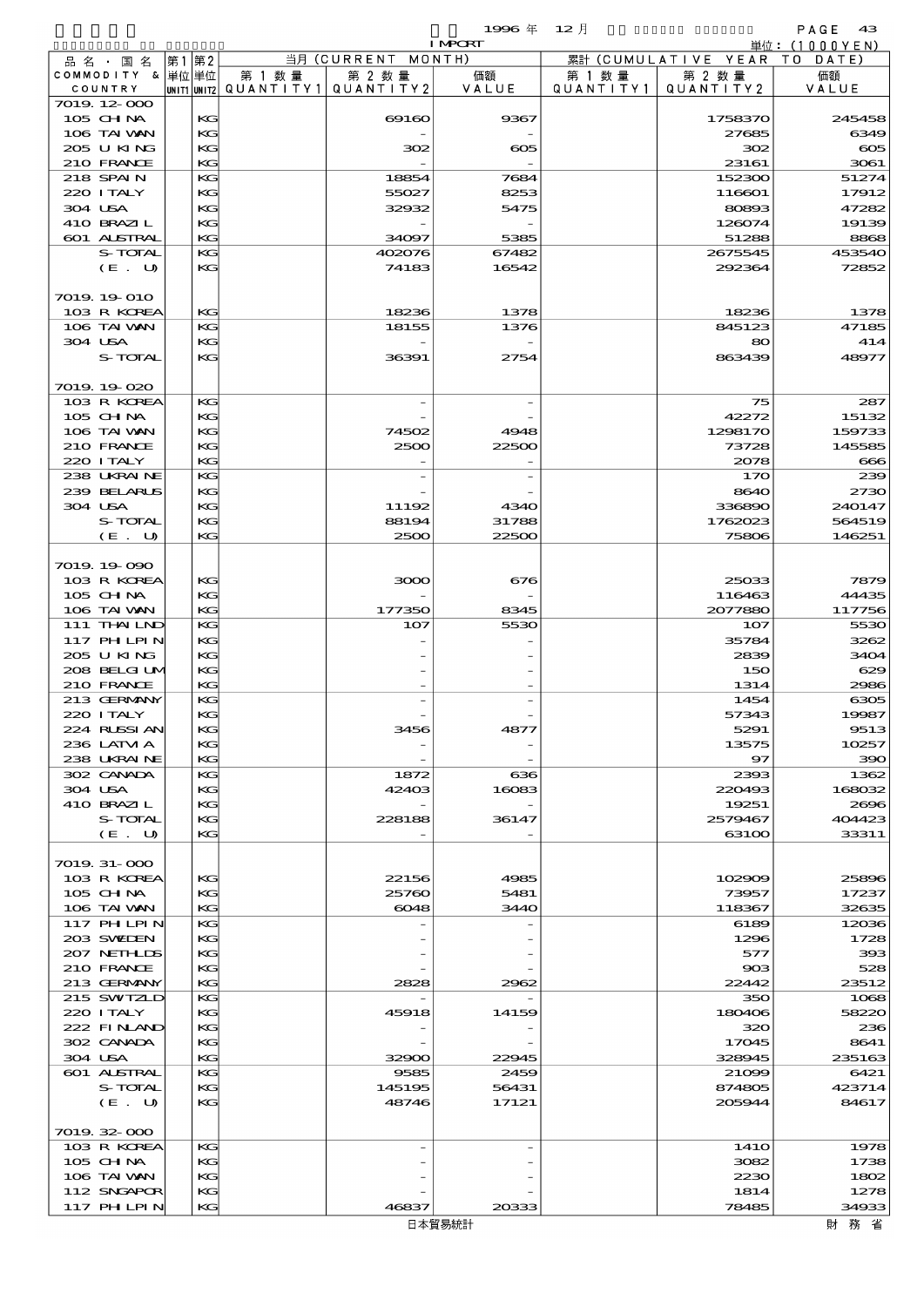$1996 \text{ } \#$   $12 \text{ } \frac{\text{}}{\text{}}$  RAGE 43

|                            |          |        |                                       | <b>I MPCRT</b> |           |                              | 単位: (1000YEN)  |
|----------------------------|----------|--------|---------------------------------------|----------------|-----------|------------------------------|----------------|
| 品 名 ・ 国 名                  | 第1第2     |        | 当月 (CURRENT MONTH)                    |                |           | 累計 (CUMULATIVE YEAR TO DATE) |                |
| COMMODITY & 単位単位           |          | 第 1 数量 | 第 2 数量                                | 価額             | 第 1 数 量   | 第 2 数量                       | 価額             |
| COUNTRY<br>7019.12-000     |          |        | UNIT1 UNIT2  QUANT   TY1  QUANT   TY2 | VALUE          | QUANTITY1 | QUANTITY 2                   | VALUE          |
| 105 CH NA                  | KG       |        | 69160                                 | 9367           |           | 1758370                      | 245458         |
| 106 TAI VAN                | KG       |        |                                       |                |           | 27685                        | 6349           |
| 205 U KING                 | KG       |        | 302                                   | $\infty$       |           | 302                          | $\infty$       |
| 210 FRANCE                 | KG       |        |                                       |                |           | 23161                        | 3061           |
| 218 SPAIN<br>220 I TALY    | KG<br>KG |        | 18854<br>55027                        | 7684<br>8253   |           | 152300                       | 51274<br>17912 |
| 304 USA                    | KG       |        | 32932                                 | 5475           |           | 116601<br>80893              | 47282          |
| 410 BRAZIL                 | KG       |        |                                       |                |           | 126074                       | 19139          |
| 601 ALSTRAL                | KG       |        | 34097                                 | 5385           |           | 51288                        | 8868           |
| S-TOTAL                    | KG       |        | 402076                                | 67482          |           | 2675545                      | 453540         |
| (E. U)                     | KG       |        | 74183                                 | 16542          |           | 292364                       | 72852          |
|                            |          |        |                                       |                |           |                              |                |
| 7019 19 010                |          |        |                                       |                |           |                              |                |
| 103 R KOREA                | KG       |        | 18236                                 | 1378           |           | 18236                        | 1378           |
| 106 TAI VAN<br>304 USA     | KG<br>KG |        | 18155                                 | 1376           |           | 845123<br>80                 | 47185<br>414   |
| S-TOTAL                    | KG       |        | 36391                                 | 2754           |           | 863439                       | 48977          |
|                            |          |        |                                       |                |           |                              |                |
| 7019.19-020                |          |        |                                       |                |           |                              |                |
| 103 R KOREA                | KG       |        | $\overline{a}$                        |                |           | 75                           | 287            |
| 105 CH NA                  | KG       |        |                                       |                |           | 42272                        | 15132          |
| 106 TAI VAN                | KG       |        | 74502                                 | 4948           |           | 1298170                      | 159733         |
| 210 FRANCE                 | KG       |        | 2500                                  | 22500          |           | 73728                        | 145585         |
| 220 I TALY<br>238 UKRAINE  | KG<br>KG |        |                                       |                |           | 2078<br>170                  | 666            |
| 239 BELARUS                | KG       |        |                                       |                |           | 8640                         | 239<br>2730    |
| 304 USA                    | KG       |        | 11192                                 | 4340           |           | 336890                       | 240147         |
| S-TOTAL                    | KG       |        | 88194                                 | 31788          |           | 1762023                      | 564519         |
| (E. U)                     | KG       |        | 2500                                  | 22500          |           | 75806                        | 146251         |
|                            |          |        |                                       |                |           |                              |                |
| 7019.19-090                |          |        |                                       |                |           |                              |                |
| 103 R KOREA                | KG       |        | 3000                                  | 676            |           | 25033                        | 7879           |
| $105$ CHNA                 | KG       |        |                                       |                |           | 116463                       | 44435          |
| 106 TAI VAN<br>111 THAILND | KG<br>KG |        | 177350<br>107                         | 8345<br>5530   |           | 2077880<br>107               | 117756<br>5530 |
| 117 PHLPIN                 | KG       |        |                                       |                |           | 35784                        | 3262           |
| 205 U KING                 | KG       |        |                                       |                |           | 2839                         | 3404           |
| 208 BELGI UM               | KG       |        |                                       |                |           | 150                          | 629            |
| 210 FRANCE                 | KG       |        |                                       |                |           | 1314                         | 2986           |
| 213 GERMANY                | KG       |        |                                       |                |           | 1454                         | 6305           |
| 220 I TALY                 | KG       |        |                                       |                |           | 57343                        | 19987          |
| 224 RUSSIAN                | KG       |        |                                       |                |           | 5291                         | 9513           |
| 236 LATM A<br>238 UKRAINE  | KG<br>KC |        |                                       |                |           | 13575<br>97                  | 10257<br>390   |
| 302 CANADA                 | KC       |        | 1872                                  | 636            |           | 2393                         | 1362           |
| 304 USA                    | KC       |        | 42403                                 | 16083          |           | 220493                       | 168032         |
| 410 BRAZIL                 | KG       |        |                                       |                |           | 19251                        | 2696           |
| S-TOTAL                    | KG       |        | 228188                                | 36147          |           | 2579467                      | 404423         |
| (E. U)                     | KG       |        |                                       |                |           | 63100                        | 33311          |
|                            |          |        |                                       |                |           |                              |                |
| 7019. 31-000               |          |        |                                       |                |           |                              |                |
| 103 R KOREA<br>$105$ CHNA  | KG<br>KG |        | 22156<br>25760                        | 4985<br>5481   |           | 102909<br>73957              | 25896<br>17237 |
| 106 TAI VAN                | KG       |        | 6048                                  | 3440           |           | 118367                       | 32635          |
| 117 PHLPIN                 | KC       |        |                                       |                |           | 6189                         | 12036          |
| 203 SWIDEN                 | KG       |        |                                       |                |           | 1296                         | 1728           |
| 207 NETHLIS                | KG       |        |                                       |                |           | 577                          | 393            |
| 210 FRANCE                 | KG       |        |                                       |                |           | $\alpha$                     | 528            |
| 213 GERMANY                | KG       |        | 2828                                  | 2962           |           | 22442                        | 23512          |
| 215 SWIZLD                 | KC       |        |                                       |                |           | 350                          | 1068           |
| 220 I TALY<br>222 FINAND   | KG<br>KG |        | 45918                                 | 14159          |           | 180406<br>320                | 58220<br>236   |
| 302 CANADA                 | KG       |        |                                       |                |           | 17045                        | 8641           |
| 304 USA                    | KG       |        | 32900                                 | 22945          |           | 328945                       | 235163         |
| 601 ALSTRAL                | KC       |        | 9585                                  | 2459           |           | 21099                        | 6421           |
| S-TOTAL                    | KG       |        | 145195                                | 56431          |           | 874805                       | 423714         |
| (E. U)                     | KG       |        | 48746                                 | 17121          |           | 205944                       | 84617          |
|                            |          |        |                                       |                |           |                              |                |
| 7019.32-000<br>103 R KOREA | KG       |        |                                       |                |           | 141O                         | 1978           |
| $105$ CHNA                 | KC       |        |                                       |                |           | 3082                         | 1738           |
| 106 TAI VAN                | KG       |        |                                       |                |           | 2230                         | 1802           |
| 112 SNGAPOR                | KG       |        |                                       |                |           | 1814                         | 1278           |
| 117 PH LPIN                | KG       |        | 46837                                 | 20333          |           | 78485                        | 34933          |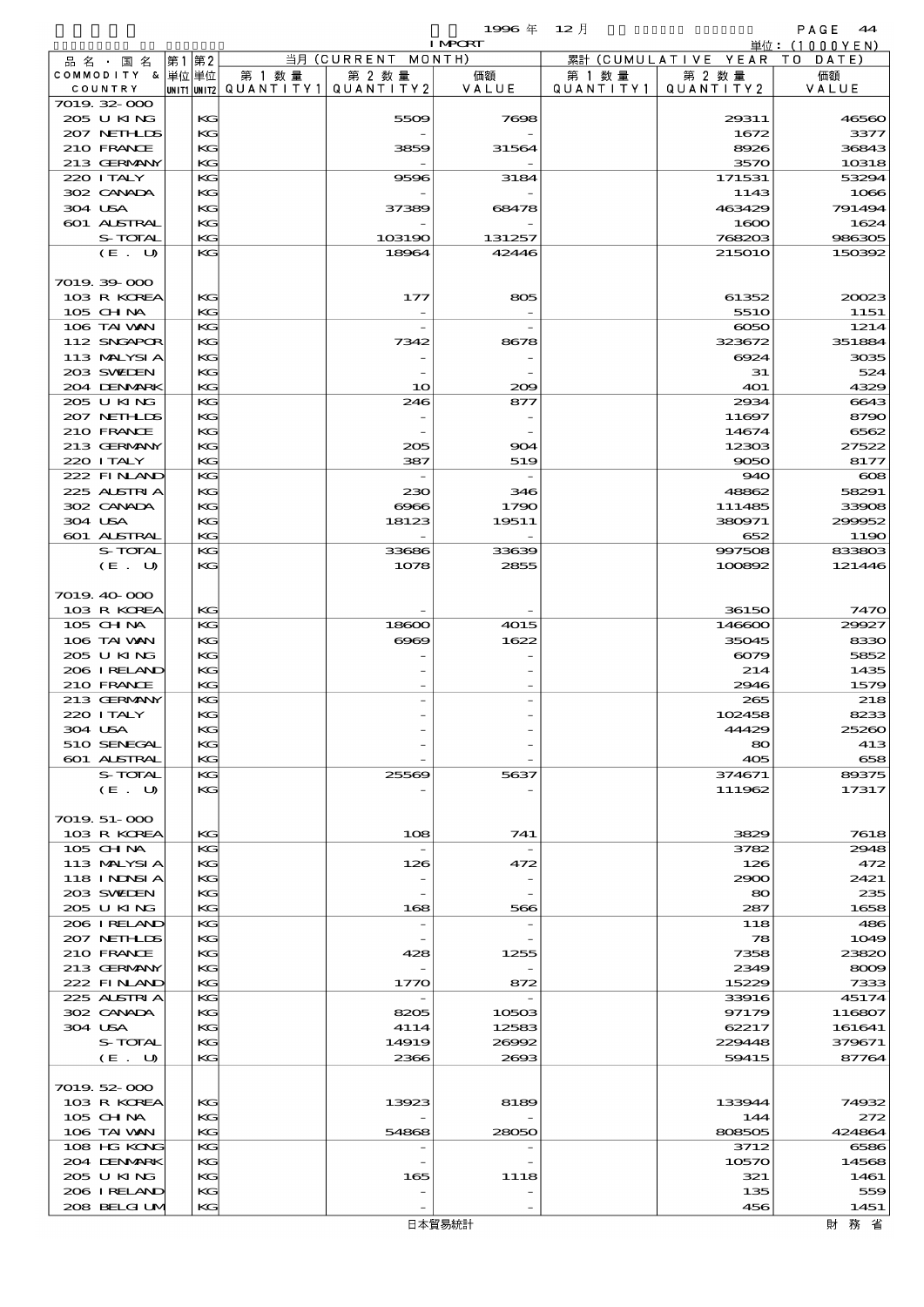|                           |       |          |                                           |                                 | <b>I MPCRT</b> |                      |                              | 単位: (1000 Y E N ) |
|---------------------------|-------|----------|-------------------------------------------|---------------------------------|----------------|----------------------|------------------------------|-------------------|
| 品名・国名                     | 第1 第2 |          |                                           | 当月 (CURRENT MONTH)              |                |                      | 累計 (CUMULATIVE YEAR TO DATE) |                   |
| COMMODITY & 単位単位          |       |          | 第 1 数量<br>UNIT1 UNIT2 QUANTITY1 QUANTITY2 | 第 2 数量                          | 価額             | 第 1 数 量<br>QUANTITY1 | 第 2 数量<br>QUANTITY2          | 価額                |
| COUNTRY<br>7019.32-000    |       |          |                                           |                                 | VALUE          |                      |                              | VALUE             |
| 205 U KING                |       | KС       |                                           | 5509                            | 7698           |                      | 29311                        | 46560             |
| 207 NETHLIS               |       | KG       |                                           |                                 |                |                      | 1672                         | 3377              |
| 210 FRANCE                |       | KG       |                                           | 3859                            | 31564          |                      | 8926                         | 36843             |
| 213 GERMANY               |       | KG       |                                           |                                 |                |                      | 3570                         | 10318             |
| 220 I TALY<br>302 CANADA  |       | KG<br>KG |                                           | 9596                            | 3184           |                      | 171531<br>1143               | 53294             |
| 304 USA                   |       | KG       |                                           | 37389                           | 68478          |                      | 463429                       | 1066<br>791494    |
| 601 ALSTRAL               |       | KG       |                                           |                                 |                |                      | 1600                         | 1624              |
| S-TOTAL                   |       | KG       |                                           | 103190                          | 131257         |                      | 768203                       | 986305            |
| (E. U)                    |       | KG       |                                           | 18964                           | 42446          |                      | 215010                       | 150392            |
|                           |       |          |                                           |                                 |                |                      |                              |                   |
| 7019.39-000               |       |          |                                           |                                 |                |                      |                              |                   |
| 103 R KOREA               |       | KG       |                                           | 177                             | 805            |                      | 61352                        | 20023             |
| 105 CHNA<br>106 TAI VAN   |       | KG<br>KG |                                           |                                 |                |                      | 551O<br>$\infty$             | 1151<br>1214      |
| 112 SNGAPOR               |       | KG       |                                           | 7342                            | 8678           |                      | 323672                       | 351884            |
| 113 MALYSIA               |       | KG       |                                           |                                 |                |                      | 6924                         | 3035              |
| 203 SWIDEN                |       | KG       |                                           |                                 |                |                      | 31                           | 524               |
| 204 DENMARK               |       | KG       |                                           | 10                              | 209            |                      | <b>401</b>                   | 4329              |
| 205 U KING                |       | KG       |                                           | 246                             | 877            |                      | 2934                         | 6643              |
| 207 NETHLIS               |       | KG       |                                           |                                 |                |                      | 11697                        | 8790              |
| 210 FRANCE                |       | KG       |                                           |                                 |                |                      | 14674                        | 6562              |
| 213 GERMANY<br>220 I TALY |       | KG<br>KG |                                           | 205<br>387                      | 904<br>519     |                      | 12303<br>9050                | 27522             |
| 222 FINAND                |       | KG       |                                           |                                 |                |                      | 940                          | 8177<br>$\infty$  |
| 225 ALSTRIA               |       | KG       |                                           | 230                             | 346            |                      | 48862                        | 58291             |
| 302 CANADA                |       | KG       |                                           | $\Theta$ $\Theta$ $\Theta$      | 1790           |                      | 111485                       | 33908             |
| 304 USA                   |       | KG       |                                           | 18123                           | 19511          |                      | 380971                       | 299952            |
| 601 ALSTRAL               |       | KG       |                                           |                                 |                |                      | 652                          | 1190              |
| S-TOTAL                   |       | KG       |                                           | 33686                           | 33639          |                      | 997508                       | 833803            |
| (E. U)                    |       | KG       |                                           | 1078                            | 2855           |                      | 100892                       | 121446            |
| 7019.40-000               |       |          |                                           |                                 |                |                      |                              |                   |
| 103 R KOREA               |       | KG       |                                           |                                 |                |                      | 36150                        | 7470              |
| 105 CHNA                  |       | KG       |                                           | 18600                           | 4015           |                      | 146600                       | 29927             |
| 106 TAI VAN               |       | KG       |                                           | $\infty$                        | 1622           |                      | 35045                        | 8330              |
| 205 U KING                |       | KG       |                                           |                                 |                |                      | 6079                         | 5852              |
| 206 IRELAND               |       | KG       |                                           |                                 |                |                      | 214                          | 1435              |
| 210 FRANCE                |       | KG       |                                           |                                 |                |                      | 2946                         | 1579              |
| 213 GERMANY               |       | KG       |                                           |                                 |                |                      | 265                          | 218               |
| 220 I TALY<br>304 USA     |       | KG<br>KG |                                           |                                 |                |                      | 102458<br>44429              | 8233<br>25260     |
| 510 SENEGAL               |       | KG       |                                           |                                 |                |                      | 80                           | 413               |
| 601 ALSTRAL               |       | KC       |                                           |                                 |                |                      | 405                          | 658               |
| S-TOTAL                   |       | KG       |                                           | 25569                           | 5637           |                      | 374671                       | 89375             |
| (E. U)                    |       | KG       |                                           |                                 |                |                      | 111962                       | 17317             |
|                           |       |          |                                           |                                 |                |                      |                              |                   |
| 7019. 51-000              |       |          |                                           |                                 |                |                      |                              |                   |
| 103 R KOREA               |       | KG       |                                           | 108                             | 741            |                      | 3829                         | 7618<br>2948      |
| 105 CHNA<br>113 MALYSIA   |       | KG<br>KG |                                           | $\overline{\phantom{0}}$<br>126 | 472            |                      | 3782<br>126                  | 472               |
| 118 INNSI A               |       | KG       |                                           |                                 |                |                      | 2900                         | 2421              |
| 203 SWIDEN                |       | KG       |                                           |                                 |                |                      | 80                           | 235               |
| 205 U KING                |       | KG       |                                           | 168                             | 566            |                      | 287                          | 1658              |
| 206 IRELAND               |       | KG       |                                           | $\overline{\phantom{m}}$        |                |                      | 118                          | 486               |
| 207 NETHLIS               |       | KG       |                                           |                                 |                |                      | 78                           | 1049              |
| 210 FRANCE<br>213 GERMANY |       | KG<br>KG |                                           | 428                             | 1255           |                      | 7358<br>2349                 | 23820<br>8009     |
| 222 FINAND                |       | KG       |                                           | 1770                            | 872            |                      | 15229                        | 7333              |
| 225 ALSTRIA               |       | KG       |                                           |                                 |                |                      | 33916                        | 45174             |
| 302 CANADA                |       | KG       |                                           | 8205                            | 10503          |                      | 97179                        | 116807            |
| 304 USA                   |       | KG       |                                           | 4114                            | 12583          |                      | 62217                        | 161641            |
| S-TOTAL                   |       | KG       |                                           | 14919                           | 26992          |                      | 229448                       | 379671            |
| (E. U)                    |       | KG       |                                           | 2366                            | 2693           |                      | 59415                        | 87764             |
|                           |       |          |                                           |                                 |                |                      |                              |                   |
| 7019.52-000               |       |          |                                           |                                 |                |                      |                              |                   |
| 103 R KOREA<br>105 CH NA  |       | KG<br>KG |                                           | 13923                           | 8189           |                      | 133944<br>144                | 74932<br>272      |
| 106 TAI VAN               |       | KG       |                                           | 54868                           | 28050          |                      | 808505                       | 424864            |
| 108 HG KONG               |       | KG       |                                           |                                 |                |                      | 3712                         | 6586              |
| 204 DENMARK               |       | KG       |                                           |                                 |                |                      | 10570                        | 14568             |
| 205 U KING                |       | KG       |                                           | 165                             | 1118           |                      | 321                          | 1461              |
| 206 I RELAND              |       | KC       |                                           |                                 |                |                      | 135                          | 559               |
| 208 BELGI UM              |       | KG       |                                           |                                 |                |                      | 456                          | 1451              |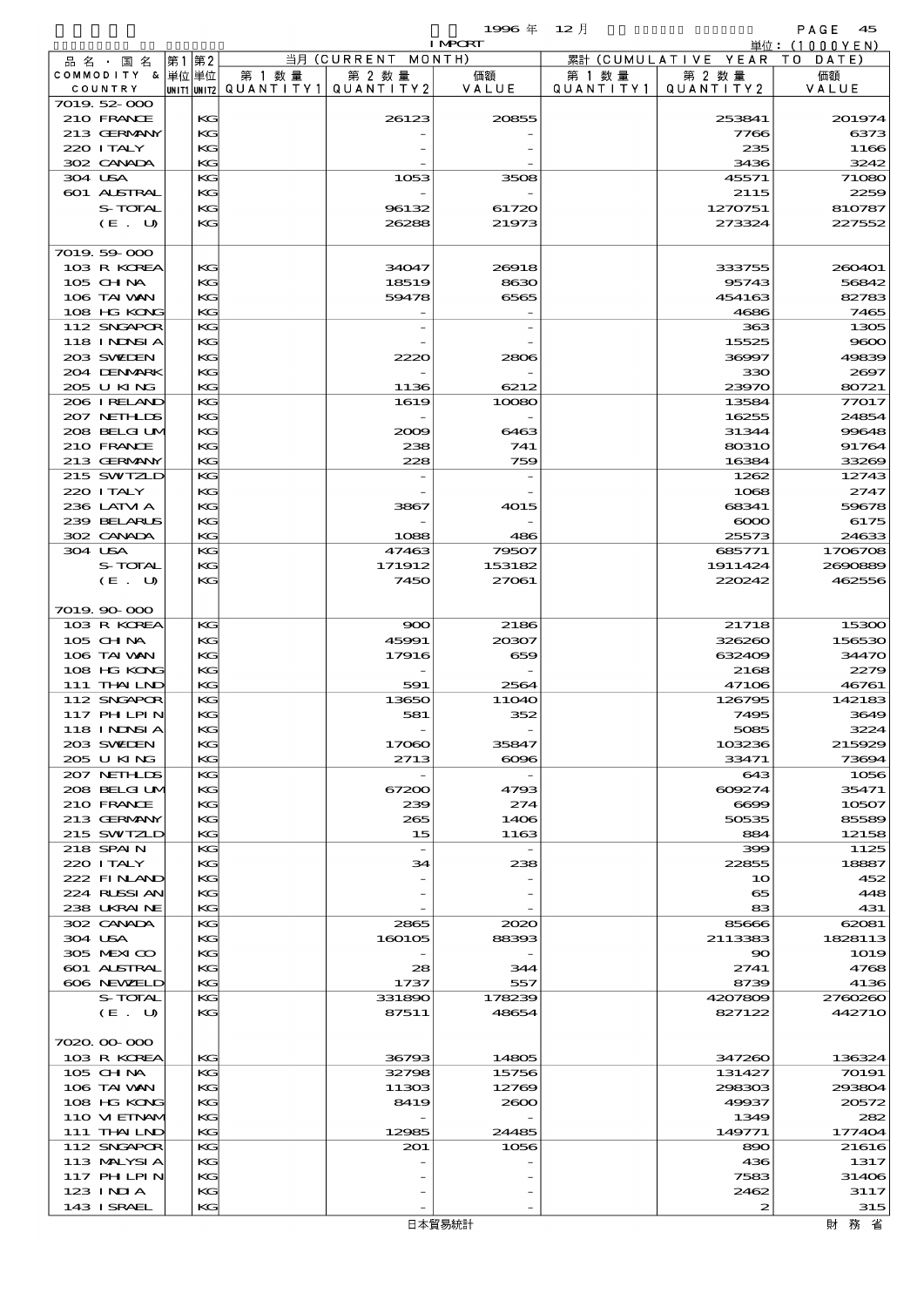$1996 \n& 12 \nparallel$  PAGE 45

|                             |    |          |         |                                                  | <b>I MPCRT</b> |                     |                                  | 単位: (1000YEN)   |
|-----------------------------|----|----------|---------|--------------------------------------------------|----------------|---------------------|----------------------------------|-----------------|
| 品名・国名                       | 第1 | 第2       |         | 当月 (CURRENT                                      | MONTH)         |                     | 累計 (CUMULATIVE YEAR TO DATE)     |                 |
| COMMODITY & 単位単位<br>COUNTRY |    |          | 第 1 数 量 | 第 2 数量<br> unit1 unit2  QUANT   TY1  QUANT   TY2 | 価額<br>VALUE    | 第 1 数量<br>QUANTITY1 | 第 2 数量<br>QUANTITY 2             | 価額<br>VALUE     |
| 7019.52-000                 |    |          |         |                                                  |                |                     |                                  |                 |
| 210 FRANCE                  |    | KG       |         | 26123                                            | 20855          |                     | 253841                           | 201974          |
| 213 GERMANY                 |    | KG       |         |                                                  |                |                     | 7766                             | 6373            |
| 220 I TALY                  |    | KG       |         |                                                  |                |                     | 235                              | 1166            |
| 302 CANADA<br>304 USA       |    | KG<br>KG |         | 1053                                             | 3508           |                     | 3436<br>45571                    | 3242<br>71080   |
| 601 ALSTRAL                 |    | KG       |         |                                                  |                |                     | 2115                             | 2259            |
| S-TOTAL                     |    | KG       |         | 96132                                            | 61720          |                     | 1270751                          | 810787          |
| (E. U)                      |    | KG       |         | 26288                                            | 21973          |                     | 273324                           | 227552          |
|                             |    |          |         |                                                  |                |                     |                                  |                 |
| 7019.59-000                 |    |          |         |                                                  |                |                     |                                  |                 |
| 103 R KOREA<br>$105$ CHNA   |    | KG<br>KG |         | 34047<br>18519                                   | 26918<br>8630  |                     | 333755<br>95743                  | 260401<br>56842 |
| 106 TAI VAN                 |    | KG       |         | 59478                                            | 6565           |                     | 454163                           | 82783           |
| 108 HG KONG                 |    | KG       |         |                                                  |                |                     | 4686                             | 7465            |
| 112 SNGAPOR                 |    | KG       |         |                                                  |                |                     | 363                              | 1305            |
| <b>118 INNSIA</b>           |    | KG       |         |                                                  |                |                     | 15525                            | 9600            |
| 203 SWIEN                   |    | KG       |         | 2220                                             | 2806           |                     | 36997                            | 49839           |
| 204 DENMARK<br>205 U KING   |    | KG<br>KG |         | 1136                                             | 6212           |                     | 330<br>23970                     | 2697<br>80721   |
| 206 IRELAND                 |    | KG       |         | 1619                                             | 10080          |                     | 13584                            | 77017           |
| 207 NETHLIS                 |    | KG       |         |                                                  |                |                     | 16255                            | 24854           |
| 208 BELGI UM                |    | KG       |         | 2009                                             | 6463           |                     | 31344                            | 99648           |
| 210 FRANCE                  |    | KG       |         | 238                                              | 741            |                     | 80310                            | 91764           |
| 213 GERMANY                 |    | KG       |         | 228                                              | 759            |                     | 16384                            | 33269           |
| 215 SWIZLD                  |    | KG       |         |                                                  |                |                     | 1262                             | 12743           |
| 220 I TALY                  |    | KG       |         |                                                  |                |                     | 1068                             | 2747            |
| 236 LATM A<br>239 BELARUS   |    | KG<br>KG |         | 3867                                             | 4015           |                     | 68341<br>$\infty$                | 59678<br>6175   |
| 302 CANADA                  |    | KG       |         | 1088                                             | 486            |                     | 25573                            | 24633           |
| 304 USA                     |    | KG       |         | 47463                                            | 79507          |                     | 685771                           | 1706708         |
| S-TOTAL                     |    | KG       |         | 171912                                           | 153182         |                     | 1911424                          | 2690889         |
| (E. U)                      |    | KG       |         | 7450                                             | 27061          |                     | 220242                           | 462556          |
|                             |    |          |         |                                                  |                |                     |                                  |                 |
| 7019.90-000                 |    |          |         |                                                  |                |                     |                                  |                 |
| 103 R KOREA<br>$105$ CHNA   |    | KG<br>KG |         | 900<br>45991                                     | 2186<br>20307  |                     | 21718<br>326260                  | 15300<br>156530 |
| 106 TAI VAN                 |    | KG       |         | 17916                                            | 659            |                     | 632409                           | 34470           |
| 108 HG KONG                 |    | KG       |         |                                                  |                |                     | 2168                             | 2279            |
| 111 THAILND                 |    | KG       |         | 591                                              | 2564           |                     | 47106                            | 46761           |
| 112 SNGAPOR                 |    | KG       |         | 13650                                            | 11040          |                     | 126795                           | 142183          |
| 117 PHLPIN                  |    | KG       |         | 581                                              | 352            |                     | 7495                             | 3649            |
| 118 I NDSI A<br>203 SWIDEN  |    | KG<br>KG |         | 17060                                            | 35847          |                     | 5085<br>103236                   | 3224<br>215929  |
| 205 U KING                  |    | KG       |         | 2713                                             | $\infty$       |                     | 33471                            | 73694           |
| 207 NETHLIS                 |    | KG       |         | $\overline{\phantom{a}}$                         |                |                     | 643                              | 1056            |
| 208 BELGI UM                |    | KG       |         | 67200                                            | 4793           |                     | 609274                           | 35471           |
| 210 FRANCE                  |    | KG       |         | 239                                              | 274            |                     | 6699                             | 10507           |
| 213 GERMANY                 |    | KG       |         | 265                                              | 1406           |                     | 50535                            | 85589           |
| 215 SWIZLD<br>218 SPAIN     |    | KG<br>KG |         | 15<br>$\overline{\phantom{a}}$                   | 1163           |                     | 884<br>399                       | 12158<br>1125   |
| 220 I TALY                  |    | KG       |         | 34                                               | 238            |                     | 22855                            | 18887           |
| 222 FINAND                  |    | KG       |         |                                                  |                |                     | 10                               | 452             |
| 224 RUSSI AN                |    | KG       |         |                                                  |                |                     | 65                               | 448             |
| 238 UKRAINE                 |    | KG       |         |                                                  |                |                     | 83                               | 431             |
| 302 CANADA                  |    | KG       |         | 2865                                             | 2020           |                     | 85666                            | 62081           |
| 304 USA<br>305 MEXICO       |    | KG<br>KG |         | 160105                                           | 88393          |                     | 2113383<br>$\boldsymbol{\infty}$ | 1828113<br>1019 |
| 601 ALSTRAL                 |    | KG       |         | 28                                               | 344            |                     | 2741                             | 4768            |
| 606 NEWELD                  |    | KG       |         | 1737                                             | 557            |                     | 8739                             | 4136            |
| S-TOTAL                     |    | KG       |         | 331890                                           | 178239         |                     | 4207809                          | 2760260         |
| (E. U)                      |    | KG       |         | 87511                                            | 48654          |                     | 827122                           | 442710          |
|                             |    |          |         |                                                  |                |                     |                                  |                 |
| 7020.00-000<br>103 R KOREA  |    | KG       |         | 36793                                            | 14805          |                     | 347260                           | 136324          |
| 105 CHNA                    |    | KG       |         | 32798                                            | 15756          |                     | 131427                           | 70191           |
| 106 TAI VAN                 |    | KG       |         | 11303                                            | 12769          |                     | 298303                           | 293804          |
| 108 HG KONG                 |    | KG       |         | 8419                                             | 2600           |                     | 49937                            | 20572           |
| 110 VI EINAM                |    | KG       |         |                                                  |                |                     | 1349                             | 282             |
| 111 THAILND                 |    | KG       |         | 12985                                            | 24485          |                     | 149771                           | 177404          |
| 112 SNGAPOR<br>113 MALYSIA  |    | KG<br>KG |         | 201                                              | 1056           |                     | 890<br>436                       | 21616<br>1317   |
| 117 PHLPIN                  |    | KG       |         |                                                  |                |                     | 7583                             | 31406           |
| 123 INIA                    |    | KG       |         |                                                  |                |                     | 2462                             | 3117            |
| 143 ISRAEL                  |    | KG       |         |                                                  |                |                     | 2                                | 315             |